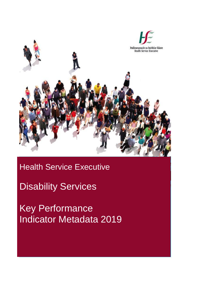

## Health Service Executive

## Disability Services

Key Performance Indicator Metadata 2019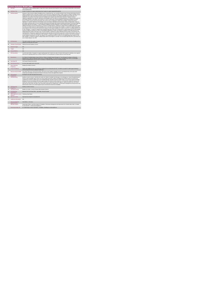|                      | <b>Access Inclusion Model (AIM)</b>                          |                                                                                                                                                                                                                                                                                                                                                                                                                                                                                                                                                                                                                                                                                                                                                                                                                                                                                                                                                                                                                                                                                                                                                                                                                                                                                                                                                                                                                                                                                                                                                                                                                                                                                                                                                                                                                                                                                                                                                                                                                                                                                                                                                                                                                                                                                                                                                                                                                                                                                                                                                                                                                                                                                                                                                                                                                                                                                                                                                                                                                                                              |
|----------------------|--------------------------------------------------------------|--------------------------------------------------------------------------------------------------------------------------------------------------------------------------------------------------------------------------------------------------------------------------------------------------------------------------------------------------------------------------------------------------------------------------------------------------------------------------------------------------------------------------------------------------------------------------------------------------------------------------------------------------------------------------------------------------------------------------------------------------------------------------------------------------------------------------------------------------------------------------------------------------------------------------------------------------------------------------------------------------------------------------------------------------------------------------------------------------------------------------------------------------------------------------------------------------------------------------------------------------------------------------------------------------------------------------------------------------------------------------------------------------------------------------------------------------------------------------------------------------------------------------------------------------------------------------------------------------------------------------------------------------------------------------------------------------------------------------------------------------------------------------------------------------------------------------------------------------------------------------------------------------------------------------------------------------------------------------------------------------------------------------------------------------------------------------------------------------------------------------------------------------------------------------------------------------------------------------------------------------------------------------------------------------------------------------------------------------------------------------------------------------------------------------------------------------------------------------------------------------------------------------------------------------------------------------------------------------------------------------------------------------------------------------------------------------------------------------------------------------------------------------------------------------------------------------------------------------------------------------------------------------------------------------------------------------------------------------------------------------------------------------------------------------------------|
|                      | <b>KPITitle</b>                                              | Total number of children awaiting supports, longer than 5 weeks requested only through the Access and Inclusion Model (AIM), on the last day<br>of the reporting month.                                                                                                                                                                                                                                                                                                                                                                                                                                                                                                                                                                                                                                                                                                                                                                                                                                                                                                                                                                                                                                                                                                                                                                                                                                                                                                                                                                                                                                                                                                                                                                                                                                                                                                                                                                                                                                                                                                                                                                                                                                                                                                                                                                                                                                                                                                                                                                                                                                                                                                                                                                                                                                                                                                                                                                                                                                                                                      |
| 18                   | <b>KPI Short Title</b>                                       | Number of requests for support waiting longer than 5 weeks for support requested through AIM                                                                                                                                                                                                                                                                                                                                                                                                                                                                                                                                                                                                                                                                                                                                                                                                                                                                                                                                                                                                                                                                                                                                                                                                                                                                                                                                                                                                                                                                                                                                                                                                                                                                                                                                                                                                                                                                                                                                                                                                                                                                                                                                                                                                                                                                                                                                                                                                                                                                                                                                                                                                                                                                                                                                                                                                                                                                                                                                                                 |
| $\overline{2}$       | <b>KPI Description</b>                                       | Definitions: Child is known to children's disability services: include those who- are currently receiving or have in the past interventions from the<br>children's disability services- have been screened or assessed and are awaiting interventions. Child is unknown to children's disability services:<br>include those who - have not yet been referred to services or do not meet criteria for any children's disability service in their area - are<br>waitlisted for services/have not yet been assessed. Disability Service supports under AIM include Universal or Targeted: Universal<br>supports not applicable to one specific child known to that disability service, but rather for presenting difficulties of a child described by the EYS,<br>and includes provision of information over the phone or in person, advice packs, practical guidelines, training and presentations to assist<br>groups of children, parents and preschool leaders with common areas of challenge for children with a disability. Targeted interventions:<br>applicable for a specific child known to that disability service and includes Individualised preschool plans, behaviour support plans, equipment<br>prescriptions, preschool visits for one:one work with child and preschool leader when required and professional advice on the phone regarding<br>that specific child. This KPI includes: 1. Level 5 Equipment, Appliances and Minor Alterations, Level 6 Health service supports and Level 7,<br>Additional Assistance in the Pre-School Room (i.e. provision of existing reports).2. Requests for support which are waiting longer than 5 weeks.<br>from date of accepted request for required disability service on last day of the reporting month. Example 1: A request for support through AIM<br>was accepted on June 1st and service commenced on Aug 1st. As the request is waiting over 8 weeks at July 31st, it is counted under this KPI<br>for July. Example 2 : A request for supports was accepted through AIM on May 15th. An agreement is in place between the EYS and Disability<br>service for support to commence on July 1st. Even though this agreement is in place, this request is counted for June under this KPI as it is<br>waiting longer than 5 weeks on last day of June. This KPI excludes:1. Requests for support waiting less than five weeks on the last day of the<br>reporting month.2. Requests for supports which would have been typically received from this source prior to AIM commencement i.e. this is not<br>a new demand as a result of the introduction of AIM. Example 3: A request for support through AIM was accepted on June 15th and disability<br>service supports commenced on Jul 13th. This request is not counted under this KP for June as it is not waiting longer than 5 weeks on June<br>30th. Example 4: A request for support is waiting 9 weeks when service begins on June 8th. It is not counted under this KPI for June return as it<br>was no longer waiting on June 30th. |
| $\mathcal{R}$        | <b>KPI Rationale</b>                                         | This metric monitors the number of requests for support received through AIM and waiting longer than 5 weeks to commence disability service<br>supports on the last day of the month                                                                                                                                                                                                                                                                                                                                                                                                                                                                                                                                                                                                                                                                                                                                                                                                                                                                                                                                                                                                                                                                                                                                                                                                                                                                                                                                                                                                                                                                                                                                                                                                                                                                                                                                                                                                                                                                                                                                                                                                                                                                                                                                                                                                                                                                                                                                                                                                                                                                                                                                                                                                                                                                                                                                                                                                                                                                         |
| 3a                   |                                                              | Indicator Classification National Scorecard Quadrant-Access                                                                                                                                                                                                                                                                                                                                                                                                                                                                                                                                                                                                                                                                                                                                                                                                                                                                                                                                                                                                                                                                                                                                                                                                                                                                                                                                                                                                                                                                                                                                                                                                                                                                                                                                                                                                                                                                                                                                                                                                                                                                                                                                                                                                                                                                                                                                                                                                                                                                                                                                                                                                                                                                                                                                                                                                                                                                                                                                                                                                  |
| $\overline{4}$<br>4a | <b>National Target</b><br>Target                             | $N/\Delta$<br>N/A                                                                                                                                                                                                                                                                                                                                                                                                                                                                                                                                                                                                                                                                                                                                                                                                                                                                                                                                                                                                                                                                                                                                                                                                                                                                                                                                                                                                                                                                                                                                                                                                                                                                                                                                                                                                                                                                                                                                                                                                                                                                                                                                                                                                                                                                                                                                                                                                                                                                                                                                                                                                                                                                                                                                                                                                                                                                                                                                                                                                                                            |
|                      |                                                              | $N/\Delta$                                                                                                                                                                                                                                                                                                                                                                                                                                                                                                                                                                                                                                                                                                                                                                                                                                                                                                                                                                                                                                                                                                                                                                                                                                                                                                                                                                                                                                                                                                                                                                                                                                                                                                                                                                                                                                                                                                                                                                                                                                                                                                                                                                                                                                                                                                                                                                                                                                                                                                                                                                                                                                                                                                                                                                                                                                                                                                                                                                                                                                                   |
| 4h                   | <b>Volume Metrics</b>                                        |                                                                                                                                                                                                                                                                                                                                                                                                                                                                                                                                                                                                                                                                                                                                                                                                                                                                                                                                                                                                                                                                                                                                                                                                                                                                                                                                                                                                                                                                                                                                                                                                                                                                                                                                                                                                                                                                                                                                                                                                                                                                                                                                                                                                                                                                                                                                                                                                                                                                                                                                                                                                                                                                                                                                                                                                                                                                                                                                                                                                                                                              |
| 5                    | <b>KPI Calculation</b>                                       | Count the total number of requests for supports waiting longer than 5 weeks since date of receipt of AIM request for disability service supports<br>at the end of a reporting month. This is a Point In Time KPI i.e. do not add up the 12 months returns for end of year total                                                                                                                                                                                                                                                                                                                                                                                                                                                                                                                                                                                                                                                                                                                                                                                                                                                                                                                                                                                                                                                                                                                                                                                                                                                                                                                                                                                                                                                                                                                                                                                                                                                                                                                                                                                                                                                                                                                                                                                                                                                                                                                                                                                                                                                                                                                                                                                                                                                                                                                                                                                                                                                                                                                                                                              |
| 6                    | <b>Data Source</b>                                           | For Children's Disability Network Teams (CDNTs): Children's Disability Network Manager (or Team Manager/Coordinator until Network<br>Manager posts in place) in HSE/HSE funded CDNTs to Disability Manager. For services not yet reconfigured into CDNTs: Line Manager<br>(Head of Discipline/Head of Service/Team Coordinator) in HSE/HSE funded services to Disability Manager                                                                                                                                                                                                                                                                                                                                                                                                                                                                                                                                                                                                                                                                                                                                                                                                                                                                                                                                                                                                                                                                                                                                                                                                                                                                                                                                                                                                                                                                                                                                                                                                                                                                                                                                                                                                                                                                                                                                                                                                                                                                                                                                                                                                                                                                                                                                                                                                                                                                                                                                                                                                                                                                             |
| 6a                   | Data Sign Off                                                | CHO Head of Social Care (HOSC)                                                                                                                                                                                                                                                                                                                                                                                                                                                                                                                                                                                                                                                                                                                                                                                                                                                                                                                                                                                                                                                                                                                                                                                                                                                                                                                                                                                                                                                                                                                                                                                                                                                                                                                                                                                                                                                                                                                                                                                                                                                                                                                                                                                                                                                                                                                                                                                                                                                                                                                                                                                                                                                                                                                                                                                                                                                                                                                                                                                                                               |
| 6h                   | <b>Data Quality Issues</b>                                   | No known data quality issues at this point.                                                                                                                                                                                                                                                                                                                                                                                                                                                                                                                                                                                                                                                                                                                                                                                                                                                                                                                                                                                                                                                                                                                                                                                                                                                                                                                                                                                                                                                                                                                                                                                                                                                                                                                                                                                                                                                                                                                                                                                                                                                                                                                                                                                                                                                                                                                                                                                                                                                                                                                                                                                                                                                                                                                                                                                                                                                                                                                                                                                                                  |
| $\overline{7}$       | <b>Data Collection</b><br>Frequency                          | Monthly (One Month in Arrears)                                                                                                                                                                                                                                                                                                                                                                                                                                                                                                                                                                                                                                                                                                                                                                                                                                                                                                                                                                                                                                                                                                                                                                                                                                                                                                                                                                                                                                                                                                                                                                                                                                                                                                                                                                                                                                                                                                                                                                                                                                                                                                                                                                                                                                                                                                                                                                                                                                                                                                                                                                                                                                                                                                                                                                                                                                                                                                                                                                                                                               |
| 8                    | <b>Tracer Conditions</b>                                     | Children with additional needs accessing Early Childhood Care and Education (ECCE). All children accepted for health support following a<br>referral through AIM, that are waiting for health input.                                                                                                                                                                                                                                                                                                                                                                                                                                                                                                                                                                                                                                                                                                                                                                                                                                                                                                                                                                                                                                                                                                                                                                                                                                                                                                                                                                                                                                                                                                                                                                                                                                                                                                                                                                                                                                                                                                                                                                                                                                                                                                                                                                                                                                                                                                                                                                                                                                                                                                                                                                                                                                                                                                                                                                                                                                                         |
| $\overline{9}$       | Minimum Data Set MDS                                         | Each child's AIM Access and Inclusion Profile, referral form to their children's disability services and individual family service plan which<br>includes personal details and relevant information to the areas of need, and support that is required                                                                                                                                                                                                                                                                                                                                                                                                                                                                                                                                                                                                                                                                                                                                                                                                                                                                                                                                                                                                                                                                                                                                                                                                                                                                                                                                                                                                                                                                                                                                                                                                                                                                                                                                                                                                                                                                                                                                                                                                                                                                                                                                                                                                                                                                                                                                                                                                                                                                                                                                                                                                                                                                                                                                                                                                       |
| 10                   | International<br>Comparison                                  | Developed in line with international best practice                                                                                                                                                                                                                                                                                                                                                                                                                                                                                                                                                                                                                                                                                                                                                                                                                                                                                                                                                                                                                                                                                                                                                                                                                                                                                                                                                                                                                                                                                                                                                                                                                                                                                                                                                                                                                                                                                                                                                                                                                                                                                                                                                                                                                                                                                                                                                                                                                                                                                                                                                                                                                                                                                                                                                                                                                                                                                                                                                                                                           |
| 11                   | <b>KPI Monitoring</b>                                        | Monthly (1 month in Arrears). "By 10th of the month, the Children's Disability Team Manager or Line Manager (i.e. Head of Discipline/Head of<br>Service/ Team Coordinator where CDNTs are not yet in place) will receive, analyse and quality assure AIM KPI returns for accuracy and<br>completeness & forward a collated return to the Disability Manager reporting on previous month's activity. By 21st of the month, the Disability<br>Manager will receive and analysee KPI returns against targets and month on month comparisons, and forward the collated KPI returns to the<br>Social Care Lead /nomine. By 26th of the month, the Social Care Lead/nominee will review, approve, collate and submit to the Chief Officer<br>office By 31st of the month, the Office of the Chief Officer will forward one collated return to Performance Management and Improvement Unit.<br>National returns will be cross checked against reports received by the Social Care Disabilities.                                                                                                                                                                                                                                                                                                                                                                                                                                                                                                                                                                                                                                                                                                                                                                                                                                                                                                                                                                                                                                                                                                                                                                                                                                                                                                                                                                                                                                                                                                                                                                                                                                                                                                                                                                                                                                                                                                                                                                                                                                                                     |
| 12                   | <b>KPI Reporting</b><br>Frequency                            | Monthly (1 month in Arrears)                                                                                                                                                                                                                                                                                                                                                                                                                                                                                                                                                                                                                                                                                                                                                                                                                                                                                                                                                                                                                                                                                                                                                                                                                                                                                                                                                                                                                                                                                                                                                                                                                                                                                                                                                                                                                                                                                                                                                                                                                                                                                                                                                                                                                                                                                                                                                                                                                                                                                                                                                                                                                                                                                                                                                                                                                                                                                                                                                                                                                                 |
| 13                   | <b>KPI Report Period</b>                                     | Monthly, one month in arrears (January data reported in March)                                                                                                                                                                                                                                                                                                                                                                                                                                                                                                                                                                                                                                                                                                                                                                                                                                                                                                                                                                                                                                                                                                                                                                                                                                                                                                                                                                                                                                                                                                                                                                                                                                                                                                                                                                                                                                                                                                                                                                                                                                                                                                                                                                                                                                                                                                                                                                                                                                                                                                                                                                                                                                                                                                                                                                                                                                                                                                                                                                                               |
| 14                   | <b>KPI Reporting</b><br>Aggregation                          | National/ CHO/ LHO Area/ Other - give details: Service Provider                                                                                                                                                                                                                                                                                                                                                                                                                                                                                                                                                                                                                                                                                                                                                                                                                                                                                                                                                                                                                                                                                                                                                                                                                                                                                                                                                                                                                                                                                                                                                                                                                                                                                                                                                                                                                                                                                                                                                                                                                                                                                                                                                                                                                                                                                                                                                                                                                                                                                                                                                                                                                                                                                                                                                                                                                                                                                                                                                                                              |
| 15                   | KPI is reported in which Preliminary Data Report<br>reports? |                                                                                                                                                                                                                                                                                                                                                                                                                                                                                                                                                                                                                                                                                                                                                                                                                                                                                                                                                                                                                                                                                                                                                                                                                                                                                                                                                                                                                                                                                                                                                                                                                                                                                                                                                                                                                                                                                                                                                                                                                                                                                                                                                                                                                                                                                                                                                                                                                                                                                                                                                                                                                                                                                                                                                                                                                                                                                                                                                                                                                                                              |
| 16                   | Web link to data                                             | http://www.hse.ia/eng/services/publications/                                                                                                                                                                                                                                                                                                                                                                                                                                                                                                                                                                                                                                                                                                                                                                                                                                                                                                                                                                                                                                                                                                                                                                                                                                                                                                                                                                                                                                                                                                                                                                                                                                                                                                                                                                                                                                                                                                                                                                                                                                                                                                                                                                                                                                                                                                                                                                                                                                                                                                                                                                                                                                                                                                                                                                                                                                                                                                                                                                                                                 |
| 17                   | <b>Additional Information</b>                                | N/A                                                                                                                                                                                                                                                                                                                                                                                                                                                                                                                                                                                                                                                                                                                                                                                                                                                                                                                                                                                                                                                                                                                                                                                                                                                                                                                                                                                                                                                                                                                                                                                                                                                                                                                                                                                                                                                                                                                                                                                                                                                                                                                                                                                                                                                                                                                                                                                                                                                                                                                                                                                                                                                                                                                                                                                                                                                                                                                                                                                                                                                          |
|                      | <b>KPI</b> owner/lead for<br>implementation                  | Chief Officer . CHO Area                                                                                                                                                                                                                                                                                                                                                                                                                                                                                                                                                                                                                                                                                                                                                                                                                                                                                                                                                                                                                                                                                                                                                                                                                                                                                                                                                                                                                                                                                                                                                                                                                                                                                                                                                                                                                                                                                                                                                                                                                                                                                                                                                                                                                                                                                                                                                                                                                                                                                                                                                                                                                                                                                                                                                                                                                                                                                                                                                                                                                                     |
|                      | PBI data support                                             | Sinéad Nulty O'Brien, Lead Data Analyst for Disabilities, Performance Management and Improvement Unit - Bective Steet, Kells, Co. Meath.<br>Ph: 046 9251328 . Emailsinead.nutv@hse.ie                                                                                                                                                                                                                                                                                                                                                                                                                                                                                                                                                                                                                                                                                                                                                                                                                                                                                                                                                                                                                                                                                                                                                                                                                                                                                                                                                                                                                                                                                                                                                                                                                                                                                                                                                                                                                                                                                                                                                                                                                                                                                                                                                                                                                                                                                                                                                                                                                                                                                                                                                                                                                                                                                                                                                                                                                                                                        |

Ph: 046 9251328 , Email:sinead.nulty@hse.ie<br>Governance/sign off Dr Cathal Morgan, Head of Operations - Disabilities, disabilityops.socialcare@hse.ie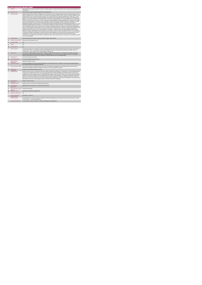|                | <b>Access Inclusion Model (AIM)</b>                          |                                                                                                                                                                                                                                                                                                                                                                                                                                                                                                                                                                                                                                                                                                                                                                                                                                                                                                                                                                                                                                                                                                                                                                                                                                                                                                                                                                                                                                                                                                                                                                                                                                                                                                                                                                                                                                                                                                                                                                                                                                                                                                                                                                                                                                                                                                                                                                                                                                                                                                                                                                                                                                                                                                                                                  |
|----------------|--------------------------------------------------------------|--------------------------------------------------------------------------------------------------------------------------------------------------------------------------------------------------------------------------------------------------------------------------------------------------------------------------------------------------------------------------------------------------------------------------------------------------------------------------------------------------------------------------------------------------------------------------------------------------------------------------------------------------------------------------------------------------------------------------------------------------------------------------------------------------------------------------------------------------------------------------------------------------------------------------------------------------------------------------------------------------------------------------------------------------------------------------------------------------------------------------------------------------------------------------------------------------------------------------------------------------------------------------------------------------------------------------------------------------------------------------------------------------------------------------------------------------------------------------------------------------------------------------------------------------------------------------------------------------------------------------------------------------------------------------------------------------------------------------------------------------------------------------------------------------------------------------------------------------------------------------------------------------------------------------------------------------------------------------------------------------------------------------------------------------------------------------------------------------------------------------------------------------------------------------------------------------------------------------------------------------------------------------------------------------------------------------------------------------------------------------------------------------------------------------------------------------------------------------------------------------------------------------------------------------------------------------------------------------------------------------------------------------------------------------------------------------------------------------------------------------|
|                | <b>KPITitle</b>                                              | Total number of new requests accepted for universal or targeted supports , received only through the Access and Inclusion Model (AIM) in the<br>reporting month.                                                                                                                                                                                                                                                                                                                                                                                                                                                                                                                                                                                                                                                                                                                                                                                                                                                                                                                                                                                                                                                                                                                                                                                                                                                                                                                                                                                                                                                                                                                                                                                                                                                                                                                                                                                                                                                                                                                                                                                                                                                                                                                                                                                                                                                                                                                                                                                                                                                                                                                                                                                 |
| 1a             | <b>KPI Short Title</b>                                       | Total number of requests accepted through AIM in the reporting month                                                                                                                                                                                                                                                                                                                                                                                                                                                                                                                                                                                                                                                                                                                                                                                                                                                                                                                                                                                                                                                                                                                                                                                                                                                                                                                                                                                                                                                                                                                                                                                                                                                                                                                                                                                                                                                                                                                                                                                                                                                                                                                                                                                                                                                                                                                                                                                                                                                                                                                                                                                                                                                                             |
| $\overline{2}$ | <b>KPI Description</b>                                       | Definitions:Child is known to children's disability services: include those who- are currently receiving or have in the past interventions from the<br>children's disability services- have been screened or assessed and are awaiting interventions. Child is unknown to children's disability services:<br>include those who - have not vet been referred to services or do not meet criteria for any children's disability service in their area - are wait-<br>listed for services/have not vet been assessed. Disability Service supports under AIM include Universal or Targeted. Universal supports: not<br>applicable to one specific child known to that health service, but rather for presenting difficulties of a child described by the EYS, and includes<br>provision of information over the phone or in person, advice packs, practical guidelines, training and presentations to assist groups of children,<br>parents and preschool leaders with common areas of challenge for children with a disability. Targeted interventions: applicable for a specific<br>child known to that health service and includes Individualised preschool plans, individualised behaviour support plans, prescription of<br>individualised equipment, preschool visits for one:one work with child and preschool leader when required and professional advice on the phone<br>regarding an individual child. This KPI includes:1. Level 5 Equipment, Appliances and Minor Alterations, Level 6 Health service supports and<br>Level 7, Additional Assistance in the Pre-School Room (i.e. provision of existing reports)2: New requests received through AIM regardless of<br>whether the child is already receiving support as a result of a previous AIM request Example 1: A request for support was accepted for a child<br>unknown to this disability service. This is counted under this KPLExample 2: A request for support has been received through AIM which<br>indicates that there is a requirement for at least 2 disciplines. This request is counted by each of the required disclipines This KPI excludes:<br>Requests for supports which would have been typically received from this source prior to AIM commencement i.e. this is not a new demand as<br>a result of the introduction of AIMExample 4: a parent contacts their child's disability service because their preschool placement is at risk of<br>breaking down. The child is known to this health service and has an IFSP in place. As per this service's policy and practice pre AIM<br>commencement, the appropriate team members are identified and make contact with the preschool. This request is not counted under this KPI<br>as it is not a new demand. |
| $\overline{3}$ | <b>KPI Rationale</b>                                         | This metric monitors the number of requests accepted for supports under AIM only                                                                                                                                                                                                                                                                                                                                                                                                                                                                                                                                                                                                                                                                                                                                                                                                                                                                                                                                                                                                                                                                                                                                                                                                                                                                                                                                                                                                                                                                                                                                                                                                                                                                                                                                                                                                                                                                                                                                                                                                                                                                                                                                                                                                                                                                                                                                                                                                                                                                                                                                                                                                                                                                 |
| 3a             |                                                              | Indicator Classification National Scorecard Quadrant-Access                                                                                                                                                                                                                                                                                                                                                                                                                                                                                                                                                                                                                                                                                                                                                                                                                                                                                                                                                                                                                                                                                                                                                                                                                                                                                                                                                                                                                                                                                                                                                                                                                                                                                                                                                                                                                                                                                                                                                                                                                                                                                                                                                                                                                                                                                                                                                                                                                                                                                                                                                                                                                                                                                      |
| $\overline{4}$ | <b>National Target</b>                                       | N/A                                                                                                                                                                                                                                                                                                                                                                                                                                                                                                                                                                                                                                                                                                                                                                                                                                                                                                                                                                                                                                                                                                                                                                                                                                                                                                                                                                                                                                                                                                                                                                                                                                                                                                                                                                                                                                                                                                                                                                                                                                                                                                                                                                                                                                                                                                                                                                                                                                                                                                                                                                                                                                                                                                                                              |
| 4a             | Target                                                       | N/A                                                                                                                                                                                                                                                                                                                                                                                                                                                                                                                                                                                                                                                                                                                                                                                                                                                                                                                                                                                                                                                                                                                                                                                                                                                                                                                                                                                                                                                                                                                                                                                                                                                                                                                                                                                                                                                                                                                                                                                                                                                                                                                                                                                                                                                                                                                                                                                                                                                                                                                                                                                                                                                                                                                                              |
| 4 <sub>b</sub> | <b>Volume Metrics</b>                                        | N/A                                                                                                                                                                                                                                                                                                                                                                                                                                                                                                                                                                                                                                                                                                                                                                                                                                                                                                                                                                                                                                                                                                                                                                                                                                                                                                                                                                                                                                                                                                                                                                                                                                                                                                                                                                                                                                                                                                                                                                                                                                                                                                                                                                                                                                                                                                                                                                                                                                                                                                                                                                                                                                                                                                                                              |
| 5              | <b>KPI Calculation</b>                                       | Count the total number of new requests for support accepted through AIM in the reporting month which would not have been received prior to<br>commencement of AIM (i.e. new demand). If more than one discipline is required, count requests received by each discipline. This is a<br>cumulative KPI i.e. the 12 months returns should be added for full year total                                                                                                                                                                                                                                                                                                                                                                                                                                                                                                                                                                                                                                                                                                                                                                                                                                                                                                                                                                                                                                                                                                                                                                                                                                                                                                                                                                                                                                                                                                                                                                                                                                                                                                                                                                                                                                                                                                                                                                                                                                                                                                                                                                                                                                                                                                                                                                             |
| 6              | <b>Data Source</b>                                           | FFor Children's Disability Network Teams (CDNTs): Children's Disability Network Manager (or Team Manager/Coordinator until Network<br>Manager posts in place) in HSE/HSE funded CDNTs to Disability Manager. For services not yet reconfigured into CDNTs: Line Manager<br>(Head of Discipline/Head of Service/Team Coordinator) in HSE/HSE funded services to Disability Manager                                                                                                                                                                                                                                                                                                                                                                                                                                                                                                                                                                                                                                                                                                                                                                                                                                                                                                                                                                                                                                                                                                                                                                                                                                                                                                                                                                                                                                                                                                                                                                                                                                                                                                                                                                                                                                                                                                                                                                                                                                                                                                                                                                                                                                                                                                                                                                |
| 6a             | Data Sign Off                                                | CHO Head of Social Care (HOSC)                                                                                                                                                                                                                                                                                                                                                                                                                                                                                                                                                                                                                                                                                                                                                                                                                                                                                                                                                                                                                                                                                                                                                                                                                                                                                                                                                                                                                                                                                                                                                                                                                                                                                                                                                                                                                                                                                                                                                                                                                                                                                                                                                                                                                                                                                                                                                                                                                                                                                                                                                                                                                                                                                                                   |
| 6b             | <b>Data Quality Issues</b>                                   | No known data quality issues at this point.                                                                                                                                                                                                                                                                                                                                                                                                                                                                                                                                                                                                                                                                                                                                                                                                                                                                                                                                                                                                                                                                                                                                                                                                                                                                                                                                                                                                                                                                                                                                                                                                                                                                                                                                                                                                                                                                                                                                                                                                                                                                                                                                                                                                                                                                                                                                                                                                                                                                                                                                                                                                                                                                                                      |
| $\overline{7}$ | Data Collection<br>Frequency                                 | Monthly (One Month in Arrears)                                                                                                                                                                                                                                                                                                                                                                                                                                                                                                                                                                                                                                                                                                                                                                                                                                                                                                                                                                                                                                                                                                                                                                                                                                                                                                                                                                                                                                                                                                                                                                                                                                                                                                                                                                                                                                                                                                                                                                                                                                                                                                                                                                                                                                                                                                                                                                                                                                                                                                                                                                                                                                                                                                                   |
| $\mathbf{R}$   | <b>Tracer Conditions</b>                                     | Children with additional needs accessing Early Childhood Care and Education (ECCE). All children accepted for health support following a<br>referral through AIM, that are waiting for health input.                                                                                                                                                                                                                                                                                                                                                                                                                                                                                                                                                                                                                                                                                                                                                                                                                                                                                                                                                                                                                                                                                                                                                                                                                                                                                                                                                                                                                                                                                                                                                                                                                                                                                                                                                                                                                                                                                                                                                                                                                                                                                                                                                                                                                                                                                                                                                                                                                                                                                                                                             |
| $\overline{9}$ | Minimum Data Set MDS                                         | Each child's AIM Access and Inclusion Profile, referral form to their children's disability services and individual family service plan which<br>includes personal details and relevant information to the areas of need, and support that is required                                                                                                                                                                                                                                                                                                                                                                                                                                                                                                                                                                                                                                                                                                                                                                                                                                                                                                                                                                                                                                                                                                                                                                                                                                                                                                                                                                                                                                                                                                                                                                                                                                                                                                                                                                                                                                                                                                                                                                                                                                                                                                                                                                                                                                                                                                                                                                                                                                                                                           |
| 10             | International<br>Comparison                                  | Developed in line with international best practice                                                                                                                                                                                                                                                                                                                                                                                                                                                                                                                                                                                                                                                                                                                                                                                                                                                                                                                                                                                                                                                                                                                                                                                                                                                                                                                                                                                                                                                                                                                                                                                                                                                                                                                                                                                                                                                                                                                                                                                                                                                                                                                                                                                                                                                                                                                                                                                                                                                                                                                                                                                                                                                                                               |
| 11             | <b>KPI Monitoring</b>                                        | Monthly (1 month in Arrears). "By 10th of the month, the Children's Disability Team Manager or Line Manager (i.e. Head of Disciplina/Head of<br>Service/ Team Coordinator where CDNTs are not yet in place) will receive, analyse and quality assure AIM KPI returns for accuracy and<br>completeness & forward a collated return to the Disability Manager reporting on previous month's activity. By 21st of the month, the Disability<br>Manager will receive and analysee KPI returns against targets and month on month comparisons, and forward the collated KPI returns to the<br>Social Care Lead /nomine. By 26th of the month, the Social Care Lead/nominee will review, approve, collate and submit to the Chief Officer<br>office By 31st of the month, the Office of the Chief Officer will forward one collated return to Performance Management and Improvement Unit.<br>National returns will be cross checked against reports received by the Social Care Disabilities.                                                                                                                                                                                                                                                                                                                                                                                                                                                                                                                                                                                                                                                                                                                                                                                                                                                                                                                                                                                                                                                                                                                                                                                                                                                                                                                                                                                                                                                                                                                                                                                                                                                                                                                                                         |
| 12             | <b>KPI Reporting</b><br>Frequency                            | Monthly (1 month in Arrears)                                                                                                                                                                                                                                                                                                                                                                                                                                                                                                                                                                                                                                                                                                                                                                                                                                                                                                                                                                                                                                                                                                                                                                                                                                                                                                                                                                                                                                                                                                                                                                                                                                                                                                                                                                                                                                                                                                                                                                                                                                                                                                                                                                                                                                                                                                                                                                                                                                                                                                                                                                                                                                                                                                                     |
| 13             | <b>KPI Report Period</b>                                     | Monthly, one month in arrears (January data reported in March)                                                                                                                                                                                                                                                                                                                                                                                                                                                                                                                                                                                                                                                                                                                                                                                                                                                                                                                                                                                                                                                                                                                                                                                                                                                                                                                                                                                                                                                                                                                                                                                                                                                                                                                                                                                                                                                                                                                                                                                                                                                                                                                                                                                                                                                                                                                                                                                                                                                                                                                                                                                                                                                                                   |
| 14             | <b>KPI Reporting</b><br>Aggregation                          | National/ CHO/ LHO Area/ Other - give details: Service Provider                                                                                                                                                                                                                                                                                                                                                                                                                                                                                                                                                                                                                                                                                                                                                                                                                                                                                                                                                                                                                                                                                                                                                                                                                                                                                                                                                                                                                                                                                                                                                                                                                                                                                                                                                                                                                                                                                                                                                                                                                                                                                                                                                                                                                                                                                                                                                                                                                                                                                                                                                                                                                                                                                  |
| 15             | KPI is reported in which Preliminary Data Report<br>renorts? |                                                                                                                                                                                                                                                                                                                                                                                                                                                                                                                                                                                                                                                                                                                                                                                                                                                                                                                                                                                                                                                                                                                                                                                                                                                                                                                                                                                                                                                                                                                                                                                                                                                                                                                                                                                                                                                                                                                                                                                                                                                                                                                                                                                                                                                                                                                                                                                                                                                                                                                                                                                                                                                                                                                                                  |
| 16             | Web link to data                                             | http://www.hse.ie/eng/services/publications/                                                                                                                                                                                                                                                                                                                                                                                                                                                                                                                                                                                                                                                                                                                                                                                                                                                                                                                                                                                                                                                                                                                                                                                                                                                                                                                                                                                                                                                                                                                                                                                                                                                                                                                                                                                                                                                                                                                                                                                                                                                                                                                                                                                                                                                                                                                                                                                                                                                                                                                                                                                                                                                                                                     |
| 17             | <b>Additional Information</b>                                | N/A                                                                                                                                                                                                                                                                                                                                                                                                                                                                                                                                                                                                                                                                                                                                                                                                                                                                                                                                                                                                                                                                                                                                                                                                                                                                                                                                                                                                                                                                                                                                                                                                                                                                                                                                                                                                                                                                                                                                                                                                                                                                                                                                                                                                                                                                                                                                                                                                                                                                                                                                                                                                                                                                                                                                              |
|                | <b>KPI</b> owner/lead for<br>implementation                  | Chief Officer, CHO Area                                                                                                                                                                                                                                                                                                                                                                                                                                                                                                                                                                                                                                                                                                                                                                                                                                                                                                                                                                                                                                                                                                                                                                                                                                                                                                                                                                                                                                                                                                                                                                                                                                                                                                                                                                                                                                                                                                                                                                                                                                                                                                                                                                                                                                                                                                                                                                                                                                                                                                                                                                                                                                                                                                                          |
|                | PBI data support                                             | Sinéad Nulty O'Brien, Lead Data Analyst for Disabilities, Performance Management and Improvement Unit - Bective Steet, Kells, Co. Meath.<br>Ph: 046 9251328 , Emailsinead nuity@hse.ie                                                                                                                                                                                                                                                                                                                                                                                                                                                                                                                                                                                                                                                                                                                                                                                                                                                                                                                                                                                                                                                                                                                                                                                                                                                                                                                                                                                                                                                                                                                                                                                                                                                                                                                                                                                                                                                                                                                                                                                                                                                                                                                                                                                                                                                                                                                                                                                                                                                                                                                                                           |
|                | Governance/sign off                                          | Dr Cathal Morgan, Head of Operations - Disabilities, disabilityops.socialcare@hse.ie                                                                                                                                                                                                                                                                                                                                                                                                                                                                                                                                                                                                                                                                                                                                                                                                                                                                                                                                                                                                                                                                                                                                                                                                                                                                                                                                                                                                                                                                                                                                                                                                                                                                                                                                                                                                                                                                                                                                                                                                                                                                                                                                                                                                                                                                                                                                                                                                                                                                                                                                                                                                                                                             |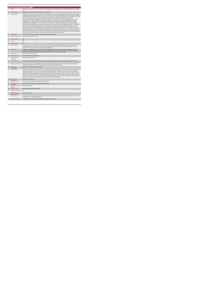|                | <b>Access Inclusion Model (AIM)</b>                          |                                                                                                                                                                                                                                                                                                                                                                                                                                                                                                                                                                                                                                                                                                                                                                                                                                                                                                                                                                                                                                                                                                                                                                                                                                                                                                                                                                                                                                                                                                                                                                                                                                                                                                                                                                                                                                                                                                                                                                                                                                                                                                                                                                                                                                                                                                                                                         |
|----------------|--------------------------------------------------------------|---------------------------------------------------------------------------------------------------------------------------------------------------------------------------------------------------------------------------------------------------------------------------------------------------------------------------------------------------------------------------------------------------------------------------------------------------------------------------------------------------------------------------------------------------------------------------------------------------------------------------------------------------------------------------------------------------------------------------------------------------------------------------------------------------------------------------------------------------------------------------------------------------------------------------------------------------------------------------------------------------------------------------------------------------------------------------------------------------------------------------------------------------------------------------------------------------------------------------------------------------------------------------------------------------------------------------------------------------------------------------------------------------------------------------------------------------------------------------------------------------------------------------------------------------------------------------------------------------------------------------------------------------------------------------------------------------------------------------------------------------------------------------------------------------------------------------------------------------------------------------------------------------------------------------------------------------------------------------------------------------------------------------------------------------------------------------------------------------------------------------------------------------------------------------------------------------------------------------------------------------------------------------------------------------------------------------------------------------------|
|                |                                                              | Total number of new requests received for universal or targeted supports only through the Access and Inclusion Model (AIM) in the reporting<br>month                                                                                                                                                                                                                                                                                                                                                                                                                                                                                                                                                                                                                                                                                                                                                                                                                                                                                                                                                                                                                                                                                                                                                                                                                                                                                                                                                                                                                                                                                                                                                                                                                                                                                                                                                                                                                                                                                                                                                                                                                                                                                                                                                                                                    |
| 1a             | <b>KPI Short Title</b>                                       | Total number of requests received through AIM in the reporting month                                                                                                                                                                                                                                                                                                                                                                                                                                                                                                                                                                                                                                                                                                                                                                                                                                                                                                                                                                                                                                                                                                                                                                                                                                                                                                                                                                                                                                                                                                                                                                                                                                                                                                                                                                                                                                                                                                                                                                                                                                                                                                                                                                                                                                                                                    |
| $\overline{z}$ | <b>KPI Description</b>                                       | Definitions:Child is known to children's disability services: include those who- are currently receiving interventions from/has and is still eligible<br>for children's disability network teams/services- have been screened or assessed and are awaiting interventions. Child is unknown to children's<br>disability services: include those who - have not yet been referred to services or do not meet criteria for any children's disability service in their<br>area - are wait-listed for services/have not yet been assessed. Disability Service supports under AIM include be Universal or<br>Targeted:Universal supports: not applicable to one specific child known to that health service, but rather presenting difficulties of a child<br>described by the EYS. It includes provision of information over the phone or in person, advice packs, practical guidelines, training and<br>presentations to assist groups of children, parents and preschool leaders with common areas of challenge for children with a disability.<br>Targeted interventions: applicable for a specific child known to that health service and includes Individualised preschool plans, behaviour<br>support plans, equipment prescriptions, preschool visits for one one work with the child and preschool leader when required and professional<br>advice on the phone regarding that specific child. This KPI includes:1, Level 5: Equipment, Appliances and Minor Alterations, Level 6: Health<br>service supports and Level 7: Additional Assistance in the Pre-School Room (i.e. provision of existing reports)2: New requests received<br>through AIM regardless of whether the child is already receiving supports following a previous AIM request. This KPI excludes: Requests for<br>supports which would have been typically received from this source prior to AIM commencement i.e. this is not a new demand as a result of the<br>introduction of AIM. Example : a parent contacts their child's disability service because their preschool placement is at risk of breaking down.<br>The child is known to this health service and has an IFSP in place. As per this service's practice pre AIM commencement, the appropriate team<br>members are identified and make contact with the preschool. This request is not counted under this KPI. |
| $\overline{3}$ | <b>KPI Rationale</b>                                         | This KPI monitors the number of requests received for supports through AIM only                                                                                                                                                                                                                                                                                                                                                                                                                                                                                                                                                                                                                                                                                                                                                                                                                                                                                                                                                                                                                                                                                                                                                                                                                                                                                                                                                                                                                                                                                                                                                                                                                                                                                                                                                                                                                                                                                                                                                                                                                                                                                                                                                                                                                                                                         |
| 3a             | <b>Indicator Classification</b>                              | National Scorecard Quadrant- Access                                                                                                                                                                                                                                                                                                                                                                                                                                                                                                                                                                                                                                                                                                                                                                                                                                                                                                                                                                                                                                                                                                                                                                                                                                                                                                                                                                                                                                                                                                                                                                                                                                                                                                                                                                                                                                                                                                                                                                                                                                                                                                                                                                                                                                                                                                                     |
| $\overline{4}$ | <b>National Target</b>                                       | N/A                                                                                                                                                                                                                                                                                                                                                                                                                                                                                                                                                                                                                                                                                                                                                                                                                                                                                                                                                                                                                                                                                                                                                                                                                                                                                                                                                                                                                                                                                                                                                                                                                                                                                                                                                                                                                                                                                                                                                                                                                                                                                                                                                                                                                                                                                                                                                     |
| 48             | Target                                                       | N/A                                                                                                                                                                                                                                                                                                                                                                                                                                                                                                                                                                                                                                                                                                                                                                                                                                                                                                                                                                                                                                                                                                                                                                                                                                                                                                                                                                                                                                                                                                                                                                                                                                                                                                                                                                                                                                                                                                                                                                                                                                                                                                                                                                                                                                                                                                                                                     |
| 4h             | <b>Volume Metrics</b>                                        | N/A                                                                                                                                                                                                                                                                                                                                                                                                                                                                                                                                                                                                                                                                                                                                                                                                                                                                                                                                                                                                                                                                                                                                                                                                                                                                                                                                                                                                                                                                                                                                                                                                                                                                                                                                                                                                                                                                                                                                                                                                                                                                                                                                                                                                                                                                                                                                                     |
| 5              | <b>KPI Calculation</b>                                       | Count total number of new requests for support received through AIM in the reporting month which would not have been received prior to<br>commencement of AIM (i.e. new demand). If more than one discipline is required, count requests received by each discipline. This is a<br>cumulative KPI i.e. the 12 months returns should be added for full year total                                                                                                                                                                                                                                                                                                                                                                                                                                                                                                                                                                                                                                                                                                                                                                                                                                                                                                                                                                                                                                                                                                                                                                                                                                                                                                                                                                                                                                                                                                                                                                                                                                                                                                                                                                                                                                                                                                                                                                                        |
| R              | <b>Data Source</b>                                           | For Children's Disability Network Teams (CDNTs): Children's Disability Network Manager (or Team Manager/Coordinator until Network<br>Manager posts in place) in HSE/HSE funded CDNTs to Disability Manager. For services not yet reconfigured into CDNTs: Line Manager<br>(Head of Discipline/Head of Service/Team Coordinator) in HSE/HSE funded services to Disability Manager                                                                                                                                                                                                                                                                                                                                                                                                                                                                                                                                                                                                                                                                                                                                                                                                                                                                                                                                                                                                                                                                                                                                                                                                                                                                                                                                                                                                                                                                                                                                                                                                                                                                                                                                                                                                                                                                                                                                                                        |
| 6a             | Data Sign Off                                                | CHO Head of Social Care (HOSC)                                                                                                                                                                                                                                                                                                                                                                                                                                                                                                                                                                                                                                                                                                                                                                                                                                                                                                                                                                                                                                                                                                                                                                                                                                                                                                                                                                                                                                                                                                                                                                                                                                                                                                                                                                                                                                                                                                                                                                                                                                                                                                                                                                                                                                                                                                                          |
| 6h             | <b>Data Quality Issues</b>                                   | No known data quality issues at this point.                                                                                                                                                                                                                                                                                                                                                                                                                                                                                                                                                                                                                                                                                                                                                                                                                                                                                                                                                                                                                                                                                                                                                                                                                                                                                                                                                                                                                                                                                                                                                                                                                                                                                                                                                                                                                                                                                                                                                                                                                                                                                                                                                                                                                                                                                                             |
| $\overline{7}$ | <b>Data Collection</b><br>Frequency                          | Monthly (One Month in Arrears)                                                                                                                                                                                                                                                                                                                                                                                                                                                                                                                                                                                                                                                                                                                                                                                                                                                                                                                                                                                                                                                                                                                                                                                                                                                                                                                                                                                                                                                                                                                                                                                                                                                                                                                                                                                                                                                                                                                                                                                                                                                                                                                                                                                                                                                                                                                          |
| 8              | <b>Tracer Conditions</b>                                     | Children with additional needs accessing Early Childhood Care and Education (ECCE). All requests for support received through AIM                                                                                                                                                                                                                                                                                                                                                                                                                                                                                                                                                                                                                                                                                                                                                                                                                                                                                                                                                                                                                                                                                                                                                                                                                                                                                                                                                                                                                                                                                                                                                                                                                                                                                                                                                                                                                                                                                                                                                                                                                                                                                                                                                                                                                       |
| 9              | <b>Minimum Data Set MDS</b>                                  | Each child's AIM Access and Inclusion Profile, referral form to their children's disability services and individual family service plan which<br>includes personal details and relevant information to the areas of need, and support that is required                                                                                                                                                                                                                                                                                                                                                                                                                                                                                                                                                                                                                                                                                                                                                                                                                                                                                                                                                                                                                                                                                                                                                                                                                                                                                                                                                                                                                                                                                                                                                                                                                                                                                                                                                                                                                                                                                                                                                                                                                                                                                                  |
| 10             | International<br>Comparison                                  | Developed in line with international best practice                                                                                                                                                                                                                                                                                                                                                                                                                                                                                                                                                                                                                                                                                                                                                                                                                                                                                                                                                                                                                                                                                                                                                                                                                                                                                                                                                                                                                                                                                                                                                                                                                                                                                                                                                                                                                                                                                                                                                                                                                                                                                                                                                                                                                                                                                                      |
| 11             | <b>KPI Monitoring</b>                                        | Monthly (1 month in Arrears). "By 10th of the month, the Children's Disability Team Manager or Line Manager (i.e. Head of Disciplina/Head of<br>Service/ Team Coordinator where CDNTs are not yet in place) will receive, analyse and quality assure AIM KPI returns for accuracy and<br>completeness & forward a collated return to the Disability Manager reporting on previous month's activity. By 21st of the month, the Disability<br>Manager will receive and analysee KPI returns against targets and month on month comparisons, and forward the collated KPI returns to the<br>Social Care Lead /nomine. By 26th of the month,t of the month, the the Social Care Lead/nominee wil review, approve, collate and submit to<br>the Chief Officer office By 31st Office of the Chief Officer will forward one collated return to Performance Management and Improvement Unit.<br>National returns will be cross checked against reports received by the Social Care Disabilities.                                                                                                                                                                                                                                                                                                                                                                                                                                                                                                                                                                                                                                                                                                                                                                                                                                                                                                                                                                                                                                                                                                                                                                                                                                                                                                                                                                |
| 12             | <b>KPI Reporting</b>                                         | Monthly (1 month in Arrears)                                                                                                                                                                                                                                                                                                                                                                                                                                                                                                                                                                                                                                                                                                                                                                                                                                                                                                                                                                                                                                                                                                                                                                                                                                                                                                                                                                                                                                                                                                                                                                                                                                                                                                                                                                                                                                                                                                                                                                                                                                                                                                                                                                                                                                                                                                                            |
| 13             | <b>KPI Report Period</b>                                     | Monthly, one month in arrears (January data reported in March)                                                                                                                                                                                                                                                                                                                                                                                                                                                                                                                                                                                                                                                                                                                                                                                                                                                                                                                                                                                                                                                                                                                                                                                                                                                                                                                                                                                                                                                                                                                                                                                                                                                                                                                                                                                                                                                                                                                                                                                                                                                                                                                                                                                                                                                                                          |
| 14             | <b>KPI Reporting</b><br>Aggregation                          | National/ CHO/ LHO Area/ Other - give details: Service Provider                                                                                                                                                                                                                                                                                                                                                                                                                                                                                                                                                                                                                                                                                                                                                                                                                                                                                                                                                                                                                                                                                                                                                                                                                                                                                                                                                                                                                                                                                                                                                                                                                                                                                                                                                                                                                                                                                                                                                                                                                                                                                                                                                                                                                                                                                         |
| 15             | KPI is reported in which Preliminary Data Report<br>reports? |                                                                                                                                                                                                                                                                                                                                                                                                                                                                                                                                                                                                                                                                                                                                                                                                                                                                                                                                                                                                                                                                                                                                                                                                                                                                                                                                                                                                                                                                                                                                                                                                                                                                                                                                                                                                                                                                                                                                                                                                                                                                                                                                                                                                                                                                                                                                                         |
| 16             | Web link to data                                             | http://www.hse.ia/eng/services/publications/                                                                                                                                                                                                                                                                                                                                                                                                                                                                                                                                                                                                                                                                                                                                                                                                                                                                                                                                                                                                                                                                                                                                                                                                                                                                                                                                                                                                                                                                                                                                                                                                                                                                                                                                                                                                                                                                                                                                                                                                                                                                                                                                                                                                                                                                                                            |
| 17             | <b>Additional Information</b>                                | N/A                                                                                                                                                                                                                                                                                                                                                                                                                                                                                                                                                                                                                                                                                                                                                                                                                                                                                                                                                                                                                                                                                                                                                                                                                                                                                                                                                                                                                                                                                                                                                                                                                                                                                                                                                                                                                                                                                                                                                                                                                                                                                                                                                                                                                                                                                                                                                     |
|                | <b>KPI</b> owner/lead for<br>implementation                  | Chief Officer . CHO Area                                                                                                                                                                                                                                                                                                                                                                                                                                                                                                                                                                                                                                                                                                                                                                                                                                                                                                                                                                                                                                                                                                                                                                                                                                                                                                                                                                                                                                                                                                                                                                                                                                                                                                                                                                                                                                                                                                                                                                                                                                                                                                                                                                                                                                                                                                                                |
|                | PBI data support                                             | Sinéad Nuty O'Brien, Lead Data Analyst for Disabilities, Performance Management and Improvement Unit - Bective Steet, Kells, Co. Meath.<br>Ph: 046 9251328 , Emailsinead.nuty@hse.ie                                                                                                                                                                                                                                                                                                                                                                                                                                                                                                                                                                                                                                                                                                                                                                                                                                                                                                                                                                                                                                                                                                                                                                                                                                                                                                                                                                                                                                                                                                                                                                                                                                                                                                                                                                                                                                                                                                                                                                                                                                                                                                                                                                    |
|                | Governance/sign off                                          | Dr Cathal Morgan, Head of Operations - Disabilities, disabilityops.socialcare@hse.ie                                                                                                                                                                                                                                                                                                                                                                                                                                                                                                                                                                                                                                                                                                                                                                                                                                                                                                                                                                                                                                                                                                                                                                                                                                                                                                                                                                                                                                                                                                                                                                                                                                                                                                                                                                                                                                                                                                                                                                                                                                                                                                                                                                                                                                                                    |
|                |                                                              |                                                                                                                                                                                                                                                                                                                                                                                                                                                                                                                                                                                                                                                                                                                                                                                                                                                                                                                                                                                                                                                                                                                                                                                                                                                                                                                                                                                                                                                                                                                                                                                                                                                                                                                                                                                                                                                                                                                                                                                                                                                                                                                                                                                                                                                                                                                                                         |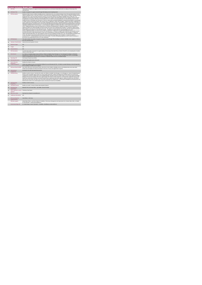|                 | <b>Access Inclusion Model (AIM)</b>                          |                                                                                                                                                                                                                                                                                                                                                                                                                                                                                                                                                                                                                                                                                                                                                                                                                                                                                                                                                                                                                                                                                                                                                                                                                                                                                                                                                                                                                                                                                                                                                                                                                                                                                                                                                                                                                                                                                                                                                                                                                                                                                                                                                                                                                                                                                                                                                                                                                                                                                                                                                                                                                                                                                                                                                                                                                                                                                                          |
|-----------------|--------------------------------------------------------------|----------------------------------------------------------------------------------------------------------------------------------------------------------------------------------------------------------------------------------------------------------------------------------------------------------------------------------------------------------------------------------------------------------------------------------------------------------------------------------------------------------------------------------------------------------------------------------------------------------------------------------------------------------------------------------------------------------------------------------------------------------------------------------------------------------------------------------------------------------------------------------------------------------------------------------------------------------------------------------------------------------------------------------------------------------------------------------------------------------------------------------------------------------------------------------------------------------------------------------------------------------------------------------------------------------------------------------------------------------------------------------------------------------------------------------------------------------------------------------------------------------------------------------------------------------------------------------------------------------------------------------------------------------------------------------------------------------------------------------------------------------------------------------------------------------------------------------------------------------------------------------------------------------------------------------------------------------------------------------------------------------------------------------------------------------------------------------------------------------------------------------------------------------------------------------------------------------------------------------------------------------------------------------------------------------------------------------------------------------------------------------------------------------------------------------------------------------------------------------------------------------------------------------------------------------------------------------------------------------------------------------------------------------------------------------------------------------------------------------------------------------------------------------------------------------------------------------------------------------------------------------------------------------|
|                 | <b>KPITitle</b>                                              | Total number of requests for supports received only through Access and Inclusion Model (AIM) which are waiting on the last day of the<br>reporting month.                                                                                                                                                                                                                                                                                                                                                                                                                                                                                                                                                                                                                                                                                                                                                                                                                                                                                                                                                                                                                                                                                                                                                                                                                                                                                                                                                                                                                                                                                                                                                                                                                                                                                                                                                                                                                                                                                                                                                                                                                                                                                                                                                                                                                                                                                                                                                                                                                                                                                                                                                                                                                                                                                                                                                |
| 18              | <b>KPI Short Title</b>                                       | Number of requests for support received through AIM waiting at end of reporting month                                                                                                                                                                                                                                                                                                                                                                                                                                                                                                                                                                                                                                                                                                                                                                                                                                                                                                                                                                                                                                                                                                                                                                                                                                                                                                                                                                                                                                                                                                                                                                                                                                                                                                                                                                                                                                                                                                                                                                                                                                                                                                                                                                                                                                                                                                                                                                                                                                                                                                                                                                                                                                                                                                                                                                                                                    |
| $\overline{z}$  | <b>KPI Description</b>                                       | Definitions:Child is known to children's disability services: include those who- are currently receiving or have in the past interventions from the<br>children's disability services- have been screened or assessed and are awaiting interventions. Child is unknown to children's disability services:<br>include those who - have not yet been referred to services or do not meet criteria for any children's disability service in their area - are<br>waitlisted for services/have not yet been assessed. Disability Service supports under AIM include Universal or Targeted. Universal supports:<br>not applicable to one specific child known to that disability service, but rather for presenting difficulties of a child described by the EYS, and<br>includes provision of information over the phone or in person, advice packs and practical guidelines, training and presentations to assist groups<br>of children, parents and preschool leaders with common areas of challenge for children with a disability. Targeted interventions: applicable for a<br>specific child known to that disability service and includes Individualised preschool plans, individualised behaviour support plans, prescription of<br>individualised equipment, preschool visits for one:one work with child and preschool leader when required and professional advice on the phone<br>regarding an individual child. This KPI includes: 1. Level 5 Equipment, Appliances and Minor Alterations, Level 6 Health service supports and<br>Level 7, Additional Assistance in the Pre-School Room (i.e. provision of existing reports).2. Requests for support not yet commenced i.e.<br>supports provided for by required disability service(s) at least once by the end of reporting month. Example 1: A request for support through<br>AIM accepted in June was not commenced by end of June. This request is returned under this KPI (and also under KPI "Requests Received"<br>and KPI "Requests Accepted" for June) This KPI excludes: 1. Requests for support which the required disability service has<br>commenced/provided at least once by the last day of the reporting month. 2. Requests for supports which would have been typically received<br>from this source prior to AIM commencement i.e. this is not a new demand as a result of the introduction of AIM. Example 2: A request for<br>support received through AIM in Jan. was provided for at least once by Occupational Therapy (OT) in Jan. and still awaiting Psychology at end<br>of Jan. This request is not returned under this KPI by OT but is returned by Psychology for Jan. Example 3: A request for support is<br>commenced by OT, including equipment assessment and prescription. The child is still awaiting equipment at end of month to commence in<br>ECCE but is not counted under this KPI as OT was commenced. |
| $\mathbf{R}$    | <b>KPI Rationale</b>                                         | This metric monitors the number of requests for support received through AIM and waiting to commence disability service supports on the last<br>day of the reporting month.                                                                                                                                                                                                                                                                                                                                                                                                                                                                                                                                                                                                                                                                                                                                                                                                                                                                                                                                                                                                                                                                                                                                                                                                                                                                                                                                                                                                                                                                                                                                                                                                                                                                                                                                                                                                                                                                                                                                                                                                                                                                                                                                                                                                                                                                                                                                                                                                                                                                                                                                                                                                                                                                                                                              |
| 3a              |                                                              | Indicator Classification National Scorecard Quadrant-Access                                                                                                                                                                                                                                                                                                                                                                                                                                                                                                                                                                                                                                                                                                                                                                                                                                                                                                                                                                                                                                                                                                                                                                                                                                                                                                                                                                                                                                                                                                                                                                                                                                                                                                                                                                                                                                                                                                                                                                                                                                                                                                                                                                                                                                                                                                                                                                                                                                                                                                                                                                                                                                                                                                                                                                                                                                              |
| $\overline{4}$  | <b>National Target</b>                                       | N/A                                                                                                                                                                                                                                                                                                                                                                                                                                                                                                                                                                                                                                                                                                                                                                                                                                                                                                                                                                                                                                                                                                                                                                                                                                                                                                                                                                                                                                                                                                                                                                                                                                                                                                                                                                                                                                                                                                                                                                                                                                                                                                                                                                                                                                                                                                                                                                                                                                                                                                                                                                                                                                                                                                                                                                                                                                                                                                      |
| 4a              | Target                                                       | N/A                                                                                                                                                                                                                                                                                                                                                                                                                                                                                                                                                                                                                                                                                                                                                                                                                                                                                                                                                                                                                                                                                                                                                                                                                                                                                                                                                                                                                                                                                                                                                                                                                                                                                                                                                                                                                                                                                                                                                                                                                                                                                                                                                                                                                                                                                                                                                                                                                                                                                                                                                                                                                                                                                                                                                                                                                                                                                                      |
| 4 <sub>b</sub>  | <b>Volume Metrics</b>                                        | N/A                                                                                                                                                                                                                                                                                                                                                                                                                                                                                                                                                                                                                                                                                                                                                                                                                                                                                                                                                                                                                                                                                                                                                                                                                                                                                                                                                                                                                                                                                                                                                                                                                                                                                                                                                                                                                                                                                                                                                                                                                                                                                                                                                                                                                                                                                                                                                                                                                                                                                                                                                                                                                                                                                                                                                                                                                                                                                                      |
| 5               | <b>KPI Calculation</b>                                       | Count the total number of requests for support waiting on the last day of the month. This is a Point In Time KPI i.e. do not add up the 12 months<br>returns for end of year total                                                                                                                                                                                                                                                                                                                                                                                                                                                                                                                                                                                                                                                                                                                                                                                                                                                                                                                                                                                                                                                                                                                                                                                                                                                                                                                                                                                                                                                                                                                                                                                                                                                                                                                                                                                                                                                                                                                                                                                                                                                                                                                                                                                                                                                                                                                                                                                                                                                                                                                                                                                                                                                                                                                       |
| 6               | <b>Data Source</b>                                           | For Children's Disability Network Teams (CDNTs): Children's Disability Network Manager (or Team Manager/Coordinator until Network<br>Manager posts in place) in HSE/HSE funded CDNTs to Disability Manager. For services not yet reconfigured into CDNTs: Line Manager<br>(Head of Discipline/Head of Service/Team Coordinator) in HSE/HSE funded services to Disability Manager                                                                                                                                                                                                                                                                                                                                                                                                                                                                                                                                                                                                                                                                                                                                                                                                                                                                                                                                                                                                                                                                                                                                                                                                                                                                                                                                                                                                                                                                                                                                                                                                                                                                                                                                                                                                                                                                                                                                                                                                                                                                                                                                                                                                                                                                                                                                                                                                                                                                                                                         |
| 6a              | Data Sign Off                                                | CHO Head of Social Care (HOSC)                                                                                                                                                                                                                                                                                                                                                                                                                                                                                                                                                                                                                                                                                                                                                                                                                                                                                                                                                                                                                                                                                                                                                                                                                                                                                                                                                                                                                                                                                                                                                                                                                                                                                                                                                                                                                                                                                                                                                                                                                                                                                                                                                                                                                                                                                                                                                                                                                                                                                                                                                                                                                                                                                                                                                                                                                                                                           |
| 6b              | <b>Data Quality Issues</b>                                   | No known data quality issues at this point.                                                                                                                                                                                                                                                                                                                                                                                                                                                                                                                                                                                                                                                                                                                                                                                                                                                                                                                                                                                                                                                                                                                                                                                                                                                                                                                                                                                                                                                                                                                                                                                                                                                                                                                                                                                                                                                                                                                                                                                                                                                                                                                                                                                                                                                                                                                                                                                                                                                                                                                                                                                                                                                                                                                                                                                                                                                              |
| $\overline{7}$  | <b>Data Collection</b>                                       | Monthly (One Month in Arrears)                                                                                                                                                                                                                                                                                                                                                                                                                                                                                                                                                                                                                                                                                                                                                                                                                                                                                                                                                                                                                                                                                                                                                                                                                                                                                                                                                                                                                                                                                                                                                                                                                                                                                                                                                                                                                                                                                                                                                                                                                                                                                                                                                                                                                                                                                                                                                                                                                                                                                                                                                                                                                                                                                                                                                                                                                                                                           |
| 8               | Frequency<br>Tracer Conditions                               | Children with additional needs accessing Early Childhood Care and Education (ECCE). All children accepted following a referral through AIM,<br>that are waiting for disability service supports                                                                                                                                                                                                                                                                                                                                                                                                                                                                                                                                                                                                                                                                                                                                                                                                                                                                                                                                                                                                                                                                                                                                                                                                                                                                                                                                                                                                                                                                                                                                                                                                                                                                                                                                                                                                                                                                                                                                                                                                                                                                                                                                                                                                                                                                                                                                                                                                                                                                                                                                                                                                                                                                                                          |
| $\overline{9}$  | Minimum Data Set MDS                                         | Each child's AIM Access and Inclusion Profile, referral form to their children's disability services and individual family service plan which<br>includes personal details and relevant information to the areas of need, and support that is required                                                                                                                                                                                                                                                                                                                                                                                                                                                                                                                                                                                                                                                                                                                                                                                                                                                                                                                                                                                                                                                                                                                                                                                                                                                                                                                                                                                                                                                                                                                                                                                                                                                                                                                                                                                                                                                                                                                                                                                                                                                                                                                                                                                                                                                                                                                                                                                                                                                                                                                                                                                                                                                   |
| 10              | International<br>Comparison                                  | Developed in line with international best practice                                                                                                                                                                                                                                                                                                                                                                                                                                                                                                                                                                                                                                                                                                                                                                                                                                                                                                                                                                                                                                                                                                                                                                                                                                                                                                                                                                                                                                                                                                                                                                                                                                                                                                                                                                                                                                                                                                                                                                                                                                                                                                                                                                                                                                                                                                                                                                                                                                                                                                                                                                                                                                                                                                                                                                                                                                                       |
| 11              | <b>KPI Monitoring</b>                                        | Monthly (1 month in Arrears). "By 10th of the month, the Children's DIsability Team Manager or Line Manager (i.e. Head of Discipline/Head of<br>Service/ Team Coordinator where CDNTs are not yet in place) will receive, analyse and quality assure AIM KPI returns for accuracy and<br>completeness & forward a collated return to the Disability Manager reporting on previous month's activity. By 21st of the month, the Disability<br>Manager will receive and analysee KPI returns against targets and month on month comparisons, and forward the collated KPI returns to the<br>Social Care Lead /nomine. By 26th of the month, the Social Care Lead/nominee will review, approve, collate and submit to the Chief Officer<br>office By 31st of the month, the Office of the Chief Officer will forward one collated return to Performance Management and Improvement Unit.<br>National returns will be cross checked against reports received by the Social Care Disabilities.                                                                                                                                                                                                                                                                                                                                                                                                                                                                                                                                                                                                                                                                                                                                                                                                                                                                                                                                                                                                                                                                                                                                                                                                                                                                                                                                                                                                                                                                                                                                                                                                                                                                                                                                                                                                                                                                                                                 |
| 12 <sup>1</sup> | <b>KPI Reporting</b><br>Frequency                            | Monthly (1 month in Arrears)                                                                                                                                                                                                                                                                                                                                                                                                                                                                                                                                                                                                                                                                                                                                                                                                                                                                                                                                                                                                                                                                                                                                                                                                                                                                                                                                                                                                                                                                                                                                                                                                                                                                                                                                                                                                                                                                                                                                                                                                                                                                                                                                                                                                                                                                                                                                                                                                                                                                                                                                                                                                                                                                                                                                                                                                                                                                             |
| 13              | <b>KPI Report Period</b>                                     | Monthly, one month in arrears (January data reported in March)                                                                                                                                                                                                                                                                                                                                                                                                                                                                                                                                                                                                                                                                                                                                                                                                                                                                                                                                                                                                                                                                                                                                                                                                                                                                                                                                                                                                                                                                                                                                                                                                                                                                                                                                                                                                                                                                                                                                                                                                                                                                                                                                                                                                                                                                                                                                                                                                                                                                                                                                                                                                                                                                                                                                                                                                                                           |
| 14              | <b>KPI Reporting</b><br>Aggregation                          | National/ CHO/ LHO Area/ Other - give details: Service Provider                                                                                                                                                                                                                                                                                                                                                                                                                                                                                                                                                                                                                                                                                                                                                                                                                                                                                                                                                                                                                                                                                                                                                                                                                                                                                                                                                                                                                                                                                                                                                                                                                                                                                                                                                                                                                                                                                                                                                                                                                                                                                                                                                                                                                                                                                                                                                                                                                                                                                                                                                                                                                                                                                                                                                                                                                                          |
| 15              | KPI is reported in which Preliminary Data Report<br>reports? |                                                                                                                                                                                                                                                                                                                                                                                                                                                                                                                                                                                                                                                                                                                                                                                                                                                                                                                                                                                                                                                                                                                                                                                                                                                                                                                                                                                                                                                                                                                                                                                                                                                                                                                                                                                                                                                                                                                                                                                                                                                                                                                                                                                                                                                                                                                                                                                                                                                                                                                                                                                                                                                                                                                                                                                                                                                                                                          |
| 16              | Web link to data                                             | http://www.hse.ie/eng/services/publications/                                                                                                                                                                                                                                                                                                                                                                                                                                                                                                                                                                                                                                                                                                                                                                                                                                                                                                                                                                                                                                                                                                                                                                                                                                                                                                                                                                                                                                                                                                                                                                                                                                                                                                                                                                                                                                                                                                                                                                                                                                                                                                                                                                                                                                                                                                                                                                                                                                                                                                                                                                                                                                                                                                                                                                                                                                                             |
| 17              | <b>Additional Information</b>                                | N/A                                                                                                                                                                                                                                                                                                                                                                                                                                                                                                                                                                                                                                                                                                                                                                                                                                                                                                                                                                                                                                                                                                                                                                                                                                                                                                                                                                                                                                                                                                                                                                                                                                                                                                                                                                                                                                                                                                                                                                                                                                                                                                                                                                                                                                                                                                                                                                                                                                                                                                                                                                                                                                                                                                                                                                                                                                                                                                      |
|                 | <b>KPI</b> owner/lead for<br>implementation                  | Chief Officer, CHO Area                                                                                                                                                                                                                                                                                                                                                                                                                                                                                                                                                                                                                                                                                                                                                                                                                                                                                                                                                                                                                                                                                                                                                                                                                                                                                                                                                                                                                                                                                                                                                                                                                                                                                                                                                                                                                                                                                                                                                                                                                                                                                                                                                                                                                                                                                                                                                                                                                                                                                                                                                                                                                                                                                                                                                                                                                                                                                  |
|                 | PBI data support                                             | Sinéad Nulty O'Brien, Lead Data Analyst for Disabilities, Performance Management and Improvement Unit - Bective Steet, Kells, Co. Meath.<br>Ph: 046 9251328 , Emailsinead nuity@hse.ie                                                                                                                                                                                                                                                                                                                                                                                                                                                                                                                                                                                                                                                                                                                                                                                                                                                                                                                                                                                                                                                                                                                                                                                                                                                                                                                                                                                                                                                                                                                                                                                                                                                                                                                                                                                                                                                                                                                                                                                                                                                                                                                                                                                                                                                                                                                                                                                                                                                                                                                                                                                                                                                                                                                   |
|                 | Governance/sign off                                          | Dr Cathal Morgan, Head of Operations - Disabilities, disabilityops.socialcare@hse.ie                                                                                                                                                                                                                                                                                                                                                                                                                                                                                                                                                                                                                                                                                                                                                                                                                                                                                                                                                                                                                                                                                                                                                                                                                                                                                                                                                                                                                                                                                                                                                                                                                                                                                                                                                                                                                                                                                                                                                                                                                                                                                                                                                                                                                                                                                                                                                                                                                                                                                                                                                                                                                                                                                                                                                                                                                     |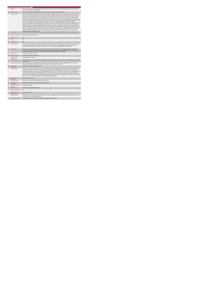|                 | <b>Access Inclusion Model (AIM)</b>                          |                                                                                                                                                                                                                                                                                                                                                                                                                                                                                                                                                                                                                                                                                                                                                                                                                                                                                                                                                                                                                                                                                                                                                                                                                                                                                                                                                                                                                                                                                                                                                                                                                                                                                                                                                                                                                                                                                                                                                                                                                                                                                                                                                                           |
|-----------------|--------------------------------------------------------------|---------------------------------------------------------------------------------------------------------------------------------------------------------------------------------------------------------------------------------------------------------------------------------------------------------------------------------------------------------------------------------------------------------------------------------------------------------------------------------------------------------------------------------------------------------------------------------------------------------------------------------------------------------------------------------------------------------------------------------------------------------------------------------------------------------------------------------------------------------------------------------------------------------------------------------------------------------------------------------------------------------------------------------------------------------------------------------------------------------------------------------------------------------------------------------------------------------------------------------------------------------------------------------------------------------------------------------------------------------------------------------------------------------------------------------------------------------------------------------------------------------------------------------------------------------------------------------------------------------------------------------------------------------------------------------------------------------------------------------------------------------------------------------------------------------------------------------------------------------------------------------------------------------------------------------------------------------------------------------------------------------------------------------------------------------------------------------------------------------------------------------------------------------------------------|
|                 | <b>KPITitle</b>                                              | Total number of requests for universal and targeted supports received under Access and Inclusion Model (AIM) which were provided for at<br>least once by the end of the reporting month                                                                                                                                                                                                                                                                                                                                                                                                                                                                                                                                                                                                                                                                                                                                                                                                                                                                                                                                                                                                                                                                                                                                                                                                                                                                                                                                                                                                                                                                                                                                                                                                                                                                                                                                                                                                                                                                                                                                                                                   |
| 1a              | <b>KPI Short Title</b>                                       | Total number of requests for support which were provided for at least once by the end of reporting month                                                                                                                                                                                                                                                                                                                                                                                                                                                                                                                                                                                                                                                                                                                                                                                                                                                                                                                                                                                                                                                                                                                                                                                                                                                                                                                                                                                                                                                                                                                                                                                                                                                                                                                                                                                                                                                                                                                                                                                                                                                                  |
| $\overline{z}$  | <b>KPI</b> Description                                       | Definitions:Disability Service supports under AIM include Universal or Targeted. Child is known to children's disability services: include those<br>who- are currently receiving interventions from/has and is still eligible for children's disability network teams/services- have been screened or<br>assessed and are awaiting interventions. Child is unknown to children's disability services: include those who - have not yet been referred to<br>services or do not meet criteria for any children's disability service in their area - are wait-listed for services/have not yet been assessed.<br>Universal supports: not applicable to one specific child known to that disability service, but rather for presenting difficulties of a child described<br>by the EYS, and includes provision of information over the phone or in person, advice packs and practical guidelines, training and presentations<br>to assist groups of children, parents and preschool leaders with common areas of challenge for children with a disability. Targeted<br>interventions: applicable for a specific child known to that disability service and includes Individualised preschool plans, individualised behaviour<br>support plans, prescription of individualised equipment, preschool visits for one:one work with child and preschool leader when required and<br>professional advice on the phone regarding an individual child. This KPI is counting: 1. Requests for support received through AIM which were<br>provided for at least once during the reporting month i.e. only the first intervention for each child is counted each month. 2. Supports provided<br>under Level 5 Equipment, Acolances and Minor Alterations, Level 6 Health service supports & Level 7 Additional Assistance in the Pre-School<br>Room i.e. provision of existing reports. This KPI is not counting 1. Number of interventions per child or per request for support received. 2.<br>Preschool support type interventions which would have typically been provided prior to AIM commencement i.e. this is not a new service<br>MIA to noitsuborthi to fluxer a za noiziunto |
| $\mathbf{a}$    | <b>KPI Rationale</b>                                         | TThis metric monitors the number of requests for support received through AIM which were provided for at least once in the reporting month                                                                                                                                                                                                                                                                                                                                                                                                                                                                                                                                                                                                                                                                                                                                                                                                                                                                                                                                                                                                                                                                                                                                                                                                                                                                                                                                                                                                                                                                                                                                                                                                                                                                                                                                                                                                                                                                                                                                                                                                                                |
| 3a              |                                                              | Indicator Classification National Scorecard Quadrant-Access                                                                                                                                                                                                                                                                                                                                                                                                                                                                                                                                                                                                                                                                                                                                                                                                                                                                                                                                                                                                                                                                                                                                                                                                                                                                                                                                                                                                                                                                                                                                                                                                                                                                                                                                                                                                                                                                                                                                                                                                                                                                                                               |
| $\overline{a}$  | <b>National Target</b>                                       | N/A                                                                                                                                                                                                                                                                                                                                                                                                                                                                                                                                                                                                                                                                                                                                                                                                                                                                                                                                                                                                                                                                                                                                                                                                                                                                                                                                                                                                                                                                                                                                                                                                                                                                                                                                                                                                                                                                                                                                                                                                                                                                                                                                                                       |
| 48              | Target                                                       | N/A                                                                                                                                                                                                                                                                                                                                                                                                                                                                                                                                                                                                                                                                                                                                                                                                                                                                                                                                                                                                                                                                                                                                                                                                                                                                                                                                                                                                                                                                                                                                                                                                                                                                                                                                                                                                                                                                                                                                                                                                                                                                                                                                                                       |
| 4 <sub>b</sub>  | <b>Volume Metrics</b>                                        | N/A                                                                                                                                                                                                                                                                                                                                                                                                                                                                                                                                                                                                                                                                                                                                                                                                                                                                                                                                                                                                                                                                                                                                                                                                                                                                                                                                                                                                                                                                                                                                                                                                                                                                                                                                                                                                                                                                                                                                                                                                                                                                                                                                                                       |
| 5               | <b>KPI Calculation</b>                                       | Count the number of requests (received only through AIM) which disability services provided supports for at least once in the reporting month<br>and which would not have been provided prior to commencement of AIM. If more than one discipline provided supports, count request<br>responded to by each discipline . This is an accumulative KPI i.e. the 12 months returns should be added for full year total                                                                                                                                                                                                                                                                                                                                                                                                                                                                                                                                                                                                                                                                                                                                                                                                                                                                                                                                                                                                                                                                                                                                                                                                                                                                                                                                                                                                                                                                                                                                                                                                                                                                                                                                                        |
| 6               | <b>Data Source</b>                                           | For Children's Disability Network Teams (CDNTs): Children's Disability Network Manager (or Team Manager/Coordinator until Network<br>Manager posts in place) in HSE/HSE funded CDNTs to Disability Manager. For services not yet reconfigured into CDNTs: Line Manager<br>(Head of Discipline/Head of Service/Team Coordinator) in HSE/HSE funded services to Disability Manager                                                                                                                                                                                                                                                                                                                                                                                                                                                                                                                                                                                                                                                                                                                                                                                                                                                                                                                                                                                                                                                                                                                                                                                                                                                                                                                                                                                                                                                                                                                                                                                                                                                                                                                                                                                          |
| <b>Бя</b>       | Data Sign Off                                                | CHO Head of Social Care (HOSC)                                                                                                                                                                                                                                                                                                                                                                                                                                                                                                                                                                                                                                                                                                                                                                                                                                                                                                                                                                                                                                                                                                                                                                                                                                                                                                                                                                                                                                                                                                                                                                                                                                                                                                                                                                                                                                                                                                                                                                                                                                                                                                                                            |
| 6b              | <b>Data Quality Issues</b>                                   | No known data quality issues at this point.                                                                                                                                                                                                                                                                                                                                                                                                                                                                                                                                                                                                                                                                                                                                                                                                                                                                                                                                                                                                                                                                                                                                                                                                                                                                                                                                                                                                                                                                                                                                                                                                                                                                                                                                                                                                                                                                                                                                                                                                                                                                                                                               |
| $\overline{7}$  | <b>Data Collection</b><br>Frequency                          | Monthly (One Month in Arrears)                                                                                                                                                                                                                                                                                                                                                                                                                                                                                                                                                                                                                                                                                                                                                                                                                                                                                                                                                                                                                                                                                                                                                                                                                                                                                                                                                                                                                                                                                                                                                                                                                                                                                                                                                                                                                                                                                                                                                                                                                                                                                                                                            |
| $\mathbf{R}$    | <b>Tracer Conditions</b>                                     | Children with additional needs accessing Early Childhood Care and Education (ECCE). All requests received through AIM that are in receipt of<br>health supports                                                                                                                                                                                                                                                                                                                                                                                                                                                                                                                                                                                                                                                                                                                                                                                                                                                                                                                                                                                                                                                                                                                                                                                                                                                                                                                                                                                                                                                                                                                                                                                                                                                                                                                                                                                                                                                                                                                                                                                                           |
| я               | Minimum Data Set MDS                                         | Each child's AIM Access and Inclusion Profile, referral form to their children's disability services and individual family service plan which<br>includes personal details and relevant information to the areas of need, and support that is required                                                                                                                                                                                                                                                                                                                                                                                                                                                                                                                                                                                                                                                                                                                                                                                                                                                                                                                                                                                                                                                                                                                                                                                                                                                                                                                                                                                                                                                                                                                                                                                                                                                                                                                                                                                                                                                                                                                    |
| 10              | International<br>Comparison                                  | Developed in line with international best practice                                                                                                                                                                                                                                                                                                                                                                                                                                                                                                                                                                                                                                                                                                                                                                                                                                                                                                                                                                                                                                                                                                                                                                                                                                                                                                                                                                                                                                                                                                                                                                                                                                                                                                                                                                                                                                                                                                                                                                                                                                                                                                                        |
| 11              | <b>KPI Monitoring</b>                                        | Monthly (1 month in Arrears). By 10th of the month, the Children's Disability Team Manager or Line Manager (i.e. Head of Discipline/Head of<br>Service/Team Coordinator where CDNTs are not yet in place) will receive, analyse and quality assure AIM KPI returns for accuracy and<br>completeness&forward a collated return to the Disability Manager on previous month's activity. By 21st of the month, the Disability Manager will<br>receive and analyse KPI returns against targets and month on month comparisons, and forward the collated KPI returns to the Social Care<br>Lead/nominee. By the 26th of the month, the Social Care Lead/nominee will review, approve, collate and submit to the Chief Officer office. By<br>31st of the month, the Office of the Chief Officer will forward one collated return to Performance Management and Improvement Unit. National<br>returns will be cross checked against reports received by the Social Care Disabilities.                                                                                                                                                                                                                                                                                                                                                                                                                                                                                                                                                                                                                                                                                                                                                                                                                                                                                                                                                                                                                                                                                                                                                                                            |
| 12 <sup>2</sup> | <b>KPI Reporting</b><br>Frequency                            | Monthly (1 month in Arrears)                                                                                                                                                                                                                                                                                                                                                                                                                                                                                                                                                                                                                                                                                                                                                                                                                                                                                                                                                                                                                                                                                                                                                                                                                                                                                                                                                                                                                                                                                                                                                                                                                                                                                                                                                                                                                                                                                                                                                                                                                                                                                                                                              |
| 13              | <b>KPI Report Period</b>                                     | Monthly, one month in arrears (January data reported in March)                                                                                                                                                                                                                                                                                                                                                                                                                                                                                                                                                                                                                                                                                                                                                                                                                                                                                                                                                                                                                                                                                                                                                                                                                                                                                                                                                                                                                                                                                                                                                                                                                                                                                                                                                                                                                                                                                                                                                                                                                                                                                                            |
| 14              | <b>KPI Reporting</b><br>Aggregation                          | National/ CHO/ LHO Area/ Other - give details: Service Provider                                                                                                                                                                                                                                                                                                                                                                                                                                                                                                                                                                                                                                                                                                                                                                                                                                                                                                                                                                                                                                                                                                                                                                                                                                                                                                                                                                                                                                                                                                                                                                                                                                                                                                                                                                                                                                                                                                                                                                                                                                                                                                           |
| 15              | KPI is reported in which Preliminary Data Report<br>reports? |                                                                                                                                                                                                                                                                                                                                                                                                                                                                                                                                                                                                                                                                                                                                                                                                                                                                                                                                                                                                                                                                                                                                                                                                                                                                                                                                                                                                                                                                                                                                                                                                                                                                                                                                                                                                                                                                                                                                                                                                                                                                                                                                                                           |
| 16              | Web link to data                                             | http://www.hse.ia/eng/services/publications/                                                                                                                                                                                                                                                                                                                                                                                                                                                                                                                                                                                                                                                                                                                                                                                                                                                                                                                                                                                                                                                                                                                                                                                                                                                                                                                                                                                                                                                                                                                                                                                                                                                                                                                                                                                                                                                                                                                                                                                                                                                                                                                              |
| 17              | <b>Additional Information</b>                                | N/A                                                                                                                                                                                                                                                                                                                                                                                                                                                                                                                                                                                                                                                                                                                                                                                                                                                                                                                                                                                                                                                                                                                                                                                                                                                                                                                                                                                                                                                                                                                                                                                                                                                                                                                                                                                                                                                                                                                                                                                                                                                                                                                                                                       |
|                 | <b>KPI</b> owner/lead for<br>implementation                  | Chief Officer, CHO Area                                                                                                                                                                                                                                                                                                                                                                                                                                                                                                                                                                                                                                                                                                                                                                                                                                                                                                                                                                                                                                                                                                                                                                                                                                                                                                                                                                                                                                                                                                                                                                                                                                                                                                                                                                                                                                                                                                                                                                                                                                                                                                                                                   |
|                 | PBI data support                                             | Sinéad Nuty O'Brien, Lead Data Analyst for Disabilities, Performance Management and Improvement Unit - Bective Steet, Kells, Co. Meath.<br>Ph: 046 9251328 . Email:sinead.nutv@hse.ie                                                                                                                                                                                                                                                                                                                                                                                                                                                                                                                                                                                                                                                                                                                                                                                                                                                                                                                                                                                                                                                                                                                                                                                                                                                                                                                                                                                                                                                                                                                                                                                                                                                                                                                                                                                                                                                                                                                                                                                     |
|                 | Governance/sign off                                          | Dr Cathal Morgan, Head of Operations - Disabilities, disabilityops.socialcare@hse.ie                                                                                                                                                                                                                                                                                                                                                                                                                                                                                                                                                                                                                                                                                                                                                                                                                                                                                                                                                                                                                                                                                                                                                                                                                                                                                                                                                                                                                                                                                                                                                                                                                                                                                                                                                                                                                                                                                                                                                                                                                                                                                      |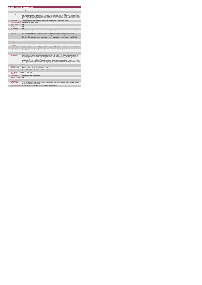|                | <b>Access Inclusion Model (AIM)</b>                          |                                                                                                                                                                                                                                                                                                                                                                                                                                                                                                                                                                                                                                                                                                                                                                                                                                                                                                                                                                                |
|----------------|--------------------------------------------------------------|--------------------------------------------------------------------------------------------------------------------------------------------------------------------------------------------------------------------------------------------------------------------------------------------------------------------------------------------------------------------------------------------------------------------------------------------------------------------------------------------------------------------------------------------------------------------------------------------------------------------------------------------------------------------------------------------------------------------------------------------------------------------------------------------------------------------------------------------------------------------------------------------------------------------------------------------------------------------------------|
|                | <b>KPITitle</b>                                              | Total number of requests for universal or targeted supports received only through the Access and Inclusion Model (AIM) and re-directed to a<br>more appropriate service in the reporting month.                                                                                                                                                                                                                                                                                                                                                                                                                                                                                                                                                                                                                                                                                                                                                                                |
| 1a             | <b>KPI Short Title</b>                                       | Total number of requests received through AIM and redirected in the reporting month                                                                                                                                                                                                                                                                                                                                                                                                                                                                                                                                                                                                                                                                                                                                                                                                                                                                                            |
| $\overline{z}$ | <b>KPI Description</b>                                       | This KPI includes: - Requests for supports redirected to Primary Care, CAMHS, other relevant service (e.g. an external Training programme<br>which is not available in disability services), TUSLA, another Children's Network Disability Team. Example 1: A request for support for a child<br>received through AIM where the information provided indicates that the child has one specific area of need and is more appropriate for Primary<br>Care. The request is re-directed to the appropriate Primary Care Service. This child is counted under this KPI. This KPI excludes: - Requests<br>for support through AIM that have been accepted                                                                                                                                                                                                                                                                                                                             |
| $\overline{3}$ | <b>KPI Rationale</b>                                         | This metric monitors the numbers of requests received through AIM, that have been re-directed to other services.                                                                                                                                                                                                                                                                                                                                                                                                                                                                                                                                                                                                                                                                                                                                                                                                                                                               |
| 3a             |                                                              | Indicator Classification National Scorecard Quadrant-Access                                                                                                                                                                                                                                                                                                                                                                                                                                                                                                                                                                                                                                                                                                                                                                                                                                                                                                                    |
| $\overline{a}$ | <b>National Target</b>                                       | <b>N/A</b>                                                                                                                                                                                                                                                                                                                                                                                                                                                                                                                                                                                                                                                                                                                                                                                                                                                                                                                                                                     |
| 4a             | Target                                                       | N/A                                                                                                                                                                                                                                                                                                                                                                                                                                                                                                                                                                                                                                                                                                                                                                                                                                                                                                                                                                            |
| 4 <sub>b</sub> | <b>Volume Metrics</b>                                        | <b>N/A</b>                                                                                                                                                                                                                                                                                                                                                                                                                                                                                                                                                                                                                                                                                                                                                                                                                                                                                                                                                                     |
| 5              | <b>KPI Calculation</b>                                       | Count the total number of requests for health service support received through AIM and re-directed to a more appropriate service in the<br>reporting month. This is a cumulative KPI i.e. the 12 months returns should be added for full year total                                                                                                                                                                                                                                                                                                                                                                                                                                                                                                                                                                                                                                                                                                                            |
| 6              | <b>Data Source</b>                                           | For Children's Disability Network Teams (CDNTs): Children's Disability Network Manager (or Team Manager/Coordinator until Network<br>Manager posts in place) in HSE/HSE funded CDNTs to Disability Manager. For services not yet reconfigured into CDNTs: Line Manager<br>(Head of Discipline/Head of Service/Team Coordinator) in HSE/HSE funded services to Disability Manager. For services not yet reconfigured<br>into CDNTs: Line Manager(Head of Discipline/Head of Service/Team Coordinator) in HSE /HSE funded services to Disability Manager                                                                                                                                                                                                                                                                                                                                                                                                                         |
| 6a             | Data Sign Off                                                | CHO Head of Social Care (HOSC)                                                                                                                                                                                                                                                                                                                                                                                                                                                                                                                                                                                                                                                                                                                                                                                                                                                                                                                                                 |
| 6b             | <b>Data Quality Issues</b>                                   | No known data quality issues at this point.                                                                                                                                                                                                                                                                                                                                                                                                                                                                                                                                                                                                                                                                                                                                                                                                                                                                                                                                    |
| $\overline{7}$ | <b>Data Collection</b><br>Frequency                          | Monthly (One Month in Arrears)                                                                                                                                                                                                                                                                                                                                                                                                                                                                                                                                                                                                                                                                                                                                                                                                                                                                                                                                                 |
| $\mathbf{R}$   | <b>Tracer Conditions</b>                                     | Children with additional needs accessing Early Childhood Care and Education (ECCE). All requests for health service support received through<br>AIM that have been re-directed another service at the end of a reporting month.                                                                                                                                                                                                                                                                                                                                                                                                                                                                                                                                                                                                                                                                                                                                                |
| 9              | Minimum Data Set MDS                                         | Each child's AIM Access and Inclusion Profile which will include personal details, areas of need and reason for support request to health<br>service                                                                                                                                                                                                                                                                                                                                                                                                                                                                                                                                                                                                                                                                                                                                                                                                                           |
| 10             | International<br>Comparison                                  | Developed in line with international best practice                                                                                                                                                                                                                                                                                                                                                                                                                                                                                                                                                                                                                                                                                                                                                                                                                                                                                                                             |
| 11             | <b>KPI Monitoring</b>                                        | Monthly (1 month in Arrears). By 10th of the month, the Children's Disability Team Manager or Line Manager (i.e. Head of Discipline/Head of<br>Service/Team Coordinator where CDNTs are not yet in place) will receive, analyse and quality assure AIM KPI returns for accuracy and<br>completeness&forward a collated return to the Disability Manager on previous month's activity. By 21st of the month, the Disability Manager will<br>receive and analyse KPI returns against targets and month on month comparisons, and forward the collated KPI returns to the Social Care<br>Lead/nominee. By the 26th of the month, the Social Care Lead/nominee will review, approve, collate and submit to the Chief Officer office. By<br>31st of the month, the Office of the Chief Officer will forward one collated return to Performance Management and Improvement Unit. National<br>returns will be cross checked against reports received by the Social Care Disabilities. |
| 12             | <b>KPI Reporting</b><br>Frequency                            | Monthly (1 month in Arrears)                                                                                                                                                                                                                                                                                                                                                                                                                                                                                                                                                                                                                                                                                                                                                                                                                                                                                                                                                   |
| 13             | <b>KPI Report Period</b>                                     | Monthly, one month in arrears (January data reported in March)                                                                                                                                                                                                                                                                                                                                                                                                                                                                                                                                                                                                                                                                                                                                                                                                                                                                                                                 |
| 14             | <b>KPI Reporting</b><br>Aggregation                          | National/ CHO/ LHO Area/ Other - give details: Service Provider                                                                                                                                                                                                                                                                                                                                                                                                                                                                                                                                                                                                                                                                                                                                                                                                                                                                                                                |
| 15             | KPI is reported in which Preliminary Data Report<br>reports? |                                                                                                                                                                                                                                                                                                                                                                                                                                                                                                                                                                                                                                                                                                                                                                                                                                                                                                                                                                                |
| 16             | Web link to data                                             | http://www.hse.ie/eng/services/publications/                                                                                                                                                                                                                                                                                                                                                                                                                                                                                                                                                                                                                                                                                                                                                                                                                                                                                                                                   |
| 17             | <b>Additional Information</b>                                | N/A                                                                                                                                                                                                                                                                                                                                                                                                                                                                                                                                                                                                                                                                                                                                                                                                                                                                                                                                                                            |
|                | <b>KPI</b> owner/lead for<br>implementation                  | Chief Officer, CHO Area                                                                                                                                                                                                                                                                                                                                                                                                                                                                                                                                                                                                                                                                                                                                                                                                                                                                                                                                                        |
|                | PBI data support                                             | Sinéad Nulty O'Brien, Lead Data Analyst for Disabilities, Performance Management and Improvement Unit - Bective Steet, Kells, Co. Meath.<br>Ph: 046 9251328 , Emailsinead.nuty@hse.ie                                                                                                                                                                                                                                                                                                                                                                                                                                                                                                                                                                                                                                                                                                                                                                                          |
|                | Governance/sign off                                          | Dr Cathal Morgan, Head of Operations - Disabilities, disabilityops.socialcare@hse.ie                                                                                                                                                                                                                                                                                                                                                                                                                                                                                                                                                                                                                                                                                                                                                                                                                                                                                           |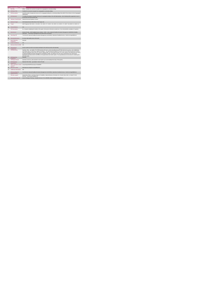|                 | <b>Congregated Settings</b>                 |                                                                                                                                                                                                                                                                                                                                                                                                                                                                                                                                                                                                                                                                                                                                                 |  |
|-----------------|---------------------------------------------|-------------------------------------------------------------------------------------------------------------------------------------------------------------------------------------------------------------------------------------------------------------------------------------------------------------------------------------------------------------------------------------------------------------------------------------------------------------------------------------------------------------------------------------------------------------------------------------------------------------------------------------------------------------------------------------------------------------------------------------------------|--|
|                 | <b>KPITitle</b>                             | DIS55 - Facilitate the movement of people from congregated to community settings                                                                                                                                                                                                                                                                                                                                                                                                                                                                                                                                                                                                                                                                |  |
| 1a              | <b>KPI Short Title</b>                      | Facilitate the movement of people from congregated to community settings                                                                                                                                                                                                                                                                                                                                                                                                                                                                                                                                                                                                                                                                        |  |
| $\overline{2}$  | <b>KPI Description</b>                      | Count the number of people who move out of a congregated setting into a community setting in line with the Time to Move on from Congregated<br>Setting policy.                                                                                                                                                                                                                                                                                                                                                                                                                                                                                                                                                                                  |  |
| $\mathbf{a}$    | <b>KPI Rationale</b>                        | To monitor the progress of people moving out of congregated settings in line with National policy. Each individual will be supported to move in<br>line with their personal transition plan.                                                                                                                                                                                                                                                                                                                                                                                                                                                                                                                                                    |  |
| 3a              | <b>Indicator Classification</b>             | National Scorecard Quadrant- Access                                                                                                                                                                                                                                                                                                                                                                                                                                                                                                                                                                                                                                                                                                             |  |
| Δ               | <b>National Target</b>                      | 2019 National Service Plan Point in Time Target: 160.                                                                                                                                                                                                                                                                                                                                                                                                                                                                                                                                                                                                                                                                                           |  |
| 48              | Target                                      | 2019 Target per CHO: CHO 1 - 20 , CHO 2 - 20 , CHO 3 - 27 , CHO 4 - 26 , CHO 5 - 15 , CHO 6 - 17 , CHO 7 - 19 ,CHO 8 - 8 , CHO 9 - 8 .                                                                                                                                                                                                                                                                                                                                                                                                                                                                                                                                                                                                          |  |
| 4h              | <b>Volume Metrics</b>                       | <b>N/A</b>                                                                                                                                                                                                                                                                                                                                                                                                                                                                                                                                                                                                                                                                                                                                      |  |
| 5               | <b>KPI Calculation</b>                      | No. of people completing the transition in the quarter. Each person will only be counted once. Year end total will be cumulative of 4 quarters .                                                                                                                                                                                                                                                                                                                                                                                                                                                                                                                                                                                                |  |
| 6               | <b>Data Source</b>                          | Service Provider - HSE Disability Service nominee - HOSC - CHO - National Disability Information Management Unit(NDIMU) Disability<br>Operations - Performance Management and Improvement Unit (PMIU).                                                                                                                                                                                                                                                                                                                                                                                                                                                                                                                                          |  |
| 6a              | Data Sign Off                               | Tom McGuirk, National Disability Information Management Unit (NDIMU), Operations Disability Services. Email: tom.mcguirk@hse.ie                                                                                                                                                                                                                                                                                                                                                                                                                                                                                                                                                                                                                 |  |
| 6 <sub>h</sub>  | <b>Data Quality Issues</b>                  | No known data quality issues at this point.                                                                                                                                                                                                                                                                                                                                                                                                                                                                                                                                                                                                                                                                                                     |  |
| $\overline{7}$  | <b>Data Collection</b><br>Frequency         | Quarterly                                                                                                                                                                                                                                                                                                                                                                                                                                                                                                                                                                                                                                                                                                                                       |  |
| $\mathbf{R}$    | <b>Tracer Conditions</b>                    | N/A                                                                                                                                                                                                                                                                                                                                                                                                                                                                                                                                                                                                                                                                                                                                             |  |
| 9               | <b>Minimum Data Set MDS</b>                 | N/A                                                                                                                                                                                                                                                                                                                                                                                                                                                                                                                                                                                                                                                                                                                                             |  |
| 10              | International<br>Comparison                 | Service model in line with current policy developed in line with best practice internationally.                                                                                                                                                                                                                                                                                                                                                                                                                                                                                                                                                                                                                                                 |  |
| 11              | <b>KPI Monitoring</b>                       | Quarterly, Other - give details :The HOSC/nominee will receive, review and quality assure KPI data returns for accuracy and completeness<br>and analyse data for performance against ELS/targets. They will forward the collated KPI returns to the Chief Officer/nominee and include a<br>builet point explanation where there are variances against target. The Chief Officer/nominee will review, approve and submit final CHO returns<br>to National Disability Information Management Unit (NDIMU). NDIMU will collate all the CHO returns and forward to the Performance<br>Management and Improvement Unit (PMIU) on the agreed date each month / quarter. The responsible person at local level for monitoring this<br>KPI is the HOSC. |  |
| 12 <sup>5</sup> | <b>KPI Reporting</b><br>Frequency           | Quarterly                                                                                                                                                                                                                                                                                                                                                                                                                                                                                                                                                                                                                                                                                                                                       |  |
| 13              | <b>KPI Report Period</b>                    | Quarterly Current (e.g. data reported in each quarter up to and including the last day of that quarter)                                                                                                                                                                                                                                                                                                                                                                                                                                                                                                                                                                                                                                         |  |
| 14              | <b>KPI Reporting</b><br>Aggregation         | National/ CHO/ Other - give details: Service Provider                                                                                                                                                                                                                                                                                                                                                                                                                                                                                                                                                                                                                                                                                           |  |
| 15              | reports?                                    | KPI is reported in which Annual Report/NSP/Performance Profile/MDR                                                                                                                                                                                                                                                                                                                                                                                                                                                                                                                                                                                                                                                                              |  |
| 16              | Web link to data                            | http://www.hse.ie/eng/services/publications/                                                                                                                                                                                                                                                                                                                                                                                                                                                                                                                                                                                                                                                                                                    |  |
| 17              | <b>Additional Information</b>               | N/A                                                                                                                                                                                                                                                                                                                                                                                                                                                                                                                                                                                                                                                                                                                                             |  |
|                 | <b>KPI</b> owner/lead for<br>implementation | Tom McGuirk, National Disability Information Management Unit (NDIMU), Operations Disability Services. Email: tom moguirk@hse.ie                                                                                                                                                                                                                                                                                                                                                                                                                                                                                                                                                                                                                 |  |
|                 | PBI data support                            | Sinéad Nulty O'Brien, Lead Data Analyst for Disabilities, National Business Information Unit - Bective Steet, Kells, Co. Meath. Ph: 046<br>9251328 . Email:sinead.rultv@hse.ie                                                                                                                                                                                                                                                                                                                                                                                                                                                                                                                                                                  |  |
|                 | Governance/sign off                         | Head of Strategy & Planning, Disability Services, Ph: 01-6352699, Email: disability.strategy@hse.ie                                                                                                                                                                                                                                                                                                                                                                                                                                                                                                                                                                                                                                             |  |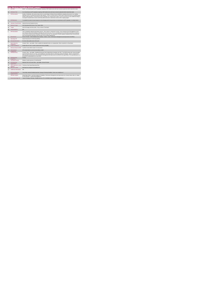|                |                                             | Day Services Including School Leavers                                                                                                                                                                                                                                                                                                                                                                                                                                                                                                                              |
|----------------|---------------------------------------------|--------------------------------------------------------------------------------------------------------------------------------------------------------------------------------------------------------------------------------------------------------------------------------------------------------------------------------------------------------------------------------------------------------------------------------------------------------------------------------------------------------------------------------------------------------------------|
|                | <b>KPITitle</b>                             | DIS15 - % of school leavers and RT graduates requiring a HSE funded service who have received a placement which meets their needs                                                                                                                                                                                                                                                                                                                                                                                                                                  |
| 1a             | <b>KPI Short Title</b>                      | % of school leaves and RT graduates requiring a HSE funded service who have received a placement which meets their needs                                                                                                                                                                                                                                                                                                                                                                                                                                           |
| $\overline{z}$ | <b>KPI Description</b>                      | Number of individuals who receive a day service as a percentage of all those that are identified as requiring a day service in an existing<br>specialist service or through New Directions type supports. Count is of all those with ID. Autism and/or Physical and Sensory Disability leaving<br>DOEdC funded education (school leavers) and RT graduates only .Include all who require a service even those for whom additional funding is<br>not required. Exclude all who receive a brief intervention and move to mainstream services with no ongoing support |
| $\mathbf{a}$   | <b>KPI Rationale</b>                        | To establish the extent of actual response to new emerging need for day services for school leavers and RT graduates in a timely manner                                                                                                                                                                                                                                                                                                                                                                                                                            |
| 3a             | <b>Indicator Classification</b>             | National Scorecard Quadrant Access                                                                                                                                                                                                                                                                                                                                                                                                                                                                                                                                 |
| $\overline{a}$ | <b>National Target</b>                      | 2019 Operational Plan Point in Time Target: 100%                                                                                                                                                                                                                                                                                                                                                                                                                                                                                                                   |
| 4a             | Target                                      | 2019 CHO target: AI CHOs 100%. This is a Point in Time Metric                                                                                                                                                                                                                                                                                                                                                                                                                                                                                                      |
| 4h             | <b>Volume Metrics</b>                       | <b>N/A</b>                                                                                                                                                                                                                                                                                                                                                                                                                                                                                                                                                         |
| 5              | <b>KPI Calculation</b>                      | This is managed by national school leaver process . Once a person commences in service - this is entered on the OGS database at CHO<br>level. Report is taken off the database nationaly at the end of each year. The % is calculated by the overall number presenting as requiring a<br>service and the number that are showing as commenced at year end. The expectation is that the majority of people will have commenced by<br>year end except those that will not reach the age of 18 yrs until the following year.                                          |
| 6              | <b>Data Source</b>                          | Service Provider > HSE Disability Service nominee > HOSC > CHO > Performance Management and Improvement Unit (PMIU).                                                                                                                                                                                                                                                                                                                                                                                                                                               |
| <b>Бя</b>      | Data Sign Off                               | Head of Social Care in CHO Area (HOSC).                                                                                                                                                                                                                                                                                                                                                                                                                                                                                                                            |
| 6h             | <b>Data Quality Issues</b>                  | No known data quality issues at this point.                                                                                                                                                                                                                                                                                                                                                                                                                                                                                                                        |
| $\overline{7}$ | <b>Data Collection</b><br>Frequency         | Annually / Other - give details: Data is updated and uploaded locally on an ongoing basis. Data is reported on a Annual basis                                                                                                                                                                                                                                                                                                                                                                                                                                      |
| $\mathbf{R}$   | <b>Tracer Conditions</b>                    | People with an ID and / or autism, physical and sensory disability.                                                                                                                                                                                                                                                                                                                                                                                                                                                                                                |
| я              | Minimum Data Set MDS                        | A profile of needs will be in place for each person                                                                                                                                                                                                                                                                                                                                                                                                                                                                                                                |
| 10             | International<br>Comparison                 | KPV activity linked to current service delivery model                                                                                                                                                                                                                                                                                                                                                                                                                                                                                                              |
| 11             | <b>KPI Monitoring</b>                       | Annually / Other - give details: Identified School leaver lead collated data and uploads onto OGS. The HOSC/nominee will review and quality<br>assure KPI data returns for accuracy and completeness and analyse data for performance against ELS/targets. Report is extracted from<br>OGS nationally and returned to the Performance Management and Improvement Unit (PMIU) on the agreed date .The responsible person at<br>local level for monitoring this KPI is the HOSC.                                                                                     |
| 12             | <b>KPI Reporting</b><br>Frequency           | Annually                                                                                                                                                                                                                                                                                                                                                                                                                                                                                                                                                           |
| 13             | <b>KPI Report Period</b>                    | Rolling 12 months (previous 12 month period)                                                                                                                                                                                                                                                                                                                                                                                                                                                                                                                       |
| 14             | <b>KPI Reporting</b><br>Aggregation         | National/ CHO/ LHO Area/ Other - give details: Service Provider                                                                                                                                                                                                                                                                                                                                                                                                                                                                                                    |
| 15             | reports?                                    | KPI is reported in which Preliminary Data Report/Operational Plan                                                                                                                                                                                                                                                                                                                                                                                                                                                                                                  |
| 16             | Web link to data                            | http://www.hse.ie/eng/services/publications/                                                                                                                                                                                                                                                                                                                                                                                                                                                                                                                       |
| 17             | <b>Additional Information</b>               | N/A                                                                                                                                                                                                                                                                                                                                                                                                                                                                                                                                                                |
|                | <b>KPI</b> owner/lead for<br>implementation | "Anne Melly, National Disability Specialist, Strategy & Planning Disabilities Email: anne.melly@hse.ie "                                                                                                                                                                                                                                                                                                                                                                                                                                                           |
|                | PBI data support                            | Sinéad Nulty O'Brien, Lead Data Analyst for Disabilities, Performance Management and Improvement Unit - Bective Street, Kells, Co. Meath.<br>Ph: 046 9251328 , Emailsinead.nuty@hse.ie                                                                                                                                                                                                                                                                                                                                                                             |
|                | Governance/sign off                         | "Head of Strategy & Planning , Disability Services, Ph: 01-6352699, Email: disability.strategy@hse.ie *                                                                                                                                                                                                                                                                                                                                                                                                                                                            |
|                |                                             |                                                                                                                                                                                                                                                                                                                                                                                                                                                                                                                                                                    |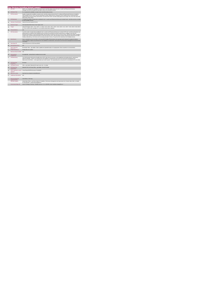|                |                                             | Day Services Including School Leavers                                                                                                                                                                                                                                                                                                                                                                                                                                                                                                                                                                                                                                                                                      |
|----------------|---------------------------------------------|----------------------------------------------------------------------------------------------------------------------------------------------------------------------------------------------------------------------------------------------------------------------------------------------------------------------------------------------------------------------------------------------------------------------------------------------------------------------------------------------------------------------------------------------------------------------------------------------------------------------------------------------------------------------------------------------------------------------------|
|                | <b>KPITitle</b>                             | DIS72 - No. of people with a disability in receipt of work / work-like activity services (ID and / or autism and Physical and Sensory)<br>(Disability: Day Services programme descriptors sheet to be used with this metric)                                                                                                                                                                                                                                                                                                                                                                                                                                                                                               |
| 1a             | <b>KPI Short Title</b>                      | No. of people with a disability in receipt of work / work-like activity services                                                                                                                                                                                                                                                                                                                                                                                                                                                                                                                                                                                                                                           |
| $\overline{2}$ | <b>KPI Description</b>                      | Number of people with a disability in receipt of work / work-like activity services (ID and / or autism and Physical and Sensory) as funded by<br>HSE Disability Services. Work / work like activity places include: Sheltered Work-Therapeutic (PD4), Sheltered Work-Commercial (PD5),<br>Sheltered Work-Like Work (PD6), External Work- Like Work (PD7) Work / work like activity places do not include: PD1, PD2, PD3, PD8, PD9,<br>PD10, PD11, PD12, PD13                                                                                                                                                                                                                                                              |
| $\overline{3}$ | <b>KPI Rationale</b>                        | To monitor the number of people with a disability (ID and / or autism and Physical and Sensory) in receipt of work / work like services as funded<br>by HSE Disability Services.                                                                                                                                                                                                                                                                                                                                                                                                                                                                                                                                           |
| 3a             | <b>Indicator Classification</b>             | National Scorecard Quadrant Access                                                                                                                                                                                                                                                                                                                                                                                                                                                                                                                                                                                                                                                                                         |
| $\overline{a}$ | <b>National Target</b>                      | 2019 Operational Plan Point in Time Target: 2,513.                                                                                                                                                                                                                                                                                                                                                                                                                                                                                                                                                                                                                                                                         |
| 4a             | Target                                      | 2019 CHO targets: CHO 1 - 181, CHO 2 - 0, CHO 3 - 410, CHO 4 - 857, CHO 5 - 446, CHO 6 - 141, CHO 7 - 195, CHO 8 - 240, CHO 9<br>43. This is a point in time calculation (i.e. do not add bi-annual returns together)                                                                                                                                                                                                                                                                                                                                                                                                                                                                                                      |
| 4 <sub>b</sub> | <b>Volume Metrics</b>                       | <b>N/A</b>                                                                                                                                                                                                                                                                                                                                                                                                                                                                                                                                                                                                                                                                                                                 |
| 5              | <b>KPI Calculation</b>                      | Count the number of people with a disability (ID and / or autism and Physical and Sensory) in receipt of WTE work / work-like activity places (as<br>defined above) as funded by HSE Disability Services. One person may attend more than one day service or engage in more than one<br>Work/Like work activity. For year end annual outturn, the Q4 outturn is used (e.g. CHO 8 Q2: 325, Q4: 332). Therefore the number of people in<br>receipt of work / work like activity WTE places in CHO 8 for the year is 332. WTE work places must be returned by the HSE Area from which<br>funding is allocated (e.g. Cork service user accessing work place in Kerry). This person to be returned by Cork Disability Services. |
| 6              | <b>Data Source</b>                          | Data is submitted by service providers to the local HSE Disability Office/nominee who input data into the National Occupational Guidance<br>Service Database. Reports are produced from OGS database at national level and issued to the Performance Management and Improvement<br>Unit (PMIU).                                                                                                                                                                                                                                                                                                                                                                                                                            |
| 6a             | Data Sign Off                               | Head of Social Care in CHO Area (HOSC)                                                                                                                                                                                                                                                                                                                                                                                                                                                                                                                                                                                                                                                                                     |
| 6b             | <b>Data Quality Issues</b>                  | <b>N/A</b>                                                                                                                                                                                                                                                                                                                                                                                                                                                                                                                                                                                                                                                                                                                 |
| 7              | <b>Data Collection</b><br>Frequency         | Bi-annually / Other - give details: Data is updated and uploaded locally on an ongoing basis. Data is reported on a bi-annual basis.                                                                                                                                                                                                                                                                                                                                                                                                                                                                                                                                                                                       |
| $\mathbf{R}$   | <b>Tracer Conditions</b>                    | People with an ID / autism.                                                                                                                                                                                                                                                                                                                                                                                                                                                                                                                                                                                                                                                                                                |
| 9              | <b>Minimum Data Set MDS</b>                 | N/A                                                                                                                                                                                                                                                                                                                                                                                                                                                                                                                                                                                                                                                                                                                        |
| 10             | International<br>Comparison                 | Not applicable - activity linked to traditional service model                                                                                                                                                                                                                                                                                                                                                                                                                                                                                                                                                                                                                                                              |
| 11             | <b>KPI Monitoring</b>                       | The HOSC/nominee will review and quality assure OGS data returns for accuracy and completeness and analyse data for performance<br>against ELS/targets. Reports are produced from OGS database at national level and issued to the Performance Management and<br>Improvement Unit (PMIU). on the agreed date each month / quarter. The responsible person at local level for monitoring this KPI is the HOSC.                                                                                                                                                                                                                                                                                                              |
| 12             | <b>KPI Reporting</b><br>Frequency           | <b>Bi-annual</b>                                                                                                                                                                                                                                                                                                                                                                                                                                                                                                                                                                                                                                                                                                           |
| 13             | <b>KPI Report Period</b>                    | Other - give details: Biannual (Q2 report covers Jan - Jun data)                                                                                                                                                                                                                                                                                                                                                                                                                                                                                                                                                                                                                                                           |
| 14             | <b>KPI Reporting</b><br>Aggregation         | National/ CHO/ LHO Area/ Other - give details: Service Provider                                                                                                                                                                                                                                                                                                                                                                                                                                                                                                                                                                                                                                                            |
| 15             | reports?                                    | KPI is reported in which Annual Report/NSP/Performance Profile/MDR                                                                                                                                                                                                                                                                                                                                                                                                                                                                                                                                                                                                                                                         |
| 16             | Web link to data                            | http://www.hse.ie/eng/services/publications/                                                                                                                                                                                                                                                                                                                                                                                                                                                                                                                                                                                                                                                                               |
| 17             | <b>Additional Information</b>               | N/A                                                                                                                                                                                                                                                                                                                                                                                                                                                                                                                                                                                                                                                                                                                        |
|                | <b>KPI</b> owner/lead for<br>implementation | Chief Officer, CHO Area                                                                                                                                                                                                                                                                                                                                                                                                                                                                                                                                                                                                                                                                                                    |
|                | PBI data support                            | Sinéad Nuty O'Brien, Lead Data Analyst for Disabilities, Performance Management and Improvement Unit - Bective Steet, Kells, Co. Meath.<br>Ph: 046 9251328 . Email:sinead.nutv@hse.ie                                                                                                                                                                                                                                                                                                                                                                                                                                                                                                                                      |
|                | Governance/sign off                         | Head of Strategy & Planning, Disability Services, Ph: 01-6352699, Email: disability.strategy@hse.ie "                                                                                                                                                                                                                                                                                                                                                                                                                                                                                                                                                                                                                      |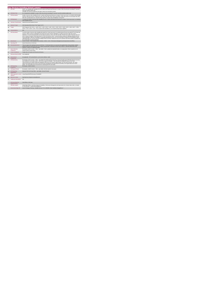|                |                                             | Day Services Including School Leavers                                                                                                                                                                                                                                                                                                                                                                                                                                                                                                                                                                                                                                                                                                                                                                                                                                                                                        |
|----------------|---------------------------------------------|------------------------------------------------------------------------------------------------------------------------------------------------------------------------------------------------------------------------------------------------------------------------------------------------------------------------------------------------------------------------------------------------------------------------------------------------------------------------------------------------------------------------------------------------------------------------------------------------------------------------------------------------------------------------------------------------------------------------------------------------------------------------------------------------------------------------------------------------------------------------------------------------------------------------------|
|                | <b>KPITitle</b>                             | DIS78 - No. of people with a disability (ID and /or autism and Physical and Sensory) in receipt of Other Day Services (excluding RT and work /                                                                                                                                                                                                                                                                                                                                                                                                                                                                                                                                                                                                                                                                                                                                                                               |
|                |                                             | work-like activities) (adults only)<br>(Disability: Day Services programme descriptors sheet to be used with this metric)                                                                                                                                                                                                                                                                                                                                                                                                                                                                                                                                                                                                                                                                                                                                                                                                    |
| 1a             | <b>KPI Short Title</b>                      | No. of people with a disability in receipt of Other Day Services (excluding RT and work / work-like activities) (adults only)                                                                                                                                                                                                                                                                                                                                                                                                                                                                                                                                                                                                                                                                                                                                                                                                |
|                |                                             |                                                                                                                                                                                                                                                                                                                                                                                                                                                                                                                                                                                                                                                                                                                                                                                                                                                                                                                              |
| $\overline{z}$ | <b>KPI</b> Description                      | Number of persons with a disability (ID and / or autism and Physical and Sensory) in receipt of "other day services" as funded by HSE Disability<br>Services."Other day services" include: PD1, PD2, PD3, PD8, PD9, PD10, PD12, PD13, PD14 "Other day services" do not include: PD4, PD5,<br>PD6, PD7 (counted under work / work-like KPIs) and PD11 (counted under Rehabilitative Training KPI)                                                                                                                                                                                                                                                                                                                                                                                                                                                                                                                             |
| $\overline{3}$ | <b>KPI Rationale</b>                        | To monitor the number of persons with a disability (ID and / or autism and Physical and Sensory) in receipt of "other day services" as funded by<br><b>HSE Disability Services.</b>                                                                                                                                                                                                                                                                                                                                                                                                                                                                                                                                                                                                                                                                                                                                          |
| 3a             | <b>Indicator Classification</b>             | National Scorecard Quadrant Access                                                                                                                                                                                                                                                                                                                                                                                                                                                                                                                                                                                                                                                                                                                                                                                                                                                                                           |
| $\overline{4}$ | <b>National Target</b>                      | 2019 Operational Plan Point in Time Target: 22.272.                                                                                                                                                                                                                                                                                                                                                                                                                                                                                                                                                                                                                                                                                                                                                                                                                                                                          |
| 48             | Target                                      | 2019 Target per CHO: CHO 1 - 1.400 CHO 2 - 2.403 . CHO 3 - 1.645 . CHO 4 - 3.203 . CHO 5 - 3.483 . CHO 6 - 1.526 . CHO 7 - 2.769 .<br>CHO 8 - 2,373 , CHO 9 - 3,470. This is a point in time calculation (i.e. do not add bi-annual returns together)                                                                                                                                                                                                                                                                                                                                                                                                                                                                                                                                                                                                                                                                        |
| 4 <sub>b</sub> | <b>Volume Metrics</b>                       | N/h                                                                                                                                                                                                                                                                                                                                                                                                                                                                                                                                                                                                                                                                                                                                                                                                                                                                                                                          |
| 5              | <b>KPI Calculation</b>                      | Count the number of persons with a disability who benefit from "other day services" (as defined above).Persons may attend RT and "other day<br>services". Where a person is attending RT and "other day services" their RT attendance is counted, and not the "other day services"<br>attendance. For year end annual outturn, the Q4 outturn is used (e.g. CHO 8: Q2: 653, Q4: 660). Therefore the number of persons with an ID<br>and / or autism in receipt of "other day Services" in CHO 8 for the year is 660. To prevent double counting, the following calculation process<br>may be applicable: Collect the overall figure of all people attending day services from service providers & acquire the OGS database reports<br>regarding people in RT services and those availing of Work/ Like Work. Subtract the sum of RT and Work /Like Work numbers of people from<br>the overall number and return that figure. |
| 6              | <b>Data Source</b>                          | Service Provider > HSE Disability Service nominee > HOSC > CHO > Performance Management and Improvement Unit (PMIU).                                                                                                                                                                                                                                                                                                                                                                                                                                                                                                                                                                                                                                                                                                                                                                                                         |
| 6a             | Data Sign Off                               | Head of Social Care in CHO Area                                                                                                                                                                                                                                                                                                                                                                                                                                                                                                                                                                                                                                                                                                                                                                                                                                                                                              |
| 6h             | <b>Data Quality Issues</b>                  | There are gaps in the reporting structure at CHO level . On this basis there is no assurance that updated data is being collected, collated,<br>quality assured and returned by each CHO. Reports are generated nationally from data returns without a reporting relationship to data<br>returners, so there is no national oversight.                                                                                                                                                                                                                                                                                                                                                                                                                                                                                                                                                                                       |
| $\overline{7}$ | <b>Data Collection</b><br>Frequency         | Bi-annually a month in arrears / Other - give details: Data is updated and uploaded locally on an ongoing basis. Data is reported on a bi-<br>annual a month in arrears basis.                                                                                                                                                                                                                                                                                                                                                                                                                                                                                                                                                                                                                                                                                                                                               |
| 8              | <b>Tracer Conditions</b>                    | People with an ID/ autism and Physical and Sensory                                                                                                                                                                                                                                                                                                                                                                                                                                                                                                                                                                                                                                                                                                                                                                                                                                                                           |
| $\overline{9}$ | Minimum Data Set MDS                        | None Applicable                                                                                                                                                                                                                                                                                                                                                                                                                                                                                                                                                                                                                                                                                                                                                                                                                                                                                                              |
| 10             | International<br>Comparison                 | Not applicable - KPI/ activity linked to current service delivery model                                                                                                                                                                                                                                                                                                                                                                                                                                                                                                                                                                                                                                                                                                                                                                                                                                                      |
| 11             | <b>KPI Monitoring</b>                       | Bi-annually a month in arrears / Other - give details: The HOSC/nominee will receive, review and quality assure KPI data returns for accuracy<br>and completeness and analyse data for performance against ELS/targets. They will forward the collated KPI returns to the Chief<br>Officer/nominee and include a bullet point explanation where there are variances against target. The Chief Officer/nominee will review,<br>approve and submit final CHO returns to the Performance Management and Improvement Unit (PMIU) on the agreed date each month /<br>quarter. The responsible person at local level for monitoring this KPI is the HOSC.                                                                                                                                                                                                                                                                          |
| 12             | <b>KPI Reporting</b><br>Frequency           | Bi-annually a month in arrears                                                                                                                                                                                                                                                                                                                                                                                                                                                                                                                                                                                                                                                                                                                                                                                                                                                                                               |
| 13             | <b>KPI Report Period</b>                    | Bi-annually a month in arrears Other - give details: Q2 data reported in July report                                                                                                                                                                                                                                                                                                                                                                                                                                                                                                                                                                                                                                                                                                                                                                                                                                         |
| 14             | <b>KPI Reporting</b><br>Aggregation         | National/ CHO/ LHO Area/ Other - give details: Service Provider                                                                                                                                                                                                                                                                                                                                                                                                                                                                                                                                                                                                                                                                                                                                                                                                                                                              |
| 15             | KPI is reported in which<br>reports?        | Annual Report/NSP/Performance Profile/MDR                                                                                                                                                                                                                                                                                                                                                                                                                                                                                                                                                                                                                                                                                                                                                                                                                                                                                    |
| 16             | Web link to data                            | http://www.hse.ie/eng/services/publications/                                                                                                                                                                                                                                                                                                                                                                                                                                                                                                                                                                                                                                                                                                                                                                                                                                                                                 |
| 17             | <b>Additional Information</b>               | N/A                                                                                                                                                                                                                                                                                                                                                                                                                                                                                                                                                                                                                                                                                                                                                                                                                                                                                                                          |
|                | <b>KPI</b> owner/lead for<br>implementation | Chief Officer, CHO Area                                                                                                                                                                                                                                                                                                                                                                                                                                                                                                                                                                                                                                                                                                                                                                                                                                                                                                      |
|                | PBI data support                            | Sinéad Nuty O'Brien, Lead Data Analyst for Disabilities, Performance Management and Improvement Unit - Bective Steet, Kells, Co. Meath.<br>Ph: 046 9251328 . Email:sinead.nutv@hse.ie                                                                                                                                                                                                                                                                                                                                                                                                                                                                                                                                                                                                                                                                                                                                        |
|                | Governance/sign off                         | Head of Strategy & Planning, Disability Services, Ph: 01-6352699, Email: disability.strategy@hse.ie                                                                                                                                                                                                                                                                                                                                                                                                                                                                                                                                                                                                                                                                                                                                                                                                                          |
|                |                                             |                                                                                                                                                                                                                                                                                                                                                                                                                                                                                                                                                                                                                                                                                                                                                                                                                                                                                                                              |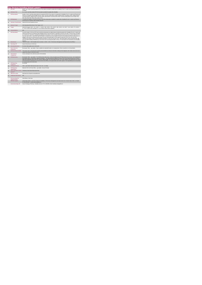|                |                                             | Day Services Including School Leavers                                                                                                                                                                                                                                                                                                                                                                                                                                                                                                                                                                                                                                                                                                                                                                                                                                                                                                                                                                                                      |
|----------------|---------------------------------------------|--------------------------------------------------------------------------------------------------------------------------------------------------------------------------------------------------------------------------------------------------------------------------------------------------------------------------------------------------------------------------------------------------------------------------------------------------------------------------------------------------------------------------------------------------------------------------------------------------------------------------------------------------------------------------------------------------------------------------------------------------------------------------------------------------------------------------------------------------------------------------------------------------------------------------------------------------------------------------------------------------------------------------------------------|
|                | <b>KPITitle</b>                             | DIS79 - No. of work / work-like activity WTE 30 hour places provided for people with a Disability (ID and / or autism and Physical and Sensory<br>Disability)                                                                                                                                                                                                                                                                                                                                                                                                                                                                                                                                                                                                                                                                                                                                                                                                                                                                              |
| 1a             | <b>KPI Short Title</b>                      | No. of work / work-like activity WTE 30 hour places provided for people with a Disability                                                                                                                                                                                                                                                                                                                                                                                                                                                                                                                                                                                                                                                                                                                                                                                                                                                                                                                                                  |
| $\overline{z}$ | <b>KPI Description</b>                      | Number of work / work-like activity whole time equivalent (WTE) 30 hour places for people with a Disability (ID and / or autism and Physical and<br>Senosry) as funded by HSE Disability Services. Work / work like activity places include: Sheltered Work-Therapeutic (PD4). Sheltered Work-<br>Commercial (PD5), Sheltered Work-Like Work (PD6), External Work- Like Work (PD7) Work / work like activity places do not include: PD1,<br>PD2, PD3, PD8, PD9, PD10, PD11, PD12, PD13                                                                                                                                                                                                                                                                                                                                                                                                                                                                                                                                                     |
| $\mathbf{R}$   | <b>KPI Rationale</b>                        | To monitor the number of 30 hour WTE work / work-like activity places available for people with a Disability (ID and / or autism and Physical<br>and Sensory) as funded by HSE Disability Services.                                                                                                                                                                                                                                                                                                                                                                                                                                                                                                                                                                                                                                                                                                                                                                                                                                        |
| 3a             | <b>Indicator Classification</b>             | National Scorecard Quadrant Access                                                                                                                                                                                                                                                                                                                                                                                                                                                                                                                                                                                                                                                                                                                                                                                                                                                                                                                                                                                                         |
| $\overline{a}$ | <b>National Target</b>                      | 2019 Operational Plan Point in Time Target: 1.217.                                                                                                                                                                                                                                                                                                                                                                                                                                                                                                                                                                                                                                                                                                                                                                                                                                                                                                                                                                                         |
| 4a             | Target                                      | 2019 CHO targets: CHO 1 - 93 , CHO 2 - 1 , CHO 3 - 284 , CHO 4 - 276 , CHO 5 - 269 , CHO 6 - 44 , CHO 7 - 144 , CHO 8 - 79 , CHO 9 -<br>27. This is a point in time calculation (i.e. do not add bi-annual returns together)                                                                                                                                                                                                                                                                                                                                                                                                                                                                                                                                                                                                                                                                                                                                                                                                               |
| 4h             | <b>Volume Metrics</b>                       | N/A                                                                                                                                                                                                                                                                                                                                                                                                                                                                                                                                                                                                                                                                                                                                                                                                                                                                                                                                                                                                                                        |
| 5              | <b>KPI Calculation</b>                      | Count the number of 30 hour WTE work / work-like activity places (as defined above) utilised by people with a Disability (ID and / or autism and<br>Physical and Sensory) as funded by HSE Disability Services. Each WTE place is equivalent to 30 hours per week. If a person does not attend<br>for a full 30 hours, the WTE is calculated by dwiding the total number of hours actually worked by the person by 30 (e.g. person attends for 25<br>hours per week, 25/30 = 0.84 WTE). Each WTE place is counted only once per quarter.One person may attend more than one day service or<br>engage in more than one Work/Like work activity. For year end annual outturn, the Q4 outturn is used (e.g. CHO 8: Q2: 418, Q4: 422).<br>Therefore the number of work / work like activity WTE places in CHO 8 for the year is 422. WTE Work Places must be returned by the HSE<br>Area from which funding is allocated (e.g. Cork service user accessing work place in Kerry). This work place to be returned by Cork Disability<br>Services |
| $\mathbf{6}$   | <b>Data Source</b>                          | "Service Provider > HSE Disability Service nominee > HOSC > CHO > Performance Management and Improvement Unit (PMIU). "                                                                                                                                                                                                                                                                                                                                                                                                                                                                                                                                                                                                                                                                                                                                                                                                                                                                                                                    |
| 6a             | Data Sign Off                               | Head of Social Care in CHO Area                                                                                                                                                                                                                                                                                                                                                                                                                                                                                                                                                                                                                                                                                                                                                                                                                                                                                                                                                                                                            |
| 6b             | <b>Data Quality Issues</b>                  | No known data quality issues at this point.                                                                                                                                                                                                                                                                                                                                                                                                                                                                                                                                                                                                                                                                                                                                                                                                                                                                                                                                                                                                |
| $\overline{7}$ | <b>Data Collection</b><br>Frequency         | Bi-annually / Other - give details: Data is updated and uploaded locally on an ongoing basis. Data is reported on a bi-annual basis.                                                                                                                                                                                                                                                                                                                                                                                                                                                                                                                                                                                                                                                                                                                                                                                                                                                                                                       |
| $\overline{9}$ | Minimum Data Set MDS                        | The service user's care plan which includes personal details and relevant information relating to their diagnosis, their needs and services and<br>support they require to meet their needs.                                                                                                                                                                                                                                                                                                                                                                                                                                                                                                                                                                                                                                                                                                                                                                                                                                               |
| 10             | International<br>Comparison                 | Service developed in line with best practice internationally.                                                                                                                                                                                                                                                                                                                                                                                                                                                                                                                                                                                                                                                                                                                                                                                                                                                                                                                                                                              |
| 11             | <b>KPI Monitoring</b>                       | Bi-annually / Other - give details: The HOSC/nominee will receive, review and quality assure KPI data returns for accuracy and completeness<br>and analyse data for performance against ELS/targets. They will forward the collated KPI returns to the Chief Officer/nominee and include a<br>builet point explanation where there are variances against target. The Chief Officer/nominee will review, approve and submit final CHO returns<br>to the Performance Management and Improvement Unit (PMIU) on the agreed date each month / quarter. The responsible person at local level<br>for monitoring this KPI is the HOSC.                                                                                                                                                                                                                                                                                                                                                                                                           |
| 12             | <b>KPI Reporting</b><br>Frequency           | Bi-annually                                                                                                                                                                                                                                                                                                                                                                                                                                                                                                                                                                                                                                                                                                                                                                                                                                                                                                                                                                                                                                |
| 13             | <b>KPI Report Period</b>                    | Other - give details: Biannual (Q2 report covers Jan - Jun data)                                                                                                                                                                                                                                                                                                                                                                                                                                                                                                                                                                                                                                                                                                                                                                                                                                                                                                                                                                           |
| 14             | <b>KPI Reporting</b><br>Aggregation         | National/ CHO/ LHO Area/ Other - give details: Service Provider                                                                                                                                                                                                                                                                                                                                                                                                                                                                                                                                                                                                                                                                                                                                                                                                                                                                                                                                                                            |
| 15             | reports?                                    | KPI is reported in which Preliminary Data Report/Operational Plan                                                                                                                                                                                                                                                                                                                                                                                                                                                                                                                                                                                                                                                                                                                                                                                                                                                                                                                                                                          |
| 16             | Web link to data                            | http://www.hse.ie/eng/services/publications/                                                                                                                                                                                                                                                                                                                                                                                                                                                                                                                                                                                                                                                                                                                                                                                                                                                                                                                                                                                               |
| 17             | <b>Additional Information</b>               | N/A                                                                                                                                                                                                                                                                                                                                                                                                                                                                                                                                                                                                                                                                                                                                                                                                                                                                                                                                                                                                                                        |
|                | <b>KPI</b> owner/lead for<br>implementation | Chief Officer, CHO Area                                                                                                                                                                                                                                                                                                                                                                                                                                                                                                                                                                                                                                                                                                                                                                                                                                                                                                                                                                                                                    |
|                | PBI data support                            | Sinéad Nulty O'Brien, Lead Data Analyst for Disabilities, Performance Management and Improvement Unit - Bective Steet, Kells, Co. Meath.<br>Ph: 046 9251328 . Email:sinead.nutv@hse.ie                                                                                                                                                                                                                                                                                                                                                                                                                                                                                                                                                                                                                                                                                                                                                                                                                                                     |
|                | Governance/sign off                         | Head of Strategy & Planning, Disability Services, Ph: 01-6352699, Email: disability.strategy@hse.ie                                                                                                                                                                                                                                                                                                                                                                                                                                                                                                                                                                                                                                                                                                                                                                                                                                                                                                                                        |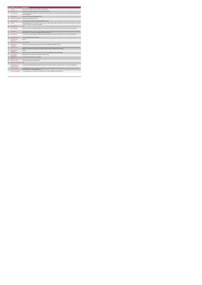|                 | <b>Disability Act Compliance</b>            |                                                                                                                                                                                                                                                   |
|-----------------|---------------------------------------------|---------------------------------------------------------------------------------------------------------------------------------------------------------------------------------------------------------------------------------------------------|
|                 | <b>KPITitle</b>                             | DIS1 - Number of requests for assessments of need received                                                                                                                                                                                        |
| 1a              | <b>KPI Short Title</b>                      | Number of requests for assessments of need received for children.                                                                                                                                                                                 |
| $\overline{2}$  | <b>KPI Description</b>                      | The number of complete applications for Assessment of Need for children as recorded in the Assessment of Need database (Implementation:<br>Part 2-Disability Act).                                                                                |
| 3               | <b>KPI Rationale</b>                        | This metric is in line with the Disability Act 2005.                                                                                                                                                                                              |
| 3a              | <b>Indicator Classification</b>             | National Scorecard Quadrant Access                                                                                                                                                                                                                |
| $\overline{a}$  | <b>National Target</b>                      | 2019 Operation Plan Cumulative Target/Expected Activity: 5,065.                                                                                                                                                                                   |
| 4a              | Target                                      | 2019 CHO targets: CHO 1 - 88, CHO 2 - 181, CHO 3 - 387, CHO 4 -1,161, CHO 5 - 265, CHO 6 - 252, CHO 7 - 800, CHO 8 - 647, CHO<br>9-1,284. (This metric is reported as cumulative)                                                                 |
| 4 <sub>b</sub>  | <b>Volume Metrics</b>                       | <b>N/A</b>                                                                                                                                                                                                                                        |
| 5               | <b>KPI Calculation</b>                      | Count the total number of complete applications for Assessment of Need received, as recorded on the Assessment of Need database.                                                                                                                  |
| 6               | <b>Data Source</b>                          | Quarterly activity reports extracted from the Assessment of Need Database by the National Disability Information Management Unit (NDIMU)<br>and forwarded to the Performance Management and Improvement Unit                                      |
| 6a              | Data Sign Off                               | Tom McGuirk, National Disability Information Management Unit (NDIMU), Operations Disability Services. Email: tom.mcguirk@hse.ie                                                                                                                   |
| 6b              | <b>Data Quality Issues</b>                  | No known data quality issues at this point.                                                                                                                                                                                                       |
| $\overline{7}$  | <b>Data Collection</b><br>Frequency         | Quarterly                                                                                                                                                                                                                                         |
| $\overline{9}$  | Minimum Data Set MDS                        | None Applicable                                                                                                                                                                                                                                   |
| 10 <sup>1</sup> | International<br>Comparison                 | KPI measures demand-led activity linked to process set out in legislation (Disability Act 2005)                                                                                                                                                   |
| 11              | <b>KPI Monitoring</b>                       | Quarterly / Other - give details: Officers /nominee input data into the National AON system on an ongoing basis. Reports are produced from<br>database at national level quarterly by the National Disability Information Management Unit (NDIMU) |
| 12              | <b>KPI Reporting</b><br>Frequency           | Quarterly                                                                                                                                                                                                                                         |
| 13              | <b>KPI Report Period</b>                    | Quarterly Current (e.g. data reported in each quarter up to and including the last day of that quarter)                                                                                                                                           |
| 14              | <b>KPI Reporting</b><br>Aggregation         | National/ CHO/ LHO Area/ Other - give details: Service Provider                                                                                                                                                                                   |
| 15              | <b>KPI</b> is reported in which<br>reports? | Annual Report/NSP/Performance Profile/MDR                                                                                                                                                                                                         |
| 16              | Web link to data                            | http://www.hse.ie/eng/services/publications/                                                                                                                                                                                                      |
| 17              | <b>Additional Information</b>               | N/A                                                                                                                                                                                                                                               |
|                 | <b>KPI</b> owner/lead for<br>implementation | Tom McGuirk, National Disability Information Management Unit (NDIMU), Operations Disability Services. Email: tom.mcguirk@hse.ie                                                                                                                   |
|                 | PBI data support                            | Sinéad Nulty O'Brien, Lead Data Analyst for Disabilities, Performance Management and Improvement Unit - Bective Steet, Kells, Co. Meath.<br>Ph: 046 9251328 , Emailsinead nuity@hse.ie                                                            |
|                 | Governance/sign off                         | Dr. Cathal Morgan, Head of Operations, Disability Services Email: disabilityops socialcare @hse.ie                                                                                                                                                |
|                 |                                             |                                                                                                                                                                                                                                                   |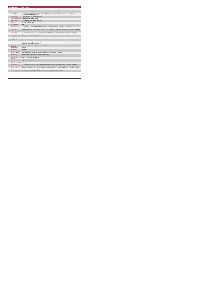|                | <b>KPITitle</b>                             | DIS2 - % of assessments of need commenced within the timelines as provided for in the regulations                                                                                                            |
|----------------|---------------------------------------------|--------------------------------------------------------------------------------------------------------------------------------------------------------------------------------------------------------------|
| 1a             | <b>KPI Short Title</b>                      | % of child assessments of need commenced within the timelines as provided for in the regulations                                                                                                             |
| $\overline{2}$ | <b>KPI Description</b>                      | The % of Child Assessments of Need which completed stage 2 of the process, as recorded in the Assessment of Need database.<br>(Implementation: Part 2-Disability Act).                                       |
| $\mathbf{R}$   | <b>KPI Rationale</b>                        | This metric is in line with the Disability Act 2005.                                                                                                                                                         |
| 3a             | <b>Indicator Classification</b>             | National Scorecard Quadrant Access                                                                                                                                                                           |
| 4              | <b>National Target</b>                      | 2019 Operational Plan Cumulative Target: 100%.                                                                                                                                                               |
| 4a             | Target                                      | All 2019 CHO targets: 100%                                                                                                                                                                                   |
| 4h             | <b>Volume Metrics</b>                       | N/A                                                                                                                                                                                                          |
| 5              | <b>KPI Calculation</b>                      | The total number of Assessments of Need which commenced stage 2 of the process, as provided for in the regulations and recorded on the<br>Assessment of Need database.                                       |
| 6              | <b>Data Source</b>                          | Quarterly activity reports extracted from the Assessment of Need Database by the National Disability Information Management Unit (NDIMU)<br>and forwarded to the Performance Management and Improvement Unit |
| 6a             | Data Sign Off                               | Tom McGuirk, National Disability Information Management Unit (NDIMU), Operations Disability Services. Email: tom.mcguirk@hse.ie                                                                              |
| 6h             | <b>Data Quality Issues</b>                  | No known data quality issues at this point.                                                                                                                                                                  |
| $\overline{7}$ | <b>Data Collection</b><br>Frequency         | Quarterly                                                                                                                                                                                                    |
| 8              | <b>Tracer Conditions</b>                    | People with a Disability.                                                                                                                                                                                    |
| 9              | Minimum Data Set MDS                        | The service user's care plan which includes personal details and relevant information relating to their diagnosis, their needs and services and<br>support they require to meet their needs.                 |
| 10             | International<br>Comparison                 | Service developed in line with best practice internationally.                                                                                                                                                |
| 11             | <b>KPI Monitoring</b>                       | Quarterly                                                                                                                                                                                                    |
| 12             | <b>KPI Reporting</b><br>Frequency           | Quarterly                                                                                                                                                                                                    |
| 13             | <b>KPI Report Period</b>                    | Quarterly Current (e.g. data reported in each quarter up to and including the last day of that quarter )                                                                                                     |
| 14             | <b>KPI Reporting</b><br>Aggregation         | National/ CHO/ LHO Area/ Other - give details: Service Provider                                                                                                                                              |
| 15             | reports?                                    | KPI is reported in which Preliminary Data Report/Operational Plan                                                                                                                                            |
| 16             | Web link to data                            | http://www.hse.ie/eng/services/publications/                                                                                                                                                                 |
| 17             | <b>Additional Information</b>               | N/A                                                                                                                                                                                                          |
|                | <b>KPI</b> owner/lead for<br>implementation | Tom McGuirk, National Disability Information Management Unit (NDIMU), Operations Disability Services. Email: tom.mcguirk@hse.ie                                                                              |
|                | PBI data support                            | Sinéad Nulty O'Brien, Lead Data Analyst for Disabilities, Performance Management and Improvement Unit - Bective Steet, Kells, Co. Meath.<br>Ph: 046 9251328 . Email:sinead.nutv@hse.ie                       |
|                | Governance/sign off                         | Dr. Cathal Morgan, Head of Operations, Disability Services Email: disabilityops socialcare @hse.ie                                                                                                           |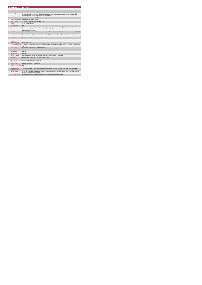|                | <b>Disability Act Compliance</b>            |                                                                                                                                                                                                                                                                                                                                                          |
|----------------|---------------------------------------------|----------------------------------------------------------------------------------------------------------------------------------------------------------------------------------------------------------------------------------------------------------------------------------------------------------------------------------------------------------|
|                | <b>KPITitle</b>                             | DIS3 - % of assessments of need completed within the timelines as provided for in the regulations                                                                                                                                                                                                                                                        |
| 1a             | <b>KPI Short Title</b>                      | % of child assessments of need completed within the timelines as provided for in the regulations                                                                                                                                                                                                                                                         |
| $\overline{2}$ | <b>KPI Description</b>                      | The number of Child Assessments of Need completed within three months of their commencement OR within a revised time frame negotiated<br>as per paragraph 10 of the Regulations accompanying the Disability Act which allows for exceptional circumstances. Total number also<br>expressed in percentage terms. (Implementation: Part 2-Disability Act). |
| $\mathcal{R}$  | <b>KPI Rationale</b>                        | This metric is in line with the Disability Act 2005.                                                                                                                                                                                                                                                                                                     |
| 3a             | <b>Indicator Classification</b>             | National Scorecard Quadrant Access                                                                                                                                                                                                                                                                                                                       |
| $\overline{a}$ | <b>National Target</b>                      | 2019 National Service Plan Cumulative Target: 100%.                                                                                                                                                                                                                                                                                                      |
| 4a             | Target                                      | All 2019 CHO targets: 100%                                                                                                                                                                                                                                                                                                                               |
| 4h             | <b>Volume Metrics</b>                       | N/A                                                                                                                                                                                                                                                                                                                                                      |
| 5              | <b>KPI Calculation</b>                      | The total number of Assessments of Need completed within three months of their commencement OR within a revised time frame negotiated<br>as per paragraph 10 of the Regulations accompanying the Disability Act which allows for exceptional circumstances. Total number also<br>expressed in percentage terms.                                          |
| 6              | <b>Data Source</b>                          | Quarterly activity reports extracted from the Assessment of Need Database by the National Disability Information Management Unit (NDIMU)<br>and forwarded to the Performance Management and Improvement Unit                                                                                                                                             |
| 6a             | Data Sign Off                               | Tom McGuirk, National Disability Information Management Unit (NDIMU), Operations Disability Services. Email: tom.mcguirk@hse.ie                                                                                                                                                                                                                          |
| 6b             | <b>Data Quality Issues</b>                  | No known data quality issues at this point.                                                                                                                                                                                                                                                                                                              |
| $\overline{7}$ | <b>Data Collection</b><br>Frequency         | Quarterly                                                                                                                                                                                                                                                                                                                                                |
| $\mathbf{R}$   | <b>Tracer Conditions</b>                    | People with a Disability.                                                                                                                                                                                                                                                                                                                                |
| 9              | Minimum Data Set MDS                        | The service user's care plan which includes personal details and relevant information relating to their diagnosis, their needs and services and<br>support they require to meet their needs.                                                                                                                                                             |
| 10             | International<br>Comparison                 | Service developed in line with best practice internationally.                                                                                                                                                                                                                                                                                            |
| 11             | <b>KPI Monitoring</b>                       | Quarterly                                                                                                                                                                                                                                                                                                                                                |
| 12             | <b>KPI Reporting</b><br>Frequency           | Quarterly                                                                                                                                                                                                                                                                                                                                                |
| 13             | <b>KPI Report Period</b>                    | Quarterly Current (e.g. data reported in each quarter up to and including the last day of that quarter)                                                                                                                                                                                                                                                  |
| 14             | <b>KPI Reporting</b><br>Aggregation         | National/ CHO/ LHO Area/ Other - give details: Service Provider                                                                                                                                                                                                                                                                                          |
| 15             | <b>KPI</b> is reported in which<br>reports? | Annual Report/NSP/Performance Profile/MDR                                                                                                                                                                                                                                                                                                                |
| 16             | Web link to data                            | http://www.hse.ie/eng/services/publications/                                                                                                                                                                                                                                                                                                             |
| 17             | <b>Additional Information</b>               | N/A                                                                                                                                                                                                                                                                                                                                                      |
|                | <b>KPI</b> owner/lead for<br>implementation | Tom McGuirk, National Disability Information Management Unit (NDIMU), Operations Disability Services. Email: tom.moguirk@hse.ie                                                                                                                                                                                                                          |
|                | PBI data support                            | Sinéad Nulty O'Brien, Lead Data Analyst for Disabilities, Performance Management and Improvement Unit - Bective Steet, Kells, Co. Meath.<br>Ph: 046 9251328 , Emailsinead nuity@hse.ie                                                                                                                                                                   |
|                | Governance/sign off                         | Dr. Cathal Morgan, Head of Operations, Disability Services Email: disabilityops socialcare @hse.ie                                                                                                                                                                                                                                                       |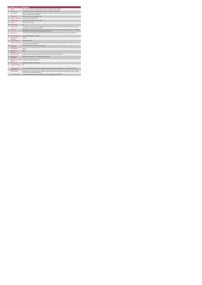|                | <b>Disability Act Compliance</b>            |                                                                                                                                                                                                              |  |
|----------------|---------------------------------------------|--------------------------------------------------------------------------------------------------------------------------------------------------------------------------------------------------------------|--|
|                | <b>KPITitle</b>                             | DIS4 - % of service statements completed within the timelines as provided for in the regulations.                                                                                                            |  |
| 1a             | <b>KPI Short Title</b>                      | % of child service statements completed within the timelines as provided for in the regulations.                                                                                                             |  |
| $\overline{2}$ | <b>KPI Description</b>                      | The % of Child Service Statements completed within one month of the date of receipt of the Assessment Report by the Liaison Officer / Case<br>Manager, as provided for in the regulations.                   |  |
| $\mathbf{a}$   | <b>KPI Rationale</b>                        | This metric is in line with the Disability Act 2005.                                                                                                                                                         |  |
| 3a             | <b>Indicator Classification</b>             | National Scorecard Quadrant Access                                                                                                                                                                           |  |
| $\overline{a}$ | <b>National Target</b>                      | 2019 Operational Plan Cumulative Target: 100%.                                                                                                                                                               |  |
| 4a             | Target                                      | All 2019 CHO targets: 100%                                                                                                                                                                                   |  |
| 4 <sub>b</sub> | <b>Volume Metrics</b>                       | <b>N/A</b>                                                                                                                                                                                                   |  |
| 5              | <b>KPI Calculation</b>                      | The total number of Service Statements completed within one month of the date of receipt of the Assessment Report by the Liaison Officer /<br>Case Manager, as provided for in the regulations.              |  |
| 6              | <b>Data Source</b>                          | Quarterly activity reports extracted from the Assessment of Need Database by the National Disability Information Management Unit (NDIMU)<br>and forwarded to the Performance Management and Improvement Unit |  |
| 6a             | Data Sign Off                               | Tom McGuirk, National Disability Information Management Unit (NDIMU), Operations Disability Services. Email: tom.mcguirk@hse.ie                                                                              |  |
| 6b             | <b>Data Quality Issues</b>                  | No known data quality issues at this point.                                                                                                                                                                  |  |
| $\overline{7}$ | <b>Data Collection</b><br>Frequency         | Quarterly                                                                                                                                                                                                    |  |
| $\mathbf{R}$   | <b>Tracer Conditions</b>                    | People with a Disability.                                                                                                                                                                                    |  |
| 9              | Minimum Data Set MDS                        | The service user's care plan which includes personal details and relevant information relating to their diagnosis, their needs and services and<br>support they require to meet their needs.                 |  |
| 10             | International<br>Comparison                 | Service developed in line with best practice internationally.                                                                                                                                                |  |
| 11             | <b>KPI Monitoring</b>                       | Quarterly                                                                                                                                                                                                    |  |
| 12             | <b>KPI Reporting</b><br>Frequency           | Quarterly                                                                                                                                                                                                    |  |
| 13             | <b>KPI Report Period</b>                    | Quarterly Current (e.g. data reported in each quarter up to and including the last day of that quarter)                                                                                                      |  |
| 14             | <b>KPI Reporting</b><br>Aggregation         | National/ CHO/ LHO Area/ Other - give details: Service Provider                                                                                                                                              |  |
| 15             | reports?                                    | KPI is reported in which Preliminary Data Report/Operational Plan                                                                                                                                            |  |
| 16             | Web link to data                            | http://www.hse.ia/eng/services/publications/                                                                                                                                                                 |  |
| 17             | <b>Additional Information</b>               | N/A                                                                                                                                                                                                          |  |
|                | <b>KPI</b> owner/lead for<br>implementation | Tom McGuirk, National Disability Information Management Unit (NDIMU), Operations Disability Services. Email: tom.mcguirk@hse.ie                                                                              |  |
|                | PBI data support                            | Sinéad Nuty O'Brien, Lead Data Analyst for Disabilities, Performance Management and Improvement Unit- Bective Steet, Kells, Co. Meath.<br>Ph: 046 9251328 . Email:sinead.nutv@hse.ie                         |  |
|                | Governance/sign off                         | Dr. Cathal Morgan, Head of Operations, Disability Services Email: disabilityops.socialcare@hse.ie                                                                                                            |  |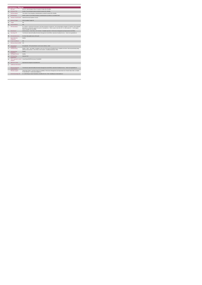|                | <b>KPITitle</b>                             | DIS 102 - New Emergency Places Provided to People with a Disability.                                                                                                                                                                                                                                                               |
|----------------|---------------------------------------------|------------------------------------------------------------------------------------------------------------------------------------------------------------------------------------------------------------------------------------------------------------------------------------------------------------------------------------|
|                |                                             |                                                                                                                                                                                                                                                                                                                                    |
| 1a             | <b>KPI Short Title</b>                      | Number of new emergency places provided to people with a disability.                                                                                                                                                                                                                                                               |
| $\overline{2}$ | <b>KPI Description</b>                      | The number of new emergency residential places provided to people with a disability                                                                                                                                                                                                                                                |
| $\overline{3}$ | <b>KPI Rationale</b>                        | Monitor number of new funded emergency residential places provided on a cumulative basis                                                                                                                                                                                                                                           |
| 3a             | <b>Indicator Classification</b>             | National Scorecard Quadrant- Access                                                                                                                                                                                                                                                                                                |
| $\overline{a}$ | <b>National Target</b>                      | 2019 Cumulative Target: 90                                                                                                                                                                                                                                                                                                         |
| 4a             | Target                                      | N/A                                                                                                                                                                                                                                                                                                                                |
| 4h             | <b>Volume Metrics</b>                       | N/A                                                                                                                                                                                                                                                                                                                                |
| 5              | <b>KPI Calculation</b>                      | No. of places commenced in the quarter. Each place will only be counted once. Year end total will be cumulative of 4 quarters. Each residential<br>placement in a setting that supports one person is calculated as 1. Where a place is less than 24/7, it is still counted as 1. Home Support<br>Hours/ Packages are not counted. |
| 6              | <b>Data Source</b>                          | HOSC/nominee > Chief Officer CHO /nominee > Disability Operations >Performance Management and Improvement Unit (PMIU)                                                                                                                                                                                                              |
| 6a             | Data Sign Off                               | Tom McGuirk, National Disability Information Management Unit (NDIMU), Operations Disability Services. Email: tom.mcguirk@hse.ie                                                                                                                                                                                                    |
| 6 <sub>h</sub> | <b>Data Quality Issues</b>                  | No known data quality issues at this point.                                                                                                                                                                                                                                                                                        |
| $\overline{7}$ | <b>Data Collection</b><br>Frequency         | Monthly                                                                                                                                                                                                                                                                                                                            |
| $\mathbf{R}$   | <b>Tracer Conditions</b>                    | N/A                                                                                                                                                                                                                                                                                                                                |
| 9              | Minimum Data Set MDS                        | N/A                                                                                                                                                                                                                                                                                                                                |
| 10             | International<br>Comparison                 | Not applicable - KPI/ activity linked to current service delivery model                                                                                                                                                                                                                                                            |
| 11             | <b>KPI Monitoring</b>                       | Monthly / Other - give details: A template is sent out to CHO Areas by Disability Ops for completion and return. Data returned directly along<br>pathway HOSC/nominee > Chief Officer CHO /nominee > Disability Operations)> PMIU                                                                                                  |
| 12             | <b>KPI Reporting</b><br>Frequency           | Monthly                                                                                                                                                                                                                                                                                                                            |
| 13             | <b>KPI Report Period</b>                    | Monthly                                                                                                                                                                                                                                                                                                                            |
| 14             | <b>KPI Reporting</b><br>Aggregation         | National/ CHO                                                                                                                                                                                                                                                                                                                      |
| 15             | reports?                                    | KPI is reported in which Annual Report/NSP/Performance Profile/MDR                                                                                                                                                                                                                                                                 |
| 16             | Web link to data                            | http://www.hse.ie/eng/services/publications/                                                                                                                                                                                                                                                                                       |
| 17             | <b>Additional Information</b>               |                                                                                                                                                                                                                                                                                                                                    |
|                | <b>KPI</b> owner/lead for<br>implementation | Tom McGuirk, National Disability Information Management Unit (NDIMU), Operations Disability Services. Email: tom.mcguirk@hse.ie                                                                                                                                                                                                    |
|                | PBI data support                            | Sinéad Nulty O'Brien, Lead Data Analyst for Disabilities, Performance Management and Improvement Unit - Bective Steet, Kells, Co. Meath.<br>Ph: 046 9251328 , Emailsinead nuity@hse.ie                                                                                                                                             |
|                | Governance/sign off                         | Dr. Cathal Morgan, Head of Operations, Disability Services Email: disabilityops socialcare @hse.ie                                                                                                                                                                                                                                 |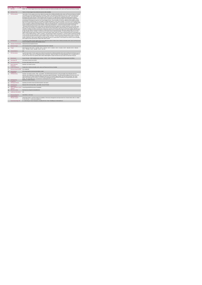|                | <b>Home Support Service</b>                 |                                                                                                                                                                                                                                                                                                                                                                                                                                                                                                                                                                                                                                                                                                                                                                                                                                                                                                                                                                                                                                                                                                                                                                                                                                                                                                                                                                                                                                                                                                                                                                                                                                                                                                                                                                                                                                                                                                                                                                                                                                                                                                                                                                                                                                                                                                                                                                                                                                                                                                                                                                                                                                                                                                                                                                                                                                                                                                                                                                                                                                             |
|----------------|---------------------------------------------|---------------------------------------------------------------------------------------------------------------------------------------------------------------------------------------------------------------------------------------------------------------------------------------------------------------------------------------------------------------------------------------------------------------------------------------------------------------------------------------------------------------------------------------------------------------------------------------------------------------------------------------------------------------------------------------------------------------------------------------------------------------------------------------------------------------------------------------------------------------------------------------------------------------------------------------------------------------------------------------------------------------------------------------------------------------------------------------------------------------------------------------------------------------------------------------------------------------------------------------------------------------------------------------------------------------------------------------------------------------------------------------------------------------------------------------------------------------------------------------------------------------------------------------------------------------------------------------------------------------------------------------------------------------------------------------------------------------------------------------------------------------------------------------------------------------------------------------------------------------------------------------------------------------------------------------------------------------------------------------------------------------------------------------------------------------------------------------------------------------------------------------------------------------------------------------------------------------------------------------------------------------------------------------------------------------------------------------------------------------------------------------------------------------------------------------------------------------------------------------------------------------------------------------------------------------------------------------------------------------------------------------------------------------------------------------------------------------------------------------------------------------------------------------------------------------------------------------------------------------------------------------------------------------------------------------------------------------------------------------------------------------------------------------------|
| 1              | <b>KPITitle</b>                             | DIS58 - No. of Home Support Service Hours delivered to people with intellectual disability and/or autism and Physical and Sensory Disability                                                                                                                                                                                                                                                                                                                                                                                                                                                                                                                                                                                                                                                                                                                                                                                                                                                                                                                                                                                                                                                                                                                                                                                                                                                                                                                                                                                                                                                                                                                                                                                                                                                                                                                                                                                                                                                                                                                                                                                                                                                                                                                                                                                                                                                                                                                                                                                                                                                                                                                                                                                                                                                                                                                                                                                                                                                                                                |
| 1a             | <b>KPI Short Title</b>                      | Total no. of Home Support Hours delivered to persons with a disability                                                                                                                                                                                                                                                                                                                                                                                                                                                                                                                                                                                                                                                                                                                                                                                                                                                                                                                                                                                                                                                                                                                                                                                                                                                                                                                                                                                                                                                                                                                                                                                                                                                                                                                                                                                                                                                                                                                                                                                                                                                                                                                                                                                                                                                                                                                                                                                                                                                                                                                                                                                                                                                                                                                                                                                                                                                                                                                                                                      |
| $\overline{2}$ | <b>KPI Description</b>                      | Total number of home support service hours delivered to people with an intellectual disability and/or autism and Physical and Sensory Disability,<br>in the quarter up to and including the last day of the quarter. Include: Hours delivered to people with an ID and / or autism and Physical and<br>Sensory Disability in this quarter including those who commenced a HS service and those who continued a HS service, even if they were<br>discharged in this quarter. Exclude: . Hours funded by other care groups (e.g. Older Persons), Delayed Discharge Initiative Funding or<br>Community Employment Scheme+ Hours provided in previous quarter(s) but not provided in this quarter+ Hours provided to support children<br>accessing pre-school places as these are not a Home Support service . Hours provided in PA service. Definitions Home Support: provides<br>personal and/or essential domestic care and support to facilitate participation in social / leisure activities. This service can be provided by the<br>HSE or by a private provider funded by the HSE. Home Support is often provided outside of normal day service hours and is a disability funded<br>service. It includes, as defined in the NASS Database: : Home Care Assistant Service: ""a personal care service which provides personal<br>support including washing, dressing and other activities of daily living and facilitation in social and recreational activities**.Home Help:<br>"(assistance with household chores). Home Helps currently provide domestic type support (e.g. cooking / cleaning, etc.) but in many cases<br>where a Home Care Assistant is not available, the Home Help may also provide support of a personal nature (e.g. washing, dressing, etc.)**.<br>Calculation: All adults and children receiving home support hours must be returned by the HSE Area from which their funding is allocated e.g. a<br>service user from Sligo accessing Home Support in Longford but whose hours are paid from the Sligo home support budget must be returned<br>by Sligo Disability Services. Example # 1:Paul and Carl are brothers with an intellectual disability. For health and safety reasons, two Home<br>Support workers provide service at their home for 4 hours each worker 3 days a week. No. of hours returned under this KPI in this quarter is 4<br>hours x 2 Home Support Workers x 3 days x 13 weeks = 312 (presuming 13 weeks in the quarter) i.e. count the number of paid hours Example<br># 2:Fay and Alice are sisters with autism. 1 Home Support worker provides a service at their home 2 days per week for 3 hours each time. No.<br>of hours returned under this KPI in this quarter is 3 hours x 2 days x 13 weeks = 78 hours (presuming 13 weeks in the quarter) i.e. count the<br>number of paid hours Adult: a person aged over 18 and under 65 years (in a small number of cases people may continue to access disability<br>home support services post 65 years of age) Child: Under 18 years. |
| $\overline{3}$ | <b>KPI Rationale</b>                        | To monitor the number of home support service hours delivered to adults & children with an intellectual disability and/or autism and Physical and<br>Sensory Disability as funded by HSE Disability Services.                                                                                                                                                                                                                                                                                                                                                                                                                                                                                                                                                                                                                                                                                                                                                                                                                                                                                                                                                                                                                                                                                                                                                                                                                                                                                                                                                                                                                                                                                                                                                                                                                                                                                                                                                                                                                                                                                                                                                                                                                                                                                                                                                                                                                                                                                                                                                                                                                                                                                                                                                                                                                                                                                                                                                                                                                               |
| 3a             | <b>Indicator Classification</b>             | National Scorecard Quadrant Access                                                                                                                                                                                                                                                                                                                                                                                                                                                                                                                                                                                                                                                                                                                                                                                                                                                                                                                                                                                                                                                                                                                                                                                                                                                                                                                                                                                                                                                                                                                                                                                                                                                                                                                                                                                                                                                                                                                                                                                                                                                                                                                                                                                                                                                                                                                                                                                                                                                                                                                                                                                                                                                                                                                                                                                                                                                                                                                                                                                                          |
| $\overline{4}$ | <b>National Target</b>                      | 2019 Operational Plan Cumulative target/expected activity 2019: 3,080,000.                                                                                                                                                                                                                                                                                                                                                                                                                                                                                                                                                                                                                                                                                                                                                                                                                                                                                                                                                                                                                                                                                                                                                                                                                                                                                                                                                                                                                                                                                                                                                                                                                                                                                                                                                                                                                                                                                                                                                                                                                                                                                                                                                                                                                                                                                                                                                                                                                                                                                                                                                                                                                                                                                                                                                                                                                                                                                                                                                                  |
| 4a             | Target                                      | 2019 Target per CHO: CHO 1 - 312,480 , CHO 2 - 192,182 , CHO 3 - 169,262 , CHO 4 - 216,563 , CHO 5 - 386,290 ,CHO 6 - 355,364 ,<br>CHO 7 - 501.063 . CHO 8 - 489.482 . CHO 9 - 457.314.                                                                                                                                                                                                                                                                                                                                                                                                                                                                                                                                                                                                                                                                                                                                                                                                                                                                                                                                                                                                                                                                                                                                                                                                                                                                                                                                                                                                                                                                                                                                                                                                                                                                                                                                                                                                                                                                                                                                                                                                                                                                                                                                                                                                                                                                                                                                                                                                                                                                                                                                                                                                                                                                                                                                                                                                                                                     |
| 4 <sub>b</sub> | <b>Volume Metrics</b>                       | N/A                                                                                                                                                                                                                                                                                                                                                                                                                                                                                                                                                                                                                                                                                                                                                                                                                                                                                                                                                                                                                                                                                                                                                                                                                                                                                                                                                                                                                                                                                                                                                                                                                                                                                                                                                                                                                                                                                                                                                                                                                                                                                                                                                                                                                                                                                                                                                                                                                                                                                                                                                                                                                                                                                                                                                                                                                                                                                                                                                                                                                                         |
| 5              | <b>KPI Calculation</b>                      | Count the total number of home support hours delivered to people with an intellectual disability and/or autism and Physical and Sensory (as per<br>"KPI description" above) up to an including the last day of the quarter. Adults and children are counted separately. This is a cumulative KPI, i.e.<br>at year end, each Area's four quarterly outturns will be added together to obtain the total end of year outturn for that Area in that year.                                                                                                                                                                                                                                                                                                                                                                                                                                                                                                                                                                                                                                                                                                                                                                                                                                                                                                                                                                                                                                                                                                                                                                                                                                                                                                                                                                                                                                                                                                                                                                                                                                                                                                                                                                                                                                                                                                                                                                                                                                                                                                                                                                                                                                                                                                                                                                                                                                                                                                                                                                                       |
| 6              | <b>Data Source</b>                          | Service Provider > HSE Disability Service nominee > HOSC > CHO > Performance Management and Improvement Unit (PMIU).                                                                                                                                                                                                                                                                                                                                                                                                                                                                                                                                                                                                                                                                                                                                                                                                                                                                                                                                                                                                                                                                                                                                                                                                                                                                                                                                                                                                                                                                                                                                                                                                                                                                                                                                                                                                                                                                                                                                                                                                                                                                                                                                                                                                                                                                                                                                                                                                                                                                                                                                                                                                                                                                                                                                                                                                                                                                                                                        |
| 6a             | Data Sign Off                               | CHO Head of Social Care (HOSC)                                                                                                                                                                                                                                                                                                                                                                                                                                                                                                                                                                                                                                                                                                                                                                                                                                                                                                                                                                                                                                                                                                                                                                                                                                                                                                                                                                                                                                                                                                                                                                                                                                                                                                                                                                                                                                                                                                                                                                                                                                                                                                                                                                                                                                                                                                                                                                                                                                                                                                                                                                                                                                                                                                                                                                                                                                                                                                                                                                                                              |
| 6h             | <b>Data Quality Issues</b>                  | No known data quality issues at this point.                                                                                                                                                                                                                                                                                                                                                                                                                                                                                                                                                                                                                                                                                                                                                                                                                                                                                                                                                                                                                                                                                                                                                                                                                                                                                                                                                                                                                                                                                                                                                                                                                                                                                                                                                                                                                                                                                                                                                                                                                                                                                                                                                                                                                                                                                                                                                                                                                                                                                                                                                                                                                                                                                                                                                                                                                                                                                                                                                                                                 |
| $\overline{7}$ | <b>Data Collection</b><br>Frequency         | Quarterly- one month in arrears                                                                                                                                                                                                                                                                                                                                                                                                                                                                                                                                                                                                                                                                                                                                                                                                                                                                                                                                                                                                                                                                                                                                                                                                                                                                                                                                                                                                                                                                                                                                                                                                                                                                                                                                                                                                                                                                                                                                                                                                                                                                                                                                                                                                                                                                                                                                                                                                                                                                                                                                                                                                                                                                                                                                                                                                                                                                                                                                                                                                             |
| 8              | <b>Tracer Conditions</b>                    | People with an intellectual disability and/or autism and Physical and Sensory Disability                                                                                                                                                                                                                                                                                                                                                                                                                                                                                                                                                                                                                                                                                                                                                                                                                                                                                                                                                                                                                                                                                                                                                                                                                                                                                                                                                                                                                                                                                                                                                                                                                                                                                                                                                                                                                                                                                                                                                                                                                                                                                                                                                                                                                                                                                                                                                                                                                                                                                                                                                                                                                                                                                                                                                                                                                                                                                                                                                    |
| $\overline{9}$ | Minimum Data Set MDS                        | None Applicable                                                                                                                                                                                                                                                                                                                                                                                                                                                                                                                                                                                                                                                                                                                                                                                                                                                                                                                                                                                                                                                                                                                                                                                                                                                                                                                                                                                                                                                                                                                                                                                                                                                                                                                                                                                                                                                                                                                                                                                                                                                                                                                                                                                                                                                                                                                                                                                                                                                                                                                                                                                                                                                                                                                                                                                                                                                                                                                                                                                                                             |
| 10             | International                               | KPV activity linked to current service delivery model                                                                                                                                                                                                                                                                                                                                                                                                                                                                                                                                                                                                                                                                                                                                                                                                                                                                                                                                                                                                                                                                                                                                                                                                                                                                                                                                                                                                                                                                                                                                                                                                                                                                                                                                                                                                                                                                                                                                                                                                                                                                                                                                                                                                                                                                                                                                                                                                                                                                                                                                                                                                                                                                                                                                                                                                                                                                                                                                                                                       |
| 11             | Comparison<br><b>KPI Monitoring</b>         | Quarterly- one month in arrears. Other - give details: The HOSC/nominee will receive, review and quality assure KPI data returns for<br>accuracy and completeness and analyse data for performance against ELS/targets. They will forward the collated KPI returns to the Chief<br>Officer/nominee and include a bullet point explanation where there are variances against target. The Chief Officer/nominee will review,<br>approve and submit final CHO returns to the Performance Management and Improvement Unit (PMIU) on the agreed date each month /<br>quarter. The responsible person at local level for monitoring this KPI is the HOSC.                                                                                                                                                                                                                                                                                                                                                                                                                                                                                                                                                                                                                                                                                                                                                                                                                                                                                                                                                                                                                                                                                                                                                                                                                                                                                                                                                                                                                                                                                                                                                                                                                                                                                                                                                                                                                                                                                                                                                                                                                                                                                                                                                                                                                                                                                                                                                                                         |
| 12             | <b>KPI Reporting</b><br>Frequency           | Quarterly (1 month in Arrears)                                                                                                                                                                                                                                                                                                                                                                                                                                                                                                                                                                                                                                                                                                                                                                                                                                                                                                                                                                                                                                                                                                                                                                                                                                                                                                                                                                                                                                                                                                                                                                                                                                                                                                                                                                                                                                                                                                                                                                                                                                                                                                                                                                                                                                                                                                                                                                                                                                                                                                                                                                                                                                                                                                                                                                                                                                                                                                                                                                                                              |
| 13             | <b>KPI Report Period</b>                    | Quarterly one month in arrears (Q2 data reported in July report)                                                                                                                                                                                                                                                                                                                                                                                                                                                                                                                                                                                                                                                                                                                                                                                                                                                                                                                                                                                                                                                                                                                                                                                                                                                                                                                                                                                                                                                                                                                                                                                                                                                                                                                                                                                                                                                                                                                                                                                                                                                                                                                                                                                                                                                                                                                                                                                                                                                                                                                                                                                                                                                                                                                                                                                                                                                                                                                                                                            |
| 14             | <b>KPI Reporting</b><br>Aggregation         | National/ CHO/ LHO Area/ Other - give details: Service Provider                                                                                                                                                                                                                                                                                                                                                                                                                                                                                                                                                                                                                                                                                                                                                                                                                                                                                                                                                                                                                                                                                                                                                                                                                                                                                                                                                                                                                                                                                                                                                                                                                                                                                                                                                                                                                                                                                                                                                                                                                                                                                                                                                                                                                                                                                                                                                                                                                                                                                                                                                                                                                                                                                                                                                                                                                                                                                                                                                                             |
| 15             | reports?                                    | KPI is reported in which Annual Report/NSP/Performance Profile/MDR                                                                                                                                                                                                                                                                                                                                                                                                                                                                                                                                                                                                                                                                                                                                                                                                                                                                                                                                                                                                                                                                                                                                                                                                                                                                                                                                                                                                                                                                                                                                                                                                                                                                                                                                                                                                                                                                                                                                                                                                                                                                                                                                                                                                                                                                                                                                                                                                                                                                                                                                                                                                                                                                                                                                                                                                                                                                                                                                                                          |
| 16             | Web link to data                            | http://www.hse.ia/eng/services/publications/                                                                                                                                                                                                                                                                                                                                                                                                                                                                                                                                                                                                                                                                                                                                                                                                                                                                                                                                                                                                                                                                                                                                                                                                                                                                                                                                                                                                                                                                                                                                                                                                                                                                                                                                                                                                                                                                                                                                                                                                                                                                                                                                                                                                                                                                                                                                                                                                                                                                                                                                                                                                                                                                                                                                                                                                                                                                                                                                                                                                |
| 17             | <b>Additional Information</b>               | N/A                                                                                                                                                                                                                                                                                                                                                                                                                                                                                                                                                                                                                                                                                                                                                                                                                                                                                                                                                                                                                                                                                                                                                                                                                                                                                                                                                                                                                                                                                                                                                                                                                                                                                                                                                                                                                                                                                                                                                                                                                                                                                                                                                                                                                                                                                                                                                                                                                                                                                                                                                                                                                                                                                                                                                                                                                                                                                                                                                                                                                                         |
|                | <b>KPI</b> owner/lead for<br>implementation | Chief Officer, CHO Area                                                                                                                                                                                                                                                                                                                                                                                                                                                                                                                                                                                                                                                                                                                                                                                                                                                                                                                                                                                                                                                                                                                                                                                                                                                                                                                                                                                                                                                                                                                                                                                                                                                                                                                                                                                                                                                                                                                                                                                                                                                                                                                                                                                                                                                                                                                                                                                                                                                                                                                                                                                                                                                                                                                                                                                                                                                                                                                                                                                                                     |
|                | PBI data support                            | Sinéad Nuty O'Brien, Lead Data Analyst for Disabilities, Performance Management and Improvement Unit - Bective Street, Kells, Co. Meath.<br>Ph: 046 9251328 , Emailsinead.nulty@hse.ie                                                                                                                                                                                                                                                                                                                                                                                                                                                                                                                                                                                                                                                                                                                                                                                                                                                                                                                                                                                                                                                                                                                                                                                                                                                                                                                                                                                                                                                                                                                                                                                                                                                                                                                                                                                                                                                                                                                                                                                                                                                                                                                                                                                                                                                                                                                                                                                                                                                                                                                                                                                                                                                                                                                                                                                                                                                      |
|                | Governance/sign off                         | Dr. Cathal Morgan, Head of Operations, Disability Services Email: disabilityops.socialcare@hse.ie                                                                                                                                                                                                                                                                                                                                                                                                                                                                                                                                                                                                                                                                                                                                                                                                                                                                                                                                                                                                                                                                                                                                                                                                                                                                                                                                                                                                                                                                                                                                                                                                                                                                                                                                                                                                                                                                                                                                                                                                                                                                                                                                                                                                                                                                                                                                                                                                                                                                                                                                                                                                                                                                                                                                                                                                                                                                                                                                           |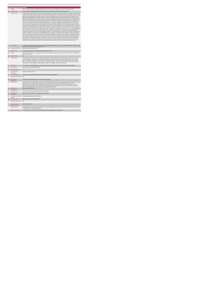|                          | <b>KPITitle</b>                             | DIS69 - Number of people with a disability (ID/Autism and Physical and Sensory disability) in receipt of a Home Support Service                                                                                                                                                                                                                                                                                                                                                                                                                                                                                                                                                                                                                                                                                                                                                                                                                                                                                                                                                                                                                                                                                                                                                                                                                                                                                                                                                                                                                                                                                                                                                                                                                                                                                                                                                                                                                                                                                                                                                                                                                                                                                                                                                                                                                                                                                                                                                                                                                                                                                                                                                                                                                                                                                                                                                                                                                                                                                                                                                                                                                                                                                                                                                                                                                                                                                  |
|--------------------------|---------------------------------------------|------------------------------------------------------------------------------------------------------------------------------------------------------------------------------------------------------------------------------------------------------------------------------------------------------------------------------------------------------------------------------------------------------------------------------------------------------------------------------------------------------------------------------------------------------------------------------------------------------------------------------------------------------------------------------------------------------------------------------------------------------------------------------------------------------------------------------------------------------------------------------------------------------------------------------------------------------------------------------------------------------------------------------------------------------------------------------------------------------------------------------------------------------------------------------------------------------------------------------------------------------------------------------------------------------------------------------------------------------------------------------------------------------------------------------------------------------------------------------------------------------------------------------------------------------------------------------------------------------------------------------------------------------------------------------------------------------------------------------------------------------------------------------------------------------------------------------------------------------------------------------------------------------------------------------------------------------------------------------------------------------------------------------------------------------------------------------------------------------------------------------------------------------------------------------------------------------------------------------------------------------------------------------------------------------------------------------------------------------------------------------------------------------------------------------------------------------------------------------------------------------------------------------------------------------------------------------------------------------------------------------------------------------------------------------------------------------------------------------------------------------------------------------------------------------------------------------------------------------------------------------------------------------------------------------------------------------------------------------------------------------------------------------------------------------------------------------------------------------------------------------------------------------------------------------------------------------------------------------------------------------------------------------------------------------------------------------------------------------------------------------------------------------------------|
| 1a                       | <b>KPI Short Title</b>                      | No. of people with a disability (ID/Autism and Physical and Sensory disability) in receipt of a Home Support Service                                                                                                                                                                                                                                                                                                                                                                                                                                                                                                                                                                                                                                                                                                                                                                                                                                                                                                                                                                                                                                                                                                                                                                                                                                                                                                                                                                                                                                                                                                                                                                                                                                                                                                                                                                                                                                                                                                                                                                                                                                                                                                                                                                                                                                                                                                                                                                                                                                                                                                                                                                                                                                                                                                                                                                                                                                                                                                                                                                                                                                                                                                                                                                                                                                                                                             |
| $\overline{z}$           | <b>KPI Description</b>                      | Number of people with a disability (ID/Autism and Physical and Sensory) in receipt of a home support service, in this quarter up to and including<br>the last day of the quarter. Include: . People with an intellectual disability and/or autism and Physical and Sensory Disability in receipt of a home<br>support service in this quarter including those who commenced a home support service and those who continued a home support service even<br>if they were formally discharged in this quarter. Exclude: . People who accessed Home Support services funded by other care groups (e.g.<br>Older Persons), Delayed Discharge Initiative Funding or Community Employment Scheme+ People who did not receive Home Support services<br>during this quarter but did in previous quarter(s) who have not been formally discharged . Children receiving support for pre-school places as<br>these are not a Home Support service- People receiving a PA Service. Calculation : All adults and children receiving home support hours must<br>be returned by the HSE Area from which their funding is allocated e.g. a service user from Sligo accessing Home Support in Longford but<br>whose hours are paid from the Sigo home support budget must be returned by Sigo Disability Services. Example # 1:John received a home<br>support service in Q3, continuing from a previous quarter. Mary commenced a home support service in Q3. Both John and Mary are returned<br>in Q3. John is also returned under "No of existing people in receipt of PA services" in Q3 and Mary is also returned under 'No. of new people<br>commenced in Q3 Example # 2:Martin received 10 home support hours per week from Agency A. He was assessed as having an increased<br>need and now receives 5 additional home support hours from Agency B. Martin is returned by each agency as 1 person. It is acknowledged that<br>this is a "double count" but until a system of unique identification is established, both agencies must return what they are providing/funded by the<br>HSE under this KPI. Definitions: Home Support: provides personal and/or essential domestic care and support to facilitate participation in<br>social / leisure activities. This service can be provided by the HSE or by a private provider funded by the HSE. Home Support is often provided<br>outside of normal day service hours and is a disability funded service. It includes, as defined in the NASS Database :Home Care Assistant<br>Service: "a personal care service which provides personal support including washing, dressing and other activities of daily living and facilitation<br>in social and recreational activities". Home Help: "(assistance with household chores). Home Helps currently provide domestic type support<br>(e.g. cooking / cleaning, etc.) but in many cases where a Home Care Assistant is not available, the Home Help may also provide support of a<br>personal nature (e.g. washing, dressing, etc.)".Home Support: Assistance provided to the family in terms of assisting with care, facilitating<br>attendance at social activities is often provided outside of normal day service hours. Adult: a person aged over 18 and under 65 years (in a<br>small number of cases people may continue to access disability home support services post 65 years of age) Child: Under 18 years. |
| $\overline{3}$           | <b>KPI Rationale</b>                        | To monitor the number of adults & children with an intellectual disability and/or autism and Physical and Sensory Disability in receipt of a home<br>support service as funded by HSE Disability Services.                                                                                                                                                                                                                                                                                                                                                                                                                                                                                                                                                                                                                                                                                                                                                                                                                                                                                                                                                                                                                                                                                                                                                                                                                                                                                                                                                                                                                                                                                                                                                                                                                                                                                                                                                                                                                                                                                                                                                                                                                                                                                                                                                                                                                                                                                                                                                                                                                                                                                                                                                                                                                                                                                                                                                                                                                                                                                                                                                                                                                                                                                                                                                                                                       |
| 3a                       |                                             | Indicator Classification National Scorecard Quadrant Access                                                                                                                                                                                                                                                                                                                                                                                                                                                                                                                                                                                                                                                                                                                                                                                                                                                                                                                                                                                                                                                                                                                                                                                                                                                                                                                                                                                                                                                                                                                                                                                                                                                                                                                                                                                                                                                                                                                                                                                                                                                                                                                                                                                                                                                                                                                                                                                                                                                                                                                                                                                                                                                                                                                                                                                                                                                                                                                                                                                                                                                                                                                                                                                                                                                                                                                                                      |
| $\overline{a}$           | <b>National Target</b>                      | 2019 Operational Plan Point in Time target/expected activity 2019: 8,094.                                                                                                                                                                                                                                                                                                                                                                                                                                                                                                                                                                                                                                                                                                                                                                                                                                                                                                                                                                                                                                                                                                                                                                                                                                                                                                                                                                                                                                                                                                                                                                                                                                                                                                                                                                                                                                                                                                                                                                                                                                                                                                                                                                                                                                                                                                                                                                                                                                                                                                                                                                                                                                                                                                                                                                                                                                                                                                                                                                                                                                                                                                                                                                                                                                                                                                                                        |
| 4a                       | Target                                      | 2019 Target per CHO: CHO 1 - 1,048 , CHO 2 - 725 , CHO 3 - 531 , CHO 4 - 629 , CHO 5 - 904 , CHO 6 - 594 , CHO 7 - 1,161 , CHO 8 -<br>1,281, CHO 9 - 1,221.                                                                                                                                                                                                                                                                                                                                                                                                                                                                                                                                                                                                                                                                                                                                                                                                                                                                                                                                                                                                                                                                                                                                                                                                                                                                                                                                                                                                                                                                                                                                                                                                                                                                                                                                                                                                                                                                                                                                                                                                                                                                                                                                                                                                                                                                                                                                                                                                                                                                                                                                                                                                                                                                                                                                                                                                                                                                                                                                                                                                                                                                                                                                                                                                                                                      |
| 4 <sub>h</sub>           | <b>Volume Metrics</b>                       | N/A                                                                                                                                                                                                                                                                                                                                                                                                                                                                                                                                                                                                                                                                                                                                                                                                                                                                                                                                                                                                                                                                                                                                                                                                                                                                                                                                                                                                                                                                                                                                                                                                                                                                                                                                                                                                                                                                                                                                                                                                                                                                                                                                                                                                                                                                                                                                                                                                                                                                                                                                                                                                                                                                                                                                                                                                                                                                                                                                                                                                                                                                                                                                                                                                                                                                                                                                                                                                              |
| 5                        | <b>KPI Calculation</b>                      | Count the total number of people with an intellectual disability and/or autism and Physical and Sensory Disability in receipt of a home support<br>service in this quarter, including all new, existing and discharged clients. Discharged clients are included if they received a service in the<br>quarter. "New People commenced" + "Existing People" + "Discharged People" = "Total People". Adults and children are counted separately.<br>This is a point in time KPI calculation i.e. do not add the quarterly returns together. For year end annual outturn, the Q4 issued e.g. Q1:242,<br>Q2:218, Q3:197, Q4:222, therefore the total number in receipt of a home support service for the year is 222                                                                                                                                                                                                                                                                                                                                                                                                                                                                                                                                                                                                                                                                                                                                                                                                                                                                                                                                                                                                                                                                                                                                                                                                                                                                                                                                                                                                                                                                                                                                                                                                                                                                                                                                                                                                                                                                                                                                                                                                                                                                                                                                                                                                                                                                                                                                                                                                                                                                                                                                                                                                                                                                                                   |
| 6                        | <b>Data Source</b>                          | Service Provider > HSE Disability Service nominee > HOSC > CHO > Performance Management and Improvement Unit (PMIU).                                                                                                                                                                                                                                                                                                                                                                                                                                                                                                                                                                                                                                                                                                                                                                                                                                                                                                                                                                                                                                                                                                                                                                                                                                                                                                                                                                                                                                                                                                                                                                                                                                                                                                                                                                                                                                                                                                                                                                                                                                                                                                                                                                                                                                                                                                                                                                                                                                                                                                                                                                                                                                                                                                                                                                                                                                                                                                                                                                                                                                                                                                                                                                                                                                                                                             |
| 6a                       | Data Sign Off                               | Head of Social Care in CHO Area (HOSC)                                                                                                                                                                                                                                                                                                                                                                                                                                                                                                                                                                                                                                                                                                                                                                                                                                                                                                                                                                                                                                                                                                                                                                                                                                                                                                                                                                                                                                                                                                                                                                                                                                                                                                                                                                                                                                                                                                                                                                                                                                                                                                                                                                                                                                                                                                                                                                                                                                                                                                                                                                                                                                                                                                                                                                                                                                                                                                                                                                                                                                                                                                                                                                                                                                                                                                                                                                           |
| 6h                       | <b>Data Quality Issues</b>                  |                                                                                                                                                                                                                                                                                                                                                                                                                                                                                                                                                                                                                                                                                                                                                                                                                                                                                                                                                                                                                                                                                                                                                                                                                                                                                                                                                                                                                                                                                                                                                                                                                                                                                                                                                                                                                                                                                                                                                                                                                                                                                                                                                                                                                                                                                                                                                                                                                                                                                                                                                                                                                                                                                                                                                                                                                                                                                                                                                                                                                                                                                                                                                                                                                                                                                                                                                                                                                  |
| $\overline{\phantom{a}}$ | Data Collection<br>Frequency                | Quarterly- one month in arrears                                                                                                                                                                                                                                                                                                                                                                                                                                                                                                                                                                                                                                                                                                                                                                                                                                                                                                                                                                                                                                                                                                                                                                                                                                                                                                                                                                                                                                                                                                                                                                                                                                                                                                                                                                                                                                                                                                                                                                                                                                                                                                                                                                                                                                                                                                                                                                                                                                                                                                                                                                                                                                                                                                                                                                                                                                                                                                                                                                                                                                                                                                                                                                                                                                                                                                                                                                                  |
| $\mathbf{R}$             | <b>Tracer Conditions</b>                    | People with an intellectual disability and/or autism and Physical and Sensory Disability                                                                                                                                                                                                                                                                                                                                                                                                                                                                                                                                                                                                                                                                                                                                                                                                                                                                                                                                                                                                                                                                                                                                                                                                                                                                                                                                                                                                                                                                                                                                                                                                                                                                                                                                                                                                                                                                                                                                                                                                                                                                                                                                                                                                                                                                                                                                                                                                                                                                                                                                                                                                                                                                                                                                                                                                                                                                                                                                                                                                                                                                                                                                                                                                                                                                                                                         |
| $\mathbf{a}$             | Minimum Data Set MDS N/A                    |                                                                                                                                                                                                                                                                                                                                                                                                                                                                                                                                                                                                                                                                                                                                                                                                                                                                                                                                                                                                                                                                                                                                                                                                                                                                                                                                                                                                                                                                                                                                                                                                                                                                                                                                                                                                                                                                                                                                                                                                                                                                                                                                                                                                                                                                                                                                                                                                                                                                                                                                                                                                                                                                                                                                                                                                                                                                                                                                                                                                                                                                                                                                                                                                                                                                                                                                                                                                                  |
| 10                       | International                               | Not applicable - KPI/ activity linked to current service delivery model                                                                                                                                                                                                                                                                                                                                                                                                                                                                                                                                                                                                                                                                                                                                                                                                                                                                                                                                                                                                                                                                                                                                                                                                                                                                                                                                                                                                                                                                                                                                                                                                                                                                                                                                                                                                                                                                                                                                                                                                                                                                                                                                                                                                                                                                                                                                                                                                                                                                                                                                                                                                                                                                                                                                                                                                                                                                                                                                                                                                                                                                                                                                                                                                                                                                                                                                          |
| 11                       | Comparison<br><b>KPI Monitoring</b>         | Quarterly- one month in arrears/ Other - give details: The HOSC/nominee will receive, review and quality assure KPI data returns for accuracy<br>and completeness and analyse data for performance against ELS/targets. They will forward the collated KPI returns to the Chief<br>Officer/nominee and include a bullet point explanation where there are variances against target. The Chief Officer/nominee will review,<br>approve and submit final CHO returns to the Performance Management and Improvement Unit (PMIU) on the agreed date each month /<br>quarter. The responsible person at local level for monitoring this KPI is the HOSC.                                                                                                                                                                                                                                                                                                                                                                                                                                                                                                                                                                                                                                                                                                                                                                                                                                                                                                                                                                                                                                                                                                                                                                                                                                                                                                                                                                                                                                                                                                                                                                                                                                                                                                                                                                                                                                                                                                                                                                                                                                                                                                                                                                                                                                                                                                                                                                                                                                                                                                                                                                                                                                                                                                                                                              |
| 12 <sup>12</sup>         | <b>KPI Reporting</b><br>Frequency           | Quarterly (1 month in Arrears)                                                                                                                                                                                                                                                                                                                                                                                                                                                                                                                                                                                                                                                                                                                                                                                                                                                                                                                                                                                                                                                                                                                                                                                                                                                                                                                                                                                                                                                                                                                                                                                                                                                                                                                                                                                                                                                                                                                                                                                                                                                                                                                                                                                                                                                                                                                                                                                                                                                                                                                                                                                                                                                                                                                                                                                                                                                                                                                                                                                                                                                                                                                                                                                                                                                                                                                                                                                   |
| 13                       | <b>KPI Report Period</b>                    | Quarterly one month in arrears (Q2 data reported in July report)                                                                                                                                                                                                                                                                                                                                                                                                                                                                                                                                                                                                                                                                                                                                                                                                                                                                                                                                                                                                                                                                                                                                                                                                                                                                                                                                                                                                                                                                                                                                                                                                                                                                                                                                                                                                                                                                                                                                                                                                                                                                                                                                                                                                                                                                                                                                                                                                                                                                                                                                                                                                                                                                                                                                                                                                                                                                                                                                                                                                                                                                                                                                                                                                                                                                                                                                                 |
| 14                       | <b>KPI Reporting</b><br>Aggregation         | National/ CHO/ LHO Area/ Other - give details: Service Provider                                                                                                                                                                                                                                                                                                                                                                                                                                                                                                                                                                                                                                                                                                                                                                                                                                                                                                                                                                                                                                                                                                                                                                                                                                                                                                                                                                                                                                                                                                                                                                                                                                                                                                                                                                                                                                                                                                                                                                                                                                                                                                                                                                                                                                                                                                                                                                                                                                                                                                                                                                                                                                                                                                                                                                                                                                                                                                                                                                                                                                                                                                                                                                                                                                                                                                                                                  |
| 15                       | reports?                                    | KPI is reported in which Annual Report/NSP/Performance Profile/MDR                                                                                                                                                                                                                                                                                                                                                                                                                                                                                                                                                                                                                                                                                                                                                                                                                                                                                                                                                                                                                                                                                                                                                                                                                                                                                                                                                                                                                                                                                                                                                                                                                                                                                                                                                                                                                                                                                                                                                                                                                                                                                                                                                                                                                                                                                                                                                                                                                                                                                                                                                                                                                                                                                                                                                                                                                                                                                                                                                                                                                                                                                                                                                                                                                                                                                                                                               |
| 16                       | Web link to data                            | http://www.hse.ia/eng/services/publications/                                                                                                                                                                                                                                                                                                                                                                                                                                                                                                                                                                                                                                                                                                                                                                                                                                                                                                                                                                                                                                                                                                                                                                                                                                                                                                                                                                                                                                                                                                                                                                                                                                                                                                                                                                                                                                                                                                                                                                                                                                                                                                                                                                                                                                                                                                                                                                                                                                                                                                                                                                                                                                                                                                                                                                                                                                                                                                                                                                                                                                                                                                                                                                                                                                                                                                                                                                     |
| 17                       | <b>Additional Information</b>               | N/L                                                                                                                                                                                                                                                                                                                                                                                                                                                                                                                                                                                                                                                                                                                                                                                                                                                                                                                                                                                                                                                                                                                                                                                                                                                                                                                                                                                                                                                                                                                                                                                                                                                                                                                                                                                                                                                                                                                                                                                                                                                                                                                                                                                                                                                                                                                                                                                                                                                                                                                                                                                                                                                                                                                                                                                                                                                                                                                                                                                                                                                                                                                                                                                                                                                                                                                                                                                                              |
|                          | <b>KPI</b> owner/lead for<br>implementation | Chief Officer, CHO Area                                                                                                                                                                                                                                                                                                                                                                                                                                                                                                                                                                                                                                                                                                                                                                                                                                                                                                                                                                                                                                                                                                                                                                                                                                                                                                                                                                                                                                                                                                                                                                                                                                                                                                                                                                                                                                                                                                                                                                                                                                                                                                                                                                                                                                                                                                                                                                                                                                                                                                                                                                                                                                                                                                                                                                                                                                                                                                                                                                                                                                                                                                                                                                                                                                                                                                                                                                                          |
|                          | PBI data support                            | Sinéad Nulty O'Brien, Lead Data Analyst for Disabilities, Performance Management and Improvement Unit - Bective Street, Kells, Co. Meath.<br>Ph: 046 9251328 . Email:sinead.nutv@hse.ie                                                                                                                                                                                                                                                                                                                                                                                                                                                                                                                                                                                                                                                                                                                                                                                                                                                                                                                                                                                                                                                                                                                                                                                                                                                                                                                                                                                                                                                                                                                                                                                                                                                                                                                                                                                                                                                                                                                                                                                                                                                                                                                                                                                                                                                                                                                                                                                                                                                                                                                                                                                                                                                                                                                                                                                                                                                                                                                                                                                                                                                                                                                                                                                                                          |
|                          | Governance/sign off                         | Dr. Cathal Morgan, Head of Operations, Disability Services Email: disabilityops.socialcare@hse.ie                                                                                                                                                                                                                                                                                                                                                                                                                                                                                                                                                                                                                                                                                                                                                                                                                                                                                                                                                                                                                                                                                                                                                                                                                                                                                                                                                                                                                                                                                                                                                                                                                                                                                                                                                                                                                                                                                                                                                                                                                                                                                                                                                                                                                                                                                                                                                                                                                                                                                                                                                                                                                                                                                                                                                                                                                                                                                                                                                                                                                                                                                                                                                                                                                                                                                                                |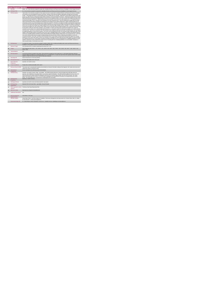|                | <b>Home Support Service</b>                 |                                                                                                                                                                                                                                                                                                                                                                                                                                                                                                                                                                                                                                                                                                                                                                                                                                                                                                                                                                                                                                                                                                                                                                                                                                                                                                                                                                                                                                                                                                                                                                                                                                                                                                                                                                                                                                                                                                                                                                                                                                                                                                                                                                                                                                                                                                                                                                                                                                                                                                                                                                                                                                                                                                                                                                                                                                                                                                                                                                                                                                                                                                                                                                                                                                                                                                                                                                                                                                                                                                                            |
|----------------|---------------------------------------------|----------------------------------------------------------------------------------------------------------------------------------------------------------------------------------------------------------------------------------------------------------------------------------------------------------------------------------------------------------------------------------------------------------------------------------------------------------------------------------------------------------------------------------------------------------------------------------------------------------------------------------------------------------------------------------------------------------------------------------------------------------------------------------------------------------------------------------------------------------------------------------------------------------------------------------------------------------------------------------------------------------------------------------------------------------------------------------------------------------------------------------------------------------------------------------------------------------------------------------------------------------------------------------------------------------------------------------------------------------------------------------------------------------------------------------------------------------------------------------------------------------------------------------------------------------------------------------------------------------------------------------------------------------------------------------------------------------------------------------------------------------------------------------------------------------------------------------------------------------------------------------------------------------------------------------------------------------------------------------------------------------------------------------------------------------------------------------------------------------------------------------------------------------------------------------------------------------------------------------------------------------------------------------------------------------------------------------------------------------------------------------------------------------------------------------------------------------------------------------------------------------------------------------------------------------------------------------------------------------------------------------------------------------------------------------------------------------------------------------------------------------------------------------------------------------------------------------------------------------------------------------------------------------------------------------------------------------------------------------------------------------------------------------------------------------------------------------------------------------------------------------------------------------------------------------------------------------------------------------------------------------------------------------------------------------------------------------------------------------------------------------------------------------------------------------------------------------------------------------------------------------------------------|
| ł.             | <b>KPITitle</b>                             | DIS80 - No. of new referrals accepted for people with a disability (ID/Autism and Physical and Sensory Disability) for Home Support Services                                                                                                                                                                                                                                                                                                                                                                                                                                                                                                                                                                                                                                                                                                                                                                                                                                                                                                                                                                                                                                                                                                                                                                                                                                                                                                                                                                                                                                                                                                                                                                                                                                                                                                                                                                                                                                                                                                                                                                                                                                                                                                                                                                                                                                                                                                                                                                                                                                                                                                                                                                                                                                                                                                                                                                                                                                                                                                                                                                                                                                                                                                                                                                                                                                                                                                                                                                               |
| 18             | <b>KPI Short Title</b>                      | No. of new referrals accepted for people with a disability (ID/Autism and Physical and Sensory Disability) for Home Support Services                                                                                                                                                                                                                                                                                                                                                                                                                                                                                                                                                                                                                                                                                                                                                                                                                                                                                                                                                                                                                                                                                                                                                                                                                                                                                                                                                                                                                                                                                                                                                                                                                                                                                                                                                                                                                                                                                                                                                                                                                                                                                                                                                                                                                                                                                                                                                                                                                                                                                                                                                                                                                                                                                                                                                                                                                                                                                                                                                                                                                                                                                                                                                                                                                                                                                                                                                                                       |
| $\overline{z}$ | <b>KPI</b> Description                      | Total number of new referrals accepted for home support services for people with a disability (ID/Autism and Physical and Sensory Disability).<br>in this quarter up to and including the last day of the quarter. Definition: New referral accepted as appropriate and approved in this quarter.<br>Include:  All accepted referrals for a Home Support service for people with an ID. Exclude: . Referrals for Home Support funded by other care<br>groups (e.g. Older Persons), Delayed Discharge Initiative Funding or Community Employment Scheme. . Referrals for people with an ID and/or<br>autism and Physical and Sensory Disability already in receipt of a Home Support service i.e. who have not been discharged even if that service<br>is less than they were assessed for.+ Referrals received in previous quarters. New referrals are only counted once i.e. in the quarter they are<br>received and accepted. This is a new KPI for 2015 therefore, the count commences from 1 Jan 2015+ Referrals for people with an ID and/or<br>autism and Physical and Sensory Disability who declined the Home Support service offered- Referrals for children requiring support for pre-<br>school places as this is not a Home Support service- Referrals received for a PA Service. All adults and children receiving home support hours<br>must be returned by the HSE Area from which their funding is allocated e.g. a service user from Sligo accessing Home Support in Longford but<br>whose hours are paid from the Sligo home support budget must be returned by Sligo Disability Services. Example # 1 Vera's new referral was<br>received and accepted in Q2. She received a home support service in the past but was formally discharged. She is returned under this KPI only<br>for the quarter in which her referral was accepted i.e. Q2. Example # 2 Frank's new referral was received and accepted in Q1. He did not<br>commence service until Q3. He is returned under this KPI only once i.e. the quarter in which his referral was accepted, Q1. He will be returned<br>in Q3 only under " New Person Commenced" (KPI 36) Definitions: Home Support provides personal and/or essential domestic care and support<br>to facilitate participation in social / leisure activities. This service can be provided by the HSE or by a private provider funded by the HSE. Home<br>Support is often provided outside of normal day service hours and is a disability funded service. It includes, as defined in the National Physical<br>and Sensory Disability Database (NPSDD) and the National Intellectual Disability Database (NIDD):Home Care Assistant Service: "a personal<br>care service which provides personal support including washing, dressing and other activities of daily living and facilitation in social and<br>recreational activities".Home Help: "(assistance with household chores). Home Helps currently provide domestic type support (e.g. cooking /<br>cleaning, etc.) but in many cases where a Home Care Assistant is not available, the Home Help may also provide support of a personal nature<br>(e.g. washing, dressing, etc.)". Home Support: Assistance provided to the family in terms of assisting with care, facilitating attendance at social<br>activities. Assistance is often provided to the family in terms of assisting with care, facilitating attendance at social activities. Assistance is<br>often provided outside of normal day service hours. |
| $\overline{3}$ | <b>KPI Rationale</b>                        | To monitor the number of new referrals accepted for adults & children with an intellectual disability and/or autism and Physical and Sensory<br>Disability for home support services as funded by HSE Disability Services.                                                                                                                                                                                                                                                                                                                                                                                                                                                                                                                                                                                                                                                                                                                                                                                                                                                                                                                                                                                                                                                                                                                                                                                                                                                                                                                                                                                                                                                                                                                                                                                                                                                                                                                                                                                                                                                                                                                                                                                                                                                                                                                                                                                                                                                                                                                                                                                                                                                                                                                                                                                                                                                                                                                                                                                                                                                                                                                                                                                                                                                                                                                                                                                                                                                                                                 |
| $\Delta$       | <b>National Target</b>                      | 2019 Operational Plan Cumulative target/expected activity 2019: 1,347.                                                                                                                                                                                                                                                                                                                                                                                                                                                                                                                                                                                                                                                                                                                                                                                                                                                                                                                                                                                                                                                                                                                                                                                                                                                                                                                                                                                                                                                                                                                                                                                                                                                                                                                                                                                                                                                                                                                                                                                                                                                                                                                                                                                                                                                                                                                                                                                                                                                                                                                                                                                                                                                                                                                                                                                                                                                                                                                                                                                                                                                                                                                                                                                                                                                                                                                                                                                                                                                     |
| 4a             | Target                                      | 2019 Target per CHO: CHO 1 - 175 , CHO 2 - 121 , CHO 3 - 88 , CHO 4 - 105 , CHO 5 - 150 , CHO 6 - 99 , CHO 7 - 193 , CHO 8 - 213 ,<br>$CHO.9 - 203$                                                                                                                                                                                                                                                                                                                                                                                                                                                                                                                                                                                                                                                                                                                                                                                                                                                                                                                                                                                                                                                                                                                                                                                                                                                                                                                                                                                                                                                                                                                                                                                                                                                                                                                                                                                                                                                                                                                                                                                                                                                                                                                                                                                                                                                                                                                                                                                                                                                                                                                                                                                                                                                                                                                                                                                                                                                                                                                                                                                                                                                                                                                                                                                                                                                                                                                                                                        |
| 4 <sub>b</sub> | <b>Volume Metrics</b>                       | N/A                                                                                                                                                                                                                                                                                                                                                                                                                                                                                                                                                                                                                                                                                                                                                                                                                                                                                                                                                                                                                                                                                                                                                                                                                                                                                                                                                                                                                                                                                                                                                                                                                                                                                                                                                                                                                                                                                                                                                                                                                                                                                                                                                                                                                                                                                                                                                                                                                                                                                                                                                                                                                                                                                                                                                                                                                                                                                                                                                                                                                                                                                                                                                                                                                                                                                                                                                                                                                                                                                                                        |
| 5              | <b>KPI Calculation</b>                      | Count all new referrals accepted in this quarter. All new referrals accepted are only counted once i.e. in the quarter which their referral is<br>received. Adults and children are counted separately. This is a cumulative KPI, i.e. at year end, each Area's four quarterly outturns will be added<br>together to obtain the total end of year outturn for that Area in that year.                                                                                                                                                                                                                                                                                                                                                                                                                                                                                                                                                                                                                                                                                                                                                                                                                                                                                                                                                                                                                                                                                                                                                                                                                                                                                                                                                                                                                                                                                                                                                                                                                                                                                                                                                                                                                                                                                                                                                                                                                                                                                                                                                                                                                                                                                                                                                                                                                                                                                                                                                                                                                                                                                                                                                                                                                                                                                                                                                                                                                                                                                                                                      |
| <b>Бя</b>      | Data Sign Off                               | Head of Social Care in CHO Area (HOSC)                                                                                                                                                                                                                                                                                                                                                                                                                                                                                                                                                                                                                                                                                                                                                                                                                                                                                                                                                                                                                                                                                                                                                                                                                                                                                                                                                                                                                                                                                                                                                                                                                                                                                                                                                                                                                                                                                                                                                                                                                                                                                                                                                                                                                                                                                                                                                                                                                                                                                                                                                                                                                                                                                                                                                                                                                                                                                                                                                                                                                                                                                                                                                                                                                                                                                                                                                                                                                                                                                     |
| 6b             | <b>Data Quality Issues</b>                  | No known data quality issues at this point.                                                                                                                                                                                                                                                                                                                                                                                                                                                                                                                                                                                                                                                                                                                                                                                                                                                                                                                                                                                                                                                                                                                                                                                                                                                                                                                                                                                                                                                                                                                                                                                                                                                                                                                                                                                                                                                                                                                                                                                                                                                                                                                                                                                                                                                                                                                                                                                                                                                                                                                                                                                                                                                                                                                                                                                                                                                                                                                                                                                                                                                                                                                                                                                                                                                                                                                                                                                                                                                                                |
| $\overline{7}$ | <b>Data Collection</b><br>Frequency         | Quarterly- one month in arrears                                                                                                                                                                                                                                                                                                                                                                                                                                                                                                                                                                                                                                                                                                                                                                                                                                                                                                                                                                                                                                                                                                                                                                                                                                                                                                                                                                                                                                                                                                                                                                                                                                                                                                                                                                                                                                                                                                                                                                                                                                                                                                                                                                                                                                                                                                                                                                                                                                                                                                                                                                                                                                                                                                                                                                                                                                                                                                                                                                                                                                                                                                                                                                                                                                                                                                                                                                                                                                                                                            |
| $\mathbf{R}$   | <b>Tracer Conditions</b>                    | People with an intellectual disability and/or autism                                                                                                                                                                                                                                                                                                                                                                                                                                                                                                                                                                                                                                                                                                                                                                                                                                                                                                                                                                                                                                                                                                                                                                                                                                                                                                                                                                                                                                                                                                                                                                                                                                                                                                                                                                                                                                                                                                                                                                                                                                                                                                                                                                                                                                                                                                                                                                                                                                                                                                                                                                                                                                                                                                                                                                                                                                                                                                                                                                                                                                                                                                                                                                                                                                                                                                                                                                                                                                                                       |
| 9              | <b>Minimum Data Set MDS</b>                 | The service user's care plan which includes personal details and relevant information relating to their diagnosis, their needs and services and<br>support they require to meet their needs.                                                                                                                                                                                                                                                                                                                                                                                                                                                                                                                                                                                                                                                                                                                                                                                                                                                                                                                                                                                                                                                                                                                                                                                                                                                                                                                                                                                                                                                                                                                                                                                                                                                                                                                                                                                                                                                                                                                                                                                                                                                                                                                                                                                                                                                                                                                                                                                                                                                                                                                                                                                                                                                                                                                                                                                                                                                                                                                                                                                                                                                                                                                                                                                                                                                                                                                               |
| 10             | International<br>Comparison                 | Service developed in line with best practice internationally                                                                                                                                                                                                                                                                                                                                                                                                                                                                                                                                                                                                                                                                                                                                                                                                                                                                                                                                                                                                                                                                                                                                                                                                                                                                                                                                                                                                                                                                                                                                                                                                                                                                                                                                                                                                                                                                                                                                                                                                                                                                                                                                                                                                                                                                                                                                                                                                                                                                                                                                                                                                                                                                                                                                                                                                                                                                                                                                                                                                                                                                                                                                                                                                                                                                                                                                                                                                                                                               |
| 11             | <b>KPI Monitoring</b>                       | Quarterly- one month in arrears / Other - give details: The HOSC/nominee will receive, review and quality assure KPI data returns for<br>accuracy and completeness and analyse data for performance against ELS/targets. They will forward the collated KPI returns to the Chief<br>Officer/nominee and include a bullet point explanation where there are variances against target. The Chief Officer/nominee will review,<br>approve and submit final CHO returns to the Performance Management and Improvement Unit (PMIU) on the agreed date each month /<br>quarter. The responsible person at local level for monitoring this KPI is the HOSC.                                                                                                                                                                                                                                                                                                                                                                                                                                                                                                                                                                                                                                                                                                                                                                                                                                                                                                                                                                                                                                                                                                                                                                                                                                                                                                                                                                                                                                                                                                                                                                                                                                                                                                                                                                                                                                                                                                                                                                                                                                                                                                                                                                                                                                                                                                                                                                                                                                                                                                                                                                                                                                                                                                                                                                                                                                                                       |
| 12             | <b>KPI Reporting</b><br>Frequency           | Quarterly (1 month in Arrears)                                                                                                                                                                                                                                                                                                                                                                                                                                                                                                                                                                                                                                                                                                                                                                                                                                                                                                                                                                                                                                                                                                                                                                                                                                                                                                                                                                                                                                                                                                                                                                                                                                                                                                                                                                                                                                                                                                                                                                                                                                                                                                                                                                                                                                                                                                                                                                                                                                                                                                                                                                                                                                                                                                                                                                                                                                                                                                                                                                                                                                                                                                                                                                                                                                                                                                                                                                                                                                                                                             |
| 13             | <b>KPI Report Period</b>                    | Quarterly one month in arrears (Q2 data reported in July report)                                                                                                                                                                                                                                                                                                                                                                                                                                                                                                                                                                                                                                                                                                                                                                                                                                                                                                                                                                                                                                                                                                                                                                                                                                                                                                                                                                                                                                                                                                                                                                                                                                                                                                                                                                                                                                                                                                                                                                                                                                                                                                                                                                                                                                                                                                                                                                                                                                                                                                                                                                                                                                                                                                                                                                                                                                                                                                                                                                                                                                                                                                                                                                                                                                                                                                                                                                                                                                                           |
| 14             | <b>KPI Reporting</b><br>Aggregation         | National/ CHO/ LHO Area/ Other - give details: Service Provider                                                                                                                                                                                                                                                                                                                                                                                                                                                                                                                                                                                                                                                                                                                                                                                                                                                                                                                                                                                                                                                                                                                                                                                                                                                                                                                                                                                                                                                                                                                                                                                                                                                                                                                                                                                                                                                                                                                                                                                                                                                                                                                                                                                                                                                                                                                                                                                                                                                                                                                                                                                                                                                                                                                                                                                                                                                                                                                                                                                                                                                                                                                                                                                                                                                                                                                                                                                                                                                            |
| 15             | reports?                                    | KPI is reported in which Preliminary Data Report/Operational Plan                                                                                                                                                                                                                                                                                                                                                                                                                                                                                                                                                                                                                                                                                                                                                                                                                                                                                                                                                                                                                                                                                                                                                                                                                                                                                                                                                                                                                                                                                                                                                                                                                                                                                                                                                                                                                                                                                                                                                                                                                                                                                                                                                                                                                                                                                                                                                                                                                                                                                                                                                                                                                                                                                                                                                                                                                                                                                                                                                                                                                                                                                                                                                                                                                                                                                                                                                                                                                                                          |
| 16             | Web link to data                            | http://www.hse.ia/eng/services/publications/                                                                                                                                                                                                                                                                                                                                                                                                                                                                                                                                                                                                                                                                                                                                                                                                                                                                                                                                                                                                                                                                                                                                                                                                                                                                                                                                                                                                                                                                                                                                                                                                                                                                                                                                                                                                                                                                                                                                                                                                                                                                                                                                                                                                                                                                                                                                                                                                                                                                                                                                                                                                                                                                                                                                                                                                                                                                                                                                                                                                                                                                                                                                                                                                                                                                                                                                                                                                                                                                               |
| 17             | <b>Additional Information</b>               | N/A                                                                                                                                                                                                                                                                                                                                                                                                                                                                                                                                                                                                                                                                                                                                                                                                                                                                                                                                                                                                                                                                                                                                                                                                                                                                                                                                                                                                                                                                                                                                                                                                                                                                                                                                                                                                                                                                                                                                                                                                                                                                                                                                                                                                                                                                                                                                                                                                                                                                                                                                                                                                                                                                                                                                                                                                                                                                                                                                                                                                                                                                                                                                                                                                                                                                                                                                                                                                                                                                                                                        |
|                | <b>KPI</b> owner/lead for<br>implementation | Chief Officer, CHO Area                                                                                                                                                                                                                                                                                                                                                                                                                                                                                                                                                                                                                                                                                                                                                                                                                                                                                                                                                                                                                                                                                                                                                                                                                                                                                                                                                                                                                                                                                                                                                                                                                                                                                                                                                                                                                                                                                                                                                                                                                                                                                                                                                                                                                                                                                                                                                                                                                                                                                                                                                                                                                                                                                                                                                                                                                                                                                                                                                                                                                                                                                                                                                                                                                                                                                                                                                                                                                                                                                                    |
|                | PBI data support                            | Sinéad Nulty O'Brien, Lead Data Analyst for Disabilities, Performance Management and Improvement Unit - Bective Street, Kells, Co. Meath.<br>Ph: 046 9251328 , Emailsinead.nulty@hse.ie                                                                                                                                                                                                                                                                                                                                                                                                                                                                                                                                                                                                                                                                                                                                                                                                                                                                                                                                                                                                                                                                                                                                                                                                                                                                                                                                                                                                                                                                                                                                                                                                                                                                                                                                                                                                                                                                                                                                                                                                                                                                                                                                                                                                                                                                                                                                                                                                                                                                                                                                                                                                                                                                                                                                                                                                                                                                                                                                                                                                                                                                                                                                                                                                                                                                                                                                    |
|                | Governance/sign off                         | Dr. Cathal Morgan, Head of Operations, Social Care - Disability Services, disabilityops socialcare@hse.ie                                                                                                                                                                                                                                                                                                                                                                                                                                                                                                                                                                                                                                                                                                                                                                                                                                                                                                                                                                                                                                                                                                                                                                                                                                                                                                                                                                                                                                                                                                                                                                                                                                                                                                                                                                                                                                                                                                                                                                                                                                                                                                                                                                                                                                                                                                                                                                                                                                                                                                                                                                                                                                                                                                                                                                                                                                                                                                                                                                                                                                                                                                                                                                                                                                                                                                                                                                                                                  |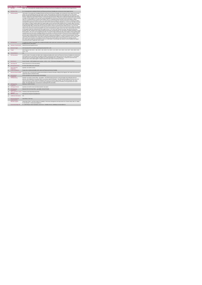|                | <b>Home Support Service</b>                 |                                                                                                                                                                                                                                                                                                                                                                                                                                                                                                                                                                                                                                                                                                                                                                                                                                                                                                                                                                                                                                                                                                                                                                                                                                                                                                                                                                                                                                                                                                                                                                                                                                                                                                                                                                                                                                                                                                                                                                                                                                                                                                                                                                                                                                                                                                                                                                                                                                                                                                                                                                                                                                                                                                                                                                                                                                                                                                                                                                                                                                                                                                                                                                                                                                                                                                   |
|----------------|---------------------------------------------|---------------------------------------------------------------------------------------------------------------------------------------------------------------------------------------------------------------------------------------------------------------------------------------------------------------------------------------------------------------------------------------------------------------------------------------------------------------------------------------------------------------------------------------------------------------------------------------------------------------------------------------------------------------------------------------------------------------------------------------------------------------------------------------------------------------------------------------------------------------------------------------------------------------------------------------------------------------------------------------------------------------------------------------------------------------------------------------------------------------------------------------------------------------------------------------------------------------------------------------------------------------------------------------------------------------------------------------------------------------------------------------------------------------------------------------------------------------------------------------------------------------------------------------------------------------------------------------------------------------------------------------------------------------------------------------------------------------------------------------------------------------------------------------------------------------------------------------------------------------------------------------------------------------------------------------------------------------------------------------------------------------------------------------------------------------------------------------------------------------------------------------------------------------------------------------------------------------------------------------------------------------------------------------------------------------------------------------------------------------------------------------------------------------------------------------------------------------------------------------------------------------------------------------------------------------------------------------------------------------------------------------------------------------------------------------------------------------------------------------------------------------------------------------------------------------------------------------------------------------------------------------------------------------------------------------------------------------------------------------------------------------------------------------------------------------------------------------------------------------------------------------------------------------------------------------------------------------------------------------------------------------------------------------------------|
| $\mathbf{1}$   | <b>KPITitle</b>                             | DIS81 - No. of new people with a disability (ID/Autism and Physical and Sensory Disability) who commenced a Home Support Service                                                                                                                                                                                                                                                                                                                                                                                                                                                                                                                                                                                                                                                                                                                                                                                                                                                                                                                                                                                                                                                                                                                                                                                                                                                                                                                                                                                                                                                                                                                                                                                                                                                                                                                                                                                                                                                                                                                                                                                                                                                                                                                                                                                                                                                                                                                                                                                                                                                                                                                                                                                                                                                                                                                                                                                                                                                                                                                                                                                                                                                                                                                                                                  |
| 1a             | <b>KPI Short Title</b>                      | No. of new people with a disability (ID/Autism and Physical and Sensory Disability) who commenced a Home Support Service                                                                                                                                                                                                                                                                                                                                                                                                                                                                                                                                                                                                                                                                                                                                                                                                                                                                                                                                                                                                                                                                                                                                                                                                                                                                                                                                                                                                                                                                                                                                                                                                                                                                                                                                                                                                                                                                                                                                                                                                                                                                                                                                                                                                                                                                                                                                                                                                                                                                                                                                                                                                                                                                                                                                                                                                                                                                                                                                                                                                                                                                                                                                                                          |
| $\overline{z}$ | <b>KPI</b> Description                      | Total number of new people with a disability (ID/Autism and Physical and Sensory Disability), who commenced a home support service in this<br>quarter up to and including the last day of the quarter. Include: All new people who commenced a Home Support service in this quarter.<br>Exclude: People with an intellectual disability and/or autism who commenced Home Support service funded by other care groups (e.g. Older<br>Persons), Delayed Discharge Initiative Funding or Community Employment Scheme- People with an intellectual disability and/or autism already<br>in receipt of a Home Support service who have not been discharged even if that service is less than they were assessed for. They are returned<br>under "No. of existing Persons in receipt of Home Support" (KPI 37) in subsequent quarters that they access Home Support- Children<br>receiving support for pre-school places as this is not a Home Support service- People who commenced a PA Service. All adults and children<br>receiving home support hours must be returned by the HSE Area from which their funding is allocated e.g. a service user from Sligo accessing<br>Home Support in Longford, funded by Sligo home support budget must be returned by Sligo Disability Services. Example 1:Billy's new referral<br>was received and accepted in Q2 and he commenced a home support service in Q3. He received a home support service in the past but was<br>formally discharged. Billy is returned under this KPI only for the quarter in which he commenced home support services i.e. Q3. He is also<br>returned under "New referral received and accepted" (KPI 35) only in the quarter which his referrals was received and accepted, Q2. Example<br>2:Nora's new referral was received and accepted in Q3 and she commenced home support service in Q3. She is returned under this KPI only<br>for the quarter in which she commenced the home support service, i.e. Q3. She is also returned in Q3 under "New referral received and<br>accepted" (KPI 35). Definitions: Home Support provides personal and/or essential domestic care and support to facilitate participation in social /<br>leisure activities. This service can be provided by the HSE or by a private provider funded by the HSE. Home Support is often provided outside<br>of normal day service hours and is a disability funded service. It includes, as defined in the National Physical and Sensory Disability Database<br>(NPSDD) and the National Intellectual Disability Database (NIDD):Home Care Assistant Service: "a personal care service which provides<br>personal support including washing, dressing and other activities of daily living and facilitation in social and recreational activities". Home Help:<br>"(assistance with household chores). Home Helps currently provide domestic type support (e.g. cooking / cleaning, etc.) but in many cases<br>where a Home Care Assistant is not available, the Home Help may also provide support of a personal nature (e.g. washing, dressing,<br>etc.)" Adult a person aged over 18 and under 65 years (in a small number of cases people may continue to access disability home support<br>services post 65 years of age) Child: Under 18 years. |
| $\overline{3}$ | <b>KPI Rationale</b>                        | To monitor the number of new people with an intellectual disability and/or autism who commenced a home support service as funded by HSE<br>Disability Services in this quarter                                                                                                                                                                                                                                                                                                                                                                                                                                                                                                                                                                                                                                                                                                                                                                                                                                                                                                                                                                                                                                                                                                                                                                                                                                                                                                                                                                                                                                                                                                                                                                                                                                                                                                                                                                                                                                                                                                                                                                                                                                                                                                                                                                                                                                                                                                                                                                                                                                                                                                                                                                                                                                                                                                                                                                                                                                                                                                                                                                                                                                                                                                                    |
| 3a             | <b>Indicator Classification</b>             | National Scorecard Quadrant Access                                                                                                                                                                                                                                                                                                                                                                                                                                                                                                                                                                                                                                                                                                                                                                                                                                                                                                                                                                                                                                                                                                                                                                                                                                                                                                                                                                                                                                                                                                                                                                                                                                                                                                                                                                                                                                                                                                                                                                                                                                                                                                                                                                                                                                                                                                                                                                                                                                                                                                                                                                                                                                                                                                                                                                                                                                                                                                                                                                                                                                                                                                                                                                                                                                                                |
| $\overline{a}$ | <b>National Target</b>                      | 2019 Operational Plan Cumulative target/expected activity 2019: 1,450.                                                                                                                                                                                                                                                                                                                                                                                                                                                                                                                                                                                                                                                                                                                                                                                                                                                                                                                                                                                                                                                                                                                                                                                                                                                                                                                                                                                                                                                                                                                                                                                                                                                                                                                                                                                                                                                                                                                                                                                                                                                                                                                                                                                                                                                                                                                                                                                                                                                                                                                                                                                                                                                                                                                                                                                                                                                                                                                                                                                                                                                                                                                                                                                                                            |
| 4a             | Target                                      | 2019 Target per CHO: CHO 1 - 188 , CHO 2 - 130 , CHO 3 - 95 , CHO 4 - 113 , CHO 5 - 162 , CHO 6 - 106 , CHO 7 - 208 , CHO 8 - 229 ,<br>CHO 9 - 219.                                                                                                                                                                                                                                                                                                                                                                                                                                                                                                                                                                                                                                                                                                                                                                                                                                                                                                                                                                                                                                                                                                                                                                                                                                                                                                                                                                                                                                                                                                                                                                                                                                                                                                                                                                                                                                                                                                                                                                                                                                                                                                                                                                                                                                                                                                                                                                                                                                                                                                                                                                                                                                                                                                                                                                                                                                                                                                                                                                                                                                                                                                                                               |
| 4 <sub>h</sub> | <b>Volume Metrics</b>                       | N/A                                                                                                                                                                                                                                                                                                                                                                                                                                                                                                                                                                                                                                                                                                                                                                                                                                                                                                                                                                                                                                                                                                                                                                                                                                                                                                                                                                                                                                                                                                                                                                                                                                                                                                                                                                                                                                                                                                                                                                                                                                                                                                                                                                                                                                                                                                                                                                                                                                                                                                                                                                                                                                                                                                                                                                                                                                                                                                                                                                                                                                                                                                                                                                                                                                                                                               |
| 5              | <b>KPI Calculation</b>                      | Count the number of new adults and children with an intellectual disability and/or autism and Physical and Sensory Disability who commenced a<br>home support service in this quarter. New adults and children commencing a home support service are only counted once i.e. in the quarter<br>which their service commenced. Adults and children are counted separately. This is a cumulative KPI, i.e. at year end, each Area's four<br>quarterly outturns will be added together to obtain the total end of year outturn for that Area in that year.                                                                                                                                                                                                                                                                                                                                                                                                                                                                                                                                                                                                                                                                                                                                                                                                                                                                                                                                                                                                                                                                                                                                                                                                                                                                                                                                                                                                                                                                                                                                                                                                                                                                                                                                                                                                                                                                                                                                                                                                                                                                                                                                                                                                                                                                                                                                                                                                                                                                                                                                                                                                                                                                                                                                            |
| $\mathbf{6}$   | <b>Data Source</b>                          | Service Provider > HSE Disability Service nominee > HOSC > CHO > Performance Management and Improvement Unit (PMIU).                                                                                                                                                                                                                                                                                                                                                                                                                                                                                                                                                                                                                                                                                                                                                                                                                                                                                                                                                                                                                                                                                                                                                                                                                                                                                                                                                                                                                                                                                                                                                                                                                                                                                                                                                                                                                                                                                                                                                                                                                                                                                                                                                                                                                                                                                                                                                                                                                                                                                                                                                                                                                                                                                                                                                                                                                                                                                                                                                                                                                                                                                                                                                                              |
| 6a             | Data Sign Off                               | Head of Social Care in CHO Area (HOSC)                                                                                                                                                                                                                                                                                                                                                                                                                                                                                                                                                                                                                                                                                                                                                                                                                                                                                                                                                                                                                                                                                                                                                                                                                                                                                                                                                                                                                                                                                                                                                                                                                                                                                                                                                                                                                                                                                                                                                                                                                                                                                                                                                                                                                                                                                                                                                                                                                                                                                                                                                                                                                                                                                                                                                                                                                                                                                                                                                                                                                                                                                                                                                                                                                                                            |
| 6 <sub>h</sub> | <b>Data Quality Issues</b>                  | No known data quality issues at this point.                                                                                                                                                                                                                                                                                                                                                                                                                                                                                                                                                                                                                                                                                                                                                                                                                                                                                                                                                                                                                                                                                                                                                                                                                                                                                                                                                                                                                                                                                                                                                                                                                                                                                                                                                                                                                                                                                                                                                                                                                                                                                                                                                                                                                                                                                                                                                                                                                                                                                                                                                                                                                                                                                                                                                                                                                                                                                                                                                                                                                                                                                                                                                                                                                                                       |
| $\overline{7}$ | <b>Data Collection</b><br>Frequency         | Quarterly- one month in arrears                                                                                                                                                                                                                                                                                                                                                                                                                                                                                                                                                                                                                                                                                                                                                                                                                                                                                                                                                                                                                                                                                                                                                                                                                                                                                                                                                                                                                                                                                                                                                                                                                                                                                                                                                                                                                                                                                                                                                                                                                                                                                                                                                                                                                                                                                                                                                                                                                                                                                                                                                                                                                                                                                                                                                                                                                                                                                                                                                                                                                                                                                                                                                                                                                                                                   |
| 8              | <b>Tracer Conditions</b>                    | People with an intellectual disability and/or autism and Physical and Sensory Disability                                                                                                                                                                                                                                                                                                                                                                                                                                                                                                                                                                                                                                                                                                                                                                                                                                                                                                                                                                                                                                                                                                                                                                                                                                                                                                                                                                                                                                                                                                                                                                                                                                                                                                                                                                                                                                                                                                                                                                                                                                                                                                                                                                                                                                                                                                                                                                                                                                                                                                                                                                                                                                                                                                                                                                                                                                                                                                                                                                                                                                                                                                                                                                                                          |
| 9              | <b>Minimum Data Set MDS</b>                 | The service user's care plan which includes personal details and relevant information relating to their diagnosis, their needs and services and<br>support they require to meet their needs.                                                                                                                                                                                                                                                                                                                                                                                                                                                                                                                                                                                                                                                                                                                                                                                                                                                                                                                                                                                                                                                                                                                                                                                                                                                                                                                                                                                                                                                                                                                                                                                                                                                                                                                                                                                                                                                                                                                                                                                                                                                                                                                                                                                                                                                                                                                                                                                                                                                                                                                                                                                                                                                                                                                                                                                                                                                                                                                                                                                                                                                                                                      |
| 10             | International<br>Comparison                 | Service developed in line with best practice internationally                                                                                                                                                                                                                                                                                                                                                                                                                                                                                                                                                                                                                                                                                                                                                                                                                                                                                                                                                                                                                                                                                                                                                                                                                                                                                                                                                                                                                                                                                                                                                                                                                                                                                                                                                                                                                                                                                                                                                                                                                                                                                                                                                                                                                                                                                                                                                                                                                                                                                                                                                                                                                                                                                                                                                                                                                                                                                                                                                                                                                                                                                                                                                                                                                                      |
| 11             | <b>KPI Monitoring</b>                       | Quarterly- one month in arrears/ Other - give details: The HOSC/nominee will receive, review and quality assure KPI data returns for<br>accuracy and completeness and analyse data for performance against ELS/targets. They will forward the collated KPI returns to the Chief<br>Officer/nominee and include a bullet point explanation where there are variances against target. The Chief Officer/nominee will review,<br>approve and submit final CHO returns to the Performance Management and Improvement Unit (PMIU) on the agreed date each month /<br>quarter. The responsible person at local level for monitoring this KPI is the HOSC.                                                                                                                                                                                                                                                                                                                                                                                                                                                                                                                                                                                                                                                                                                                                                                                                                                                                                                                                                                                                                                                                                                                                                                                                                                                                                                                                                                                                                                                                                                                                                                                                                                                                                                                                                                                                                                                                                                                                                                                                                                                                                                                                                                                                                                                                                                                                                                                                                                                                                                                                                                                                                                               |
| 12             | <b>KPI Reporting</b><br>Frequency           | Quarterly (1 month in Arrears)                                                                                                                                                                                                                                                                                                                                                                                                                                                                                                                                                                                                                                                                                                                                                                                                                                                                                                                                                                                                                                                                                                                                                                                                                                                                                                                                                                                                                                                                                                                                                                                                                                                                                                                                                                                                                                                                                                                                                                                                                                                                                                                                                                                                                                                                                                                                                                                                                                                                                                                                                                                                                                                                                                                                                                                                                                                                                                                                                                                                                                                                                                                                                                                                                                                                    |
| 13             | <b>KPI Report Period</b>                    | Quarterly one month in arrears (Q2 data reported in July report)                                                                                                                                                                                                                                                                                                                                                                                                                                                                                                                                                                                                                                                                                                                                                                                                                                                                                                                                                                                                                                                                                                                                                                                                                                                                                                                                                                                                                                                                                                                                                                                                                                                                                                                                                                                                                                                                                                                                                                                                                                                                                                                                                                                                                                                                                                                                                                                                                                                                                                                                                                                                                                                                                                                                                                                                                                                                                                                                                                                                                                                                                                                                                                                                                                  |
| 14             | <b>KPI Reporting</b><br>Aggregation         | National/ CHO/ LHO Area/ Other - give details: Service Provider                                                                                                                                                                                                                                                                                                                                                                                                                                                                                                                                                                                                                                                                                                                                                                                                                                                                                                                                                                                                                                                                                                                                                                                                                                                                                                                                                                                                                                                                                                                                                                                                                                                                                                                                                                                                                                                                                                                                                                                                                                                                                                                                                                                                                                                                                                                                                                                                                                                                                                                                                                                                                                                                                                                                                                                                                                                                                                                                                                                                                                                                                                                                                                                                                                   |
| 15             | renorts <sup>1</sup>                        | KPI is reported in which Preliminary Data Report/Operational Plan                                                                                                                                                                                                                                                                                                                                                                                                                                                                                                                                                                                                                                                                                                                                                                                                                                                                                                                                                                                                                                                                                                                                                                                                                                                                                                                                                                                                                                                                                                                                                                                                                                                                                                                                                                                                                                                                                                                                                                                                                                                                                                                                                                                                                                                                                                                                                                                                                                                                                                                                                                                                                                                                                                                                                                                                                                                                                                                                                                                                                                                                                                                                                                                                                                 |
| 16             | Web link to data                            | http://www.hse.ia/eng/services/publications/                                                                                                                                                                                                                                                                                                                                                                                                                                                                                                                                                                                                                                                                                                                                                                                                                                                                                                                                                                                                                                                                                                                                                                                                                                                                                                                                                                                                                                                                                                                                                                                                                                                                                                                                                                                                                                                                                                                                                                                                                                                                                                                                                                                                                                                                                                                                                                                                                                                                                                                                                                                                                                                                                                                                                                                                                                                                                                                                                                                                                                                                                                                                                                                                                                                      |
| 17             | <b>Additional Information</b>               | N/L                                                                                                                                                                                                                                                                                                                                                                                                                                                                                                                                                                                                                                                                                                                                                                                                                                                                                                                                                                                                                                                                                                                                                                                                                                                                                                                                                                                                                                                                                                                                                                                                                                                                                                                                                                                                                                                                                                                                                                                                                                                                                                                                                                                                                                                                                                                                                                                                                                                                                                                                                                                                                                                                                                                                                                                                                                                                                                                                                                                                                                                                                                                                                                                                                                                                                               |
|                | <b>KPI</b> owner/lead for<br>implementation | Chief Officer, CHO Area                                                                                                                                                                                                                                                                                                                                                                                                                                                                                                                                                                                                                                                                                                                                                                                                                                                                                                                                                                                                                                                                                                                                                                                                                                                                                                                                                                                                                                                                                                                                                                                                                                                                                                                                                                                                                                                                                                                                                                                                                                                                                                                                                                                                                                                                                                                                                                                                                                                                                                                                                                                                                                                                                                                                                                                                                                                                                                                                                                                                                                                                                                                                                                                                                                                                           |
|                | PBI data support                            | Sinéad Nuty O'Brien, Lead Data Analyst for Disabilities, Performance Management and Improvement Unit - Bective Street, Kells, Co. Meath.<br>Ph: 046 9251328 , Emailsinead.nulty@hse.ie                                                                                                                                                                                                                                                                                                                                                                                                                                                                                                                                                                                                                                                                                                                                                                                                                                                                                                                                                                                                                                                                                                                                                                                                                                                                                                                                                                                                                                                                                                                                                                                                                                                                                                                                                                                                                                                                                                                                                                                                                                                                                                                                                                                                                                                                                                                                                                                                                                                                                                                                                                                                                                                                                                                                                                                                                                                                                                                                                                                                                                                                                                            |
|                | Governance/sign off                         | Dr. Cathal Morgan, Head of Operations, Social Care - Disability Services, disabilityops.socialcare@hse.ie                                                                                                                                                                                                                                                                                                                                                                                                                                                                                                                                                                                                                                                                                                                                                                                                                                                                                                                                                                                                                                                                                                                                                                                                                                                                                                                                                                                                                                                                                                                                                                                                                                                                                                                                                                                                                                                                                                                                                                                                                                                                                                                                                                                                                                                                                                                                                                                                                                                                                                                                                                                                                                                                                                                                                                                                                                                                                                                                                                                                                                                                                                                                                                                         |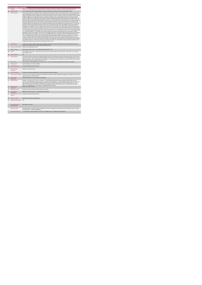|                          | <b>Home Support Service</b><br><b>KPITitle</b> | DIS82 - No. of existing people with a disability (ID/Autism and Physical and Sensory Disability) in receipt of Home Support Services                                                                                                                                                                                                                                                                                                                                                                                                                                                                                                                                                                                                                                                                                                                                                                                                                                                                                                                                                                                                                                                                                                                                                                                                                                                                                                                                                                                                                                                                                                                                                                                                                                                                                                                                                                                                                                                                                                                                                                                                                                                                                                                                                                                                                                                                                                                                                                                                                                                                                                                                                                                                                                                                                                                                                                                                                                                                                                                                                                                                                                                                                                                                                                                                                                                                                                                                   |
|--------------------------|------------------------------------------------|------------------------------------------------------------------------------------------------------------------------------------------------------------------------------------------------------------------------------------------------------------------------------------------------------------------------------------------------------------------------------------------------------------------------------------------------------------------------------------------------------------------------------------------------------------------------------------------------------------------------------------------------------------------------------------------------------------------------------------------------------------------------------------------------------------------------------------------------------------------------------------------------------------------------------------------------------------------------------------------------------------------------------------------------------------------------------------------------------------------------------------------------------------------------------------------------------------------------------------------------------------------------------------------------------------------------------------------------------------------------------------------------------------------------------------------------------------------------------------------------------------------------------------------------------------------------------------------------------------------------------------------------------------------------------------------------------------------------------------------------------------------------------------------------------------------------------------------------------------------------------------------------------------------------------------------------------------------------------------------------------------------------------------------------------------------------------------------------------------------------------------------------------------------------------------------------------------------------------------------------------------------------------------------------------------------------------------------------------------------------------------------------------------------------------------------------------------------------------------------------------------------------------------------------------------------------------------------------------------------------------------------------------------------------------------------------------------------------------------------------------------------------------------------------------------------------------------------------------------------------------------------------------------------------------------------------------------------------------------------------------------------------------------------------------------------------------------------------------------------------------------------------------------------------------------------------------------------------------------------------------------------------------------------------------------------------------------------------------------------------------------------------------------------------------------------------------------------------|
| 1a                       | <b>KPI Short Title</b>                         | No. of existing people with a disability (ID/Autism and Physical and Sensory Disability) in receipt of Home Support Services                                                                                                                                                                                                                                                                                                                                                                                                                                                                                                                                                                                                                                                                                                                                                                                                                                                                                                                                                                                                                                                                                                                                                                                                                                                                                                                                                                                                                                                                                                                                                                                                                                                                                                                                                                                                                                                                                                                                                                                                                                                                                                                                                                                                                                                                                                                                                                                                                                                                                                                                                                                                                                                                                                                                                                                                                                                                                                                                                                                                                                                                                                                                                                                                                                                                                                                                           |
| $\overline{z}$           | <b>KPI Description</b>                         | Total number of people with a disability (ID/Autism and Physical and Sensory) who continued home support services, in this quarter who have<br>not been discharged in a previous quarter, up to and including the last day of the quarter. Include:« People with an intellectual disability and/or<br>autism and Physical and Sensory Disability who continued a home support service in this quarter from any previous quarter who have not been<br>formally discharged- In Q1, people with an ID and / or autism who continue to receive a Home Support service from any previous quarter.<br>Exclude: People with an ID and/or autism and Physical and Sensory Disability who commenced Home Support service funded by other care<br>groups (e.g. Older Persons), Delayed Discharge Initiative Funding or Community Employment Scheme+ People with an ID and or autism and<br>Physical and Sensory Disability who commenced Home Support service in this quarter- they are returned only under "New people commenced"<br>(KPI 36) · People who did not receive Home Support services during this quarter but did in previous quarter(s) who have not been formally<br>discharged . Children receiving support for pre-school places as these are not a Home Support service. People who received a PA Service. All<br>adults and children receiving home support hours must be returned by the HSE Area from which their funding is allocated e.g. a service user<br>from Sligo accessing Home Support in Longford but whose hours are paid from the Sligo home support budget must be returned by Sligo<br>Disability Services. Example # 1: John received home support service in Q1, Q2 and Q3. John is to be returned under this KPI in Q1, Q2 and<br>Q3 Example # 2: Christina received home support service in Q2 and in Q4 and not in Q3 due to hospitalisation and had not been discharged<br>from Home Support service. Christine is returned under this KPI in Q2 and Q4, not in Q3. Example # 3: Liam received Home Support services<br>in Q1 and was discharged during this quarter due to moving outside of the Area. He is returned under this KPI in Q1. He is also returned under<br>"No. of people discharged" in Q1. Definitions:Home Support: provides personal and/or essential domestic care and support to facilitate<br>participation in social / leisure activities. This service can be provided by the HSE or by a private provider funded by the HSE. Home Support is<br>often provided outside of normal day service hours and is a disability funded service. It includes, as defined in the National Physical and<br>Sensory Disability Database (NPSDD) and the National Intellectual Disability Database (NIDD):Home Care Assistant Service: "a personal<br>care service which provides personal support including washing, dressing and other activities of daily living and facilitation in social and<br>recreational activities" Home Help: "(assistance with household chores). Home Helps currently provide domestic type support (e.g. cooking /<br>cleaning, etc.) but in many cases where a Home Care Assistant is not available, the Home Help may also provide support of a personal nature<br>(e.g. washing, dressing, etc.)".Adult: a person aged over 18 and under 65 years (in a small number of cases people may continue to access<br>disability home support services post 65 years of age)Child: Under 18 years. |
| $\overline{3}$           | <b>KPI Rationale</b>                           | To monitor the number of adults & children with an intellectual disability and/or autism and Physical and Sensory Disability who continue to<br>receive a home support service as funded by HSE Disability Services.                                                                                                                                                                                                                                                                                                                                                                                                                                                                                                                                                                                                                                                                                                                                                                                                                                                                                                                                                                                                                                                                                                                                                                                                                                                                                                                                                                                                                                                                                                                                                                                                                                                                                                                                                                                                                                                                                                                                                                                                                                                                                                                                                                                                                                                                                                                                                                                                                                                                                                                                                                                                                                                                                                                                                                                                                                                                                                                                                                                                                                                                                                                                                                                                                                                   |
| 3a                       | <b>Indicator Classification</b>                | National Scorecard Quadrant Access                                                                                                                                                                                                                                                                                                                                                                                                                                                                                                                                                                                                                                                                                                                                                                                                                                                                                                                                                                                                                                                                                                                                                                                                                                                                                                                                                                                                                                                                                                                                                                                                                                                                                                                                                                                                                                                                                                                                                                                                                                                                                                                                                                                                                                                                                                                                                                                                                                                                                                                                                                                                                                                                                                                                                                                                                                                                                                                                                                                                                                                                                                                                                                                                                                                                                                                                                                                                                                     |
| $\overline{a}$           | <b>National Target</b>                         | 2019 Operational Plan Point in Time target/expected activity 2019: 7,734.                                                                                                                                                                                                                                                                                                                                                                                                                                                                                                                                                                                                                                                                                                                                                                                                                                                                                                                                                                                                                                                                                                                                                                                                                                                                                                                                                                                                                                                                                                                                                                                                                                                                                                                                                                                                                                                                                                                                                                                                                                                                                                                                                                                                                                                                                                                                                                                                                                                                                                                                                                                                                                                                                                                                                                                                                                                                                                                                                                                                                                                                                                                                                                                                                                                                                                                                                                                              |
| 4a                       | Target                                         | 2019 Target per CHO: CHO 1 - 1,002 , CHO 2 - 693 , CHO 3 - 507 , CHO 4 - 601 , CHO 5 - 863 , CHO 6 - 568 , CHO 7 - 1,09 , CHO 8 -<br>1.224 . CHO 9 - 1.167.                                                                                                                                                                                                                                                                                                                                                                                                                                                                                                                                                                                                                                                                                                                                                                                                                                                                                                                                                                                                                                                                                                                                                                                                                                                                                                                                                                                                                                                                                                                                                                                                                                                                                                                                                                                                                                                                                                                                                                                                                                                                                                                                                                                                                                                                                                                                                                                                                                                                                                                                                                                                                                                                                                                                                                                                                                                                                                                                                                                                                                                                                                                                                                                                                                                                                                            |
| 4 <sub>h</sub>           | <b>Volume Metrics</b>                          | N/A                                                                                                                                                                                                                                                                                                                                                                                                                                                                                                                                                                                                                                                                                                                                                                                                                                                                                                                                                                                                                                                                                                                                                                                                                                                                                                                                                                                                                                                                                                                                                                                                                                                                                                                                                                                                                                                                                                                                                                                                                                                                                                                                                                                                                                                                                                                                                                                                                                                                                                                                                                                                                                                                                                                                                                                                                                                                                                                                                                                                                                                                                                                                                                                                                                                                                                                                                                                                                                                                    |
| 5                        | <b>KPI Calculation</b>                         | Count the total number of people with an intellectual disability and/or autism and Physical and Sensory Disability continuing to receive a home<br>support service in this quarter who had not been discharged in a previous quarter. Adults and children are counted separately. This is a point in<br>time KPI calculation i.e. do not add the quarterly returns together. For year end outturn, use Q4 outturn e.g. Q1:242, Q2:218, Q3:197, Q4:222,<br>total number continuing home support at year end is 222.                                                                                                                                                                                                                                                                                                                                                                                                                                                                                                                                                                                                                                                                                                                                                                                                                                                                                                                                                                                                                                                                                                                                                                                                                                                                                                                                                                                                                                                                                                                                                                                                                                                                                                                                                                                                                                                                                                                                                                                                                                                                                                                                                                                                                                                                                                                                                                                                                                                                                                                                                                                                                                                                                                                                                                                                                                                                                                                                                     |
| $\mathbf{6}$             | <b>Data Source</b>                             | Service Provider > HSE Disability Service nominee > HOSC > CHO > Performance Management and Improvement Unit (PMIU).                                                                                                                                                                                                                                                                                                                                                                                                                                                                                                                                                                                                                                                                                                                                                                                                                                                                                                                                                                                                                                                                                                                                                                                                                                                                                                                                                                                                                                                                                                                                                                                                                                                                                                                                                                                                                                                                                                                                                                                                                                                                                                                                                                                                                                                                                                                                                                                                                                                                                                                                                                                                                                                                                                                                                                                                                                                                                                                                                                                                                                                                                                                                                                                                                                                                                                                                                   |
| 6a                       | Data Sign Off                                  | Head of Social Care in CHO Area (HOSC)                                                                                                                                                                                                                                                                                                                                                                                                                                                                                                                                                                                                                                                                                                                                                                                                                                                                                                                                                                                                                                                                                                                                                                                                                                                                                                                                                                                                                                                                                                                                                                                                                                                                                                                                                                                                                                                                                                                                                                                                                                                                                                                                                                                                                                                                                                                                                                                                                                                                                                                                                                                                                                                                                                                                                                                                                                                                                                                                                                                                                                                                                                                                                                                                                                                                                                                                                                                                                                 |
| 6b                       | <b>Data Quality Issues</b>                     | No known data quality issues at this point.                                                                                                                                                                                                                                                                                                                                                                                                                                                                                                                                                                                                                                                                                                                                                                                                                                                                                                                                                                                                                                                                                                                                                                                                                                                                                                                                                                                                                                                                                                                                                                                                                                                                                                                                                                                                                                                                                                                                                                                                                                                                                                                                                                                                                                                                                                                                                                                                                                                                                                                                                                                                                                                                                                                                                                                                                                                                                                                                                                                                                                                                                                                                                                                                                                                                                                                                                                                                                            |
| $\overline{\phantom{a}}$ | <b>Data Collection</b><br>Frequency            | Quarterly- one month in arrears                                                                                                                                                                                                                                                                                                                                                                                                                                                                                                                                                                                                                                                                                                                                                                                                                                                                                                                                                                                                                                                                                                                                                                                                                                                                                                                                                                                                                                                                                                                                                                                                                                                                                                                                                                                                                                                                                                                                                                                                                                                                                                                                                                                                                                                                                                                                                                                                                                                                                                                                                                                                                                                                                                                                                                                                                                                                                                                                                                                                                                                                                                                                                                                                                                                                                                                                                                                                                                        |
| $\mathcal{R}$            | <b>Tracer Conditions</b>                       | People with an intellectual disability and/or autism and Physical and Sensory Disability                                                                                                                                                                                                                                                                                                                                                                                                                                                                                                                                                                                                                                                                                                                                                                                                                                                                                                                                                                                                                                                                                                                                                                                                                                                                                                                                                                                                                                                                                                                                                                                                                                                                                                                                                                                                                                                                                                                                                                                                                                                                                                                                                                                                                                                                                                                                                                                                                                                                                                                                                                                                                                                                                                                                                                                                                                                                                                                                                                                                                                                                                                                                                                                                                                                                                                                                                                               |
| 9                        | Minimum Data Set MDS                           | The service user's care plan which includes personal details and relevant information relating to their diagnosis, their needs and services and<br>support they require to meet their needs.                                                                                                                                                                                                                                                                                                                                                                                                                                                                                                                                                                                                                                                                                                                                                                                                                                                                                                                                                                                                                                                                                                                                                                                                                                                                                                                                                                                                                                                                                                                                                                                                                                                                                                                                                                                                                                                                                                                                                                                                                                                                                                                                                                                                                                                                                                                                                                                                                                                                                                                                                                                                                                                                                                                                                                                                                                                                                                                                                                                                                                                                                                                                                                                                                                                                           |
| 10                       | International<br>Comparison                    | Service developed in line with best practice internationally                                                                                                                                                                                                                                                                                                                                                                                                                                                                                                                                                                                                                                                                                                                                                                                                                                                                                                                                                                                                                                                                                                                                                                                                                                                                                                                                                                                                                                                                                                                                                                                                                                                                                                                                                                                                                                                                                                                                                                                                                                                                                                                                                                                                                                                                                                                                                                                                                                                                                                                                                                                                                                                                                                                                                                                                                                                                                                                                                                                                                                                                                                                                                                                                                                                                                                                                                                                                           |
| 11                       | <b>KPI Monitoring</b>                          | Quarterly- one month in arrears / Other - give details: The HOSC/nominee will receive, review and quality assure KPI data returns for<br>accuracy and completeness and analyse data for performance against ELS/targets. They will forward the collated KPI returns to the Chief<br>Officer/nominee and include a bullet point explanation where there are variances against target. The Chief Officer/nominee will review,<br>approve and submit final CHO returns to the Performance Management and Improvement Unit (PMIU) on the agreed date each month /<br>quarter. The responsible person at local level for monitoring this KPI is the HOSC.                                                                                                                                                                                                                                                                                                                                                                                                                                                                                                                                                                                                                                                                                                                                                                                                                                                                                                                                                                                                                                                                                                                                                                                                                                                                                                                                                                                                                                                                                                                                                                                                                                                                                                                                                                                                                                                                                                                                                                                                                                                                                                                                                                                                                                                                                                                                                                                                                                                                                                                                                                                                                                                                                                                                                                                                                   |
| 12 <sup>12</sup>         | <b>KPI Reporting</b><br>Frequency              | Quarterly (1 month in Arrears)                                                                                                                                                                                                                                                                                                                                                                                                                                                                                                                                                                                                                                                                                                                                                                                                                                                                                                                                                                                                                                                                                                                                                                                                                                                                                                                                                                                                                                                                                                                                                                                                                                                                                                                                                                                                                                                                                                                                                                                                                                                                                                                                                                                                                                                                                                                                                                                                                                                                                                                                                                                                                                                                                                                                                                                                                                                                                                                                                                                                                                                                                                                                                                                                                                                                                                                                                                                                                                         |
| 13                       | <b>KPI Report Period</b>                       | Quarterly one month in arrears (Q2 data reported in July report)                                                                                                                                                                                                                                                                                                                                                                                                                                                                                                                                                                                                                                                                                                                                                                                                                                                                                                                                                                                                                                                                                                                                                                                                                                                                                                                                                                                                                                                                                                                                                                                                                                                                                                                                                                                                                                                                                                                                                                                                                                                                                                                                                                                                                                                                                                                                                                                                                                                                                                                                                                                                                                                                                                                                                                                                                                                                                                                                                                                                                                                                                                                                                                                                                                                                                                                                                                                                       |
| 14<br>15                 | <b>KPI Reporting</b><br>Aggregation            | National/ CHO/ LHO Area/ Other - give details: Service Provider<br>KPI is reported in which Preliminary Data Report/Operational Plan                                                                                                                                                                                                                                                                                                                                                                                                                                                                                                                                                                                                                                                                                                                                                                                                                                                                                                                                                                                                                                                                                                                                                                                                                                                                                                                                                                                                                                                                                                                                                                                                                                                                                                                                                                                                                                                                                                                                                                                                                                                                                                                                                                                                                                                                                                                                                                                                                                                                                                                                                                                                                                                                                                                                                                                                                                                                                                                                                                                                                                                                                                                                                                                                                                                                                                                                   |
|                          | reports?                                       |                                                                                                                                                                                                                                                                                                                                                                                                                                                                                                                                                                                                                                                                                                                                                                                                                                                                                                                                                                                                                                                                                                                                                                                                                                                                                                                                                                                                                                                                                                                                                                                                                                                                                                                                                                                                                                                                                                                                                                                                                                                                                                                                                                                                                                                                                                                                                                                                                                                                                                                                                                                                                                                                                                                                                                                                                                                                                                                                                                                                                                                                                                                                                                                                                                                                                                                                                                                                                                                                        |
| 16                       | Web link to data                               | http://www.hse.ia/eng/services/publications/                                                                                                                                                                                                                                                                                                                                                                                                                                                                                                                                                                                                                                                                                                                                                                                                                                                                                                                                                                                                                                                                                                                                                                                                                                                                                                                                                                                                                                                                                                                                                                                                                                                                                                                                                                                                                                                                                                                                                                                                                                                                                                                                                                                                                                                                                                                                                                                                                                                                                                                                                                                                                                                                                                                                                                                                                                                                                                                                                                                                                                                                                                                                                                                                                                                                                                                                                                                                                           |
| 17                       | <b>Additional Information</b>                  | N/A                                                                                                                                                                                                                                                                                                                                                                                                                                                                                                                                                                                                                                                                                                                                                                                                                                                                                                                                                                                                                                                                                                                                                                                                                                                                                                                                                                                                                                                                                                                                                                                                                                                                                                                                                                                                                                                                                                                                                                                                                                                                                                                                                                                                                                                                                                                                                                                                                                                                                                                                                                                                                                                                                                                                                                                                                                                                                                                                                                                                                                                                                                                                                                                                                                                                                                                                                                                                                                                                    |
|                          | <b>KPI</b> owner/lead for<br>implementation    | Chief Officer, CHO Area                                                                                                                                                                                                                                                                                                                                                                                                                                                                                                                                                                                                                                                                                                                                                                                                                                                                                                                                                                                                                                                                                                                                                                                                                                                                                                                                                                                                                                                                                                                                                                                                                                                                                                                                                                                                                                                                                                                                                                                                                                                                                                                                                                                                                                                                                                                                                                                                                                                                                                                                                                                                                                                                                                                                                                                                                                                                                                                                                                                                                                                                                                                                                                                                                                                                                                                                                                                                                                                |
|                          | PBI data support                               | Sinéad Nulty O'Brien, Lead Data Analyst for Disabilities, Performance Management and Improvement Unit- Bective Steet, Kells, Co. Meath.<br>Ph: 046 9251328 . Email:sinead.nutv@hse.ie                                                                                                                                                                                                                                                                                                                                                                                                                                                                                                                                                                                                                                                                                                                                                                                                                                                                                                                                                                                                                                                                                                                                                                                                                                                                                                                                                                                                                                                                                                                                                                                                                                                                                                                                                                                                                                                                                                                                                                                                                                                                                                                                                                                                                                                                                                                                                                                                                                                                                                                                                                                                                                                                                                                                                                                                                                                                                                                                                                                                                                                                                                                                                                                                                                                                                  |
|                          | Governance/sign off                            | Dr. Cathal Morgan, Head of Operations, Social Care - Disability Services, disabilityops socialcare @hse.ie                                                                                                                                                                                                                                                                                                                                                                                                                                                                                                                                                                                                                                                                                                                                                                                                                                                                                                                                                                                                                                                                                                                                                                                                                                                                                                                                                                                                                                                                                                                                                                                                                                                                                                                                                                                                                                                                                                                                                                                                                                                                                                                                                                                                                                                                                                                                                                                                                                                                                                                                                                                                                                                                                                                                                                                                                                                                                                                                                                                                                                                                                                                                                                                                                                                                                                                                                             |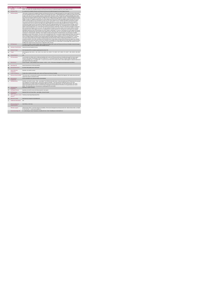|                         | <b>Home Support Service</b>                 |                                                                                                                                                                                                                                                                                                                                                                                                                                                                                                                                                                                                                                                                                                                                                                                                                                                                                                                                                                                                                                                                                                                                                                                                                                                                                                                                                                                                                                                                                                                                                                                                                                                                                                                                                                                                                                                                                                                                                                                                                                                                                                                                                                                                                                                                                                                                                                                                                                                                                                                                                                                                                                                                                                                                                                                                                                                                                                                                                                                                                                                                                                                                                                                                                                                                                                                                                                                                                                                                                                                                                                                                            |  |
|-------------------------|---------------------------------------------|------------------------------------------------------------------------------------------------------------------------------------------------------------------------------------------------------------------------------------------------------------------------------------------------------------------------------------------------------------------------------------------------------------------------------------------------------------------------------------------------------------------------------------------------------------------------------------------------------------------------------------------------------------------------------------------------------------------------------------------------------------------------------------------------------------------------------------------------------------------------------------------------------------------------------------------------------------------------------------------------------------------------------------------------------------------------------------------------------------------------------------------------------------------------------------------------------------------------------------------------------------------------------------------------------------------------------------------------------------------------------------------------------------------------------------------------------------------------------------------------------------------------------------------------------------------------------------------------------------------------------------------------------------------------------------------------------------------------------------------------------------------------------------------------------------------------------------------------------------------------------------------------------------------------------------------------------------------------------------------------------------------------------------------------------------------------------------------------------------------------------------------------------------------------------------------------------------------------------------------------------------------------------------------------------------------------------------------------------------------------------------------------------------------------------------------------------------------------------------------------------------------------------------------------------------------------------------------------------------------------------------------------------------------------------------------------------------------------------------------------------------------------------------------------------------------------------------------------------------------------------------------------------------------------------------------------------------------------------------------------------------------------------------------------------------------------------------------------------------------------------------------------------------------------------------------------------------------------------------------------------------------------------------------------------------------------------------------------------------------------------------------------------------------------------------------------------------------------------------------------------------------------------------------------------------------------------------------------------------|--|
| 1                       | <b>KPITitle</b>                             | DIS83 - No. people with a disability (ID/Autism and Physical and Sensory) formally discharged from Home Support Services                                                                                                                                                                                                                                                                                                                                                                                                                                                                                                                                                                                                                                                                                                                                                                                                                                                                                                                                                                                                                                                                                                                                                                                                                                                                                                                                                                                                                                                                                                                                                                                                                                                                                                                                                                                                                                                                                                                                                                                                                                                                                                                                                                                                                                                                                                                                                                                                                                                                                                                                                                                                                                                                                                                                                                                                                                                                                                                                                                                                                                                                                                                                                                                                                                                                                                                                                                                                                                                                                   |  |
| 1a                      | <b>KPI Short Title</b>                      | No. people with a disability (ID/Autism and Physical and Sensory) formally discharged from Home Support Services                                                                                                                                                                                                                                                                                                                                                                                                                                                                                                                                                                                                                                                                                                                                                                                                                                                                                                                                                                                                                                                                                                                                                                                                                                                                                                                                                                                                                                                                                                                                                                                                                                                                                                                                                                                                                                                                                                                                                                                                                                                                                                                                                                                                                                                                                                                                                                                                                                                                                                                                                                                                                                                                                                                                                                                                                                                                                                                                                                                                                                                                                                                                                                                                                                                                                                                                                                                                                                                                                           |  |
| $\overline{z}$          | <b>KPI Description</b>                      | Total number of people with a disability (ID/Autism and Physical and Sensory), formally discharged from home support services in this quarter<br>up to and including the last day of the quarter. Reasons for discharge may include: . Residential placement. Transferred to adult services, other<br>provider, other area- Service is no longer required or meeting needs- Deceased. Include:- People with an intellectual disability and/or autism<br>and Physical and Sensory Disability formally discharged from home support services in this quarter. Exclude: . People discharged from Home<br>Support services funded by other care groups (e.g. Older Persons), Delayed Discharge Initiative Funding or Community Employment Scheme-<br>People in receipt of or awaiting commencement of a Home Support service who have not been discharged- People receiving a PA service -<br>Children receiving support for pre-school places as these are not a Home Support service. All adults and children receiving home support<br>hours must be returned by the HSE Area from which their funding is allocated e.g. a service user from Sligo accessing Home Support in<br>Longford but whose hours are paid from the Sligo home support budget must be returned by Sligo Disability Services. Example # 1: Jenny<br>received home support service in Q1 and Q2 in Waterford. She was formaly discharged at end of Q2 as she moved to Donegal. Jenny is<br>returned by Waterford under this KPI in Q2. She is also returned by Waterford for Q2 under "No. of Existing Persons in receipt of Home<br>Support" and by Donegal under "No. of new referrals received" for the quarter in which they receive her new referral. Example # 2 Susan has<br>been receiving Home Support service over years. She was admitted to hospital in Q1 and it is unclear at end of quarter whether she will be<br>returning home and to Home Support services or to residential and so returned under this KPI. Each person's case needs to be reviewed<br>individually to determine when formal discharge from Home Support is appropriate. If a person is discharged from Home Support and returned<br>under this KPI, should they later return home/ to Home Support service, return them under "No. new referrals accepted" and "No. new persons<br>commenced" in relevant quarter. Definitions: Home Support: provides personal and/or essential domestic care and support to facilitate<br>participation in social / leisure activities. This service can be provided by the HSE or by a private provider funded by the HSE. Home Support is<br>often provided outside of normal day service hours and is a disability funded service. It includes, as defined in the National Physical and<br>Sensory Disability Database (NPSDD) and the National Intellectual Disability Database (NIDD):Home Care Assistant Service: "a personal<br>care service which provides personal support including washing, dressing and other activities of daily living and facilitation in social and<br>recreational activities" Home Help: "(assistance with household chores). Home Helps currently provide domestic type support (e.g. cooking /<br>cleaning, etc.) but in many cases where a Home Care Assistant is not available, the Home Help may also provide support of a personal nature<br>(e.g. washing, dressing, etc.)". Adult a person aged over 18 and under 65 years (in a small number of cases people may continue to access<br>disability home support services post 65 years of age) Child: Under 18 years. |  |
| $\overline{\mathbf{z}}$ | <b>KPI Rationale</b>                        | To monitor the number of adults & children with an intellectual disability and/or autism and Physical and Sensory Disability formally discharged<br>from home support services as funded by HSE Disability Services.                                                                                                                                                                                                                                                                                                                                                                                                                                                                                                                                                                                                                                                                                                                                                                                                                                                                                                                                                                                                                                                                                                                                                                                                                                                                                                                                                                                                                                                                                                                                                                                                                                                                                                                                                                                                                                                                                                                                                                                                                                                                                                                                                                                                                                                                                                                                                                                                                                                                                                                                                                                                                                                                                                                                                                                                                                                                                                                                                                                                                                                                                                                                                                                                                                                                                                                                                                                       |  |
| 3a                      | <b>Indicator Classification</b>             | National Scorecard Quadrant Access                                                                                                                                                                                                                                                                                                                                                                                                                                                                                                                                                                                                                                                                                                                                                                                                                                                                                                                                                                                                                                                                                                                                                                                                                                                                                                                                                                                                                                                                                                                                                                                                                                                                                                                                                                                                                                                                                                                                                                                                                                                                                                                                                                                                                                                                                                                                                                                                                                                                                                                                                                                                                                                                                                                                                                                                                                                                                                                                                                                                                                                                                                                                                                                                                                                                                                                                                                                                                                                                                                                                                                         |  |
| $\overline{4}$          | <b>National Target</b>                      | 2019 Operational Plan Cumulative target/expected activity: 962.                                                                                                                                                                                                                                                                                                                                                                                                                                                                                                                                                                                                                                                                                                                                                                                                                                                                                                                                                                                                                                                                                                                                                                                                                                                                                                                                                                                                                                                                                                                                                                                                                                                                                                                                                                                                                                                                                                                                                                                                                                                                                                                                                                                                                                                                                                                                                                                                                                                                                                                                                                                                                                                                                                                                                                                                                                                                                                                                                                                                                                                                                                                                                                                                                                                                                                                                                                                                                                                                                                                                            |  |
| da                      | Target                                      | 2019 Target per CHO: CHO 1 - 125 , CHO 2 - 86 , CHO 3 - 63 , CHO 4 - 75 , CHO 5 - 107 , CHO 6 - 70 , CHO 7 - 139 , CHO 8 - 152, CHO<br>$9 - 145$                                                                                                                                                                                                                                                                                                                                                                                                                                                                                                                                                                                                                                                                                                                                                                                                                                                                                                                                                                                                                                                                                                                                                                                                                                                                                                                                                                                                                                                                                                                                                                                                                                                                                                                                                                                                                                                                                                                                                                                                                                                                                                                                                                                                                                                                                                                                                                                                                                                                                                                                                                                                                                                                                                                                                                                                                                                                                                                                                                                                                                                                                                                                                                                                                                                                                                                                                                                                                                                           |  |
| 4 <sub>h</sub>          | <b>Volume Metrics</b>                       | N/A                                                                                                                                                                                                                                                                                                                                                                                                                                                                                                                                                                                                                                                                                                                                                                                                                                                                                                                                                                                                                                                                                                                                                                                                                                                                                                                                                                                                                                                                                                                                                                                                                                                                                                                                                                                                                                                                                                                                                                                                                                                                                                                                                                                                                                                                                                                                                                                                                                                                                                                                                                                                                                                                                                                                                                                                                                                                                                                                                                                                                                                                                                                                                                                                                                                                                                                                                                                                                                                                                                                                                                                                        |  |
| 5                       | <b>KPI Calculation</b>                      | Count all adults and children with an intellectual disability and/or autism and Physical and Sensory Disability discharged from home support<br>services in this quarter. All discharges only to be counted once i.e. in the quarter which their referral is received. Adults and children are<br>counted separately. This is a cumulative KPI, i.e. at year end, each Area's four quarterly outturns will be added together to obtain the total end of<br>year outturn for that Area in that year.                                                                                                                                                                                                                                                                                                                                                                                                                                                                                                                                                                                                                                                                                                                                                                                                                                                                                                                                                                                                                                                                                                                                                                                                                                                                                                                                                                                                                                                                                                                                                                                                                                                                                                                                                                                                                                                                                                                                                                                                                                                                                                                                                                                                                                                                                                                                                                                                                                                                                                                                                                                                                                                                                                                                                                                                                                                                                                                                                                                                                                                                                                        |  |
| 6                       | Data Source                                 | Service Provider > HSE Disability Service nominee > HOSC > CHO > Performance Management and Improvement Unit (PMIU)                                                                                                                                                                                                                                                                                                                                                                                                                                                                                                                                                                                                                                                                                                                                                                                                                                                                                                                                                                                                                                                                                                                                                                                                                                                                                                                                                                                                                                                                                                                                                                                                                                                                                                                                                                                                                                                                                                                                                                                                                                                                                                                                                                                                                                                                                                                                                                                                                                                                                                                                                                                                                                                                                                                                                                                                                                                                                                                                                                                                                                                                                                                                                                                                                                                                                                                                                                                                                                                                                        |  |
| 6a                      | Data Sign Off                               | Head of Social Care in CHO Area (HOSC)                                                                                                                                                                                                                                                                                                                                                                                                                                                                                                                                                                                                                                                                                                                                                                                                                                                                                                                                                                                                                                                                                                                                                                                                                                                                                                                                                                                                                                                                                                                                                                                                                                                                                                                                                                                                                                                                                                                                                                                                                                                                                                                                                                                                                                                                                                                                                                                                                                                                                                                                                                                                                                                                                                                                                                                                                                                                                                                                                                                                                                                                                                                                                                                                                                                                                                                                                                                                                                                                                                                                                                     |  |
| 6h                      | <b>Data Quality Issues</b>                  | No known data quality issues at this point.                                                                                                                                                                                                                                                                                                                                                                                                                                                                                                                                                                                                                                                                                                                                                                                                                                                                                                                                                                                                                                                                                                                                                                                                                                                                                                                                                                                                                                                                                                                                                                                                                                                                                                                                                                                                                                                                                                                                                                                                                                                                                                                                                                                                                                                                                                                                                                                                                                                                                                                                                                                                                                                                                                                                                                                                                                                                                                                                                                                                                                                                                                                                                                                                                                                                                                                                                                                                                                                                                                                                                                |  |
| $\overline{7}$          | <b>Data Collection</b><br>Frequency         | Quarterly- one month in arrears                                                                                                                                                                                                                                                                                                                                                                                                                                                                                                                                                                                                                                                                                                                                                                                                                                                                                                                                                                                                                                                                                                                                                                                                                                                                                                                                                                                                                                                                                                                                                                                                                                                                                                                                                                                                                                                                                                                                                                                                                                                                                                                                                                                                                                                                                                                                                                                                                                                                                                                                                                                                                                                                                                                                                                                                                                                                                                                                                                                                                                                                                                                                                                                                                                                                                                                                                                                                                                                                                                                                                                            |  |
| 8                       | <b>Tracer Conditions</b>                    | People with an intellectual disability and/or autism and Physical and Sensory Disability                                                                                                                                                                                                                                                                                                                                                                                                                                                                                                                                                                                                                                                                                                                                                                                                                                                                                                                                                                                                                                                                                                                                                                                                                                                                                                                                                                                                                                                                                                                                                                                                                                                                                                                                                                                                                                                                                                                                                                                                                                                                                                                                                                                                                                                                                                                                                                                                                                                                                                                                                                                                                                                                                                                                                                                                                                                                                                                                                                                                                                                                                                                                                                                                                                                                                                                                                                                                                                                                                                                   |  |
| $\circ$                 | Minimum Data Set MDS                        | The service user's care plan which includes personal details and relevant information relating to their diagnosis, their needs and services and<br>support they require to meet their needs.                                                                                                                                                                                                                                                                                                                                                                                                                                                                                                                                                                                                                                                                                                                                                                                                                                                                                                                                                                                                                                                                                                                                                                                                                                                                                                                                                                                                                                                                                                                                                                                                                                                                                                                                                                                                                                                                                                                                                                                                                                                                                                                                                                                                                                                                                                                                                                                                                                                                                                                                                                                                                                                                                                                                                                                                                                                                                                                                                                                                                                                                                                                                                                                                                                                                                                                                                                                                               |  |
| 10 <sub>1</sub>         | International<br>Comparison                 | Service developed in line with best practice internationally                                                                                                                                                                                                                                                                                                                                                                                                                                                                                                                                                                                                                                                                                                                                                                                                                                                                                                                                                                                                                                                                                                                                                                                                                                                                                                                                                                                                                                                                                                                                                                                                                                                                                                                                                                                                                                                                                                                                                                                                                                                                                                                                                                                                                                                                                                                                                                                                                                                                                                                                                                                                                                                                                                                                                                                                                                                                                                                                                                                                                                                                                                                                                                                                                                                                                                                                                                                                                                                                                                                                               |  |
| 11                      | <b>KPI Monitoring</b>                       | Quarterly- one month in arrears. Other - give details: The HOSC/nominee will receive, review and quality assure KPI data returns for accuracy<br>and completeness and analyse data for performance against ELS/targets. They will forward the collated KPI returns to the Chief<br>Officer/nominee and include a bullet point explanation where there are variances against target. The Chief Officer/nominee will review,<br>approve and submit final CHO returns to the Performance Management and Improvement Unit (PMIU) on the agreed date each month /<br>quarter. The responsible person at local level for monitoring this KPI is the HOSC.                                                                                                                                                                                                                                                                                                                                                                                                                                                                                                                                                                                                                                                                                                                                                                                                                                                                                                                                                                                                                                                                                                                                                                                                                                                                                                                                                                                                                                                                                                                                                                                                                                                                                                                                                                                                                                                                                                                                                                                                                                                                                                                                                                                                                                                                                                                                                                                                                                                                                                                                                                                                                                                                                                                                                                                                                                                                                                                                                        |  |
| 12 <sup>12</sup>        | <b>KPI Reporting</b><br>Frequency           | Quarterly (1 month in Arrears)                                                                                                                                                                                                                                                                                                                                                                                                                                                                                                                                                                                                                                                                                                                                                                                                                                                                                                                                                                                                                                                                                                                                                                                                                                                                                                                                                                                                                                                                                                                                                                                                                                                                                                                                                                                                                                                                                                                                                                                                                                                                                                                                                                                                                                                                                                                                                                                                                                                                                                                                                                                                                                                                                                                                                                                                                                                                                                                                                                                                                                                                                                                                                                                                                                                                                                                                                                                                                                                                                                                                                                             |  |
| 13                      | <b>KPI Report Period</b>                    | Quarterly one month in arrears (Q2 data reported in July report)                                                                                                                                                                                                                                                                                                                                                                                                                                                                                                                                                                                                                                                                                                                                                                                                                                                                                                                                                                                                                                                                                                                                                                                                                                                                                                                                                                                                                                                                                                                                                                                                                                                                                                                                                                                                                                                                                                                                                                                                                                                                                                                                                                                                                                                                                                                                                                                                                                                                                                                                                                                                                                                                                                                                                                                                                                                                                                                                                                                                                                                                                                                                                                                                                                                                                                                                                                                                                                                                                                                                           |  |
| 14                      | <b>KPI Reporting</b><br>Aggregation         | National/ CHO/ LHO Area/ Other - give details: Service Provider                                                                                                                                                                                                                                                                                                                                                                                                                                                                                                                                                                                                                                                                                                                                                                                                                                                                                                                                                                                                                                                                                                                                                                                                                                                                                                                                                                                                                                                                                                                                                                                                                                                                                                                                                                                                                                                                                                                                                                                                                                                                                                                                                                                                                                                                                                                                                                                                                                                                                                                                                                                                                                                                                                                                                                                                                                                                                                                                                                                                                                                                                                                                                                                                                                                                                                                                                                                                                                                                                                                                            |  |
| 15                      | reports?                                    | KPI is reported in which Preliminary Data Report/Operational Plan                                                                                                                                                                                                                                                                                                                                                                                                                                                                                                                                                                                                                                                                                                                                                                                                                                                                                                                                                                                                                                                                                                                                                                                                                                                                                                                                                                                                                                                                                                                                                                                                                                                                                                                                                                                                                                                                                                                                                                                                                                                                                                                                                                                                                                                                                                                                                                                                                                                                                                                                                                                                                                                                                                                                                                                                                                                                                                                                                                                                                                                                                                                                                                                                                                                                                                                                                                                                                                                                                                                                          |  |
| 16                      | Web link to data                            | http://www.hse.ia/eng/services/publications/                                                                                                                                                                                                                                                                                                                                                                                                                                                                                                                                                                                                                                                                                                                                                                                                                                                                                                                                                                                                                                                                                                                                                                                                                                                                                                                                                                                                                                                                                                                                                                                                                                                                                                                                                                                                                                                                                                                                                                                                                                                                                                                                                                                                                                                                                                                                                                                                                                                                                                                                                                                                                                                                                                                                                                                                                                                                                                                                                                                                                                                                                                                                                                                                                                                                                                                                                                                                                                                                                                                                                               |  |
| 17                      | <b>Additional Information</b>               | N/A                                                                                                                                                                                                                                                                                                                                                                                                                                                                                                                                                                                                                                                                                                                                                                                                                                                                                                                                                                                                                                                                                                                                                                                                                                                                                                                                                                                                                                                                                                                                                                                                                                                                                                                                                                                                                                                                                                                                                                                                                                                                                                                                                                                                                                                                                                                                                                                                                                                                                                                                                                                                                                                                                                                                                                                                                                                                                                                                                                                                                                                                                                                                                                                                                                                                                                                                                                                                                                                                                                                                                                                                        |  |
|                         | <b>KPI</b> owner/lead for<br>implementation | Chief Officer, CHO Area                                                                                                                                                                                                                                                                                                                                                                                                                                                                                                                                                                                                                                                                                                                                                                                                                                                                                                                                                                                                                                                                                                                                                                                                                                                                                                                                                                                                                                                                                                                                                                                                                                                                                                                                                                                                                                                                                                                                                                                                                                                                                                                                                                                                                                                                                                                                                                                                                                                                                                                                                                                                                                                                                                                                                                                                                                                                                                                                                                                                                                                                                                                                                                                                                                                                                                                                                                                                                                                                                                                                                                                    |  |
|                         | PBI data support                            | SSinead Nulty O'Brien, Lead Data Analyst for Disabilities, Performance Management and Improvement Unit - Bective Street, Kells, Co. Meath.<br>Ph: 046 9251328 , Emailsinead.nulty@hse.ie                                                                                                                                                                                                                                                                                                                                                                                                                                                                                                                                                                                                                                                                                                                                                                                                                                                                                                                                                                                                                                                                                                                                                                                                                                                                                                                                                                                                                                                                                                                                                                                                                                                                                                                                                                                                                                                                                                                                                                                                                                                                                                                                                                                                                                                                                                                                                                                                                                                                                                                                                                                                                                                                                                                                                                                                                                                                                                                                                                                                                                                                                                                                                                                                                                                                                                                                                                                                                   |  |
|                         | Governance/sign off                         | Dr. Cathal Morgan, Head of Operations, Disability Services Email: disabilityops.socialcare@hse.ie                                                                                                                                                                                                                                                                                                                                                                                                                                                                                                                                                                                                                                                                                                                                                                                                                                                                                                                                                                                                                                                                                                                                                                                                                                                                                                                                                                                                                                                                                                                                                                                                                                                                                                                                                                                                                                                                                                                                                                                                                                                                                                                                                                                                                                                                                                                                                                                                                                                                                                                                                                                                                                                                                                                                                                                                                                                                                                                                                                                                                                                                                                                                                                                                                                                                                                                                                                                                                                                                                                          |  |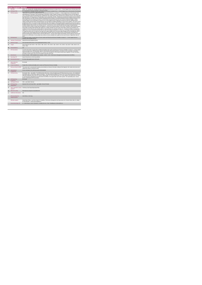|                | <b>Home Support Service</b>                 |                                                                                                                                                                                                                                                                                                                                                                                                                                                                                                                                                                                                                                                                                                                                                                                                                                                                                                                                                                                                                                                                                                                                                                                                                                                                                                                                                                                                                                                                                                                                                                                                                                                                                                                                                                                                                                                                                                                                                                                                                                                                                                                                                                                                                                                                                                                                                                                                                                                                                                                                                                                                                                                                                                                                                                                                                      |
|----------------|---------------------------------------------|----------------------------------------------------------------------------------------------------------------------------------------------------------------------------------------------------------------------------------------------------------------------------------------------------------------------------------------------------------------------------------------------------------------------------------------------------------------------------------------------------------------------------------------------------------------------------------------------------------------------------------------------------------------------------------------------------------------------------------------------------------------------------------------------------------------------------------------------------------------------------------------------------------------------------------------------------------------------------------------------------------------------------------------------------------------------------------------------------------------------------------------------------------------------------------------------------------------------------------------------------------------------------------------------------------------------------------------------------------------------------------------------------------------------------------------------------------------------------------------------------------------------------------------------------------------------------------------------------------------------------------------------------------------------------------------------------------------------------------------------------------------------------------------------------------------------------------------------------------------------------------------------------------------------------------------------------------------------------------------------------------------------------------------------------------------------------------------------------------------------------------------------------------------------------------------------------------------------------------------------------------------------------------------------------------------------------------------------------------------------------------------------------------------------------------------------------------------------------------------------------------------------------------------------------------------------------------------------------------------------------------------------------------------------------------------------------------------------------------------------------------------------------------------------------------------------|
|                | <b>KPITitle</b>                             | DIS84 - No. of people with a disability (ID/Autism and Physical and Sensory) in receipt of from 1 - 5 Home Support hours in the last week of the                                                                                                                                                                                                                                                                                                                                                                                                                                                                                                                                                                                                                                                                                                                                                                                                                                                                                                                                                                                                                                                                                                                                                                                                                                                                                                                                                                                                                                                                                                                                                                                                                                                                                                                                                                                                                                                                                                                                                                                                                                                                                                                                                                                                                                                                                                                                                                                                                                                                                                                                                                                                                                                                     |
| 1a             | <b>KPI Short Title</b>                      | No record recording period in the Lines and Burne and December<br>No. of people with a disability (ID/Autism and Physical and Sensory) in receipt of from 1 - 5 Home Support hours in the last week of the biannual<br>$-4.5$                                                                                                                                                                                                                                                                                                                                                                                                                                                                                                                                                                                                                                                                                                                                                                                                                                                                                                                                                                                                                                                                                                                                                                                                                                                                                                                                                                                                                                                                                                                                                                                                                                                                                                                                                                                                                                                                                                                                                                                                                                                                                                                                                                                                                                                                                                                                                                                                                                                                                                                                                                                        |
| $\overline{z}$ | <b>KPI Description</b>                      | Total number of people with a disability (ID/Autism and Physical and Sensory), in receipt of 1 - 5 Home Support hours in the last week of the<br>reporting period i.e. last week of June and last week of December. Include:« People in receipt of a Home Support service in the last week of<br>June or December (biannual reporting period), including those who commenced a service and those who continued a service, even if they were<br>discharged after receiving a service in the last week of June or December. Exclude: . People who accessed Home Support services funded by<br>other care groups (e.g. Older Persons), Delayed Discharge Initiative Funding or Community Employment Scheme- People who did not receive<br>Home Support services during the final week of June/December but did previously and who have not been formally discharged . Children<br>receiving support for pre-school places as these are not a Home Support service- People who received a PA Service. Definitions: Home<br>Support: provides personal and/or essential domestic care and support to facilitate participation in social / leisure activities. This service can be<br>provided by the HSE or by a private provider funded by the HSE. Home Support is often provided outside of normal day service hours and is a<br>disability funded service. It includes, as defined in the National Physical and Sensory Disability Database (NPSDD) and the National Intellectual<br>Disability Database (NIDD):Home Care Assistant Service: "a personal care service which provides personal support including washing,<br>dressing and other activities of daily living and facilitation in social and recreational activities". Home Help: "(assistance with household chores).<br>Home Helps currently provide domestic type support (e.g. cooking / cleaning, etc.) but in many cases where a Home Care Assistant is not<br>available, the Home Help may also provide support of a personal nature (e.g. washing, dressing, etc.)". All adults and children receiving home<br>support hours must be returned by the HSE Area from which their funding is allocated e.g. a service user from Sligo accessing Home Support<br>in Longford but whose hours are paid from the Sligo home support budget must be returned by Sligo Disability Services.Example:Mary was in<br>receipt of 5 hours Home Support Service per week during Q3. However, Mary only received 12 hours in the final week of December, the<br>biannual reporting period. Therefore Mary is returned under band 11 - 20 hours Home Support ServiceAdult: a person aged over 18 and under<br>65 years (in a small number of cases people may continue to access disability home support services post 65 years of age) Child: Under 18<br>years. |
| $\mathbf{a}$   | <b>KPI Rationale</b>                        | To monitor the number of people with an ID and or autism and Physical and Sensory Disability in receipt of 1 - 5 home support hours as<br>funded by HSE Disability Services.                                                                                                                                                                                                                                                                                                                                                                                                                                                                                                                                                                                                                                                                                                                                                                                                                                                                                                                                                                                                                                                                                                                                                                                                                                                                                                                                                                                                                                                                                                                                                                                                                                                                                                                                                                                                                                                                                                                                                                                                                                                                                                                                                                                                                                                                                                                                                                                                                                                                                                                                                                                                                                         |
| 3a             | <b>Indicator Classification</b>             | National Scorecard Quadrant Access                                                                                                                                                                                                                                                                                                                                                                                                                                                                                                                                                                                                                                                                                                                                                                                                                                                                                                                                                                                                                                                                                                                                                                                                                                                                                                                                                                                                                                                                                                                                                                                                                                                                                                                                                                                                                                                                                                                                                                                                                                                                                                                                                                                                                                                                                                                                                                                                                                                                                                                                                                                                                                                                                                                                                                                   |
| $\overline{a}$ | <b>National Target</b>                      | 2019 Operational Plan Point in Time target/expected activity : 4,243.                                                                                                                                                                                                                                                                                                                                                                                                                                                                                                                                                                                                                                                                                                                                                                                                                                                                                                                                                                                                                                                                                                                                                                                                                                                                                                                                                                                                                                                                                                                                                                                                                                                                                                                                                                                                                                                                                                                                                                                                                                                                                                                                                                                                                                                                                                                                                                                                                                                                                                                                                                                                                                                                                                                                                |
| 48             | Target                                      | 2019 Target per CHO: CHO 1 - 550 , CHO 2 - 380 , CHO 3 - 278 , CHO 4 - 330 , CHO 5 - 474 , CHO 6 - 312, CHO 7 - 608 , CHO 8 - 671 ,<br>CHO 9 - 640                                                                                                                                                                                                                                                                                                                                                                                                                                                                                                                                                                                                                                                                                                                                                                                                                                                                                                                                                                                                                                                                                                                                                                                                                                                                                                                                                                                                                                                                                                                                                                                                                                                                                                                                                                                                                                                                                                                                                                                                                                                                                                                                                                                                                                                                                                                                                                                                                                                                                                                                                                                                                                                                   |
| 4 <sub>b</sub> | <b>Volume Metrics</b>                       | N/A                                                                                                                                                                                                                                                                                                                                                                                                                                                                                                                                                                                                                                                                                                                                                                                                                                                                                                                                                                                                                                                                                                                                                                                                                                                                                                                                                                                                                                                                                                                                                                                                                                                                                                                                                                                                                                                                                                                                                                                                                                                                                                                                                                                                                                                                                                                                                                                                                                                                                                                                                                                                                                                                                                                                                                                                                  |
| 5              | <b>KPI Calculation</b>                      | Count the total number of people with an intellectual disability and/or autism and Physical and Sensory Disability in receipt of 1 - 5 home support<br>service per week (as per "KPI description" above) in the last week of the reporting period i.e. last week of June or last week of December.<br>Adults and children are counted separately. This is a point in time calculation (i.e. do not add bi-annual returns together). For year end outturn,<br>Q4 outturn is used e.g.Q2: 418, Q4: 422, the outturn for the year end is 422.                                                                                                                                                                                                                                                                                                                                                                                                                                                                                                                                                                                                                                                                                                                                                                                                                                                                                                                                                                                                                                                                                                                                                                                                                                                                                                                                                                                                                                                                                                                                                                                                                                                                                                                                                                                                                                                                                                                                                                                                                                                                                                                                                                                                                                                                           |
| $\mathbf{6}$   | <b>Data Source</b>                          | Service Provider > HSE Disability Service nominee > HOSC > CHO > Performance Management and Improvement Unit (PMIU).                                                                                                                                                                                                                                                                                                                                                                                                                                                                                                                                                                                                                                                                                                                                                                                                                                                                                                                                                                                                                                                                                                                                                                                                                                                                                                                                                                                                                                                                                                                                                                                                                                                                                                                                                                                                                                                                                                                                                                                                                                                                                                                                                                                                                                                                                                                                                                                                                                                                                                                                                                                                                                                                                                 |
| Бa             | Data Sign Off                               | Head of Social Care in CHO Area (HOSC)                                                                                                                                                                                                                                                                                                                                                                                                                                                                                                                                                                                                                                                                                                                                                                                                                                                                                                                                                                                                                                                                                                                                                                                                                                                                                                                                                                                                                                                                                                                                                                                                                                                                                                                                                                                                                                                                                                                                                                                                                                                                                                                                                                                                                                                                                                                                                                                                                                                                                                                                                                                                                                                                                                                                                                               |
| 6h             | <b>Data Quality Issues</b>                  | No known data quality issues at this point.                                                                                                                                                                                                                                                                                                                                                                                                                                                                                                                                                                                                                                                                                                                                                                                                                                                                                                                                                                                                                                                                                                                                                                                                                                                                                                                                                                                                                                                                                                                                                                                                                                                                                                                                                                                                                                                                                                                                                                                                                                                                                                                                                                                                                                                                                                                                                                                                                                                                                                                                                                                                                                                                                                                                                                          |
| $\overline{7}$ | <b>Data Collection</b><br>Frequency         | Bi-annually                                                                                                                                                                                                                                                                                                                                                                                                                                                                                                                                                                                                                                                                                                                                                                                                                                                                                                                                                                                                                                                                                                                                                                                                                                                                                                                                                                                                                                                                                                                                                                                                                                                                                                                                                                                                                                                                                                                                                                                                                                                                                                                                                                                                                                                                                                                                                                                                                                                                                                                                                                                                                                                                                                                                                                                                          |
| 8              | <b>Tracer Conditions</b>                    | People with an intellectual disability and /or autism and Physical and Sensory Disability                                                                                                                                                                                                                                                                                                                                                                                                                                                                                                                                                                                                                                                                                                                                                                                                                                                                                                                                                                                                                                                                                                                                                                                                                                                                                                                                                                                                                                                                                                                                                                                                                                                                                                                                                                                                                                                                                                                                                                                                                                                                                                                                                                                                                                                                                                                                                                                                                                                                                                                                                                                                                                                                                                                            |
| 9              | Minimum Data Set MDS                        | The service user's care plan which includes personal details and relevant information relating to their diagnosis, their needs and services and<br>support they require to meet their needs.                                                                                                                                                                                                                                                                                                                                                                                                                                                                                                                                                                                                                                                                                                                                                                                                                                                                                                                                                                                                                                                                                                                                                                                                                                                                                                                                                                                                                                                                                                                                                                                                                                                                                                                                                                                                                                                                                                                                                                                                                                                                                                                                                                                                                                                                                                                                                                                                                                                                                                                                                                                                                         |
| 10             | International<br>Comparison                 | Service developed in line with best practice internationally                                                                                                                                                                                                                                                                                                                                                                                                                                                                                                                                                                                                                                                                                                                                                                                                                                                                                                                                                                                                                                                                                                                                                                                                                                                                                                                                                                                                                                                                                                                                                                                                                                                                                                                                                                                                                                                                                                                                                                                                                                                                                                                                                                                                                                                                                                                                                                                                                                                                                                                                                                                                                                                                                                                                                         |
| 11             | <b>KPI Monitoring</b>                       | Bi-annually / Other - give details: The HOSC/nominee will receive, review and quality assure KPI data returns for accuracy and completeness<br>and analyse data for performance against ELS/targets. They will forward the collated KPI returns to the Chief Officer/nominee and include a<br>bullet point explanation where there are variances against target. The Chief Officer/nominee will review, approve and submit final CHO returns<br>to the Performance Management and Improvement Unit (PMIU) on the agreed date each month / quarter. The responsible person at local<br>level for monitoring this KPI is the HOSC.                                                                                                                                                                                                                                                                                                                                                                                                                                                                                                                                                                                                                                                                                                                                                                                                                                                                                                                                                                                                                                                                                                                                                                                                                                                                                                                                                                                                                                                                                                                                                                                                                                                                                                                                                                                                                                                                                                                                                                                                                                                                                                                                                                                     |
| 12             | <b>KPI Reporting</b><br>Frequency           | Bi-annually                                                                                                                                                                                                                                                                                                                                                                                                                                                                                                                                                                                                                                                                                                                                                                                                                                                                                                                                                                                                                                                                                                                                                                                                                                                                                                                                                                                                                                                                                                                                                                                                                                                                                                                                                                                                                                                                                                                                                                                                                                                                                                                                                                                                                                                                                                                                                                                                                                                                                                                                                                                                                                                                                                                                                                                                          |
| 13             | <b>KPI Report Period</b>                    | Other - give details: Biannual                                                                                                                                                                                                                                                                                                                                                                                                                                                                                                                                                                                                                                                                                                                                                                                                                                                                                                                                                                                                                                                                                                                                                                                                                                                                                                                                                                                                                                                                                                                                                                                                                                                                                                                                                                                                                                                                                                                                                                                                                                                                                                                                                                                                                                                                                                                                                                                                                                                                                                                                                                                                                                                                                                                                                                                       |
| 14             | <b>KPI Reporting</b><br>Aggregation         | National/ CHO/ LHO Area/ Other - give details: Service Provider                                                                                                                                                                                                                                                                                                                                                                                                                                                                                                                                                                                                                                                                                                                                                                                                                                                                                                                                                                                                                                                                                                                                                                                                                                                                                                                                                                                                                                                                                                                                                                                                                                                                                                                                                                                                                                                                                                                                                                                                                                                                                                                                                                                                                                                                                                                                                                                                                                                                                                                                                                                                                                                                                                                                                      |
| 15             | reports?                                    | KPI is reported in which Preliminary Data Report/Operational Plan                                                                                                                                                                                                                                                                                                                                                                                                                                                                                                                                                                                                                                                                                                                                                                                                                                                                                                                                                                                                                                                                                                                                                                                                                                                                                                                                                                                                                                                                                                                                                                                                                                                                                                                                                                                                                                                                                                                                                                                                                                                                                                                                                                                                                                                                                                                                                                                                                                                                                                                                                                                                                                                                                                                                                    |
| 16             | Web link to data                            | http://www.hse.ia/eng/services/publications/                                                                                                                                                                                                                                                                                                                                                                                                                                                                                                                                                                                                                                                                                                                                                                                                                                                                                                                                                                                                                                                                                                                                                                                                                                                                                                                                                                                                                                                                                                                                                                                                                                                                                                                                                                                                                                                                                                                                                                                                                                                                                                                                                                                                                                                                                                                                                                                                                                                                                                                                                                                                                                                                                                                                                                         |
| 17             | <b>Additional Information</b>               | N/h                                                                                                                                                                                                                                                                                                                                                                                                                                                                                                                                                                                                                                                                                                                                                                                                                                                                                                                                                                                                                                                                                                                                                                                                                                                                                                                                                                                                                                                                                                                                                                                                                                                                                                                                                                                                                                                                                                                                                                                                                                                                                                                                                                                                                                                                                                                                                                                                                                                                                                                                                                                                                                                                                                                                                                                                                  |
|                | <b>KPI</b> owner/lead for<br>implementation | Chief Officer, CHO Area                                                                                                                                                                                                                                                                                                                                                                                                                                                                                                                                                                                                                                                                                                                                                                                                                                                                                                                                                                                                                                                                                                                                                                                                                                                                                                                                                                                                                                                                                                                                                                                                                                                                                                                                                                                                                                                                                                                                                                                                                                                                                                                                                                                                                                                                                                                                                                                                                                                                                                                                                                                                                                                                                                                                                                                              |
|                | PBI data support                            | Sinéad Nuty O'Brien, Lead Data Analyst for Disabilities, Performance Management and Improvement Unit - Bective Street, Kells, Co. Meath.<br>Ph: 046 9251328 , Emailsinead.nuty@hse.ie                                                                                                                                                                                                                                                                                                                                                                                                                                                                                                                                                                                                                                                                                                                                                                                                                                                                                                                                                                                                                                                                                                                                                                                                                                                                                                                                                                                                                                                                                                                                                                                                                                                                                                                                                                                                                                                                                                                                                                                                                                                                                                                                                                                                                                                                                                                                                                                                                                                                                                                                                                                                                                |
|                | Governance/sign off                         | Dr. Cathal Morgan, Head of Operations, Disability Services Email: disabilityops.socialcare@hse.ie                                                                                                                                                                                                                                                                                                                                                                                                                                                                                                                                                                                                                                                                                                                                                                                                                                                                                                                                                                                                                                                                                                                                                                                                                                                                                                                                                                                                                                                                                                                                                                                                                                                                                                                                                                                                                                                                                                                                                                                                                                                                                                                                                                                                                                                                                                                                                                                                                                                                                                                                                                                                                                                                                                                    |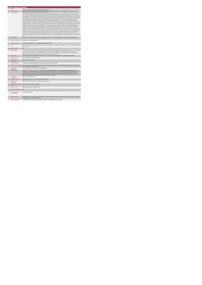|                | <b>Home Support Service</b>                 |                                                                                                                                                                                                                                                                                                                                                                                                                                                                                                                                                                                                                                                                                                                                                                                                                                                                                                                                                                                                                                                                                                                                                                                                                                                                                                                                                                                                                                                                                                                                                                                                                                                                                                                                                                                                                                                                                                                                                                                                                                                                                                                                                                                                                                                                                                                                                                                                                                                                                                                                                                                                                                                                                                                                                                                                                       |
|----------------|---------------------------------------------|-----------------------------------------------------------------------------------------------------------------------------------------------------------------------------------------------------------------------------------------------------------------------------------------------------------------------------------------------------------------------------------------------------------------------------------------------------------------------------------------------------------------------------------------------------------------------------------------------------------------------------------------------------------------------------------------------------------------------------------------------------------------------------------------------------------------------------------------------------------------------------------------------------------------------------------------------------------------------------------------------------------------------------------------------------------------------------------------------------------------------------------------------------------------------------------------------------------------------------------------------------------------------------------------------------------------------------------------------------------------------------------------------------------------------------------------------------------------------------------------------------------------------------------------------------------------------------------------------------------------------------------------------------------------------------------------------------------------------------------------------------------------------------------------------------------------------------------------------------------------------------------------------------------------------------------------------------------------------------------------------------------------------------------------------------------------------------------------------------------------------------------------------------------------------------------------------------------------------------------------------------------------------------------------------------------------------------------------------------------------------------------------------------------------------------------------------------------------------------------------------------------------------------------------------------------------------------------------------------------------------------------------------------------------------------------------------------------------------------------------------------------------------------------------------------------------------|
| 1              | <b>KPITitle</b>                             | DIS85 - No. of people with a disability (ID/Autism and Physical and Sensory) in receipt of from 6 - 10 Home Support hours in the last week of                                                                                                                                                                                                                                                                                                                                                                                                                                                                                                                                                                                                                                                                                                                                                                                                                                                                                                                                                                                                                                                                                                                                                                                                                                                                                                                                                                                                                                                                                                                                                                                                                                                                                                                                                                                                                                                                                                                                                                                                                                                                                                                                                                                                                                                                                                                                                                                                                                                                                                                                                                                                                                                                         |
| 1a             | <b>KPI Short Title</b>                      | the history of constitution precisel in the under of June and December<br>No. of people with a disability (ID/Autism and Physical and Sensory) in receipt of from 6 - 10 Home Support hours in the last week of the<br>interpretion pariod in the tupple of time and December                                                                                                                                                                                                                                                                                                                                                                                                                                                                                                                                                                                                                                                                                                                                                                                                                                                                                                                                                                                                                                                                                                                                                                                                                                                                                                                                                                                                                                                                                                                                                                                                                                                                                                                                                                                                                                                                                                                                                                                                                                                                                                                                                                                                                                                                                                                                                                                                                                                                                                                                         |
| $\overline{2}$ | <b>KPI Description</b>                      | Total number of people with a disability (ID/Autism and Physical and Sensory) , in receipt of 6 - 10 Home Support hours in the last week of the<br>reporting period i.e. last week of June and last week of December.Include:+ People in receipt of a Home Support service in the last week of<br>June or December (biannual reporting period), including those who commenced a service and those who continued a service, even if they were<br>discharged after receiving a service in the last week of June or December. Exclude:« People who accessed Home Support services funded by<br>other care groups (e.g. Older Persons), Delayed Discharge Initiative Funding or Community Employment Scheme- People who did not receive<br>Home Support services during the final week of June/December but did previously and who have not been formally discharged . Children<br>receiving support for pre-school places as these are not a Home Support service- People who received a PA Service. Definitions: Home<br>Support: provides personal and/or essential domestic care and support to facilitate participation in social / leisure activities. This service can be<br>provided by the HSE or by a private provider funded by the HSE. Home Support is often provided outside of normal day service hours and is a<br>disability funded service. It includes, as defined in the National Physical and Sensory Disability Database (NPSDD) and the National Intellectual<br>Disability Database (NIDD):Home Care Assistant Service: "a personal care service which provides personal support including washing,<br>dressing and other activities of daily living and facilitation in social and recreational activities". Home Help: "(assistance with household chores).<br>Home Helps currently provide domestic type support (e.g. cooking / cleaning, etc.) but in many cases where a Home Care Assistant is not<br>available, the Home Help may also provide support of a personal nature (e.g. washing, dressing, etc.)". All adults and children receiving home<br>support hours must be returned by the HSE Area from which their funding is allocated e.g. a service user from Sligo accessing Home Support<br>in Longford but whose hours are paid from the Sligo home support budget must be returned by Sligo Disability Services. Example:Mary was in<br>receipt of 5 hours Home Support Service per week during Q3. However, Mary only received 12 hours in the final week of December, the<br>biannual reporting period. Therefore Mary is returned under band 11 - 20 hours Home Support ServiceAdult: a person aged over 18 and under<br>65 years (in a small number of cases people may continue to access disability home support services post 65 years of age) Child: Under 18<br>years. |
| $\overline{3}$ | <b>KPI Rationale</b>                        | To monitor the number of people with an ID and or autism in receipt of 6 - 10 home support hours as funded by HSE Disability Services.                                                                                                                                                                                                                                                                                                                                                                                                                                                                                                                                                                                                                                                                                                                                                                                                                                                                                                                                                                                                                                                                                                                                                                                                                                                                                                                                                                                                                                                                                                                                                                                                                                                                                                                                                                                                                                                                                                                                                                                                                                                                                                                                                                                                                                                                                                                                                                                                                                                                                                                                                                                                                                                                                |
| 3a             |                                             | Indicator Classification National Scorecard Quadrant Access                                                                                                                                                                                                                                                                                                                                                                                                                                                                                                                                                                                                                                                                                                                                                                                                                                                                                                                                                                                                                                                                                                                                                                                                                                                                                                                                                                                                                                                                                                                                                                                                                                                                                                                                                                                                                                                                                                                                                                                                                                                                                                                                                                                                                                                                                                                                                                                                                                                                                                                                                                                                                                                                                                                                                           |
| $\overline{4}$ | <b>National Target</b>                      | 2019 Operational Plan Point in Time target/expected activity 2019: 1,832.                                                                                                                                                                                                                                                                                                                                                                                                                                                                                                                                                                                                                                                                                                                                                                                                                                                                                                                                                                                                                                                                                                                                                                                                                                                                                                                                                                                                                                                                                                                                                                                                                                                                                                                                                                                                                                                                                                                                                                                                                                                                                                                                                                                                                                                                                                                                                                                                                                                                                                                                                                                                                                                                                                                                             |
| 48             | Target                                      | 2019 Target per CHO: CHO 1 - 238 . CHO 2 - 164 . CHO 3 - 120 . CHO 4 - 142 . CHO 5 - 205 . CHO 6 - 134 . CHO 7 - 263 . CHO 8 - 290 .<br>CHO 9 - 276.                                                                                                                                                                                                                                                                                                                                                                                                                                                                                                                                                                                                                                                                                                                                                                                                                                                                                                                                                                                                                                                                                                                                                                                                                                                                                                                                                                                                                                                                                                                                                                                                                                                                                                                                                                                                                                                                                                                                                                                                                                                                                                                                                                                                                                                                                                                                                                                                                                                                                                                                                                                                                                                                  |
| 4 <sub>b</sub> | <b>Volume Metrics</b>                       | N/A                                                                                                                                                                                                                                                                                                                                                                                                                                                                                                                                                                                                                                                                                                                                                                                                                                                                                                                                                                                                                                                                                                                                                                                                                                                                                                                                                                                                                                                                                                                                                                                                                                                                                                                                                                                                                                                                                                                                                                                                                                                                                                                                                                                                                                                                                                                                                                                                                                                                                                                                                                                                                                                                                                                                                                                                                   |
| 5              | <b>KPI Calculation</b>                      | Count the total number of people with an intellectual disability and/or autism and Physical and Sensory Disability in receipt of 6 - 10 hours home<br>support service per week (as per "KPI description" above) in the last week of the reporting period i.e. last week of June or last week of<br>December. Adults and children are counted separately. This is a point in time calculation (i.e. do not add bi-annual returns together). For year<br>end outturn, Q4 outturn is used e.g. Q2: 418, Q4: 422, the outturn for the year end is 422.                                                                                                                                                                                                                                                                                                                                                                                                                                                                                                                                                                                                                                                                                                                                                                                                                                                                                                                                                                                                                                                                                                                                                                                                                                                                                                                                                                                                                                                                                                                                                                                                                                                                                                                                                                                                                                                                                                                                                                                                                                                                                                                                                                                                                                                                    |
| 6              | <b>Data Source</b>                          | Service Provider > HSE Disability Service nominee > HOSC > CHO > Performance Management and Improvement Unit (PMIU).                                                                                                                                                                                                                                                                                                                                                                                                                                                                                                                                                                                                                                                                                                                                                                                                                                                                                                                                                                                                                                                                                                                                                                                                                                                                                                                                                                                                                                                                                                                                                                                                                                                                                                                                                                                                                                                                                                                                                                                                                                                                                                                                                                                                                                                                                                                                                                                                                                                                                                                                                                                                                                                                                                  |
| 6a             | Data Sign Off                               | Head of Social Care in CHO Area (HOSC)                                                                                                                                                                                                                                                                                                                                                                                                                                                                                                                                                                                                                                                                                                                                                                                                                                                                                                                                                                                                                                                                                                                                                                                                                                                                                                                                                                                                                                                                                                                                                                                                                                                                                                                                                                                                                                                                                                                                                                                                                                                                                                                                                                                                                                                                                                                                                                                                                                                                                                                                                                                                                                                                                                                                                                                |
| $\overline{7}$ | <b>Data Collection</b><br>Frequency         | Quarterly- one month in arrears                                                                                                                                                                                                                                                                                                                                                                                                                                                                                                                                                                                                                                                                                                                                                                                                                                                                                                                                                                                                                                                                                                                                                                                                                                                                                                                                                                                                                                                                                                                                                                                                                                                                                                                                                                                                                                                                                                                                                                                                                                                                                                                                                                                                                                                                                                                                                                                                                                                                                                                                                                                                                                                                                                                                                                                       |
| $\mathbf{R}$   | <b>Tracer Conditions</b>                    | People with an intellectual disability and /or autism and Physical and Sensory Disability                                                                                                                                                                                                                                                                                                                                                                                                                                                                                                                                                                                                                                                                                                                                                                                                                                                                                                                                                                                                                                                                                                                                                                                                                                                                                                                                                                                                                                                                                                                                                                                                                                                                                                                                                                                                                                                                                                                                                                                                                                                                                                                                                                                                                                                                                                                                                                                                                                                                                                                                                                                                                                                                                                                             |
| $\mathbf{a}$   | <b>Minimum Data Set MDS</b>                 | The service user's care plan which includes personal details and relevant information relating to their diagnosis, their needs and services and<br>support they require to meet their needs.                                                                                                                                                                                                                                                                                                                                                                                                                                                                                                                                                                                                                                                                                                                                                                                                                                                                                                                                                                                                                                                                                                                                                                                                                                                                                                                                                                                                                                                                                                                                                                                                                                                                                                                                                                                                                                                                                                                                                                                                                                                                                                                                                                                                                                                                                                                                                                                                                                                                                                                                                                                                                          |
| 10             | International<br>omnarison                  | Service developed in line with best practice internationally                                                                                                                                                                                                                                                                                                                                                                                                                                                                                                                                                                                                                                                                                                                                                                                                                                                                                                                                                                                                                                                                                                                                                                                                                                                                                                                                                                                                                                                                                                                                                                                                                                                                                                                                                                                                                                                                                                                                                                                                                                                                                                                                                                                                                                                                                                                                                                                                                                                                                                                                                                                                                                                                                                                                                          |
| 11             | <b>KPI Monitoring</b>                       | Quarterly- one month in arrears / Other - give details: The HOSC/nominee will receive, review and quality assure KPI data returns for<br>accuracy and completeness and analyse data for performance against ELS/targets. They will forward the collated KPI returns to the Chief<br>Officer/nominee and include a bullet point explanation where there are variances against target. The Chief Officer/nominee will review,<br>approve and submit final CHO returns to the Performance Management and Improvement Unit (PMIU) on the agreed date each month /<br>quarter. The responsible person at local level for monitoring this KPI is the HOSC.                                                                                                                                                                                                                                                                                                                                                                                                                                                                                                                                                                                                                                                                                                                                                                                                                                                                                                                                                                                                                                                                                                                                                                                                                                                                                                                                                                                                                                                                                                                                                                                                                                                                                                                                                                                                                                                                                                                                                                                                                                                                                                                                                                  |
| 12             | <b>KPI Reporting</b><br>Frequency           | Quarterly- one month in arrears                                                                                                                                                                                                                                                                                                                                                                                                                                                                                                                                                                                                                                                                                                                                                                                                                                                                                                                                                                                                                                                                                                                                                                                                                                                                                                                                                                                                                                                                                                                                                                                                                                                                                                                                                                                                                                                                                                                                                                                                                                                                                                                                                                                                                                                                                                                                                                                                                                                                                                                                                                                                                                                                                                                                                                                       |
| 13             | <b>KPI Report Period</b>                    | Quarterly- one month in arrears (Q2 data reported in July report)                                                                                                                                                                                                                                                                                                                                                                                                                                                                                                                                                                                                                                                                                                                                                                                                                                                                                                                                                                                                                                                                                                                                                                                                                                                                                                                                                                                                                                                                                                                                                                                                                                                                                                                                                                                                                                                                                                                                                                                                                                                                                                                                                                                                                                                                                                                                                                                                                                                                                                                                                                                                                                                                                                                                                     |
| 14             | <b>KPI Reporting</b><br>Aggregation         | National/ CHO/ LHO Area/ Other - give details: Service Provider                                                                                                                                                                                                                                                                                                                                                                                                                                                                                                                                                                                                                                                                                                                                                                                                                                                                                                                                                                                                                                                                                                                                                                                                                                                                                                                                                                                                                                                                                                                                                                                                                                                                                                                                                                                                                                                                                                                                                                                                                                                                                                                                                                                                                                                                                                                                                                                                                                                                                                                                                                                                                                                                                                                                                       |
| 15             | reports?                                    | KPI is reported in which Preliminary Data Report/Operational Plan                                                                                                                                                                                                                                                                                                                                                                                                                                                                                                                                                                                                                                                                                                                                                                                                                                                                                                                                                                                                                                                                                                                                                                                                                                                                                                                                                                                                                                                                                                                                                                                                                                                                                                                                                                                                                                                                                                                                                                                                                                                                                                                                                                                                                                                                                                                                                                                                                                                                                                                                                                                                                                                                                                                                                     |
| 16             | Web link to data                            | http://www.hse.ie/eng/services/publications/                                                                                                                                                                                                                                                                                                                                                                                                                                                                                                                                                                                                                                                                                                                                                                                                                                                                                                                                                                                                                                                                                                                                                                                                                                                                                                                                                                                                                                                                                                                                                                                                                                                                                                                                                                                                                                                                                                                                                                                                                                                                                                                                                                                                                                                                                                                                                                                                                                                                                                                                                                                                                                                                                                                                                                          |
| 17             | <b>Additional Information</b>               | N/L                                                                                                                                                                                                                                                                                                                                                                                                                                                                                                                                                                                                                                                                                                                                                                                                                                                                                                                                                                                                                                                                                                                                                                                                                                                                                                                                                                                                                                                                                                                                                                                                                                                                                                                                                                                                                                                                                                                                                                                                                                                                                                                                                                                                                                                                                                                                                                                                                                                                                                                                                                                                                                                                                                                                                                                                                   |
|                | <b>KPI</b> owner/lead for<br>implementation | Chief Officer, CHO Area                                                                                                                                                                                                                                                                                                                                                                                                                                                                                                                                                                                                                                                                                                                                                                                                                                                                                                                                                                                                                                                                                                                                                                                                                                                                                                                                                                                                                                                                                                                                                                                                                                                                                                                                                                                                                                                                                                                                                                                                                                                                                                                                                                                                                                                                                                                                                                                                                                                                                                                                                                                                                                                                                                                                                                                               |
|                | PBI data support                            | Sinéad Nulty O'Brien, Lead Data Analyst for Disabilities, Performance Management and Improvement Unit - Bective Street, Kells, Co. Meath.<br>Ph: 046 9251328 . Email:sinead.nuty@hse.ie                                                                                                                                                                                                                                                                                                                                                                                                                                                                                                                                                                                                                                                                                                                                                                                                                                                                                                                                                                                                                                                                                                                                                                                                                                                                                                                                                                                                                                                                                                                                                                                                                                                                                                                                                                                                                                                                                                                                                                                                                                                                                                                                                                                                                                                                                                                                                                                                                                                                                                                                                                                                                               |
|                | Governance/sign off                         | Dr. Cathal Morgan, Head of Operations, Disability Services Email: disabilityops.socialcare@hse.ie                                                                                                                                                                                                                                                                                                                                                                                                                                                                                                                                                                                                                                                                                                                                                                                                                                                                                                                                                                                                                                                                                                                                                                                                                                                                                                                                                                                                                                                                                                                                                                                                                                                                                                                                                                                                                                                                                                                                                                                                                                                                                                                                                                                                                                                                                                                                                                                                                                                                                                                                                                                                                                                                                                                     |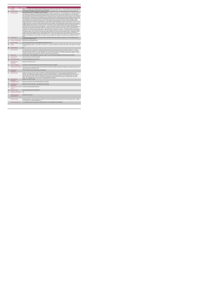|                | <b>Home Support Service</b>                 |                                                                                                                                                                                                                                                                                                                                                                                                                                                                                                                                                                                                                                                                                                                                                                                                                                                                                                                                                                                                                                                                                                                                                                                                                                                                                                                                                                                                                                                                                                                                                                                                                                                                                                                                                                                                                                                                                                                                                                                                                                                                                                                                                                                                                                                                                                                                                                                                                                                                                                                                                                                                                                                                                                                                                                                                                       |
|----------------|---------------------------------------------|-----------------------------------------------------------------------------------------------------------------------------------------------------------------------------------------------------------------------------------------------------------------------------------------------------------------------------------------------------------------------------------------------------------------------------------------------------------------------------------------------------------------------------------------------------------------------------------------------------------------------------------------------------------------------------------------------------------------------------------------------------------------------------------------------------------------------------------------------------------------------------------------------------------------------------------------------------------------------------------------------------------------------------------------------------------------------------------------------------------------------------------------------------------------------------------------------------------------------------------------------------------------------------------------------------------------------------------------------------------------------------------------------------------------------------------------------------------------------------------------------------------------------------------------------------------------------------------------------------------------------------------------------------------------------------------------------------------------------------------------------------------------------------------------------------------------------------------------------------------------------------------------------------------------------------------------------------------------------------------------------------------------------------------------------------------------------------------------------------------------------------------------------------------------------------------------------------------------------------------------------------------------------------------------------------------------------------------------------------------------------------------------------------------------------------------------------------------------------------------------------------------------------------------------------------------------------------------------------------------------------------------------------------------------------------------------------------------------------------------------------------------------------------------------------------------------------|
|                | <b>KPITitle</b>                             | DIS86 - No. of people with a disability (ID/Autism and Physical and Sensory) in receipt of from 11 - 20 Home Support hours in the last week of                                                                                                                                                                                                                                                                                                                                                                                                                                                                                                                                                                                                                                                                                                                                                                                                                                                                                                                                                                                                                                                                                                                                                                                                                                                                                                                                                                                                                                                                                                                                                                                                                                                                                                                                                                                                                                                                                                                                                                                                                                                                                                                                                                                                                                                                                                                                                                                                                                                                                                                                                                                                                                                                        |
| 1a             | <b>KPI Short Title</b>                      | Chee and he dann turk a ibeix<br>No. of people with a disability (ID/Autism and Physical and Sensory) in receipt of from 11 - 20 Home Support hours in the last week of the<br>inn narind i a <sup>1</sup><br><b>urtunalcaf</b> fra<br>and Dacant                                                                                                                                                                                                                                                                                                                                                                                                                                                                                                                                                                                                                                                                                                                                                                                                                                                                                                                                                                                                                                                                                                                                                                                                                                                                                                                                                                                                                                                                                                                                                                                                                                                                                                                                                                                                                                                                                                                                                                                                                                                                                                                                                                                                                                                                                                                                                                                                                                                                                                                                                                     |
| $\overline{2}$ | <b>KPI</b> Description                      | Total number of people with a disability (ID/Autism and Physical and Sensory), in receipt of 11 - 20 Home Support hours in the last week of the<br>reporting period i.e. last week of June and last week of December. Include: - People in receipt of a Home Support service in the last week of<br>June or December (biannual reporting period), including those who commenced a service and those who continued a service, even if they were<br>discharged after receiving a service in the last week of June or December. Exclude: People who accessed Home Support services funded by<br>other care groups (e.g. Older Persons), Delayed Discharge Initiative Funding or Community Employment Scheme- People who did not receive<br>Home Support services during the final week of June/December but did previously and who have not been formally discharged . Children<br>receiving support for pre-school places as these are not a Home Support service- People who received a PA Service. Definitions: Home<br>Support: provides personal and/or essential domestic care and support to facilitate participation in social / leisure activities. This service can be<br>provided by the HSE or by a private provider funded by the HSE. Home Support is often provided outside of normal day service hours and is a<br>disability funded service. It includes, as defined in the National Physical and Sensory Disability Database (NPSDD) and the National Intellectual<br>Disability Database (NIDD):Home Care Assistant Service: "a personal care service which provides personal support including washing,<br>dressing and other activities of daily living and facilitation in social and recreational activities". Home Help: "(assistance with household chores).<br>Home Helps currently provide domestic type support (e.g. cooking / cleaning, etc.) but in many cases where a Home Care Assistant is not<br>available, the Home Help may also provide support of a personal nature (e.g. washing, dressing, etc.)". All adults and children receiving home<br>support hours must be returned by the HSE Area from which their funding is allocated e.g. a service user from Sligo accessing Home Support<br>in Longford but whose hours are paid from the Sligo home support budget must be returned by Sligo Disability Services. Example:Mary was in<br>receipt of 5 hours Home Support Service per week during Q3. However, Mary only received 12 hours in the final week of December, the<br>biannual reporting period. Therefore Mary is returned under band 11 - 20 hours Home Support ServiceAdult: a person aged over 18 and under<br>65 years (in a small number of cases people may continue to access disability home support services post 65 years of age)Child: Under 18<br>years. |
| $\overline{3}$ | <b>KPI Rationale</b>                        | To monitor the number of people with an ID and or autism and Physical and Sensory Disability in receipt of 11 - 20 home support hours as<br>funded by HSE Disability Services.                                                                                                                                                                                                                                                                                                                                                                                                                                                                                                                                                                                                                                                                                                                                                                                                                                                                                                                                                                                                                                                                                                                                                                                                                                                                                                                                                                                                                                                                                                                                                                                                                                                                                                                                                                                                                                                                                                                                                                                                                                                                                                                                                                                                                                                                                                                                                                                                                                                                                                                                                                                                                                        |
| 3a             | <b>Indicator Classification</b>             | National Scorecard Quadrant Access                                                                                                                                                                                                                                                                                                                                                                                                                                                                                                                                                                                                                                                                                                                                                                                                                                                                                                                                                                                                                                                                                                                                                                                                                                                                                                                                                                                                                                                                                                                                                                                                                                                                                                                                                                                                                                                                                                                                                                                                                                                                                                                                                                                                                                                                                                                                                                                                                                                                                                                                                                                                                                                                                                                                                                                    |
| $\overline{a}$ | <b>National Target</b>                      | 2019 Operational Plan Point in Time target/expected activity 2019: 1,087.                                                                                                                                                                                                                                                                                                                                                                                                                                                                                                                                                                                                                                                                                                                                                                                                                                                                                                                                                                                                                                                                                                                                                                                                                                                                                                                                                                                                                                                                                                                                                                                                                                                                                                                                                                                                                                                                                                                                                                                                                                                                                                                                                                                                                                                                                                                                                                                                                                                                                                                                                                                                                                                                                                                                             |
| 48             | Target                                      | 2019 Target per CHO: CHO 1 - 142 , CHO 2 - 97 , CHO 3 - 71 , CHO 4 - 84 , CHO 5 - 121 , CHO 6 - 80 , CHO 7 - 156 , CHO 8 - 172 , CHO<br>$9 - 164$                                                                                                                                                                                                                                                                                                                                                                                                                                                                                                                                                                                                                                                                                                                                                                                                                                                                                                                                                                                                                                                                                                                                                                                                                                                                                                                                                                                                                                                                                                                                                                                                                                                                                                                                                                                                                                                                                                                                                                                                                                                                                                                                                                                                                                                                                                                                                                                                                                                                                                                                                                                                                                                                     |
| 4h             | <b>Volume Metrics</b>                       | N/A                                                                                                                                                                                                                                                                                                                                                                                                                                                                                                                                                                                                                                                                                                                                                                                                                                                                                                                                                                                                                                                                                                                                                                                                                                                                                                                                                                                                                                                                                                                                                                                                                                                                                                                                                                                                                                                                                                                                                                                                                                                                                                                                                                                                                                                                                                                                                                                                                                                                                                                                                                                                                                                                                                                                                                                                                   |
| 5              | <b>KPI Calculation</b>                      | Count the total number of people with an intellectual disability and/or autism and Physical and Sensory Disability in receipt of 11 - 20 hours<br>home support service per week (as per "KPI description" above) in the last week of the reporting period i.e. last week of June or last week of<br>December. Adults and children are counted separately. This is a point in time calculation (i.e. do not add bi-annual returns together). For year<br>end outturn, Q4 outturn is used e.g.Q2: 418, Q4: 422, the outturn for the year end is 422.                                                                                                                                                                                                                                                                                                                                                                                                                                                                                                                                                                                                                                                                                                                                                                                                                                                                                                                                                                                                                                                                                                                                                                                                                                                                                                                                                                                                                                                                                                                                                                                                                                                                                                                                                                                                                                                                                                                                                                                                                                                                                                                                                                                                                                                                    |
| 6              | <b>Data Source</b>                          | Service Provider > HSE Disability Service nominee > HOSC > CHO > Performance Management and Improvement Unit (PMIU).                                                                                                                                                                                                                                                                                                                                                                                                                                                                                                                                                                                                                                                                                                                                                                                                                                                                                                                                                                                                                                                                                                                                                                                                                                                                                                                                                                                                                                                                                                                                                                                                                                                                                                                                                                                                                                                                                                                                                                                                                                                                                                                                                                                                                                                                                                                                                                                                                                                                                                                                                                                                                                                                                                  |
| 6a             | Data Sign Off                               | Head of Social Care in CHO Area (HOSC)                                                                                                                                                                                                                                                                                                                                                                                                                                                                                                                                                                                                                                                                                                                                                                                                                                                                                                                                                                                                                                                                                                                                                                                                                                                                                                                                                                                                                                                                                                                                                                                                                                                                                                                                                                                                                                                                                                                                                                                                                                                                                                                                                                                                                                                                                                                                                                                                                                                                                                                                                                                                                                                                                                                                                                                |
| 6 <sub>h</sub> | <b>Data Quality Issues</b>                  | No known data quality issues at this point.                                                                                                                                                                                                                                                                                                                                                                                                                                                                                                                                                                                                                                                                                                                                                                                                                                                                                                                                                                                                                                                                                                                                                                                                                                                                                                                                                                                                                                                                                                                                                                                                                                                                                                                                                                                                                                                                                                                                                                                                                                                                                                                                                                                                                                                                                                                                                                                                                                                                                                                                                                                                                                                                                                                                                                           |
| $\overline{7}$ | <b>Data Collection</b><br>Frequency         | Quarterly- one month in arrears                                                                                                                                                                                                                                                                                                                                                                                                                                                                                                                                                                                                                                                                                                                                                                                                                                                                                                                                                                                                                                                                                                                                                                                                                                                                                                                                                                                                                                                                                                                                                                                                                                                                                                                                                                                                                                                                                                                                                                                                                                                                                                                                                                                                                                                                                                                                                                                                                                                                                                                                                                                                                                                                                                                                                                                       |
| $\mathbf{R}$   | <b>Tracer Conditions</b>                    | People with an intellectual disability and /or autism and Physical and Sensory Disability                                                                                                                                                                                                                                                                                                                                                                                                                                                                                                                                                                                                                                                                                                                                                                                                                                                                                                                                                                                                                                                                                                                                                                                                                                                                                                                                                                                                                                                                                                                                                                                                                                                                                                                                                                                                                                                                                                                                                                                                                                                                                                                                                                                                                                                                                                                                                                                                                                                                                                                                                                                                                                                                                                                             |
| 9              | Minimum Data Set MDS                        | The service user's care plan which includes personal details and relevant information relating to their diagnosis, their needs and services and<br>support they require to meet their needs.                                                                                                                                                                                                                                                                                                                                                                                                                                                                                                                                                                                                                                                                                                                                                                                                                                                                                                                                                                                                                                                                                                                                                                                                                                                                                                                                                                                                                                                                                                                                                                                                                                                                                                                                                                                                                                                                                                                                                                                                                                                                                                                                                                                                                                                                                                                                                                                                                                                                                                                                                                                                                          |
| 10             | International<br>Comparison                 | Service developed in line with best practice internationally                                                                                                                                                                                                                                                                                                                                                                                                                                                                                                                                                                                                                                                                                                                                                                                                                                                                                                                                                                                                                                                                                                                                                                                                                                                                                                                                                                                                                                                                                                                                                                                                                                                                                                                                                                                                                                                                                                                                                                                                                                                                                                                                                                                                                                                                                                                                                                                                                                                                                                                                                                                                                                                                                                                                                          |
| 11             | <b>KPI Monitoring</b>                       | Quarterly- one month in arrears / Other - give details: The HOSC/nominee will receive, review and quality assure KPI data returns for<br>accuracy and completeness and analyse data for performance against ELS/targets. They will forward the collated KPI returns to the Chief<br>Officer/nominee and include a bullet point explanation where there are variances against target. The Chief Officer/nominee will review.<br>approve and submit final CHO returns to the Performance Management and Improvement Unit (PMIU) on the agreed date each month /<br>quarter. The responsible person at local level for monitoring this KPI is the HOSC.                                                                                                                                                                                                                                                                                                                                                                                                                                                                                                                                                                                                                                                                                                                                                                                                                                                                                                                                                                                                                                                                                                                                                                                                                                                                                                                                                                                                                                                                                                                                                                                                                                                                                                                                                                                                                                                                                                                                                                                                                                                                                                                                                                  |
| 12             | <b>KPI Reporting</b><br>Frequency           | Quarterly- one month in arrears                                                                                                                                                                                                                                                                                                                                                                                                                                                                                                                                                                                                                                                                                                                                                                                                                                                                                                                                                                                                                                                                                                                                                                                                                                                                                                                                                                                                                                                                                                                                                                                                                                                                                                                                                                                                                                                                                                                                                                                                                                                                                                                                                                                                                                                                                                                                                                                                                                                                                                                                                                                                                                                                                                                                                                                       |
| 13             | <b>KPI Report Period</b>                    | Quarterly- one month in arrears (Q2 data reported in July report)                                                                                                                                                                                                                                                                                                                                                                                                                                                                                                                                                                                                                                                                                                                                                                                                                                                                                                                                                                                                                                                                                                                                                                                                                                                                                                                                                                                                                                                                                                                                                                                                                                                                                                                                                                                                                                                                                                                                                                                                                                                                                                                                                                                                                                                                                                                                                                                                                                                                                                                                                                                                                                                                                                                                                     |
| 14             | <b>KPI Reporting</b><br>Aggregation         | National/ CHO/ LHO Area/ Other - give details: Service Provider                                                                                                                                                                                                                                                                                                                                                                                                                                                                                                                                                                                                                                                                                                                                                                                                                                                                                                                                                                                                                                                                                                                                                                                                                                                                                                                                                                                                                                                                                                                                                                                                                                                                                                                                                                                                                                                                                                                                                                                                                                                                                                                                                                                                                                                                                                                                                                                                                                                                                                                                                                                                                                                                                                                                                       |
| 15             | reports?                                    | KPI is reported in which Preliminary Data Report/Operational Plan                                                                                                                                                                                                                                                                                                                                                                                                                                                                                                                                                                                                                                                                                                                                                                                                                                                                                                                                                                                                                                                                                                                                                                                                                                                                                                                                                                                                                                                                                                                                                                                                                                                                                                                                                                                                                                                                                                                                                                                                                                                                                                                                                                                                                                                                                                                                                                                                                                                                                                                                                                                                                                                                                                                                                     |
| 16             | Web link to data                            | http://www.hse.ie/eng/services/publications/                                                                                                                                                                                                                                                                                                                                                                                                                                                                                                                                                                                                                                                                                                                                                                                                                                                                                                                                                                                                                                                                                                                                                                                                                                                                                                                                                                                                                                                                                                                                                                                                                                                                                                                                                                                                                                                                                                                                                                                                                                                                                                                                                                                                                                                                                                                                                                                                                                                                                                                                                                                                                                                                                                                                                                          |
| 17             | <b>Additional Information</b>               | N/A                                                                                                                                                                                                                                                                                                                                                                                                                                                                                                                                                                                                                                                                                                                                                                                                                                                                                                                                                                                                                                                                                                                                                                                                                                                                                                                                                                                                                                                                                                                                                                                                                                                                                                                                                                                                                                                                                                                                                                                                                                                                                                                                                                                                                                                                                                                                                                                                                                                                                                                                                                                                                                                                                                                                                                                                                   |
|                | <b>KPI</b> owner/lead for<br>implementation | Chief Officer, CHO Area                                                                                                                                                                                                                                                                                                                                                                                                                                                                                                                                                                                                                                                                                                                                                                                                                                                                                                                                                                                                                                                                                                                                                                                                                                                                                                                                                                                                                                                                                                                                                                                                                                                                                                                                                                                                                                                                                                                                                                                                                                                                                                                                                                                                                                                                                                                                                                                                                                                                                                                                                                                                                                                                                                                                                                                               |
|                | PBI data support                            | Sinéad Nuty O'Brien, Lead Data Analyst for Disabilities, Performance Management and Improvement Unit - Bective Street, Kells, Co. Meath.<br>Ph: 046 9251328 , Emailsinead.nulty@hse.ie                                                                                                                                                                                                                                                                                                                                                                                                                                                                                                                                                                                                                                                                                                                                                                                                                                                                                                                                                                                                                                                                                                                                                                                                                                                                                                                                                                                                                                                                                                                                                                                                                                                                                                                                                                                                                                                                                                                                                                                                                                                                                                                                                                                                                                                                                                                                                                                                                                                                                                                                                                                                                                |
|                | Governance/sign off                         | Dr. Cathal Morgan, Head of Operations, Disability Services Email: disabilityops.socialcare@hse.ie                                                                                                                                                                                                                                                                                                                                                                                                                                                                                                                                                                                                                                                                                                                                                                                                                                                                                                                                                                                                                                                                                                                                                                                                                                                                                                                                                                                                                                                                                                                                                                                                                                                                                                                                                                                                                                                                                                                                                                                                                                                                                                                                                                                                                                                                                                                                                                                                                                                                                                                                                                                                                                                                                                                     |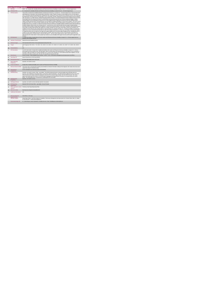| $\mathbf{1}$   | <b>KPITitle</b>                     | DIS87 - No. of people with a disability (ID/Autism and Physical and Sensory Disability) in receipt of from 21 - 40 Home Support hours                                                                                                                                                                                                                                                                                                                                                                                                                                                                                                                                                                                                                                                                                                                                                                                                                                                                                                                                                                                                                                                                                                                                                                                                                                                                                                                                                                                                                                                                                                                                                                                                                                                                                                                                                                                                                                                                                                                                                                                                                                                                                                                                                                                                                                                                                                                                                                                                                                                                                                                                                                                                                                                                                |
|----------------|-------------------------------------|----------------------------------------------------------------------------------------------------------------------------------------------------------------------------------------------------------------------------------------------------------------------------------------------------------------------------------------------------------------------------------------------------------------------------------------------------------------------------------------------------------------------------------------------------------------------------------------------------------------------------------------------------------------------------------------------------------------------------------------------------------------------------------------------------------------------------------------------------------------------------------------------------------------------------------------------------------------------------------------------------------------------------------------------------------------------------------------------------------------------------------------------------------------------------------------------------------------------------------------------------------------------------------------------------------------------------------------------------------------------------------------------------------------------------------------------------------------------------------------------------------------------------------------------------------------------------------------------------------------------------------------------------------------------------------------------------------------------------------------------------------------------------------------------------------------------------------------------------------------------------------------------------------------------------------------------------------------------------------------------------------------------------------------------------------------------------------------------------------------------------------------------------------------------------------------------------------------------------------------------------------------------------------------------------------------------------------------------------------------------------------------------------------------------------------------------------------------------------------------------------------------------------------------------------------------------------------------------------------------------------------------------------------------------------------------------------------------------------------------------------------------------------------------------------------------------|
| 1a             | <b>KPI Short Title</b>              | No. of people with a disability (ID/Autism and Physical and Sensory Disability) in receipt of from 21 - 40 Home Support hours                                                                                                                                                                                                                                                                                                                                                                                                                                                                                                                                                                                                                                                                                                                                                                                                                                                                                                                                                                                                                                                                                                                                                                                                                                                                                                                                                                                                                                                                                                                                                                                                                                                                                                                                                                                                                                                                                                                                                                                                                                                                                                                                                                                                                                                                                                                                                                                                                                                                                                                                                                                                                                                                                        |
| $\overline{2}$ | <b>KPI Description</b>              | Total number of people with a disability (ID/Autism and Physical and Sensory), in receipt of 21 - 40 Home Support hours in the last week of the<br>reporting period i.e. last week of June and last week of December. Include: People in receipt of a Home Support service in the last week of<br>June or December (biannual reporting period), including those who commenced a service and those who continued a service, even if they were<br>discharged after receiving a service in the last week of June or December. Exclude:« People who accessed Home Support services funded by<br>other care groups (e.g. Older Persons), Delayed Discharge Initiative Funding or Community Employment Scheme- People who did not receive<br>Home Support services during the final week of June/December but did previously and who have not been formally discharged . Children<br>receiving support for pre-school places as these are not a Home Support service. People who received a PA Service. Definitions: Home<br>Support: provides personal and/or essential domestic care and support to facilitate participation in social / leisure activities. This service can be<br>provided by the HSE or by a private provider funded by the HSE. Home Support is often provided outside of normal day service hours and is a<br>disability funded service. It includes, as defined in the National Physical and Sensory Disability Database (NPSDD) and the National Intellectual<br>Disability Database (NIDD):Home Care Assistant Service: "a personal care service which provides personal support including washing,<br>dressing and other activities of daily living and facilitation in social and recreational activities".Home Help: "(assistance with household chores).<br>Home Helps currently provide domestic type support (e.g. cooking / cleaning, etc.) but in many cases where a Home Care Assistant is not<br>available, the Home Help may also provide support of a personal nature (e.g. washing, dressing, etc.)". All adults and children receiving home<br>support hours must be returned by the HSE Area from which their funding is allocated e.g. a service user from Sligo accessing Home Support<br>in Longford but whose hours are paid from the Sligo home support budget must be returned by Sligo Disability Services. Example:Mary was in<br>receipt of 5 hours Home Support Service per week during Q3. However, Mary only received 12 hours in the final week of December, the<br>biannual reporting period. Therefore Mary is returned under band 11 - 20 hours Home Support Service. Adult: a person aged over 18 and<br>under 65 years (in a small number of cases people may continue to access disability home support services post 65 years of age)Child: Under<br>18 years |
| $\overline{3}$ | <b>KPI Rationale</b>                | To monitor the number of people with an ID and or autism and Physical and Sensory Disability in receipt of 21 - 40 home support hours as<br>funded by HSE Disability Services.                                                                                                                                                                                                                                                                                                                                                                                                                                                                                                                                                                                                                                                                                                                                                                                                                                                                                                                                                                                                                                                                                                                                                                                                                                                                                                                                                                                                                                                                                                                                                                                                                                                                                                                                                                                                                                                                                                                                                                                                                                                                                                                                                                                                                                                                                                                                                                                                                                                                                                                                                                                                                                       |
| 38             |                                     | Indicator Classification National Scorecard Quadrant Access                                                                                                                                                                                                                                                                                                                                                                                                                                                                                                                                                                                                                                                                                                                                                                                                                                                                                                                                                                                                                                                                                                                                                                                                                                                                                                                                                                                                                                                                                                                                                                                                                                                                                                                                                                                                                                                                                                                                                                                                                                                                                                                                                                                                                                                                                                                                                                                                                                                                                                                                                                                                                                                                                                                                                          |
| $\overline{4}$ | <b>National Target</b>              | 2019 Operational Plan Point in Time target/expected activity 2019: 604.                                                                                                                                                                                                                                                                                                                                                                                                                                                                                                                                                                                                                                                                                                                                                                                                                                                                                                                                                                                                                                                                                                                                                                                                                                                                                                                                                                                                                                                                                                                                                                                                                                                                                                                                                                                                                                                                                                                                                                                                                                                                                                                                                                                                                                                                                                                                                                                                                                                                                                                                                                                                                                                                                                                                              |
| 48             | Target                              | 2019 Target per CHO: CHO 1 - 78, CHO 2 - 54, CHO 3 - 40, CHO 4 - 47, CHO 5 - 67, CHO 6 - 44, CHO 7 - 87, CHO 8 - 96, CHO 9 -<br>Q <sub>1</sub>                                                                                                                                                                                                                                                                                                                                                                                                                                                                                                                                                                                                                                                                                                                                                                                                                                                                                                                                                                                                                                                                                                                                                                                                                                                                                                                                                                                                                                                                                                                                                                                                                                                                                                                                                                                                                                                                                                                                                                                                                                                                                                                                                                                                                                                                                                                                                                                                                                                                                                                                                                                                                                                                       |
| 4h             | <b>Volume Metrics</b>               | N/A                                                                                                                                                                                                                                                                                                                                                                                                                                                                                                                                                                                                                                                                                                                                                                                                                                                                                                                                                                                                                                                                                                                                                                                                                                                                                                                                                                                                                                                                                                                                                                                                                                                                                                                                                                                                                                                                                                                                                                                                                                                                                                                                                                                                                                                                                                                                                                                                                                                                                                                                                                                                                                                                                                                                                                                                                  |
| 5              | <b>KPI Calculation</b>              | Count the total number of people with an intellectual disability and/or autism and Physical and Sensory Disability in receipt of 21 - 40 hours<br>home support service per week (as per "KPI description" above) in the last week of the reporting period i.e. last week of June or last week of<br>December. Adults and children are counted separately. This is a point in time calculation (i.e. do not add bi-annual returns together). For year<br>end outturn, Q4 outturn is used e.g. Q2: 418, Q4: 422, the outturn for the year end is 422.                                                                                                                                                                                                                                                                                                                                                                                                                                                                                                                                                                                                                                                                                                                                                                                                                                                                                                                                                                                                                                                                                                                                                                                                                                                                                                                                                                                                                                                                                                                                                                                                                                                                                                                                                                                                                                                                                                                                                                                                                                                                                                                                                                                                                                                                  |
| 6              | <b>Data Source</b>                  | Service Provider > HSE Disability Service nominee > HOSC > CHO > Performance Management and Improvement Unit (PMIU).                                                                                                                                                                                                                                                                                                                                                                                                                                                                                                                                                                                                                                                                                                                                                                                                                                                                                                                                                                                                                                                                                                                                                                                                                                                                                                                                                                                                                                                                                                                                                                                                                                                                                                                                                                                                                                                                                                                                                                                                                                                                                                                                                                                                                                                                                                                                                                                                                                                                                                                                                                                                                                                                                                 |
| 6a             | Data Sign Off                       | Head of Social Care in CHO Area (HOSC)                                                                                                                                                                                                                                                                                                                                                                                                                                                                                                                                                                                                                                                                                                                                                                                                                                                                                                                                                                                                                                                                                                                                                                                                                                                                                                                                                                                                                                                                                                                                                                                                                                                                                                                                                                                                                                                                                                                                                                                                                                                                                                                                                                                                                                                                                                                                                                                                                                                                                                                                                                                                                                                                                                                                                                               |
| 6b             | <b>Data Quality Issues</b>          | No known data quality issues at this point.                                                                                                                                                                                                                                                                                                                                                                                                                                                                                                                                                                                                                                                                                                                                                                                                                                                                                                                                                                                                                                                                                                                                                                                                                                                                                                                                                                                                                                                                                                                                                                                                                                                                                                                                                                                                                                                                                                                                                                                                                                                                                                                                                                                                                                                                                                                                                                                                                                                                                                                                                                                                                                                                                                                                                                          |
| $\overline{7}$ | <b>Data Collection</b><br>Frequency | Quarterly- one month in arrears                                                                                                                                                                                                                                                                                                                                                                                                                                                                                                                                                                                                                                                                                                                                                                                                                                                                                                                                                                                                                                                                                                                                                                                                                                                                                                                                                                                                                                                                                                                                                                                                                                                                                                                                                                                                                                                                                                                                                                                                                                                                                                                                                                                                                                                                                                                                                                                                                                                                                                                                                                                                                                                                                                                                                                                      |
| 8              | <b>Tracer Conditions</b>            | People with an intellectual disability and /or autism and Physical and Sensory Disability                                                                                                                                                                                                                                                                                                                                                                                                                                                                                                                                                                                                                                                                                                                                                                                                                                                                                                                                                                                                                                                                                                                                                                                                                                                                                                                                                                                                                                                                                                                                                                                                                                                                                                                                                                                                                                                                                                                                                                                                                                                                                                                                                                                                                                                                                                                                                                                                                                                                                                                                                                                                                                                                                                                            |
| $\overline{9}$ | Minimum Data Set MDS                | The service user's care plan which includes personal details and relevant information relating to their diagnosis, their needs and services and<br>support they require to meet their needs.                                                                                                                                                                                                                                                                                                                                                                                                                                                                                                                                                                                                                                                                                                                                                                                                                                                                                                                                                                                                                                                                                                                                                                                                                                                                                                                                                                                                                                                                                                                                                                                                                                                                                                                                                                                                                                                                                                                                                                                                                                                                                                                                                                                                                                                                                                                                                                                                                                                                                                                                                                                                                         |
| 10             | International<br>Comparison         | Service developed in line with best practice internationally                                                                                                                                                                                                                                                                                                                                                                                                                                                                                                                                                                                                                                                                                                                                                                                                                                                                                                                                                                                                                                                                                                                                                                                                                                                                                                                                                                                                                                                                                                                                                                                                                                                                                                                                                                                                                                                                                                                                                                                                                                                                                                                                                                                                                                                                                                                                                                                                                                                                                                                                                                                                                                                                                                                                                         |
| 11             | <b>KPI Monitoring</b>               | Quarterly- one month in arrears / Other - give details: The HOSC/nominee will receive, review and quality assure KPI data returns for<br>accuracy and completeness and analyse data for performance against ELS/targets. They will forward the collated KPI returns to the Chief<br>Officer/nominee and include a bullet point explanation where there are variances against target. The Chief Officer/nominee will review,<br>approve and submit final CHO returns to the Performance Management and Improvement Unit (PMIU) on the agreed date each month /<br>quarter. The responsible person at local level for monitoring this KPI is the HOSC.                                                                                                                                                                                                                                                                                                                                                                                                                                                                                                                                                                                                                                                                                                                                                                                                                                                                                                                                                                                                                                                                                                                                                                                                                                                                                                                                                                                                                                                                                                                                                                                                                                                                                                                                                                                                                                                                                                                                                                                                                                                                                                                                                                 |
| 12             | <b>KPI Reporting</b><br>Frequency   | Quarterly- one month in arrears                                                                                                                                                                                                                                                                                                                                                                                                                                                                                                                                                                                                                                                                                                                                                                                                                                                                                                                                                                                                                                                                                                                                                                                                                                                                                                                                                                                                                                                                                                                                                                                                                                                                                                                                                                                                                                                                                                                                                                                                                                                                                                                                                                                                                                                                                                                                                                                                                                                                                                                                                                                                                                                                                                                                                                                      |
| 13             | <b>KPI Report Period</b>            | Quarterly- one month in arrears (Q2 data reported in July report)                                                                                                                                                                                                                                                                                                                                                                                                                                                                                                                                                                                                                                                                                                                                                                                                                                                                                                                                                                                                                                                                                                                                                                                                                                                                                                                                                                                                                                                                                                                                                                                                                                                                                                                                                                                                                                                                                                                                                                                                                                                                                                                                                                                                                                                                                                                                                                                                                                                                                                                                                                                                                                                                                                                                                    |
| 14             | <b>KPI Reporting</b><br>Aggregation | National/ CHO/ LHO Area/ Other - give details: Service Provider                                                                                                                                                                                                                                                                                                                                                                                                                                                                                                                                                                                                                                                                                                                                                                                                                                                                                                                                                                                                                                                                                                                                                                                                                                                                                                                                                                                                                                                                                                                                                                                                                                                                                                                                                                                                                                                                                                                                                                                                                                                                                                                                                                                                                                                                                                                                                                                                                                                                                                                                                                                                                                                                                                                                                      |
| 15             | reports?                            | KPI is reported in which Preliminary Data Report/Operational Plan                                                                                                                                                                                                                                                                                                                                                                                                                                                                                                                                                                                                                                                                                                                                                                                                                                                                                                                                                                                                                                                                                                                                                                                                                                                                                                                                                                                                                                                                                                                                                                                                                                                                                                                                                                                                                                                                                                                                                                                                                                                                                                                                                                                                                                                                                                                                                                                                                                                                                                                                                                                                                                                                                                                                                    |
| 16             | Web link to data                    | http://www.hse.ie/eng/services/publications/                                                                                                                                                                                                                                                                                                                                                                                                                                                                                                                                                                                                                                                                                                                                                                                                                                                                                                                                                                                                                                                                                                                                                                                                                                                                                                                                                                                                                                                                                                                                                                                                                                                                                                                                                                                                                                                                                                                                                                                                                                                                                                                                                                                                                                                                                                                                                                                                                                                                                                                                                                                                                                                                                                                                                                         |
| 17             | <b>Additional Information</b>       | <b>N/A</b>                                                                                                                                                                                                                                                                                                                                                                                                                                                                                                                                                                                                                                                                                                                                                                                                                                                                                                                                                                                                                                                                                                                                                                                                                                                                                                                                                                                                                                                                                                                                                                                                                                                                                                                                                                                                                                                                                                                                                                                                                                                                                                                                                                                                                                                                                                                                                                                                                                                                                                                                                                                                                                                                                                                                                                                                           |
|                | <b>KPI</b> owner/lead for           | Chief Officer, CHO Area                                                                                                                                                                                                                                                                                                                                                                                                                                                                                                                                                                                                                                                                                                                                                                                                                                                                                                                                                                                                                                                                                                                                                                                                                                                                                                                                                                                                                                                                                                                                                                                                                                                                                                                                                                                                                                                                                                                                                                                                                                                                                                                                                                                                                                                                                                                                                                                                                                                                                                                                                                                                                                                                                                                                                                                              |
|                | implementation<br>PBI data support  | Sinéad Nulty O'Brien, Lead Data Analyst for Disabilities, Performance Management and Improvement Unit - Bective Street, Kells, Co. Meath.<br>Ph: 046 9251328 , Emailsinead nuity@hse.ie                                                                                                                                                                                                                                                                                                                                                                                                                                                                                                                                                                                                                                                                                                                                                                                                                                                                                                                                                                                                                                                                                                                                                                                                                                                                                                                                                                                                                                                                                                                                                                                                                                                                                                                                                                                                                                                                                                                                                                                                                                                                                                                                                                                                                                                                                                                                                                                                                                                                                                                                                                                                                              |
|                | Governance/sign off                 | Dr. Cathal Morgan, Head of Operations, Disability Services Email: disabilityops.socialcare@hse.ie                                                                                                                                                                                                                                                                                                                                                                                                                                                                                                                                                                                                                                                                                                                                                                                                                                                                                                                                                                                                                                                                                                                                                                                                                                                                                                                                                                                                                                                                                                                                                                                                                                                                                                                                                                                                                                                                                                                                                                                                                                                                                                                                                                                                                                                                                                                                                                                                                                                                                                                                                                                                                                                                                                                    |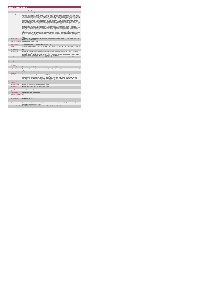|                      | <b>Home Support Service</b>                 |                                                                                                                                                                                                                                                                                                                                                                                                                                                                                                                                                                                                                                                                                                                                                                                                                                                                                                                                                                                                                                                                                                                                                                                                                                                                                                                                                                                                                                                                                                                                                                                                                                                                                                                                                                                                                                                                                                                                                                                                                                                                                                                                                                                                                                                                                                                                                                                                                                                                                                                                                                                                                                                                                                                                                                                                                        |
|----------------------|---------------------------------------------|------------------------------------------------------------------------------------------------------------------------------------------------------------------------------------------------------------------------------------------------------------------------------------------------------------------------------------------------------------------------------------------------------------------------------------------------------------------------------------------------------------------------------------------------------------------------------------------------------------------------------------------------------------------------------------------------------------------------------------------------------------------------------------------------------------------------------------------------------------------------------------------------------------------------------------------------------------------------------------------------------------------------------------------------------------------------------------------------------------------------------------------------------------------------------------------------------------------------------------------------------------------------------------------------------------------------------------------------------------------------------------------------------------------------------------------------------------------------------------------------------------------------------------------------------------------------------------------------------------------------------------------------------------------------------------------------------------------------------------------------------------------------------------------------------------------------------------------------------------------------------------------------------------------------------------------------------------------------------------------------------------------------------------------------------------------------------------------------------------------------------------------------------------------------------------------------------------------------------------------------------------------------------------------------------------------------------------------------------------------------------------------------------------------------------------------------------------------------------------------------------------------------------------------------------------------------------------------------------------------------------------------------------------------------------------------------------------------------------------------------------------------------------------------------------------------------|
| $\ddot{\phantom{1}}$ | <b>KPITitle</b>                             | DIS88 - No. of people with a disability (ID/Autism and Physical and Sensory) in receipt of from 41 - 60 Home Support hours in the last week of<br>the biannual reporting period i.e. last week of June and December                                                                                                                                                                                                                                                                                                                                                                                                                                                                                                                                                                                                                                                                                                                                                                                                                                                                                                                                                                                                                                                                                                                                                                                                                                                                                                                                                                                                                                                                                                                                                                                                                                                                                                                                                                                                                                                                                                                                                                                                                                                                                                                                                                                                                                                                                                                                                                                                                                                                                                                                                                                                    |
| 1a                   | <b>KPI Short Title</b>                      | No. of people with a disability (ID/Autism and Physical and Sensory) in receipt of from 41 - 60 Home Support hours                                                                                                                                                                                                                                                                                                                                                                                                                                                                                                                                                                                                                                                                                                                                                                                                                                                                                                                                                                                                                                                                                                                                                                                                                                                                                                                                                                                                                                                                                                                                                                                                                                                                                                                                                                                                                                                                                                                                                                                                                                                                                                                                                                                                                                                                                                                                                                                                                                                                                                                                                                                                                                                                                                     |
| $\overline{2}$       | <b>KPI Description</b>                      | Total number of people with a disability (ID/Autism and Physical and Sensory), in receipt of 41 - 60 Home Support hours in the last week of the<br>reporting period i.e. last week of June and last week of December. Include:« People in receipt of a Home Support service in the last week of<br>June or December (biannual reporting period), including those who commenced a service and those who continued a service, even if they were<br>discharged after receiving a service in the last week of June or December. Exclude: . People who accessed Home Support services funded by<br>other care groups (e.g. Older Persons), Delayed Discharge Initiative Funding or Community Employment Scheme- People who did not receive<br>Home Support services during the final week of June/December but did previously and who have not been formally discharged . Children<br>receiving support for pre-school places as these are not a Home Support service- People who received a PA Service. Definitions: Home<br>Support: provides personal and/or essential domestic care and support to facilitate participation in social / leisure activities. This service can be<br>provided by the HSE or by a private provider funded by the HSE. Home Support is often provided outside of normal day service hours and is a<br>disability funded service. It includes, as defined in the National Physical and Sensory Disability Database (NPSDD) and the National Intellectual<br>Disability Database (NIDD):Home Care Assistant Service: "a personal care service which provides personal support including washing,<br>dressing and other activities of daily living and facilitation in social and recreational activities". Home Help: "(assistance with household chores).<br>Home Helps currently provide domestic type support (e.g. cooking / cleaning, etc.) but in many cases where a Home Care Assistant is not<br>available, the Home Help may also provide support of a personal nature (e.g. washing, dressing, etc.)".All adults and children receiving home<br>support hours must be returned by the HSE Area from which their funding is allocated e.g. a service user from Sligo accessing Home Support<br>in Longford but whose hours are paid from the Sligo home support budget must be returned by Sligo Disability Services. Example:Mary was in<br>receipt of 5 hours Home Support Service per week during Q3. However, Mary only received 12 hours in the final week of December, the<br>biannual reporting period. Therefore Mary is returned under band 11 - 20 hours Home Support ServiceAdult: a person aged over 18 and under<br>65 years (in a small number of cases people may continue to access disability home support services post 65 years of age) Child: Under 18<br>years. |
| $\overline{3}$       | <b>KPI Rationale</b>                        | To monitor the number of people with an ID and or autism and Physical and Sensory Disability in receipt of 41 - 60 home support hours as<br>funded by HSE Disability Services.                                                                                                                                                                                                                                                                                                                                                                                                                                                                                                                                                                                                                                                                                                                                                                                                                                                                                                                                                                                                                                                                                                                                                                                                                                                                                                                                                                                                                                                                                                                                                                                                                                                                                                                                                                                                                                                                                                                                                                                                                                                                                                                                                                                                                                                                                                                                                                                                                                                                                                                                                                                                                                         |
| 38                   |                                             | Indicator Classification National Scorecard Quadrant Access                                                                                                                                                                                                                                                                                                                                                                                                                                                                                                                                                                                                                                                                                                                                                                                                                                                                                                                                                                                                                                                                                                                                                                                                                                                                                                                                                                                                                                                                                                                                                                                                                                                                                                                                                                                                                                                                                                                                                                                                                                                                                                                                                                                                                                                                                                                                                                                                                                                                                                                                                                                                                                                                                                                                                            |
| $\overline{4}$       | <b>National Target</b>                      | 2019 Operational Plan Point in Time target/expected activity 2019: 138.                                                                                                                                                                                                                                                                                                                                                                                                                                                                                                                                                                                                                                                                                                                                                                                                                                                                                                                                                                                                                                                                                                                                                                                                                                                                                                                                                                                                                                                                                                                                                                                                                                                                                                                                                                                                                                                                                                                                                                                                                                                                                                                                                                                                                                                                                                                                                                                                                                                                                                                                                                                                                                                                                                                                                |
| 48                   | Target                                      | 2019 Target per CHO: CHO 1 -18 . CHO 2 - 13 . CHO 3 - 10 . CHO 4 -12 . CHO 5 - 15. CHO 6 - 10 . CHO 7 - 19 . CHO 8 - 21 . CHO 9 - 20.                                                                                                                                                                                                                                                                                                                                                                                                                                                                                                                                                                                                                                                                                                                                                                                                                                                                                                                                                                                                                                                                                                                                                                                                                                                                                                                                                                                                                                                                                                                                                                                                                                                                                                                                                                                                                                                                                                                                                                                                                                                                                                                                                                                                                                                                                                                                                                                                                                                                                                                                                                                                                                                                                  |
| 4 <sub>h</sub>       | <b>Volume Metrics</b>                       | N/A                                                                                                                                                                                                                                                                                                                                                                                                                                                                                                                                                                                                                                                                                                                                                                                                                                                                                                                                                                                                                                                                                                                                                                                                                                                                                                                                                                                                                                                                                                                                                                                                                                                                                                                                                                                                                                                                                                                                                                                                                                                                                                                                                                                                                                                                                                                                                                                                                                                                                                                                                                                                                                                                                                                                                                                                                    |
| r.                   | <b>KPI Calculation</b>                      | Count the total number of people with an intellectual disability and/or autism and Physical and Sensory Disability in receipt of 41 - 60 hours<br>home support service per week (as per "KPI description" above) in the last week of the reporting period i.e. last week of June or last week of<br>December. Adults and children are counted separately. This is a point in time calculation (i.e. do not add bi-annual returns together). For year<br>end outturn, Q4 outturn is used e.g. Q2: 418, Q4: 422, the outturn for the year end is 422.                                                                                                                                                                                                                                                                                                                                                                                                                                                                                                                                                                                                                                                                                                                                                                                                                                                                                                                                                                                                                                                                                                                                                                                                                                                                                                                                                                                                                                                                                                                                                                                                                                                                                                                                                                                                                                                                                                                                                                                                                                                                                                                                                                                                                                                                    |
| 6                    | <b>Data Source</b>                          | Service Provider > HSE Disability Service nominee > HOSC > CHO > Performance Management and Improvement Unit (PMIU).                                                                                                                                                                                                                                                                                                                                                                                                                                                                                                                                                                                                                                                                                                                                                                                                                                                                                                                                                                                                                                                                                                                                                                                                                                                                                                                                                                                                                                                                                                                                                                                                                                                                                                                                                                                                                                                                                                                                                                                                                                                                                                                                                                                                                                                                                                                                                                                                                                                                                                                                                                                                                                                                                                   |
| Бa                   | Data Sign Off                               | Head of Social Care in CHO Area (HOSC)                                                                                                                                                                                                                                                                                                                                                                                                                                                                                                                                                                                                                                                                                                                                                                                                                                                                                                                                                                                                                                                                                                                                                                                                                                                                                                                                                                                                                                                                                                                                                                                                                                                                                                                                                                                                                                                                                                                                                                                                                                                                                                                                                                                                                                                                                                                                                                                                                                                                                                                                                                                                                                                                                                                                                                                 |
| 6b                   | <b>Data Quality Issues</b>                  | No known data quality issues at this point.                                                                                                                                                                                                                                                                                                                                                                                                                                                                                                                                                                                                                                                                                                                                                                                                                                                                                                                                                                                                                                                                                                                                                                                                                                                                                                                                                                                                                                                                                                                                                                                                                                                                                                                                                                                                                                                                                                                                                                                                                                                                                                                                                                                                                                                                                                                                                                                                                                                                                                                                                                                                                                                                                                                                                                            |
| $\overline{7}$       | <b>Data Collection</b><br>Frequency         | Quarterly- one month in arrears                                                                                                                                                                                                                                                                                                                                                                                                                                                                                                                                                                                                                                                                                                                                                                                                                                                                                                                                                                                                                                                                                                                                                                                                                                                                                                                                                                                                                                                                                                                                                                                                                                                                                                                                                                                                                                                                                                                                                                                                                                                                                                                                                                                                                                                                                                                                                                                                                                                                                                                                                                                                                                                                                                                                                                                        |
| 8                    | <b>Tracer Conditions</b>                    | People with an intellectual disability and /or autism and Physical and Sensory Disability                                                                                                                                                                                                                                                                                                                                                                                                                                                                                                                                                                                                                                                                                                                                                                                                                                                                                                                                                                                                                                                                                                                                                                                                                                                                                                                                                                                                                                                                                                                                                                                                                                                                                                                                                                                                                                                                                                                                                                                                                                                                                                                                                                                                                                                                                                                                                                                                                                                                                                                                                                                                                                                                                                                              |
| $\overline{9}$       | <b>Minimum Data Set MDS</b>                 | The service user's care plan which includes personal details and relevant information relating to their diagnosis, their needs and services and<br>support they require to meet their needs.                                                                                                                                                                                                                                                                                                                                                                                                                                                                                                                                                                                                                                                                                                                                                                                                                                                                                                                                                                                                                                                                                                                                                                                                                                                                                                                                                                                                                                                                                                                                                                                                                                                                                                                                                                                                                                                                                                                                                                                                                                                                                                                                                                                                                                                                                                                                                                                                                                                                                                                                                                                                                           |
| 10                   | International<br>Comparison                 | Service developed in line with best practice internationally                                                                                                                                                                                                                                                                                                                                                                                                                                                                                                                                                                                                                                                                                                                                                                                                                                                                                                                                                                                                                                                                                                                                                                                                                                                                                                                                                                                                                                                                                                                                                                                                                                                                                                                                                                                                                                                                                                                                                                                                                                                                                                                                                                                                                                                                                                                                                                                                                                                                                                                                                                                                                                                                                                                                                           |
| 11                   | <b>KPI Monitoring</b>                       | Quarterly- one month in arrears / Other - give details: The HOSC/nominee will receive, review and quality assure KPI data returns for<br>accuracy and completeness and analyse data for performance against ELS/targets. They will forward the collated KPI returns to the Chief<br>Officer/nominee and include a bullet point explanation where there are variances against target. The Chief Officer/nominee will review,<br>approve and submit final CHO returns to the Performance Management and Improvement Unit (PMIU) on the agreed date each month /<br>quarter. The responsible person at local level for monitoring this KPI is the HOSC.                                                                                                                                                                                                                                                                                                                                                                                                                                                                                                                                                                                                                                                                                                                                                                                                                                                                                                                                                                                                                                                                                                                                                                                                                                                                                                                                                                                                                                                                                                                                                                                                                                                                                                                                                                                                                                                                                                                                                                                                                                                                                                                                                                   |
| 12                   | <b>KPI Reporting</b><br>Frequency           | Quarterly- one month in arrears                                                                                                                                                                                                                                                                                                                                                                                                                                                                                                                                                                                                                                                                                                                                                                                                                                                                                                                                                                                                                                                                                                                                                                                                                                                                                                                                                                                                                                                                                                                                                                                                                                                                                                                                                                                                                                                                                                                                                                                                                                                                                                                                                                                                                                                                                                                                                                                                                                                                                                                                                                                                                                                                                                                                                                                        |
| 13                   | <b>KPI Report Period</b>                    | Quarterly- one month in arrears (Q2 data reported in July report)                                                                                                                                                                                                                                                                                                                                                                                                                                                                                                                                                                                                                                                                                                                                                                                                                                                                                                                                                                                                                                                                                                                                                                                                                                                                                                                                                                                                                                                                                                                                                                                                                                                                                                                                                                                                                                                                                                                                                                                                                                                                                                                                                                                                                                                                                                                                                                                                                                                                                                                                                                                                                                                                                                                                                      |
| 14                   | <b>KPI Reporting</b><br>Aggregation         | National/ CHO/ LHO Area/ Other - give details: Service Provider                                                                                                                                                                                                                                                                                                                                                                                                                                                                                                                                                                                                                                                                                                                                                                                                                                                                                                                                                                                                                                                                                                                                                                                                                                                                                                                                                                                                                                                                                                                                                                                                                                                                                                                                                                                                                                                                                                                                                                                                                                                                                                                                                                                                                                                                                                                                                                                                                                                                                                                                                                                                                                                                                                                                                        |
| 15                   | reports?                                    | KPI is reported in which Preliminary Data Report/Operational Plan                                                                                                                                                                                                                                                                                                                                                                                                                                                                                                                                                                                                                                                                                                                                                                                                                                                                                                                                                                                                                                                                                                                                                                                                                                                                                                                                                                                                                                                                                                                                                                                                                                                                                                                                                                                                                                                                                                                                                                                                                                                                                                                                                                                                                                                                                                                                                                                                                                                                                                                                                                                                                                                                                                                                                      |
| 16                   | Web link to data                            | http://www.hse.ia/eng/services/publications/                                                                                                                                                                                                                                                                                                                                                                                                                                                                                                                                                                                                                                                                                                                                                                                                                                                                                                                                                                                                                                                                                                                                                                                                                                                                                                                                                                                                                                                                                                                                                                                                                                                                                                                                                                                                                                                                                                                                                                                                                                                                                                                                                                                                                                                                                                                                                                                                                                                                                                                                                                                                                                                                                                                                                                           |
| 17                   | <b>Additional Information</b>               | N/A                                                                                                                                                                                                                                                                                                                                                                                                                                                                                                                                                                                                                                                                                                                                                                                                                                                                                                                                                                                                                                                                                                                                                                                                                                                                                                                                                                                                                                                                                                                                                                                                                                                                                                                                                                                                                                                                                                                                                                                                                                                                                                                                                                                                                                                                                                                                                                                                                                                                                                                                                                                                                                                                                                                                                                                                                    |
|                      | <b>KPI</b> owner/lead for<br>implementation | Chief Officer, CHO Area                                                                                                                                                                                                                                                                                                                                                                                                                                                                                                                                                                                                                                                                                                                                                                                                                                                                                                                                                                                                                                                                                                                                                                                                                                                                                                                                                                                                                                                                                                                                                                                                                                                                                                                                                                                                                                                                                                                                                                                                                                                                                                                                                                                                                                                                                                                                                                                                                                                                                                                                                                                                                                                                                                                                                                                                |
|                      | PBI data support                            | Sinéad Nulty O'Brien, Lead Data Analyst for Disabilities, Performance Management and Improvement Unit - Bective Street, Kells, Co. Meath.<br>Ph: 046 9251328 , Emailsinead.nulty@hse.ie                                                                                                                                                                                                                                                                                                                                                                                                                                                                                                                                                                                                                                                                                                                                                                                                                                                                                                                                                                                                                                                                                                                                                                                                                                                                                                                                                                                                                                                                                                                                                                                                                                                                                                                                                                                                                                                                                                                                                                                                                                                                                                                                                                                                                                                                                                                                                                                                                                                                                                                                                                                                                                |
|                      | Governance/sign off                         | Dr. Cathal Morgan, Head of Operations, Disability Services Email: disabilityops.socialcare@hse.ie                                                                                                                                                                                                                                                                                                                                                                                                                                                                                                                                                                                                                                                                                                                                                                                                                                                                                                                                                                                                                                                                                                                                                                                                                                                                                                                                                                                                                                                                                                                                                                                                                                                                                                                                                                                                                                                                                                                                                                                                                                                                                                                                                                                                                                                                                                                                                                                                                                                                                                                                                                                                                                                                                                                      |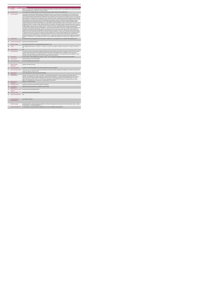|                  | <b>Home Support Service</b>                 | DIS89 - No. of people with a disability (ID/Autism and Physical and Sensory) in receipt of from 60+ Home Support hours in the last week of the                                                                                                                                                                                                                                                                                                                                                                                                                                                                                                                                                                                                                                                                                                                                                                                                                                                                                                                                                                                                                                                                                                                                                                                                                                                                                                                                                                                                                                                                                                                                                                                                                                                                                                                                                                                                                                                                                                                                                                                                                                                                                                                                                                                                                                                                                                                                                                                                                                                                                                                                                                                                                                                                  |
|------------------|---------------------------------------------|-----------------------------------------------------------------------------------------------------------------------------------------------------------------------------------------------------------------------------------------------------------------------------------------------------------------------------------------------------------------------------------------------------------------------------------------------------------------------------------------------------------------------------------------------------------------------------------------------------------------------------------------------------------------------------------------------------------------------------------------------------------------------------------------------------------------------------------------------------------------------------------------------------------------------------------------------------------------------------------------------------------------------------------------------------------------------------------------------------------------------------------------------------------------------------------------------------------------------------------------------------------------------------------------------------------------------------------------------------------------------------------------------------------------------------------------------------------------------------------------------------------------------------------------------------------------------------------------------------------------------------------------------------------------------------------------------------------------------------------------------------------------------------------------------------------------------------------------------------------------------------------------------------------------------------------------------------------------------------------------------------------------------------------------------------------------------------------------------------------------------------------------------------------------------------------------------------------------------------------------------------------------------------------------------------------------------------------------------------------------------------------------------------------------------------------------------------------------------------------------------------------------------------------------------------------------------------------------------------------------------------------------------------------------------------------------------------------------------------------------------------------------------------------------------------------------|
|                  |                                             | biannual reporting period i.e. last week of June and December                                                                                                                                                                                                                                                                                                                                                                                                                                                                                                                                                                                                                                                                                                                                                                                                                                                                                                                                                                                                                                                                                                                                                                                                                                                                                                                                                                                                                                                                                                                                                                                                                                                                                                                                                                                                                                                                                                                                                                                                                                                                                                                                                                                                                                                                                                                                                                                                                                                                                                                                                                                                                                                                                                                                                   |
| 1a               | <b>KPI Short Title</b>                      | No. of people with a disability (ID/Autism and Physical and Sensory) in receipt of from 60+ Home Support hours                                                                                                                                                                                                                                                                                                                                                                                                                                                                                                                                                                                                                                                                                                                                                                                                                                                                                                                                                                                                                                                                                                                                                                                                                                                                                                                                                                                                                                                                                                                                                                                                                                                                                                                                                                                                                                                                                                                                                                                                                                                                                                                                                                                                                                                                                                                                                                                                                                                                                                                                                                                                                                                                                                  |
| $\overline{2}$   | <b>KPI Description</b>                      | Total number of people with a disability (ID/Autism and Physical and Sensory), in receipt of 60+ Home Support hours in the last week of the<br>reporting period i.e. last week of June and last week of December. Include:- People in receipt of a Home Support service in the last week of<br>June or December (biannual reporting period), including those who commenced a service and those who continued a service, even if they were<br>discharged after receiving a service in the last week of June or December. Exclude:« People who accessed Home Support services funded by<br>other care groups (e.g. Older Persons), Delayed Discharge Initiative Funding or Community Employment Scheme- People who did not receive<br>Home Support services during the final week of June/December but did previously and who have not been formally discharged . Children<br>receiving support for pre-school places as these are not a Home Support service- People who received a PA Service. Definitions: Home<br>Support: provides personal and/or essential domestic care and support to facilitate participation in social / leisure activities. This service can be<br>provided by the HSE or by a private provider funded by the HSE. Home Support is often provided outside of normal day service hours and is a<br>disability funded service. It includes, as defined in the National Physical and Sensory Disability Database (NPSDD) and the National Intellectual<br>Disability Database (NIDD):Home Care Assistant Service: "a personal care service which provides personal support including washing,<br>dressing and other activities of daily living and facilitation in social and recreational activities".Home Help: "(assistance with household chores).<br>Home Helps currently provide domestic type support (e.g. cooking / cleaning, etc.) but in many cases where a Home Care Assistant is not<br>available, the Home Help may also provide support of a personal nature (e.g. washing, dressing, etc.)".All adults and children receiving home<br>support hours must be returned by the HSE Area from which their funding is allocated e.g. a service user from Sligo accessing Home Support<br>in Longford but whose hours are paid from the Sligo home support budget must be returned by Sligo Disability Services. Example:Mary was in<br>receipt of 5 hours Home Support Service per week during Q3. However, Mary only received 12 hours in the final week of December, the<br>biannual reporting period. Therefore Mary is returned under band 11 - 20 hours Home Support ServiceAdult: a person aged over 18 and under<br>65 years (in a small number of cases people may continue to access disability home support services post 65 years of age)Child: Under 18<br>vears. |
| $\mathbf{R}$     | <b>KPI Rationale</b>                        | To monitor the number of people with an ID and or autism in receipt of 60+ home support hours as funded by HSE Disability Services.                                                                                                                                                                                                                                                                                                                                                                                                                                                                                                                                                                                                                                                                                                                                                                                                                                                                                                                                                                                                                                                                                                                                                                                                                                                                                                                                                                                                                                                                                                                                                                                                                                                                                                                                                                                                                                                                                                                                                                                                                                                                                                                                                                                                                                                                                                                                                                                                                                                                                                                                                                                                                                                                             |
| 3a               |                                             | Indicator Classification National Scorecard Quadrant Access                                                                                                                                                                                                                                                                                                                                                                                                                                                                                                                                                                                                                                                                                                                                                                                                                                                                                                                                                                                                                                                                                                                                                                                                                                                                                                                                                                                                                                                                                                                                                                                                                                                                                                                                                                                                                                                                                                                                                                                                                                                                                                                                                                                                                                                                                                                                                                                                                                                                                                                                                                                                                                                                                                                                                     |
| $\overline{a}$   | <b>National Target</b>                      | 2019 Operational Plan Point in Time target/expected activity 2019 : 166.                                                                                                                                                                                                                                                                                                                                                                                                                                                                                                                                                                                                                                                                                                                                                                                                                                                                                                                                                                                                                                                                                                                                                                                                                                                                                                                                                                                                                                                                                                                                                                                                                                                                                                                                                                                                                                                                                                                                                                                                                                                                                                                                                                                                                                                                                                                                                                                                                                                                                                                                                                                                                                                                                                                                        |
| 4a               | Target                                      | 2019 Target per CHO: CHO 1 - 25, CHO 2 - 17, CHO 3 - 13, CHO 4 - 14, CHO 5 - 21, CHO 6 - 14, CHO 7 - 27, CHO 8 - 30, CHO 9 -<br>28.                                                                                                                                                                                                                                                                                                                                                                                                                                                                                                                                                                                                                                                                                                                                                                                                                                                                                                                                                                                                                                                                                                                                                                                                                                                                                                                                                                                                                                                                                                                                                                                                                                                                                                                                                                                                                                                                                                                                                                                                                                                                                                                                                                                                                                                                                                                                                                                                                                                                                                                                                                                                                                                                             |
| 4 <sub>b</sub>   | <b>Volume Metrics</b>                       | N/A                                                                                                                                                                                                                                                                                                                                                                                                                                                                                                                                                                                                                                                                                                                                                                                                                                                                                                                                                                                                                                                                                                                                                                                                                                                                                                                                                                                                                                                                                                                                                                                                                                                                                                                                                                                                                                                                                                                                                                                                                                                                                                                                                                                                                                                                                                                                                                                                                                                                                                                                                                                                                                                                                                                                                                                                             |
| 5                | <b>KPI Calculation</b>                      | Count the total number of people with an intellectual disability and/or autism and Physical and Sensory Disability in receipt of 60+ hours home<br>support service per week (as per "KPI description" above) in the last week of the reporting period i.e. last week of June or last week of<br>December. Adults and children are counted separately. This is a point in time calculation (i.e. do not add bi-annual returns together). For year<br>end outturn, Q4 outturn is used e.g.Q2: 418, Q4: 422, the outturn for the year end is 422.                                                                                                                                                                                                                                                                                                                                                                                                                                                                                                                                                                                                                                                                                                                                                                                                                                                                                                                                                                                                                                                                                                                                                                                                                                                                                                                                                                                                                                                                                                                                                                                                                                                                                                                                                                                                                                                                                                                                                                                                                                                                                                                                                                                                                                                                  |
| 6                | <b>Data Source</b>                          | Service Provider > HSE Disability Service nominee > HOSC > CHO > Performance Management and Improvement Unit (PMIU).                                                                                                                                                                                                                                                                                                                                                                                                                                                                                                                                                                                                                                                                                                                                                                                                                                                                                                                                                                                                                                                                                                                                                                                                                                                                                                                                                                                                                                                                                                                                                                                                                                                                                                                                                                                                                                                                                                                                                                                                                                                                                                                                                                                                                                                                                                                                                                                                                                                                                                                                                                                                                                                                                            |
| 6a               | Data Sign Off                               | Head of Social Care in CHO Area (HOSC)                                                                                                                                                                                                                                                                                                                                                                                                                                                                                                                                                                                                                                                                                                                                                                                                                                                                                                                                                                                                                                                                                                                                                                                                                                                                                                                                                                                                                                                                                                                                                                                                                                                                                                                                                                                                                                                                                                                                                                                                                                                                                                                                                                                                                                                                                                                                                                                                                                                                                                                                                                                                                                                                                                                                                                          |
| 6h               | <b>Data Quality Issues</b>                  | No known data quality issues at this point.                                                                                                                                                                                                                                                                                                                                                                                                                                                                                                                                                                                                                                                                                                                                                                                                                                                                                                                                                                                                                                                                                                                                                                                                                                                                                                                                                                                                                                                                                                                                                                                                                                                                                                                                                                                                                                                                                                                                                                                                                                                                                                                                                                                                                                                                                                                                                                                                                                                                                                                                                                                                                                                                                                                                                                     |
| $\overline{7}$   | <b>Data Collection</b><br>Frequency         | Quarterly- one month in arrears                                                                                                                                                                                                                                                                                                                                                                                                                                                                                                                                                                                                                                                                                                                                                                                                                                                                                                                                                                                                                                                                                                                                                                                                                                                                                                                                                                                                                                                                                                                                                                                                                                                                                                                                                                                                                                                                                                                                                                                                                                                                                                                                                                                                                                                                                                                                                                                                                                                                                                                                                                                                                                                                                                                                                                                 |
| $\mathbf{R}$     | <b>Tracer Conditions</b>                    | People with an intellectual disability and /or autism and Physical and Sensory Disabilty                                                                                                                                                                                                                                                                                                                                                                                                                                                                                                                                                                                                                                                                                                                                                                                                                                                                                                                                                                                                                                                                                                                                                                                                                                                                                                                                                                                                                                                                                                                                                                                                                                                                                                                                                                                                                                                                                                                                                                                                                                                                                                                                                                                                                                                                                                                                                                                                                                                                                                                                                                                                                                                                                                                        |
| $\overline{9}$   | Minimum Data Set MDS                        | The service user's care plan which includes personal details and relevant information relating to their diagnosis, their needs and services and<br>support they require to meet their needs.                                                                                                                                                                                                                                                                                                                                                                                                                                                                                                                                                                                                                                                                                                                                                                                                                                                                                                                                                                                                                                                                                                                                                                                                                                                                                                                                                                                                                                                                                                                                                                                                                                                                                                                                                                                                                                                                                                                                                                                                                                                                                                                                                                                                                                                                                                                                                                                                                                                                                                                                                                                                                    |
| 10 <sub>10</sub> | International<br>Comparison                 | Service developed in line with best practice internationally                                                                                                                                                                                                                                                                                                                                                                                                                                                                                                                                                                                                                                                                                                                                                                                                                                                                                                                                                                                                                                                                                                                                                                                                                                                                                                                                                                                                                                                                                                                                                                                                                                                                                                                                                                                                                                                                                                                                                                                                                                                                                                                                                                                                                                                                                                                                                                                                                                                                                                                                                                                                                                                                                                                                                    |
| 11               | <b>KPI Monitoring</b>                       | Quarterly- one month in arrears / Other - give details: The HOSC/nominee will receive, review and quality assure KPI data returns for<br>accuracy and completeness and analyse data for performance against ELS/targets. They will forward the collated KPI returns to the Chief<br>Officer/nominee and include a bullet point explanation where there are variances against target. The Chief Officer/nominee will review,<br>approve and submit final CHO returns to the Performance Management and Improvement Unit (PMIU) on the agreed date each month /<br>quarter. The responsible person at local level for monitoring this KPI is the HOSC.                                                                                                                                                                                                                                                                                                                                                                                                                                                                                                                                                                                                                                                                                                                                                                                                                                                                                                                                                                                                                                                                                                                                                                                                                                                                                                                                                                                                                                                                                                                                                                                                                                                                                                                                                                                                                                                                                                                                                                                                                                                                                                                                                            |
| 12               | <b>KPI Reporting</b><br>Frequency           | Quarterly- one month in arrears                                                                                                                                                                                                                                                                                                                                                                                                                                                                                                                                                                                                                                                                                                                                                                                                                                                                                                                                                                                                                                                                                                                                                                                                                                                                                                                                                                                                                                                                                                                                                                                                                                                                                                                                                                                                                                                                                                                                                                                                                                                                                                                                                                                                                                                                                                                                                                                                                                                                                                                                                                                                                                                                                                                                                                                 |
| 13               | <b>KPI Report Period</b>                    | Quarterly- one month in arrears (Q2 data reported in July report)                                                                                                                                                                                                                                                                                                                                                                                                                                                                                                                                                                                                                                                                                                                                                                                                                                                                                                                                                                                                                                                                                                                                                                                                                                                                                                                                                                                                                                                                                                                                                                                                                                                                                                                                                                                                                                                                                                                                                                                                                                                                                                                                                                                                                                                                                                                                                                                                                                                                                                                                                                                                                                                                                                                                               |
| 14               | <b>KPI Reporting</b><br>Aggregation         | National/ CHO/ LHO Area/ Other - give details: Service Provider                                                                                                                                                                                                                                                                                                                                                                                                                                                                                                                                                                                                                                                                                                                                                                                                                                                                                                                                                                                                                                                                                                                                                                                                                                                                                                                                                                                                                                                                                                                                                                                                                                                                                                                                                                                                                                                                                                                                                                                                                                                                                                                                                                                                                                                                                                                                                                                                                                                                                                                                                                                                                                                                                                                                                 |
| 15               | reports?                                    | KPI is reported in which Preliminary Data Report/Operational Plan                                                                                                                                                                                                                                                                                                                                                                                                                                                                                                                                                                                                                                                                                                                                                                                                                                                                                                                                                                                                                                                                                                                                                                                                                                                                                                                                                                                                                                                                                                                                                                                                                                                                                                                                                                                                                                                                                                                                                                                                                                                                                                                                                                                                                                                                                                                                                                                                                                                                                                                                                                                                                                                                                                                                               |
| 16               | Web link to data                            | http://www.hse.ia/eng/services/publications/                                                                                                                                                                                                                                                                                                                                                                                                                                                                                                                                                                                                                                                                                                                                                                                                                                                                                                                                                                                                                                                                                                                                                                                                                                                                                                                                                                                                                                                                                                                                                                                                                                                                                                                                                                                                                                                                                                                                                                                                                                                                                                                                                                                                                                                                                                                                                                                                                                                                                                                                                                                                                                                                                                                                                                    |
| 17               | <b>Additional Information</b>               | N/h                                                                                                                                                                                                                                                                                                                                                                                                                                                                                                                                                                                                                                                                                                                                                                                                                                                                                                                                                                                                                                                                                                                                                                                                                                                                                                                                                                                                                                                                                                                                                                                                                                                                                                                                                                                                                                                                                                                                                                                                                                                                                                                                                                                                                                                                                                                                                                                                                                                                                                                                                                                                                                                                                                                                                                                                             |
|                  | <b>KPI</b> owner/lead for<br>implementation | Chief Officer, CHO Area                                                                                                                                                                                                                                                                                                                                                                                                                                                                                                                                                                                                                                                                                                                                                                                                                                                                                                                                                                                                                                                                                                                                                                                                                                                                                                                                                                                                                                                                                                                                                                                                                                                                                                                                                                                                                                                                                                                                                                                                                                                                                                                                                                                                                                                                                                                                                                                                                                                                                                                                                                                                                                                                                                                                                                                         |
|                  | PBI data support                            | Sinéad Nulty O'Brien, Lead Data Analyst for Disabilities, Performance Management and Improvement Unit - Bective Street, Kells, Co. Meath.<br>Ph: 046 9251328 , Emailsinead.nuty@hse.ie                                                                                                                                                                                                                                                                                                                                                                                                                                                                                                                                                                                                                                                                                                                                                                                                                                                                                                                                                                                                                                                                                                                                                                                                                                                                                                                                                                                                                                                                                                                                                                                                                                                                                                                                                                                                                                                                                                                                                                                                                                                                                                                                                                                                                                                                                                                                                                                                                                                                                                                                                                                                                          |
|                  | Governance/sign off                         | Dr. Cathal Morgan, "Head of Operations, Disability Services Email: disabilityops.socialcare@hse.ie                                                                                                                                                                                                                                                                                                                                                                                                                                                                                                                                                                                                                                                                                                                                                                                                                                                                                                                                                                                                                                                                                                                                                                                                                                                                                                                                                                                                                                                                                                                                                                                                                                                                                                                                                                                                                                                                                                                                                                                                                                                                                                                                                                                                                                                                                                                                                                                                                                                                                                                                                                                                                                                                                                              |
|                  |                                             |                                                                                                                                                                                                                                                                                                                                                                                                                                                                                                                                                                                                                                                                                                                                                                                                                                                                                                                                                                                                                                                                                                                                                                                                                                                                                                                                                                                                                                                                                                                                                                                                                                                                                                                                                                                                                                                                                                                                                                                                                                                                                                                                                                                                                                                                                                                                                                                                                                                                                                                                                                                                                                                                                                                                                                                                                 |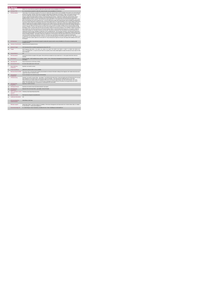|                         | <b>PA Service</b>                           |                                                                                                                                                                                                                                                                                                                                                                                                                                                                                                                                                                                                                                                                                                                                                                                                                                                                                                                                                                                                                                                                                                                                                                                                                                                                                                                                                                                                                                                                                                                                                                                                                                                                                                                                                                                                                                                                                                                                                                                                                                                                                                                                                                                                                                                                                                                                                                                                                                                                                                                                                                                                                                                                                                                                                                                                                                                                                                                                                                                                                                                                                                                                                                            |
|-------------------------|---------------------------------------------|----------------------------------------------------------------------------------------------------------------------------------------------------------------------------------------------------------------------------------------------------------------------------------------------------------------------------------------------------------------------------------------------------------------------------------------------------------------------------------------------------------------------------------------------------------------------------------------------------------------------------------------------------------------------------------------------------------------------------------------------------------------------------------------------------------------------------------------------------------------------------------------------------------------------------------------------------------------------------------------------------------------------------------------------------------------------------------------------------------------------------------------------------------------------------------------------------------------------------------------------------------------------------------------------------------------------------------------------------------------------------------------------------------------------------------------------------------------------------------------------------------------------------------------------------------------------------------------------------------------------------------------------------------------------------------------------------------------------------------------------------------------------------------------------------------------------------------------------------------------------------------------------------------------------------------------------------------------------------------------------------------------------------------------------------------------------------------------------------------------------------------------------------------------------------------------------------------------------------------------------------------------------------------------------------------------------------------------------------------------------------------------------------------------------------------------------------------------------------------------------------------------------------------------------------------------------------------------------------------------------------------------------------------------------------------------------------------------------------------------------------------------------------------------------------------------------------------------------------------------------------------------------------------------------------------------------------------------------------------------------------------------------------------------------------------------------------------------------------------------------------------------------------------------------------|
|                         | <b>KPITitle</b>                             | DIS34 -No. of new referrals accepted for adults with a physical and/or sensory disability for PA Services                                                                                                                                                                                                                                                                                                                                                                                                                                                                                                                                                                                                                                                                                                                                                                                                                                                                                                                                                                                                                                                                                                                                                                                                                                                                                                                                                                                                                                                                                                                                                                                                                                                                                                                                                                                                                                                                                                                                                                                                                                                                                                                                                                                                                                                                                                                                                                                                                                                                                                                                                                                                                                                                                                                                                                                                                                                                                                                                                                                                                                                                  |
| 1a                      | <b>KPI Short Title</b>                      | No. of new referrals accepted for adults with a physical and/or sensory disability for PA Services                                                                                                                                                                                                                                                                                                                                                                                                                                                                                                                                                                                                                                                                                                                                                                                                                                                                                                                                                                                                                                                                                                                                                                                                                                                                                                                                                                                                                                                                                                                                                                                                                                                                                                                                                                                                                                                                                                                                                                                                                                                                                                                                                                                                                                                                                                                                                                                                                                                                                                                                                                                                                                                                                                                                                                                                                                                                                                                                                                                                                                                                         |
| $\overline{z}$          | <b>KPI</b> Description                      | Total number of new referrals accepted for PA services for adults with a physical and/or sensory disability in this quarter up to and including the<br>last day of the quarter. Definition: New referral accepted as appropriate and approved in this quarter. Include: All accepted referrals for a PA<br>service for adults with a physical and/or sensory disability. Exclude:« Referrals for PA service funded by other care groups (e.g. Older<br>Persons), Delayed Discharge Initiative Funding or Community Employment Scheme. . Referrals for adults with a physical and/or sensory<br>disability already in receipt of a PA service and who have not been discharged, even if that service is less than they were assessed for-<br>Referrals received in previous quarters. New referrals are only counted once i.e. in the quarter they are received and accepted. This is a new<br>KPI for 2015 therefore, the count commences from 1 Jan 2015- Referrals for adults with a physical and/or sensory disability who declined the<br>PA service offered- Referrals for people who require neurorehab supports that do not meet the definition of PA or Home Support- Referrals for<br>adults with a physical and/or sensory disability received for a Home Support Service.+ Referrals for adults with an intellectual disability and/or<br>autism or children with any disability. All adults accessing PA Hours must be returned by the HSE Area from which their funding is allocated e.g.<br>a service user from Sligo accessing PA Hours in Longford whose hours are paid for by Sligo PA budget must be returned by Sligo Disability<br>Services. Example # 1Connor's new referral for PA service was accepted in Q2. He received a PA service in the past but had been formally<br>discharged. Connor is returned under this KPI only for the quarter in which his referral was accepted i.e. Q2. Example # 2 Elaine's new referral<br>was accepted in Q1. She did not commence her PA Service until Q2. Elaine is returned under this KPI only once i.e. the quarter in which her<br>referral was accepted, Q1. She will be returned in Q2 only under "New person commenced" (KPI 29) Definitions:Personal Assistant (PA): is<br>employed by the person with a disability to enable them to live an independent life. The PA provides assistance, at the discretion and direction<br>of the person with the disability, thus promoting choice and control for the person with the disability to live independently' (National Physical and<br>Sensory Disability Database - Description of Services). Employed by: for the purposes of this KPI means that the service user has full control<br>over the recruitment and day to day direction of their PA. The service user may devolve responsibility for employment administrative<br>arrangements e.g. Garda vetting, references, insurance, tax returns and salary payment, to a service provider such as CIL, IWA. Adult: For the<br>purpose of this KPI an adult is aged over 18 and under 65. It may include persons aged over 65 years who began with Disability Services prior<br>to turning 65. |
| $\overline{\mathbf{z}}$ | <b>KPI Rationale</b>                        | To monitor the number of new referrals accepted for adults with a physical and/or sensory disability for a PA service as funded by HSE<br>Disability Services.                                                                                                                                                                                                                                                                                                                                                                                                                                                                                                                                                                                                                                                                                                                                                                                                                                                                                                                                                                                                                                                                                                                                                                                                                                                                                                                                                                                                                                                                                                                                                                                                                                                                                                                                                                                                                                                                                                                                                                                                                                                                                                                                                                                                                                                                                                                                                                                                                                                                                                                                                                                                                                                                                                                                                                                                                                                                                                                                                                                                             |
| 3a                      |                                             | Indicator Classification National Scorecard Quadrant Access                                                                                                                                                                                                                                                                                                                                                                                                                                                                                                                                                                                                                                                                                                                                                                                                                                                                                                                                                                                                                                                                                                                                                                                                                                                                                                                                                                                                                                                                                                                                                                                                                                                                                                                                                                                                                                                                                                                                                                                                                                                                                                                                                                                                                                                                                                                                                                                                                                                                                                                                                                                                                                                                                                                                                                                                                                                                                                                                                                                                                                                                                                                |
| $\Lambda$               | <b>National Target</b>                      | 2019 Operational Plan Cumulative target/expected activity 2019: 297.                                                                                                                                                                                                                                                                                                                                                                                                                                                                                                                                                                                                                                                                                                                                                                                                                                                                                                                                                                                                                                                                                                                                                                                                                                                                                                                                                                                                                                                                                                                                                                                                                                                                                                                                                                                                                                                                                                                                                                                                                                                                                                                                                                                                                                                                                                                                                                                                                                                                                                                                                                                                                                                                                                                                                                                                                                                                                                                                                                                                                                                                                                       |
| 48                      | Target                                      | 2019 Target per CHO: CHO 1 - 29 , CHO 2 - 51 , CHO 3 - 50 , CHO 4 - 53 , CHO 5 - 48 , CHO 6 - 1 , CHO 7 - 6 , CHO 8 - 33 , CHO 9 - 26.<br>This is a cumulative KPI, i.e. at year end, each Area's four quarterly returns will be added together to obtain the total end of year outturn for that<br>Area in that year.                                                                                                                                                                                                                                                                                                                                                                                                                                                                                                                                                                                                                                                                                                                                                                                                                                                                                                                                                                                                                                                                                                                                                                                                                                                                                                                                                                                                                                                                                                                                                                                                                                                                                                                                                                                                                                                                                                                                                                                                                                                                                                                                                                                                                                                                                                                                                                                                                                                                                                                                                                                                                                                                                                                                                                                                                                                     |
| 4 <sub>b</sub>          | <b>Volume Metrics</b>                       | N/A                                                                                                                                                                                                                                                                                                                                                                                                                                                                                                                                                                                                                                                                                                                                                                                                                                                                                                                                                                                                                                                                                                                                                                                                                                                                                                                                                                                                                                                                                                                                                                                                                                                                                                                                                                                                                                                                                                                                                                                                                                                                                                                                                                                                                                                                                                                                                                                                                                                                                                                                                                                                                                                                                                                                                                                                                                                                                                                                                                                                                                                                                                                                                                        |
| 5                       | <b>KPI Calculation</b>                      | Count all new referrals accepted in this quarter. All new referrals accepted are only counted once i.e. in the quarter which their referral is<br>received                                                                                                                                                                                                                                                                                                                                                                                                                                                                                                                                                                                                                                                                                                                                                                                                                                                                                                                                                                                                                                                                                                                                                                                                                                                                                                                                                                                                                                                                                                                                                                                                                                                                                                                                                                                                                                                                                                                                                                                                                                                                                                                                                                                                                                                                                                                                                                                                                                                                                                                                                                                                                                                                                                                                                                                                                                                                                                                                                                                                                 |
| 6                       | Data Source                                 | Service Provider > HSE Disability Service nominee > HOSC > CHO > Performance Management and Improvement Unit (PMIU). Information<br>Holt (NRILD)                                                                                                                                                                                                                                                                                                                                                                                                                                                                                                                                                                                                                                                                                                                                                                                                                                                                                                                                                                                                                                                                                                                                                                                                                                                                                                                                                                                                                                                                                                                                                                                                                                                                                                                                                                                                                                                                                                                                                                                                                                                                                                                                                                                                                                                                                                                                                                                                                                                                                                                                                                                                                                                                                                                                                                                                                                                                                                                                                                                                                           |
| 6a                      | Data Sign Off                               | Head of Social Care in CHO Area (HOSC)                                                                                                                                                                                                                                                                                                                                                                                                                                                                                                                                                                                                                                                                                                                                                                                                                                                                                                                                                                                                                                                                                                                                                                                                                                                                                                                                                                                                                                                                                                                                                                                                                                                                                                                                                                                                                                                                                                                                                                                                                                                                                                                                                                                                                                                                                                                                                                                                                                                                                                                                                                                                                                                                                                                                                                                                                                                                                                                                                                                                                                                                                                                                     |
| 6h                      | <b>Data Quality Issues</b>                  | No known data quality issues at this point.                                                                                                                                                                                                                                                                                                                                                                                                                                                                                                                                                                                                                                                                                                                                                                                                                                                                                                                                                                                                                                                                                                                                                                                                                                                                                                                                                                                                                                                                                                                                                                                                                                                                                                                                                                                                                                                                                                                                                                                                                                                                                                                                                                                                                                                                                                                                                                                                                                                                                                                                                                                                                                                                                                                                                                                                                                                                                                                                                                                                                                                                                                                                |
| $\overline{7}$          | <b>Data Collection</b><br>Frequency         | Quarterly- one month in arrears                                                                                                                                                                                                                                                                                                                                                                                                                                                                                                                                                                                                                                                                                                                                                                                                                                                                                                                                                                                                                                                                                                                                                                                                                                                                                                                                                                                                                                                                                                                                                                                                                                                                                                                                                                                                                                                                                                                                                                                                                                                                                                                                                                                                                                                                                                                                                                                                                                                                                                                                                                                                                                                                                                                                                                                                                                                                                                                                                                                                                                                                                                                                            |
| 8                       | <b>Tracer Conditions</b>                    | Adults with a physical and/or sensory disability                                                                                                                                                                                                                                                                                                                                                                                                                                                                                                                                                                                                                                                                                                                                                                                                                                                                                                                                                                                                                                                                                                                                                                                                                                                                                                                                                                                                                                                                                                                                                                                                                                                                                                                                                                                                                                                                                                                                                                                                                                                                                                                                                                                                                                                                                                                                                                                                                                                                                                                                                                                                                                                                                                                                                                                                                                                                                                                                                                                                                                                                                                                           |
| $\overline{9}$          |                                             | Minimum Data Set MDS The service user's care plan which includes personal details and relevant information relating to their diagnosis, their needs and services and<br>support they require to meet their needs.                                                                                                                                                                                                                                                                                                                                                                                                                                                                                                                                                                                                                                                                                                                                                                                                                                                                                                                                                                                                                                                                                                                                                                                                                                                                                                                                                                                                                                                                                                                                                                                                                                                                                                                                                                                                                                                                                                                                                                                                                                                                                                                                                                                                                                                                                                                                                                                                                                                                                                                                                                                                                                                                                                                                                                                                                                                                                                                                                          |
| 10 <sub>10</sub>        | International<br>Comparison                 | Service developed in line with best practice internationally                                                                                                                                                                                                                                                                                                                                                                                                                                                                                                                                                                                                                                                                                                                                                                                                                                                                                                                                                                                                                                                                                                                                                                                                                                                                                                                                                                                                                                                                                                                                                                                                                                                                                                                                                                                                                                                                                                                                                                                                                                                                                                                                                                                                                                                                                                                                                                                                                                                                                                                                                                                                                                                                                                                                                                                                                                                                                                                                                                                                                                                                                                               |
| 11                      | <b>KPI Monitoring</b>                       | Quarterly- one month in arrears/ Other - give details: The HOSC/nominee will receive, review and quality assure KPI data returns for accuracy<br>and completeness and analyse data for performance against ELS/targets. They will forward the collated KPI returns to the Chief<br>Officer/nominee and include a bullet point explanation where there are variances against target. The Chief Officer/nominee will review,<br>approve and submit final CHO returns to the Performance Management and Improvement Unit (PMIU) on the agreed date each month /<br>quarter. The responsible person at local level for monitoring this KPI is the HOSC.                                                                                                                                                                                                                                                                                                                                                                                                                                                                                                                                                                                                                                                                                                                                                                                                                                                                                                                                                                                                                                                                                                                                                                                                                                                                                                                                                                                                                                                                                                                                                                                                                                                                                                                                                                                                                                                                                                                                                                                                                                                                                                                                                                                                                                                                                                                                                                                                                                                                                                                        |
| 12                      | <b>KPI Reporting</b><br>Frequency           | Quarterly (1 month in Arrears)                                                                                                                                                                                                                                                                                                                                                                                                                                                                                                                                                                                                                                                                                                                                                                                                                                                                                                                                                                                                                                                                                                                                                                                                                                                                                                                                                                                                                                                                                                                                                                                                                                                                                                                                                                                                                                                                                                                                                                                                                                                                                                                                                                                                                                                                                                                                                                                                                                                                                                                                                                                                                                                                                                                                                                                                                                                                                                                                                                                                                                                                                                                                             |
| 13                      | <b>KPI Report Period</b>                    | Quarterly one month in arrears (Q2 data reported in July report)                                                                                                                                                                                                                                                                                                                                                                                                                                                                                                                                                                                                                                                                                                                                                                                                                                                                                                                                                                                                                                                                                                                                                                                                                                                                                                                                                                                                                                                                                                                                                                                                                                                                                                                                                                                                                                                                                                                                                                                                                                                                                                                                                                                                                                                                                                                                                                                                                                                                                                                                                                                                                                                                                                                                                                                                                                                                                                                                                                                                                                                                                                           |
| 14                      | <b>KPI Reporting</b><br>Aggregation         | National/ CHO/ LHO Area/ Other - give details: Service Provider                                                                                                                                                                                                                                                                                                                                                                                                                                                                                                                                                                                                                                                                                                                                                                                                                                                                                                                                                                                                                                                                                                                                                                                                                                                                                                                                                                                                                                                                                                                                                                                                                                                                                                                                                                                                                                                                                                                                                                                                                                                                                                                                                                                                                                                                                                                                                                                                                                                                                                                                                                                                                                                                                                                                                                                                                                                                                                                                                                                                                                                                                                            |
| 15                      | reports?                                    | KPI is reported in which Preliminary Data Report/Operational Plan                                                                                                                                                                                                                                                                                                                                                                                                                                                                                                                                                                                                                                                                                                                                                                                                                                                                                                                                                                                                                                                                                                                                                                                                                                                                                                                                                                                                                                                                                                                                                                                                                                                                                                                                                                                                                                                                                                                                                                                                                                                                                                                                                                                                                                                                                                                                                                                                                                                                                                                                                                                                                                                                                                                                                                                                                                                                                                                                                                                                                                                                                                          |
| 16                      | Web link to data                            | http://www.hse.ia/eng/services/publications/                                                                                                                                                                                                                                                                                                                                                                                                                                                                                                                                                                                                                                                                                                                                                                                                                                                                                                                                                                                                                                                                                                                                                                                                                                                                                                                                                                                                                                                                                                                                                                                                                                                                                                                                                                                                                                                                                                                                                                                                                                                                                                                                                                                                                                                                                                                                                                                                                                                                                                                                                                                                                                                                                                                                                                                                                                                                                                                                                                                                                                                                                                                               |
| 17                      | <b>Additional Information</b>               | N/A                                                                                                                                                                                                                                                                                                                                                                                                                                                                                                                                                                                                                                                                                                                                                                                                                                                                                                                                                                                                                                                                                                                                                                                                                                                                                                                                                                                                                                                                                                                                                                                                                                                                                                                                                                                                                                                                                                                                                                                                                                                                                                                                                                                                                                                                                                                                                                                                                                                                                                                                                                                                                                                                                                                                                                                                                                                                                                                                                                                                                                                                                                                                                                        |
|                         | <b>KPI</b> owner/lead for<br>implementation | Chief Officer, CHO Area                                                                                                                                                                                                                                                                                                                                                                                                                                                                                                                                                                                                                                                                                                                                                                                                                                                                                                                                                                                                                                                                                                                                                                                                                                                                                                                                                                                                                                                                                                                                                                                                                                                                                                                                                                                                                                                                                                                                                                                                                                                                                                                                                                                                                                                                                                                                                                                                                                                                                                                                                                                                                                                                                                                                                                                                                                                                                                                                                                                                                                                                                                                                                    |
|                         | PBI data support                            | Sinéad Nulty O'Brien, Lead Data Analyst for Disabilities, Performance Management and Improvement Unit - Bective Street, Kells, Co. Meath.<br>Ph: 046 9251328 , Emailsinead.nulty@hse.ie                                                                                                                                                                                                                                                                                                                                                                                                                                                                                                                                                                                                                                                                                                                                                                                                                                                                                                                                                                                                                                                                                                                                                                                                                                                                                                                                                                                                                                                                                                                                                                                                                                                                                                                                                                                                                                                                                                                                                                                                                                                                                                                                                                                                                                                                                                                                                                                                                                                                                                                                                                                                                                                                                                                                                                                                                                                                                                                                                                                    |
|                         | Governance/sign off                         | Dr. Cathal Morgan, Head of Operations, Disability Services Email: disabilityops socialcare@hse.ie                                                                                                                                                                                                                                                                                                                                                                                                                                                                                                                                                                                                                                                                                                                                                                                                                                                                                                                                                                                                                                                                                                                                                                                                                                                                                                                                                                                                                                                                                                                                                                                                                                                                                                                                                                                                                                                                                                                                                                                                                                                                                                                                                                                                                                                                                                                                                                                                                                                                                                                                                                                                                                                                                                                                                                                                                                                                                                                                                                                                                                                                          |
|                         |                                             |                                                                                                                                                                                                                                                                                                                                                                                                                                                                                                                                                                                                                                                                                                                                                                                                                                                                                                                                                                                                                                                                                                                                                                                                                                                                                                                                                                                                                                                                                                                                                                                                                                                                                                                                                                                                                                                                                                                                                                                                                                                                                                                                                                                                                                                                                                                                                                                                                                                                                                                                                                                                                                                                                                                                                                                                                                                                                                                                                                                                                                                                                                                                                                            |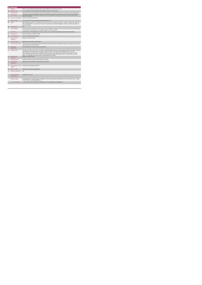|                 | <b>PA Service</b>                           |                                                                                                                                                                                                                                                                                                                                                                                                                                                                                                                                                                                                                                                     |
|-----------------|---------------------------------------------|-----------------------------------------------------------------------------------------------------------------------------------------------------------------------------------------------------------------------------------------------------------------------------------------------------------------------------------------------------------------------------------------------------------------------------------------------------------------------------------------------------------------------------------------------------------------------------------------------------------------------------------------------------|
|                 | <b>KPITitle</b>                             | DIS35 - No. of new adults with a physical and/or sensory disability who commenced a PA Service                                                                                                                                                                                                                                                                                                                                                                                                                                                                                                                                                      |
| 1a              | <b>KPI Short Title</b>                      | No. of new adults with a physical and/or sensory disability who commenced a PA Service                                                                                                                                                                                                                                                                                                                                                                                                                                                                                                                                                              |
| $\overline{2}$  | <b>KPI Description</b>                      | Total number of new adults with a physical and/or sensory disability, who commenced a PA service in this quarter up to and including the last<br>day of the currier include: . All adults who commenced a DA sension in this currier. Evolute: . Adults with a nimeinal andins secondy di                                                                                                                                                                                                                                                                                                                                                           |
| $\mathbf{R}$    | <b>KPI Rationale</b>                        | To monitor the number of new adults with a physical and/or sensory disability who commenced a PA service as funded by HSE Disability<br>Services in this quarter                                                                                                                                                                                                                                                                                                                                                                                                                                                                                    |
| 3a              | <b>Indicator Classification</b>             | National Scorecard Quadrant Access                                                                                                                                                                                                                                                                                                                                                                                                                                                                                                                                                                                                                  |
| 4               | <b>National Target</b>                      | 2019 Operational Plan Cumulative target/expected activity 2019: 224.                                                                                                                                                                                                                                                                                                                                                                                                                                                                                                                                                                                |
| 4a              | Target                                      | 2019 Target per CHO: CHO 1 - 22 , CHO 2 - 38 , CHO 3 - 38 , CHO 4 - 40 , CHO 5 - 36 , CHO 6 - 0 , CHO 7 - 5 ,CHO 8 - 25 , CHO 9 - 20.<br>This is a cumulative KPI, i.e. at year end, each Area's four quarterly outturns will be added together to obtain the total end of year outturn for<br>that Area in that year                                                                                                                                                                                                                                                                                                                               |
| 4 <sub>b</sub>  | <b>Volume Metrics</b>                       | <b>N/A</b>                                                                                                                                                                                                                                                                                                                                                                                                                                                                                                                                                                                                                                          |
| 5               | <b>KPI Calculation</b>                      | Count the number of new adults with a physical and/or sensory disability who commenced a PA service in this quarter. New adults commencing<br>a PA service are only counted once i.e. in the quarter which their service commenced.                                                                                                                                                                                                                                                                                                                                                                                                                 |
| $\mathbf{6}$    | <b>Data Source</b>                          | Service Provider > HSE Disability Service nominee > HOSC > CHO > Performance Management and Improvement Unit (PMIU).                                                                                                                                                                                                                                                                                                                                                                                                                                                                                                                                |
| 6a              | Data Sign Off                               | Head of Social Care in CHO Area (HOSC)                                                                                                                                                                                                                                                                                                                                                                                                                                                                                                                                                                                                              |
| 6b              | <b>Data Quality Issues</b>                  | No known data quality issues at this point.                                                                                                                                                                                                                                                                                                                                                                                                                                                                                                                                                                                                         |
| $\overline{7}$  | <b>Data Collection</b><br>Frequency         | Quarterly- one month in arrears                                                                                                                                                                                                                                                                                                                                                                                                                                                                                                                                                                                                                     |
| 8               | <b>Tracer Conditions</b>                    | Adults with a physical and/or sensory disability                                                                                                                                                                                                                                                                                                                                                                                                                                                                                                                                                                                                    |
| 9               | Minimum Data Set MDS                        | The service user's care plan which includes personal details and relevant information relating to their diagnosis, their needs and services and<br>support they require to meet their needs.                                                                                                                                                                                                                                                                                                                                                                                                                                                        |
| 10              | International<br>Comparison                 | Service developed in line with best practice internationally                                                                                                                                                                                                                                                                                                                                                                                                                                                                                                                                                                                        |
| 11              | <b>KPI Monitoring</b>                       | Quarterly- one month in arrears/ Other - give details: The HOSC/nominee will receive, review and quality assure KPI data returns for accuracy<br>and completeness and analyse data for performance against ELS/targets. They will forward the collated KPI returns to the Chief<br>Officer/nominee and include a bullet point explanation where there are variances against target. The Chief Officer/nominee will review,<br>approve and submit final CHO returns to the Performance Management and Improvement Unit (PMIU) on the agreed date each month /<br>quarter. The responsible person at local level for monitoring this KPI is the HOSC. |
| 12 <sup>1</sup> | <b>KPI Reporting</b><br>Frequency           | Quarterly (1 month in Arrears)                                                                                                                                                                                                                                                                                                                                                                                                                                                                                                                                                                                                                      |
| 13              | <b>KPI Report Period</b>                    | Quarterly one month in arrears (Q2 data reported in July report)                                                                                                                                                                                                                                                                                                                                                                                                                                                                                                                                                                                    |
| 14              | <b>KPI Reporting</b><br>Aggregation         | National/ CHO/ LHO Area/ Other - give details: Service Provider                                                                                                                                                                                                                                                                                                                                                                                                                                                                                                                                                                                     |
| 15              | reports?                                    | KPI is reported in which Preliminary Data Report/Operational Plan                                                                                                                                                                                                                                                                                                                                                                                                                                                                                                                                                                                   |
| 16              | Web link to data                            | http://www.hse.ie/eng/services/publications/                                                                                                                                                                                                                                                                                                                                                                                                                                                                                                                                                                                                        |
| 17              | <b>Additional Information</b>               | N/A                                                                                                                                                                                                                                                                                                                                                                                                                                                                                                                                                                                                                                                 |
|                 | <b>KPI</b> owner/lead for<br>implementation | Chief Officer, CHO Area                                                                                                                                                                                                                                                                                                                                                                                                                                                                                                                                                                                                                             |
|                 | PBI data support                            | Sinéad Nulty O'Brien, Lead Data Analyst for Disabilities, Performance Management and Improvement Unit - Bective Street, Kells, Co. Meath.<br>Ph: 046 9251328 . Email:sinead.nutv@hse.ie                                                                                                                                                                                                                                                                                                                                                                                                                                                             |
|                 | Governance/sign off                         | Dr. Cathal Morgan, Head of Operations, Disability Services Email: disabilityops socialcare @hse.ie                                                                                                                                                                                                                                                                                                                                                                                                                                                                                                                                                  |
|                 |                                             |                                                                                                                                                                                                                                                                                                                                                                                                                                                                                                                                                                                                                                                     |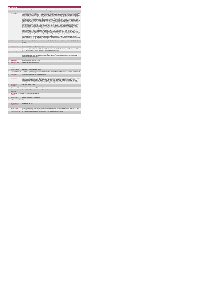| Α<br><b>Service</b>     |                                             |                                                                                                                                                                                                                                                                                                                                                                                                                                                                                                                                                                                                                                                                                                                                                                                                                                                                                                                                                                                                                                                                                                                                                                                                                                                                                                                                                                                                                                                                                                                                                                                                                                                                                                                                                                                                                                                                                                                                                                                                                                                                                                                                                                                                                                                                                                                                                                                                                                                                                                                                                                                                                                                                                                                                                                                                                                                                                                                                                                                                                                                                                                                                                                                   |
|-------------------------|---------------------------------------------|-----------------------------------------------------------------------------------------------------------------------------------------------------------------------------------------------------------------------------------------------------------------------------------------------------------------------------------------------------------------------------------------------------------------------------------------------------------------------------------------------------------------------------------------------------------------------------------------------------------------------------------------------------------------------------------------------------------------------------------------------------------------------------------------------------------------------------------------------------------------------------------------------------------------------------------------------------------------------------------------------------------------------------------------------------------------------------------------------------------------------------------------------------------------------------------------------------------------------------------------------------------------------------------------------------------------------------------------------------------------------------------------------------------------------------------------------------------------------------------------------------------------------------------------------------------------------------------------------------------------------------------------------------------------------------------------------------------------------------------------------------------------------------------------------------------------------------------------------------------------------------------------------------------------------------------------------------------------------------------------------------------------------------------------------------------------------------------------------------------------------------------------------------------------------------------------------------------------------------------------------------------------------------------------------------------------------------------------------------------------------------------------------------------------------------------------------------------------------------------------------------------------------------------------------------------------------------------------------------------------------------------------------------------------------------------------------------------------------------------------------------------------------------------------------------------------------------------------------------------------------------------------------------------------------------------------------------------------------------------------------------------------------------------------------------------------------------------------------------------------------------------------------------------------------------------|
| $\mathbf{1}$            | <b>KPITitle</b>                             | DIS36 - No. of existing adults with a physical and/or sensory disability in receipt of a PA Service                                                                                                                                                                                                                                                                                                                                                                                                                                                                                                                                                                                                                                                                                                                                                                                                                                                                                                                                                                                                                                                                                                                                                                                                                                                                                                                                                                                                                                                                                                                                                                                                                                                                                                                                                                                                                                                                                                                                                                                                                                                                                                                                                                                                                                                                                                                                                                                                                                                                                                                                                                                                                                                                                                                                                                                                                                                                                                                                                                                                                                                                               |
| 1a                      | <b>KPI Short Title</b>                      | No. of existing adults with a physical and/or sensory disability in receipt of a PA Service                                                                                                                                                                                                                                                                                                                                                                                                                                                                                                                                                                                                                                                                                                                                                                                                                                                                                                                                                                                                                                                                                                                                                                                                                                                                                                                                                                                                                                                                                                                                                                                                                                                                                                                                                                                                                                                                                                                                                                                                                                                                                                                                                                                                                                                                                                                                                                                                                                                                                                                                                                                                                                                                                                                                                                                                                                                                                                                                                                                                                                                                                       |
| $\overline{2}$          | <b>KPI Description</b>                      | Total number of adults with a physical and/or sensory disability who continued a PA service, in this quarter and who have not been discharged<br>in a previous quarter, up to and including the last day of the quarter. Include:« Adults with a physical and/or sensory disability who continued a<br>PA service in this quarter from any previous quarter who have not been formally discharged- In Q1, only adults with a physical and/or sensory<br>disability who continued to receive a PA Service in Q1 from any previous quarter. Exclude: . Adults with a physical and/or sensory disability in<br>receipt of a PA service funded by other care groups (e.g. Older Persons), Delayed Discharge Initiative Funding or Community Employment<br>Scheme- Adults with a physical and/or sensory disability who commenced a PA service in this quarter- they are returned only under "New<br>people commenced" (KPI 29)+ In Q1, adults with a physical and/or sensory disability who accessed a PA service in the previous year's Q4 but<br>not in Q1+ Adults with physical and sensory disability who require neurorehab supports that do not meet the definition of PA or Home Support-<br>People who received a Home Support service - these are returned under KPI 37- Adults with an intellectual disability and/or autism or children<br>with any disability. All adults accessing PA Hours must be returned by the HSE Area from which their funding is allocated e.g. a service user<br>from Sligo accessing PA Hours through Longford CIL whose hours are paid for by Sligo PA budget must be returned by Sligo Disability<br>Services. Example # 1:Jennifer received a PA Service in Q1, Q2 and Q3. Therefore Jennifer is returned under this KPI in Q1, Q2 and Q3.<br>Example # 2:Martina received PA service in Q2 and Q4, not in Q3 due to hospitalisation and had not been discharged from PA. Martina is<br>returned under this KPI only in Q2 and Q4, not in Q3. Example # 3: Liam received PA services in Q1 and was discharged during this quarter<br>due to moving outside of the Area. He is returned under this KPI in Q1. He is also returned under "No of people discharged" in Q1.<br>Definitions:Personal Assistant (PA): is employed by the person with a disability to enable them to live an independent life. The PA provides<br>assistance, at the discretion and direction of the person with the disability, thus promoting choice and control for the person with the disability to<br>live independently" (National Physical and Sensory Disability Database - Description of Services). Employed by: for the purposes of this KPI<br>means that the service user has full control over the recruitment and day to day direction of their PA. The service user may devolve<br>responsibility for employment administrative arrangements e.g. Garda vetting, references, insurance, tax returns and salary payment, to a<br>service provider such as CIL, IWA. Adult: For the purpose of this KPI an adult is aged over 18 and under 65. It may include persons aged over<br>65 years who began with Disability Services prior to turning 65. |
| $\mathbf{R}$            | <b>KPI Rationale</b>                        | To monitor the number of adults with a physical and/or sensory disability who continue to receive a PA service as funded by HSE Disability<br>Services.                                                                                                                                                                                                                                                                                                                                                                                                                                                                                                                                                                                                                                                                                                                                                                                                                                                                                                                                                                                                                                                                                                                                                                                                                                                                                                                                                                                                                                                                                                                                                                                                                                                                                                                                                                                                                                                                                                                                                                                                                                                                                                                                                                                                                                                                                                                                                                                                                                                                                                                                                                                                                                                                                                                                                                                                                                                                                                                                                                                                                           |
| 3a                      | <b>Indicator Classification</b>             | National Scorecard Quadrant Access                                                                                                                                                                                                                                                                                                                                                                                                                                                                                                                                                                                                                                                                                                                                                                                                                                                                                                                                                                                                                                                                                                                                                                                                                                                                                                                                                                                                                                                                                                                                                                                                                                                                                                                                                                                                                                                                                                                                                                                                                                                                                                                                                                                                                                                                                                                                                                                                                                                                                                                                                                                                                                                                                                                                                                                                                                                                                                                                                                                                                                                                                                                                                |
| $\overline{\mathbf{4}}$ | <b>National Target</b>                      | 2019 Operational Plan Point in Time target/expected activity 2019: 2,486.                                                                                                                                                                                                                                                                                                                                                                                                                                                                                                                                                                                                                                                                                                                                                                                                                                                                                                                                                                                                                                                                                                                                                                                                                                                                                                                                                                                                                                                                                                                                                                                                                                                                                                                                                                                                                                                                                                                                                                                                                                                                                                                                                                                                                                                                                                                                                                                                                                                                                                                                                                                                                                                                                                                                                                                                                                                                                                                                                                                                                                                                                                         |
| 4a                      | Target                                      | 2019 Target per CHO: CHO 1 - 249 , CHO 2 - 423 , CHO 3 - 419 , CHO 4 - 441 , CHO 5 - 398 , CHO 6 - 9 , CHO 7 - 51 , CHO 8 - 276 ,<br>CHO 9 -222. This is a point in time KPI calculation i.e. do not add quarterly returns together.                                                                                                                                                                                                                                                                                                                                                                                                                                                                                                                                                                                                                                                                                                                                                                                                                                                                                                                                                                                                                                                                                                                                                                                                                                                                                                                                                                                                                                                                                                                                                                                                                                                                                                                                                                                                                                                                                                                                                                                                                                                                                                                                                                                                                                                                                                                                                                                                                                                                                                                                                                                                                                                                                                                                                                                                                                                                                                                                              |
| 4 <sub>b</sub>          | <b>Volume Metrics</b>                       | N/h                                                                                                                                                                                                                                                                                                                                                                                                                                                                                                                                                                                                                                                                                                                                                                                                                                                                                                                                                                                                                                                                                                                                                                                                                                                                                                                                                                                                                                                                                                                                                                                                                                                                                                                                                                                                                                                                                                                                                                                                                                                                                                                                                                                                                                                                                                                                                                                                                                                                                                                                                                                                                                                                                                                                                                                                                                                                                                                                                                                                                                                                                                                                                                               |
| 5                       | <b>KPI Calculation</b>                      | Count the total number of adults with a physical and/or sensory disability continuing to receive a PA service in this quarter who had not been<br>discharged in a previous quarter. For year end outturn, use Q4 outturn e.g. Cork: Q1: 395, Q2: 418, Q3: 420, Q4: 422, the total number of<br>people continuing PA at year end is 422.                                                                                                                                                                                                                                                                                                                                                                                                                                                                                                                                                                                                                                                                                                                                                                                                                                                                                                                                                                                                                                                                                                                                                                                                                                                                                                                                                                                                                                                                                                                                                                                                                                                                                                                                                                                                                                                                                                                                                                                                                                                                                                                                                                                                                                                                                                                                                                                                                                                                                                                                                                                                                                                                                                                                                                                                                                           |
| 6                       | <b>Data Source</b>                          | Service Provider > HSE Disability Service nominee > HOSC > CHO > Performance Management and Improvement Unit (PMIU).                                                                                                                                                                                                                                                                                                                                                                                                                                                                                                                                                                                                                                                                                                                                                                                                                                                                                                                                                                                                                                                                                                                                                                                                                                                                                                                                                                                                                                                                                                                                                                                                                                                                                                                                                                                                                                                                                                                                                                                                                                                                                                                                                                                                                                                                                                                                                                                                                                                                                                                                                                                                                                                                                                                                                                                                                                                                                                                                                                                                                                                              |
| 6a                      | Data Sign Off                               | Head of Social Care in CHO Area ( HOSC)                                                                                                                                                                                                                                                                                                                                                                                                                                                                                                                                                                                                                                                                                                                                                                                                                                                                                                                                                                                                                                                                                                                                                                                                                                                                                                                                                                                                                                                                                                                                                                                                                                                                                                                                                                                                                                                                                                                                                                                                                                                                                                                                                                                                                                                                                                                                                                                                                                                                                                                                                                                                                                                                                                                                                                                                                                                                                                                                                                                                                                                                                                                                           |
| 6h                      | <b>Data Quality Issues</b>                  | No known data quality issues at this point.                                                                                                                                                                                                                                                                                                                                                                                                                                                                                                                                                                                                                                                                                                                                                                                                                                                                                                                                                                                                                                                                                                                                                                                                                                                                                                                                                                                                                                                                                                                                                                                                                                                                                                                                                                                                                                                                                                                                                                                                                                                                                                                                                                                                                                                                                                                                                                                                                                                                                                                                                                                                                                                                                                                                                                                                                                                                                                                                                                                                                                                                                                                                       |
| $\overline{7}$          | <b>Data Collection</b><br>Frequency         | Quarterly- one month in arrears                                                                                                                                                                                                                                                                                                                                                                                                                                                                                                                                                                                                                                                                                                                                                                                                                                                                                                                                                                                                                                                                                                                                                                                                                                                                                                                                                                                                                                                                                                                                                                                                                                                                                                                                                                                                                                                                                                                                                                                                                                                                                                                                                                                                                                                                                                                                                                                                                                                                                                                                                                                                                                                                                                                                                                                                                                                                                                                                                                                                                                                                                                                                                   |
| 8                       | <b>Tracer Conditions</b>                    | Adults with a physical and/or sensory disability                                                                                                                                                                                                                                                                                                                                                                                                                                                                                                                                                                                                                                                                                                                                                                                                                                                                                                                                                                                                                                                                                                                                                                                                                                                                                                                                                                                                                                                                                                                                                                                                                                                                                                                                                                                                                                                                                                                                                                                                                                                                                                                                                                                                                                                                                                                                                                                                                                                                                                                                                                                                                                                                                                                                                                                                                                                                                                                                                                                                                                                                                                                                  |
| я                       | <b>Minimum Data Set MDS</b>                 | The service user's care plan which includes personal details and relevant information relating to their diagnosis, their needs and services and<br>support they require to meet their needs.                                                                                                                                                                                                                                                                                                                                                                                                                                                                                                                                                                                                                                                                                                                                                                                                                                                                                                                                                                                                                                                                                                                                                                                                                                                                                                                                                                                                                                                                                                                                                                                                                                                                                                                                                                                                                                                                                                                                                                                                                                                                                                                                                                                                                                                                                                                                                                                                                                                                                                                                                                                                                                                                                                                                                                                                                                                                                                                                                                                      |
| 10                      | International<br>Comparison                 | Service developed in line with best practice internationally                                                                                                                                                                                                                                                                                                                                                                                                                                                                                                                                                                                                                                                                                                                                                                                                                                                                                                                                                                                                                                                                                                                                                                                                                                                                                                                                                                                                                                                                                                                                                                                                                                                                                                                                                                                                                                                                                                                                                                                                                                                                                                                                                                                                                                                                                                                                                                                                                                                                                                                                                                                                                                                                                                                                                                                                                                                                                                                                                                                                                                                                                                                      |
| 11                      | <b>KPI Monitoring</b>                       | Quarterly- one month in arrears/ Other - give details: The HOSC/nominee will receive, review and quality assure KPI data returns for accuracy<br>and completeness and analyse data for performance against ELS/targets. They will forward the collated KPI returns to the Chief<br>Officer/nominee and include a bullet point explanation where there are variances against target. The Chief Officer/nominee will review,<br>approve and submit final CHO returns to the Performance Management and Improvement Unit (PMIU) on the agreed date each month /<br>quarter. The responsible person at local level for monitoring this KPI is the HOSC.                                                                                                                                                                                                                                                                                                                                                                                                                                                                                                                                                                                                                                                                                                                                                                                                                                                                                                                                                                                                                                                                                                                                                                                                                                                                                                                                                                                                                                                                                                                                                                                                                                                                                                                                                                                                                                                                                                                                                                                                                                                                                                                                                                                                                                                                                                                                                                                                                                                                                                                               |
| 12                      | <b>KPI Reporting</b><br>Frequency           | Quarterly (1 month in Arrears)                                                                                                                                                                                                                                                                                                                                                                                                                                                                                                                                                                                                                                                                                                                                                                                                                                                                                                                                                                                                                                                                                                                                                                                                                                                                                                                                                                                                                                                                                                                                                                                                                                                                                                                                                                                                                                                                                                                                                                                                                                                                                                                                                                                                                                                                                                                                                                                                                                                                                                                                                                                                                                                                                                                                                                                                                                                                                                                                                                                                                                                                                                                                                    |
| 13                      | <b>KPI Report Period</b>                    | Quarterly one month in arrears (Q2 data reported in July report)                                                                                                                                                                                                                                                                                                                                                                                                                                                                                                                                                                                                                                                                                                                                                                                                                                                                                                                                                                                                                                                                                                                                                                                                                                                                                                                                                                                                                                                                                                                                                                                                                                                                                                                                                                                                                                                                                                                                                                                                                                                                                                                                                                                                                                                                                                                                                                                                                                                                                                                                                                                                                                                                                                                                                                                                                                                                                                                                                                                                                                                                                                                  |
| 14                      | <b>KPI Reporting</b><br>Aggregation         | National/ CHO/LHO Area/ Other - give details: Service Provider                                                                                                                                                                                                                                                                                                                                                                                                                                                                                                                                                                                                                                                                                                                                                                                                                                                                                                                                                                                                                                                                                                                                                                                                                                                                                                                                                                                                                                                                                                                                                                                                                                                                                                                                                                                                                                                                                                                                                                                                                                                                                                                                                                                                                                                                                                                                                                                                                                                                                                                                                                                                                                                                                                                                                                                                                                                                                                                                                                                                                                                                                                                    |
| 15                      | reports?                                    | KPI is reported in which Preliminary Data Report/Operational Plan                                                                                                                                                                                                                                                                                                                                                                                                                                                                                                                                                                                                                                                                                                                                                                                                                                                                                                                                                                                                                                                                                                                                                                                                                                                                                                                                                                                                                                                                                                                                                                                                                                                                                                                                                                                                                                                                                                                                                                                                                                                                                                                                                                                                                                                                                                                                                                                                                                                                                                                                                                                                                                                                                                                                                                                                                                                                                                                                                                                                                                                                                                                 |
| 16                      | Web link to data                            | http://www.hse.ia/eng/services/publications/                                                                                                                                                                                                                                                                                                                                                                                                                                                                                                                                                                                                                                                                                                                                                                                                                                                                                                                                                                                                                                                                                                                                                                                                                                                                                                                                                                                                                                                                                                                                                                                                                                                                                                                                                                                                                                                                                                                                                                                                                                                                                                                                                                                                                                                                                                                                                                                                                                                                                                                                                                                                                                                                                                                                                                                                                                                                                                                                                                                                                                                                                                                                      |
| 17                      | <b>Additional Information</b>               | N/h                                                                                                                                                                                                                                                                                                                                                                                                                                                                                                                                                                                                                                                                                                                                                                                                                                                                                                                                                                                                                                                                                                                                                                                                                                                                                                                                                                                                                                                                                                                                                                                                                                                                                                                                                                                                                                                                                                                                                                                                                                                                                                                                                                                                                                                                                                                                                                                                                                                                                                                                                                                                                                                                                                                                                                                                                                                                                                                                                                                                                                                                                                                                                                               |
|                         | <b>KPI</b> owner/lead for<br>implementation | Chief Officer, CHO Area                                                                                                                                                                                                                                                                                                                                                                                                                                                                                                                                                                                                                                                                                                                                                                                                                                                                                                                                                                                                                                                                                                                                                                                                                                                                                                                                                                                                                                                                                                                                                                                                                                                                                                                                                                                                                                                                                                                                                                                                                                                                                                                                                                                                                                                                                                                                                                                                                                                                                                                                                                                                                                                                                                                                                                                                                                                                                                                                                                                                                                                                                                                                                           |
|                         | PBI data support                            | Sinéad Nulty O'Brien, Lead Data Analyst for Disabilities, Performance Management and Improvement Unit - Bective Street, Kells, Co. Meath.<br>Ph: 046 9251328 , Emailsinead.nuty@hse.ie                                                                                                                                                                                                                                                                                                                                                                                                                                                                                                                                                                                                                                                                                                                                                                                                                                                                                                                                                                                                                                                                                                                                                                                                                                                                                                                                                                                                                                                                                                                                                                                                                                                                                                                                                                                                                                                                                                                                                                                                                                                                                                                                                                                                                                                                                                                                                                                                                                                                                                                                                                                                                                                                                                                                                                                                                                                                                                                                                                                            |
|                         | Governance/sign off                         | Dr. Cathal Morgan, Head of Operations, Disability Services Email: disabilityops.socialcare@hse.ie                                                                                                                                                                                                                                                                                                                                                                                                                                                                                                                                                                                                                                                                                                                                                                                                                                                                                                                                                                                                                                                                                                                                                                                                                                                                                                                                                                                                                                                                                                                                                                                                                                                                                                                                                                                                                                                                                                                                                                                                                                                                                                                                                                                                                                                                                                                                                                                                                                                                                                                                                                                                                                                                                                                                                                                                                                                                                                                                                                                                                                                                                 |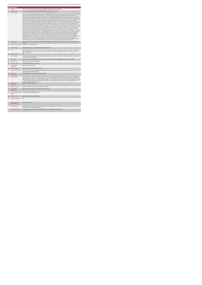|                | <b>PA Service</b>                           |                                                                                                                                                                                                                                                                                                                                                                                                                                                                                                                                                                                                                                                                                                                                                                                                                                                                                                                                                                                                                                                                                                                                                                                                                                                                                                                                                                                                                                                                                                                                                                                                                                                                                                                                                                                                                                                                                                                                                                                                                                                                                                                                                                                                                                                                                                                                                                                                                                                                                                                                                                                                                                                                                                                                                                                                                                                                                                                                                                                                                                                                                                                                                                                                                                                                                                                                                                                                                     |
|----------------|---------------------------------------------|---------------------------------------------------------------------------------------------------------------------------------------------------------------------------------------------------------------------------------------------------------------------------------------------------------------------------------------------------------------------------------------------------------------------------------------------------------------------------------------------------------------------------------------------------------------------------------------------------------------------------------------------------------------------------------------------------------------------------------------------------------------------------------------------------------------------------------------------------------------------------------------------------------------------------------------------------------------------------------------------------------------------------------------------------------------------------------------------------------------------------------------------------------------------------------------------------------------------------------------------------------------------------------------------------------------------------------------------------------------------------------------------------------------------------------------------------------------------------------------------------------------------------------------------------------------------------------------------------------------------------------------------------------------------------------------------------------------------------------------------------------------------------------------------------------------------------------------------------------------------------------------------------------------------------------------------------------------------------------------------------------------------------------------------------------------------------------------------------------------------------------------------------------------------------------------------------------------------------------------------------------------------------------------------------------------------------------------------------------------------------------------------------------------------------------------------------------------------------------------------------------------------------------------------------------------------------------------------------------------------------------------------------------------------------------------------------------------------------------------------------------------------------------------------------------------------------------------------------------------------------------------------------------------------------------------------------------------------------------------------------------------------------------------------------------------------------------------------------------------------------------------------------------------------------------------------------------------------------------------------------------------------------------------------------------------------------------------------------------------------------------------------------------------------|
|                | <b>KPITitle</b>                             | DIS37 - No. adults with a physical and/or sensory disability formally discharged from a PA service                                                                                                                                                                                                                                                                                                                                                                                                                                                                                                                                                                                                                                                                                                                                                                                                                                                                                                                                                                                                                                                                                                                                                                                                                                                                                                                                                                                                                                                                                                                                                                                                                                                                                                                                                                                                                                                                                                                                                                                                                                                                                                                                                                                                                                                                                                                                                                                                                                                                                                                                                                                                                                                                                                                                                                                                                                                                                                                                                                                                                                                                                                                                                                                                                                                                                                                  |
| 18             | <b>KPI Short Title</b>                      | No. adults with a physical and/or sensory disability formally discharged from a PA service                                                                                                                                                                                                                                                                                                                                                                                                                                                                                                                                                                                                                                                                                                                                                                                                                                                                                                                                                                                                                                                                                                                                                                                                                                                                                                                                                                                                                                                                                                                                                                                                                                                                                                                                                                                                                                                                                                                                                                                                                                                                                                                                                                                                                                                                                                                                                                                                                                                                                                                                                                                                                                                                                                                                                                                                                                                                                                                                                                                                                                                                                                                                                                                                                                                                                                                          |
| $\overline{z}$ | <b>KPI</b> Description                      | Total number of adults with a physical and/or sensory disability, formally discharged from a PA service in this quarter up to and including the last<br>day of the quarter. Reasons for discharge may include: . Residential placement. Transferred to other provider, other area. Service is no longer<br>required or no longer meeting needs- Deceased. Include: - Adults with a physical and/or sensory disability formally discharged from a PA<br>service in this quarter. Exclude:+ Adults with a physical and/or sensory disability discharged from PA service funded by other care groups (e.g.<br>Older Persons), Delayed Discharge Initiative Funding or Community Employment Scheme- Adults with a physical and/or sensory disability in<br>receipt of or awaiting commencement of a PA service who have not been formally discharged- Adults with a Physical and/ or Sensory Disability<br>who receive a Home Support service+ Adults with physical and sensory disability who require neurorehab supports that do not meet the<br>definition of PA or Home Support Adults with an Intellectual Disability and / or autism. Children with any disability. All adults accessing PA Hours<br>must be returned by the HSE Area from which their funding is allocated e.g. a service user from Sligo accessing PA Hours through Longford<br>CIL whose hours are paid for by Sigo PA budget must be returned by Sigo Disability Services. Example # 1: Kate received PA service in Q1<br>and Q2 in Waterford. She was formally discharged at end of Q2 as she moved to Donegal. Kate is returned by Waterford under this KPI in Q2.<br>She is also returned by Waterford in Q2 under "No. of Existing Persons in receipt of PA" and by Donegal under "No. of new referrals received"<br>for the quarter in which they receive her new referral. Example # 2 Susan has been receiving PA service over years. She was admitted to<br>hospital in Q1 and it is unclear at end of the quarter whether she will be returning home and to PA services or to residential and so returned<br>under this KPI. Each person's case needs to be reviewed individually to determine when formal discharge from PA is appropriate. If a person is<br>discharged from PA and returned under this KPI, should they later return home/ to PA service, return them under "No. new referrals accepted"<br>and "No. new persons commenced" in relevant quarter. Definitions:Personal Assistant (PA): is employed by the person with a disability to<br>enable them to live an independent life. The PA provides assistance, at the discretion and direction of the person with the disability, thus<br>promoting choice and control for the person with the disability to live independently" (National Physical and Sensory Disability Database -<br>Description of Services). Employed by: for the purposes of this KPI means that the service user has full control over the recruitment and day to<br>day direction of their PA. The service user may devolve responsibility for employment administrative arrangements e.g. Garda vetting,<br>references, insurance, tax returns and salary payment, to a service provider such as CIL, IWA. Adult: For the purpose of this KPI an adult is<br>aged over 18 and under 65. It may include persons aged over 65 years who began with Disability Services prior to turning 65. |
| $\mathbf{R}$   | <b>KPI Rationale</b>                        | To monitor the number of adults with a physical and/or sensory disability formally discharged from PA services as funded by HSE Disability<br>Services                                                                                                                                                                                                                                                                                                                                                                                                                                                                                                                                                                                                                                                                                                                                                                                                                                                                                                                                                                                                                                                                                                                                                                                                                                                                                                                                                                                                                                                                                                                                                                                                                                                                                                                                                                                                                                                                                                                                                                                                                                                                                                                                                                                                                                                                                                                                                                                                                                                                                                                                                                                                                                                                                                                                                                                                                                                                                                                                                                                                                                                                                                                                                                                                                                                              |
| 3a             | Indicator Classification                    | National Scorecard Quadrant Access                                                                                                                                                                                                                                                                                                                                                                                                                                                                                                                                                                                                                                                                                                                                                                                                                                                                                                                                                                                                                                                                                                                                                                                                                                                                                                                                                                                                                                                                                                                                                                                                                                                                                                                                                                                                                                                                                                                                                                                                                                                                                                                                                                                                                                                                                                                                                                                                                                                                                                                                                                                                                                                                                                                                                                                                                                                                                                                                                                                                                                                                                                                                                                                                                                                                                                                                                                                  |
| $\overline{4}$ | <b>National Target</b>                      | 2019 Operational Plan Cumulative target/expected activity 2019: 150.                                                                                                                                                                                                                                                                                                                                                                                                                                                                                                                                                                                                                                                                                                                                                                                                                                                                                                                                                                                                                                                                                                                                                                                                                                                                                                                                                                                                                                                                                                                                                                                                                                                                                                                                                                                                                                                                                                                                                                                                                                                                                                                                                                                                                                                                                                                                                                                                                                                                                                                                                                                                                                                                                                                                                                                                                                                                                                                                                                                                                                                                                                                                                                                                                                                                                                                                                |
| 48             | Target                                      | 2019 Target per CHO: CHO 1 - 15, CHO 2 - 26, CHO 3 - 25, CHO 4 - 27, CHO 5 - 24, CHO 6 - 0, CHO 7 - 3, CHO 8 - 17, CHO 9 - 13.<br>This is a cumulative KPI, i.e. at year end, each Area's four quarterly outturns will be added together to obtain the total end of year outturn for<br>that Area in that year                                                                                                                                                                                                                                                                                                                                                                                                                                                                                                                                                                                                                                                                                                                                                                                                                                                                                                                                                                                                                                                                                                                                                                                                                                                                                                                                                                                                                                                                                                                                                                                                                                                                                                                                                                                                                                                                                                                                                                                                                                                                                                                                                                                                                                                                                                                                                                                                                                                                                                                                                                                                                                                                                                                                                                                                                                                                                                                                                                                                                                                                                                      |
| 4h             | <b>Volume Metrics</b>                       | N/A                                                                                                                                                                                                                                                                                                                                                                                                                                                                                                                                                                                                                                                                                                                                                                                                                                                                                                                                                                                                                                                                                                                                                                                                                                                                                                                                                                                                                                                                                                                                                                                                                                                                                                                                                                                                                                                                                                                                                                                                                                                                                                                                                                                                                                                                                                                                                                                                                                                                                                                                                                                                                                                                                                                                                                                                                                                                                                                                                                                                                                                                                                                                                                                                                                                                                                                                                                                                                 |
| 5              | <b>KPI Calculation</b>                      | Count all adults with a physical and/or sensory disability discharged from PA services in this quarter. All discharges only to be counted once i.e.<br>in the quarter they are discharged.                                                                                                                                                                                                                                                                                                                                                                                                                                                                                                                                                                                                                                                                                                                                                                                                                                                                                                                                                                                                                                                                                                                                                                                                                                                                                                                                                                                                                                                                                                                                                                                                                                                                                                                                                                                                                                                                                                                                                                                                                                                                                                                                                                                                                                                                                                                                                                                                                                                                                                                                                                                                                                                                                                                                                                                                                                                                                                                                                                                                                                                                                                                                                                                                                          |
| 6              | <b>Data Source</b>                          | Service Provider > HSE Disability Service nominee > HOSC > CHO > Performance Management and Improvement Unit (PMIU).                                                                                                                                                                                                                                                                                                                                                                                                                                                                                                                                                                                                                                                                                                                                                                                                                                                                                                                                                                                                                                                                                                                                                                                                                                                                                                                                                                                                                                                                                                                                                                                                                                                                                                                                                                                                                                                                                                                                                                                                                                                                                                                                                                                                                                                                                                                                                                                                                                                                                                                                                                                                                                                                                                                                                                                                                                                                                                                                                                                                                                                                                                                                                                                                                                                                                                |
| Бa             | Data Sign Off                               | Head of Social Care in CHO Area (HOSC)                                                                                                                                                                                                                                                                                                                                                                                                                                                                                                                                                                                                                                                                                                                                                                                                                                                                                                                                                                                                                                                                                                                                                                                                                                                                                                                                                                                                                                                                                                                                                                                                                                                                                                                                                                                                                                                                                                                                                                                                                                                                                                                                                                                                                                                                                                                                                                                                                                                                                                                                                                                                                                                                                                                                                                                                                                                                                                                                                                                                                                                                                                                                                                                                                                                                                                                                                                              |
| 6h             | <b>Data Quality Issues</b>                  | No known data quality issues at this point.                                                                                                                                                                                                                                                                                                                                                                                                                                                                                                                                                                                                                                                                                                                                                                                                                                                                                                                                                                                                                                                                                                                                                                                                                                                                                                                                                                                                                                                                                                                                                                                                                                                                                                                                                                                                                                                                                                                                                                                                                                                                                                                                                                                                                                                                                                                                                                                                                                                                                                                                                                                                                                                                                                                                                                                                                                                                                                                                                                                                                                                                                                                                                                                                                                                                                                                                                                         |
| $\overline{7}$ | Data Collection<br>Frequency                | Quarterly- one month in arrears                                                                                                                                                                                                                                                                                                                                                                                                                                                                                                                                                                                                                                                                                                                                                                                                                                                                                                                                                                                                                                                                                                                                                                                                                                                                                                                                                                                                                                                                                                                                                                                                                                                                                                                                                                                                                                                                                                                                                                                                                                                                                                                                                                                                                                                                                                                                                                                                                                                                                                                                                                                                                                                                                                                                                                                                                                                                                                                                                                                                                                                                                                                                                                                                                                                                                                                                                                                     |
| 8              | <b>Tracer Conditions</b>                    | Adults with a physical and/or sensory disability                                                                                                                                                                                                                                                                                                                                                                                                                                                                                                                                                                                                                                                                                                                                                                                                                                                                                                                                                                                                                                                                                                                                                                                                                                                                                                                                                                                                                                                                                                                                                                                                                                                                                                                                                                                                                                                                                                                                                                                                                                                                                                                                                                                                                                                                                                                                                                                                                                                                                                                                                                                                                                                                                                                                                                                                                                                                                                                                                                                                                                                                                                                                                                                                                                                                                                                                                                    |
| $\circ$        | Minimum Data Set MDS                        | The service user's care plan which includes personal details and relevant information relating to their diagnosis, their needs and services and<br>support they require to meet their needs.                                                                                                                                                                                                                                                                                                                                                                                                                                                                                                                                                                                                                                                                                                                                                                                                                                                                                                                                                                                                                                                                                                                                                                                                                                                                                                                                                                                                                                                                                                                                                                                                                                                                                                                                                                                                                                                                                                                                                                                                                                                                                                                                                                                                                                                                                                                                                                                                                                                                                                                                                                                                                                                                                                                                                                                                                                                                                                                                                                                                                                                                                                                                                                                                                        |
| 10             | International<br>Comparison                 | Service developed in line with best practice internationally                                                                                                                                                                                                                                                                                                                                                                                                                                                                                                                                                                                                                                                                                                                                                                                                                                                                                                                                                                                                                                                                                                                                                                                                                                                                                                                                                                                                                                                                                                                                                                                                                                                                                                                                                                                                                                                                                                                                                                                                                                                                                                                                                                                                                                                                                                                                                                                                                                                                                                                                                                                                                                                                                                                                                                                                                                                                                                                                                                                                                                                                                                                                                                                                                                                                                                                                                        |
| 11             | <b>KPI Monitoring</b>                       | Quarterly/ Other - give details: The HOSC/nominee will receive, review and quality assure KPI data returns for accuracy and completeness<br>and analyse data for performance against ELS/targets. They will forward the collated KPI returns to the Chief Officer/nominee and include a<br>builet point explanation where there are variances against target. The Chief Officer/nominee will review, approve and submit final CHO returns<br>to the Performance Management and Improvement Unit (PMIU) on the agreed date each month / quarter. The responsible person at local<br>level for monitoring this KPI is the HOSC                                                                                                                                                                                                                                                                                                                                                                                                                                                                                                                                                                                                                                                                                                                                                                                                                                                                                                                                                                                                                                                                                                                                                                                                                                                                                                                                                                                                                                                                                                                                                                                                                                                                                                                                                                                                                                                                                                                                                                                                                                                                                                                                                                                                                                                                                                                                                                                                                                                                                                                                                                                                                                                                                                                                                                                        |
| 12             | <b>KPI Reporting</b><br>Frequency           | Quarterly- (1 month in Arrears)                                                                                                                                                                                                                                                                                                                                                                                                                                                                                                                                                                                                                                                                                                                                                                                                                                                                                                                                                                                                                                                                                                                                                                                                                                                                                                                                                                                                                                                                                                                                                                                                                                                                                                                                                                                                                                                                                                                                                                                                                                                                                                                                                                                                                                                                                                                                                                                                                                                                                                                                                                                                                                                                                                                                                                                                                                                                                                                                                                                                                                                                                                                                                                                                                                                                                                                                                                                     |
| 13             | <b>KPI Report Period</b>                    | Quarterly one month in arrears (Q2 data reported in July report)                                                                                                                                                                                                                                                                                                                                                                                                                                                                                                                                                                                                                                                                                                                                                                                                                                                                                                                                                                                                                                                                                                                                                                                                                                                                                                                                                                                                                                                                                                                                                                                                                                                                                                                                                                                                                                                                                                                                                                                                                                                                                                                                                                                                                                                                                                                                                                                                                                                                                                                                                                                                                                                                                                                                                                                                                                                                                                                                                                                                                                                                                                                                                                                                                                                                                                                                                    |
| 14             | <b>KPI Reporting</b><br>Aggregation         | National/ CHO/ LHO Area/ Other - give details: Service Provider                                                                                                                                                                                                                                                                                                                                                                                                                                                                                                                                                                                                                                                                                                                                                                                                                                                                                                                                                                                                                                                                                                                                                                                                                                                                                                                                                                                                                                                                                                                                                                                                                                                                                                                                                                                                                                                                                                                                                                                                                                                                                                                                                                                                                                                                                                                                                                                                                                                                                                                                                                                                                                                                                                                                                                                                                                                                                                                                                                                                                                                                                                                                                                                                                                                                                                                                                     |
| 15             | reports?                                    | KPI is reported in which Preliminary Data Report/Operational Plan                                                                                                                                                                                                                                                                                                                                                                                                                                                                                                                                                                                                                                                                                                                                                                                                                                                                                                                                                                                                                                                                                                                                                                                                                                                                                                                                                                                                                                                                                                                                                                                                                                                                                                                                                                                                                                                                                                                                                                                                                                                                                                                                                                                                                                                                                                                                                                                                                                                                                                                                                                                                                                                                                                                                                                                                                                                                                                                                                                                                                                                                                                                                                                                                                                                                                                                                                   |
| 16             | Web link to data                            | http://www.hse.je/eng/services/publications/                                                                                                                                                                                                                                                                                                                                                                                                                                                                                                                                                                                                                                                                                                                                                                                                                                                                                                                                                                                                                                                                                                                                                                                                                                                                                                                                                                                                                                                                                                                                                                                                                                                                                                                                                                                                                                                                                                                                                                                                                                                                                                                                                                                                                                                                                                                                                                                                                                                                                                                                                                                                                                                                                                                                                                                                                                                                                                                                                                                                                                                                                                                                                                                                                                                                                                                                                                        |
| 17             | <b>Additional Information</b>               | N/L                                                                                                                                                                                                                                                                                                                                                                                                                                                                                                                                                                                                                                                                                                                                                                                                                                                                                                                                                                                                                                                                                                                                                                                                                                                                                                                                                                                                                                                                                                                                                                                                                                                                                                                                                                                                                                                                                                                                                                                                                                                                                                                                                                                                                                                                                                                                                                                                                                                                                                                                                                                                                                                                                                                                                                                                                                                                                                                                                                                                                                                                                                                                                                                                                                                                                                                                                                                                                 |
|                | <b>KPI</b> owner/lead for<br>implementation | Chief Officer, CHO Area                                                                                                                                                                                                                                                                                                                                                                                                                                                                                                                                                                                                                                                                                                                                                                                                                                                                                                                                                                                                                                                                                                                                                                                                                                                                                                                                                                                                                                                                                                                                                                                                                                                                                                                                                                                                                                                                                                                                                                                                                                                                                                                                                                                                                                                                                                                                                                                                                                                                                                                                                                                                                                                                                                                                                                                                                                                                                                                                                                                                                                                                                                                                                                                                                                                                                                                                                                                             |
|                | PBI data support                            | Sinéad Nulty O'Brien, Lead Data Analyst for Disabilities, Performance Management and Improvement Unit - Bective Street, Kells, Co. Meath.<br>Ph: 046 9251328 . Email:sinead.nutv@hse.ie                                                                                                                                                                                                                                                                                                                                                                                                                                                                                                                                                                                                                                                                                                                                                                                                                                                                                                                                                                                                                                                                                                                                                                                                                                                                                                                                                                                                                                                                                                                                                                                                                                                                                                                                                                                                                                                                                                                                                                                                                                                                                                                                                                                                                                                                                                                                                                                                                                                                                                                                                                                                                                                                                                                                                                                                                                                                                                                                                                                                                                                                                                                                                                                                                             |
|                | Governance/sign off                         | Dr. Cathal Morgan, Head of Operations, Disability Services Email: disabilitypps socialcare@hse.ie                                                                                                                                                                                                                                                                                                                                                                                                                                                                                                                                                                                                                                                                                                                                                                                                                                                                                                                                                                                                                                                                                                                                                                                                                                                                                                                                                                                                                                                                                                                                                                                                                                                                                                                                                                                                                                                                                                                                                                                                                                                                                                                                                                                                                                                                                                                                                                                                                                                                                                                                                                                                                                                                                                                                                                                                                                                                                                                                                                                                                                                                                                                                                                                                                                                                                                                   |
|                |                                             |                                                                                                                                                                                                                                                                                                                                                                                                                                                                                                                                                                                                                                                                                                                                                                                                                                                                                                                                                                                                                                                                                                                                                                                                                                                                                                                                                                                                                                                                                                                                                                                                                                                                                                                                                                                                                                                                                                                                                                                                                                                                                                                                                                                                                                                                                                                                                                                                                                                                                                                                                                                                                                                                                                                                                                                                                                                                                                                                                                                                                                                                                                                                                                                                                                                                                                                                                                                                                     |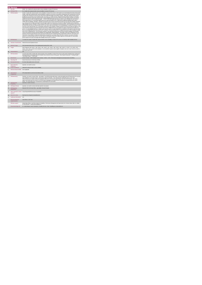|                | <b>PA Service</b>                           |                                                                                                                                                                                                                                                                                                                                                                                                                                                                                                                                                                                                                                                                                                                                                                                                                                                                                                                                                                                                                                                                                                                                                                                                                                                                                                                                                                                                                                                                                                                                                                                                                                                                                                                                                                                                                                                                                                                                                                                                                                                                                                                                                                                                                                                                                                                                                                                                                                                                                                                                                                                                                                                                                                                                                                                                                                                                                                                                                                                                                                                                        |
|----------------|---------------------------------------------|------------------------------------------------------------------------------------------------------------------------------------------------------------------------------------------------------------------------------------------------------------------------------------------------------------------------------------------------------------------------------------------------------------------------------------------------------------------------------------------------------------------------------------------------------------------------------------------------------------------------------------------------------------------------------------------------------------------------------------------------------------------------------------------------------------------------------------------------------------------------------------------------------------------------------------------------------------------------------------------------------------------------------------------------------------------------------------------------------------------------------------------------------------------------------------------------------------------------------------------------------------------------------------------------------------------------------------------------------------------------------------------------------------------------------------------------------------------------------------------------------------------------------------------------------------------------------------------------------------------------------------------------------------------------------------------------------------------------------------------------------------------------------------------------------------------------------------------------------------------------------------------------------------------------------------------------------------------------------------------------------------------------------------------------------------------------------------------------------------------------------------------------------------------------------------------------------------------------------------------------------------------------------------------------------------------------------------------------------------------------------------------------------------------------------------------------------------------------------------------------------------------------------------------------------------------------------------------------------------------------------------------------------------------------------------------------------------------------------------------------------------------------------------------------------------------------------------------------------------------------------------------------------------------------------------------------------------------------------------------------------------------------------------------------------------------------|
|                | <b>KPITitle</b>                             | DIS38 - No. of adults with a physical and/or sensory disability in receipt of PA Services                                                                                                                                                                                                                                                                                                                                                                                                                                                                                                                                                                                                                                                                                                                                                                                                                                                                                                                                                                                                                                                                                                                                                                                                                                                                                                                                                                                                                                                                                                                                                                                                                                                                                                                                                                                                                                                                                                                                                                                                                                                                                                                                                                                                                                                                                                                                                                                                                                                                                                                                                                                                                                                                                                                                                                                                                                                                                                                                                                              |
| 1a             | <b>KPI Short Title</b>                      | No. of adults with a physical and/or sensory disability in receipt of PA Services                                                                                                                                                                                                                                                                                                                                                                                                                                                                                                                                                                                                                                                                                                                                                                                                                                                                                                                                                                                                                                                                                                                                                                                                                                                                                                                                                                                                                                                                                                                                                                                                                                                                                                                                                                                                                                                                                                                                                                                                                                                                                                                                                                                                                                                                                                                                                                                                                                                                                                                                                                                                                                                                                                                                                                                                                                                                                                                                                                                      |
| $\overline{z}$ | <b>KPI Description</b>                      | Number of adults with a physical and/or sensory disability in receipt of PA services, in this quarter up to and including the last day of the quarter.<br>Include: Adults with a physical and/or sensory disability in receipt of a PA service in this quarter including those who commenced a PA service<br>and those who continued a PA service even if they were formally discharged in this quarter. Exclude: . Adults with a physical and/or sensory<br>disability who accessed PA service funded by other care groups (e.g. Older Persons), Delayed Discharge Initiative Funding or Community<br>Employment Scheme+ Adults with a physical and/or sensory disability who did not receive a PA service in this quarter but did in any previous<br>quarters who have not been formally discharged- DO NOT INCLUDE Adults with a physical and/or sensory disability who only receive a<br>Home Support Service, or neurorehab supports that do not meet the definition of PA + Adults with an intellectual disability and/or autism +<br>Children with any disability. Calculation : All adults accessing PA Hours must be returned by the HSE Area from which their funding is allocated<br>e.g. a service user from Sligo accessing PA Hours through Longford CIL whose hours are paid for by Sligo PA budget must be returned by<br>Sligo Disability Services. Example #1:Sean received a PA service in Q3, continuing from a previous quarter. Jane commenced a PA service in<br>Q3. Both Sean and Jane are returned under this KPI in Q3. Sean is also returned under "No of existing people in receipt of PA services" in Q3<br>and Jane is also returned under 'No. of new people commenced' in Q3. Example # 2:Martin received 10 PA hours per week from Agency A. He<br>was assessed as having an increased need and now receives 5 additional PA hours from Agency B. Martin is returned by each agency as 1<br>person. It is acknowledged that this is a "double count" but until a system of unique identification is established, both agencies must return what<br>they are providing funded by the HSE under this KPI. Definitions: Personal Assistant (PA): is employed by the person with a disability to enable<br>them to live an independent life. The PA provides assistance, at the discretion and direction of the person with the disability, thus promoting<br>choice and control for the person with the disability to live independently" (NASS Database - Description of Services). Employed by: for the<br>purposes of this KPI means that the service user has full control over the recruitment and day to day direction of their PA. The service user<br>may devolve responsibility for employment administrative arrangements e.g. Garda vetting, references, insurance, tax returns and salary<br>payment, to a service provider such as CIL, IWA. Adult: For the purpose of this KPI an adult is aged over 18 and under 65. It may include<br>persons aged over 65 years who began with Disability Services prior to turning 65. |
| $\overline{3}$ | <b>KPI Rationale</b>                        | To monitor the number of adults with a physical and/or sensory disability in receipt of PA services as funded by HSE Disability Services.                                                                                                                                                                                                                                                                                                                                                                                                                                                                                                                                                                                                                                                                                                                                                                                                                                                                                                                                                                                                                                                                                                                                                                                                                                                                                                                                                                                                                                                                                                                                                                                                                                                                                                                                                                                                                                                                                                                                                                                                                                                                                                                                                                                                                                                                                                                                                                                                                                                                                                                                                                                                                                                                                                                                                                                                                                                                                                                              |
| 3a             |                                             | Indicator Classification National Scorecard Quadrant Access                                                                                                                                                                                                                                                                                                                                                                                                                                                                                                                                                                                                                                                                                                                                                                                                                                                                                                                                                                                                                                                                                                                                                                                                                                                                                                                                                                                                                                                                                                                                                                                                                                                                                                                                                                                                                                                                                                                                                                                                                                                                                                                                                                                                                                                                                                                                                                                                                                                                                                                                                                                                                                                                                                                                                                                                                                                                                                                                                                                                            |
| $\overline{4}$ | <b>National Target</b>                      | 2019 Operational Plan Point in Time target/expected activity 2019: 2,535.                                                                                                                                                                                                                                                                                                                                                                                                                                                                                                                                                                                                                                                                                                                                                                                                                                                                                                                                                                                                                                                                                                                                                                                                                                                                                                                                                                                                                                                                                                                                                                                                                                                                                                                                                                                                                                                                                                                                                                                                                                                                                                                                                                                                                                                                                                                                                                                                                                                                                                                                                                                                                                                                                                                                                                                                                                                                                                                                                                                              |
| 48             | Target                                      | 2019 Target per CHO: CHO 1 - 254 , CHO 2 - 431 , CHO 3 - 427 , CHO 4 - 449 , CHO 5 - 406 , CHO 6 - 9 , CHO 7 - 52 , CHO 8 - 281<br>CHO 9 - 226. This is a point in time calculation i.e. do not add the 4 quarter returns together. Example: Cork: Q1: 20, Q2: 23, Q3: 21, Q4: 23,<br>end of year return is 23.                                                                                                                                                                                                                                                                                                                                                                                                                                                                                                                                                                                                                                                                                                                                                                                                                                                                                                                                                                                                                                                                                                                                                                                                                                                                                                                                                                                                                                                                                                                                                                                                                                                                                                                                                                                                                                                                                                                                                                                                                                                                                                                                                                                                                                                                                                                                                                                                                                                                                                                                                                                                                                                                                                                                                        |
| 4 <sub>b</sub> | <b>Volume Metrics</b>                       | N/A                                                                                                                                                                                                                                                                                                                                                                                                                                                                                                                                                                                                                                                                                                                                                                                                                                                                                                                                                                                                                                                                                                                                                                                                                                                                                                                                                                                                                                                                                                                                                                                                                                                                                                                                                                                                                                                                                                                                                                                                                                                                                                                                                                                                                                                                                                                                                                                                                                                                                                                                                                                                                                                                                                                                                                                                                                                                                                                                                                                                                                                                    |
| 5              | <b>KPI Calculation</b>                      | Count the total number of adults with a physical and/or sensory disability in receipt of PA services in this quarter including all new, existing and<br>discharged clients. Discharged clients are included if they received a service in the quarter. "New People commenced" + "Existing People" +<br>"Discharged People"= "Total People"                                                                                                                                                                                                                                                                                                                                                                                                                                                                                                                                                                                                                                                                                                                                                                                                                                                                                                                                                                                                                                                                                                                                                                                                                                                                                                                                                                                                                                                                                                                                                                                                                                                                                                                                                                                                                                                                                                                                                                                                                                                                                                                                                                                                                                                                                                                                                                                                                                                                                                                                                                                                                                                                                                                             |
| 6              | <b>Data Source</b>                          | Service Provider > HSE Disability Service nominee > HOSC > CHO > Performance Management and Improvement Unit (PMIU).                                                                                                                                                                                                                                                                                                                                                                                                                                                                                                                                                                                                                                                                                                                                                                                                                                                                                                                                                                                                                                                                                                                                                                                                                                                                                                                                                                                                                                                                                                                                                                                                                                                                                                                                                                                                                                                                                                                                                                                                                                                                                                                                                                                                                                                                                                                                                                                                                                                                                                                                                                                                                                                                                                                                                                                                                                                                                                                                                   |
| 6a             | Data Sign Off                               | Head of Social Care in CHO Area ( HOSC)                                                                                                                                                                                                                                                                                                                                                                                                                                                                                                                                                                                                                                                                                                                                                                                                                                                                                                                                                                                                                                                                                                                                                                                                                                                                                                                                                                                                                                                                                                                                                                                                                                                                                                                                                                                                                                                                                                                                                                                                                                                                                                                                                                                                                                                                                                                                                                                                                                                                                                                                                                                                                                                                                                                                                                                                                                                                                                                                                                                                                                |
| 6h             | <b>Data Quality Issues</b>                  | No known data quality issues at this point.                                                                                                                                                                                                                                                                                                                                                                                                                                                                                                                                                                                                                                                                                                                                                                                                                                                                                                                                                                                                                                                                                                                                                                                                                                                                                                                                                                                                                                                                                                                                                                                                                                                                                                                                                                                                                                                                                                                                                                                                                                                                                                                                                                                                                                                                                                                                                                                                                                                                                                                                                                                                                                                                                                                                                                                                                                                                                                                                                                                                                            |
| $\overline{7}$ | <b>Data Collection</b><br>Frequency         | Quarterly- one month in arrears                                                                                                                                                                                                                                                                                                                                                                                                                                                                                                                                                                                                                                                                                                                                                                                                                                                                                                                                                                                                                                                                                                                                                                                                                                                                                                                                                                                                                                                                                                                                                                                                                                                                                                                                                                                                                                                                                                                                                                                                                                                                                                                                                                                                                                                                                                                                                                                                                                                                                                                                                                                                                                                                                                                                                                                                                                                                                                                                                                                                                                        |
| 8              | <b>Tracer Conditions</b>                    | Adults with a physical and/or sensory disability                                                                                                                                                                                                                                                                                                                                                                                                                                                                                                                                                                                                                                                                                                                                                                                                                                                                                                                                                                                                                                                                                                                                                                                                                                                                                                                                                                                                                                                                                                                                                                                                                                                                                                                                                                                                                                                                                                                                                                                                                                                                                                                                                                                                                                                                                                                                                                                                                                                                                                                                                                                                                                                                                                                                                                                                                                                                                                                                                                                                                       |
| $\mathbf{a}$   | Minimum Data Set MDS None Applicable        |                                                                                                                                                                                                                                                                                                                                                                                                                                                                                                                                                                                                                                                                                                                                                                                                                                                                                                                                                                                                                                                                                                                                                                                                                                                                                                                                                                                                                                                                                                                                                                                                                                                                                                                                                                                                                                                                                                                                                                                                                                                                                                                                                                                                                                                                                                                                                                                                                                                                                                                                                                                                                                                                                                                                                                                                                                                                                                                                                                                                                                                                        |
| 10             | International<br>Comparison                 | KPV activity linked to current service delivery model                                                                                                                                                                                                                                                                                                                                                                                                                                                                                                                                                                                                                                                                                                                                                                                                                                                                                                                                                                                                                                                                                                                                                                                                                                                                                                                                                                                                                                                                                                                                                                                                                                                                                                                                                                                                                                                                                                                                                                                                                                                                                                                                                                                                                                                                                                                                                                                                                                                                                                                                                                                                                                                                                                                                                                                                                                                                                                                                                                                                                  |
| 11             | <b>KPI Monitoring</b>                       | Quarterly- one month in arrears/ Other - give details: The HOSC/nominee will receive, review and quality assure KPI data returns for accuracy<br>and completeness and analyse data for performance against ELS/targets. They will forward the collated KPI returns to the Chief<br>Officer/nominee and include a bullet point explanation where there are variances against target. The Chief Officer/nominee will review,<br>approve and submit final CHO returns to the Performance Management and Improvement Unit (PMIU) on the agreed date each month /<br>quarter. The responsible person at local level for monitoring this KPI is the HOSC.                                                                                                                                                                                                                                                                                                                                                                                                                                                                                                                                                                                                                                                                                                                                                                                                                                                                                                                                                                                                                                                                                                                                                                                                                                                                                                                                                                                                                                                                                                                                                                                                                                                                                                                                                                                                                                                                                                                                                                                                                                                                                                                                                                                                                                                                                                                                                                                                                    |
| 12             | <b>KPI Reporting</b><br>Frequency           | Quarterly (1 month in Arrears)                                                                                                                                                                                                                                                                                                                                                                                                                                                                                                                                                                                                                                                                                                                                                                                                                                                                                                                                                                                                                                                                                                                                                                                                                                                                                                                                                                                                                                                                                                                                                                                                                                                                                                                                                                                                                                                                                                                                                                                                                                                                                                                                                                                                                                                                                                                                                                                                                                                                                                                                                                                                                                                                                                                                                                                                                                                                                                                                                                                                                                         |
| 13             | <b>KPI Report Period</b>                    | Quarterly- one month in arrears (Q2 data reported in July report)                                                                                                                                                                                                                                                                                                                                                                                                                                                                                                                                                                                                                                                                                                                                                                                                                                                                                                                                                                                                                                                                                                                                                                                                                                                                                                                                                                                                                                                                                                                                                                                                                                                                                                                                                                                                                                                                                                                                                                                                                                                                                                                                                                                                                                                                                                                                                                                                                                                                                                                                                                                                                                                                                                                                                                                                                                                                                                                                                                                                      |
| 14             | <b>KPI Reporting</b><br>Aggregation         | National/ CHO/ LHO Area/ Other - give details: Service Provider                                                                                                                                                                                                                                                                                                                                                                                                                                                                                                                                                                                                                                                                                                                                                                                                                                                                                                                                                                                                                                                                                                                                                                                                                                                                                                                                                                                                                                                                                                                                                                                                                                                                                                                                                                                                                                                                                                                                                                                                                                                                                                                                                                                                                                                                                                                                                                                                                                                                                                                                                                                                                                                                                                                                                                                                                                                                                                                                                                                                        |
| 15             | reports?                                    | KPI is reported in which Annual Report/NSP/Performance Profile/MDR                                                                                                                                                                                                                                                                                                                                                                                                                                                                                                                                                                                                                                                                                                                                                                                                                                                                                                                                                                                                                                                                                                                                                                                                                                                                                                                                                                                                                                                                                                                                                                                                                                                                                                                                                                                                                                                                                                                                                                                                                                                                                                                                                                                                                                                                                                                                                                                                                                                                                                                                                                                                                                                                                                                                                                                                                                                                                                                                                                                                     |
| 16             | Web link to data                            | http://www.hse.ia/eng/services/publications/                                                                                                                                                                                                                                                                                                                                                                                                                                                                                                                                                                                                                                                                                                                                                                                                                                                                                                                                                                                                                                                                                                                                                                                                                                                                                                                                                                                                                                                                                                                                                                                                                                                                                                                                                                                                                                                                                                                                                                                                                                                                                                                                                                                                                                                                                                                                                                                                                                                                                                                                                                                                                                                                                                                                                                                                                                                                                                                                                                                                                           |
| 17             | <b>Additional Information</b>               | N/A                                                                                                                                                                                                                                                                                                                                                                                                                                                                                                                                                                                                                                                                                                                                                                                                                                                                                                                                                                                                                                                                                                                                                                                                                                                                                                                                                                                                                                                                                                                                                                                                                                                                                                                                                                                                                                                                                                                                                                                                                                                                                                                                                                                                                                                                                                                                                                                                                                                                                                                                                                                                                                                                                                                                                                                                                                                                                                                                                                                                                                                                    |
|                | <b>KPI</b> owner/lead for<br>implementation | Chief Officer, CHO Area                                                                                                                                                                                                                                                                                                                                                                                                                                                                                                                                                                                                                                                                                                                                                                                                                                                                                                                                                                                                                                                                                                                                                                                                                                                                                                                                                                                                                                                                                                                                                                                                                                                                                                                                                                                                                                                                                                                                                                                                                                                                                                                                                                                                                                                                                                                                                                                                                                                                                                                                                                                                                                                                                                                                                                                                                                                                                                                                                                                                                                                |
|                | PBI data support                            | Sinéad Nulty O'Brien, Lead Data Analyst for Disabilities, Performance Management and Improvement Unit - Bective Street, Kells, Co. Meath.<br>Ph: 046 9251328 , Emailsinead.nuty@hse.ie                                                                                                                                                                                                                                                                                                                                                                                                                                                                                                                                                                                                                                                                                                                                                                                                                                                                                                                                                                                                                                                                                                                                                                                                                                                                                                                                                                                                                                                                                                                                                                                                                                                                                                                                                                                                                                                                                                                                                                                                                                                                                                                                                                                                                                                                                                                                                                                                                                                                                                                                                                                                                                                                                                                                                                                                                                                                                 |
|                | Governance/sign off                         | Dr. Cathal Morgan, Head of Operations, Disability Services Email: disabilityops.socialcare@hse.ie                                                                                                                                                                                                                                                                                                                                                                                                                                                                                                                                                                                                                                                                                                                                                                                                                                                                                                                                                                                                                                                                                                                                                                                                                                                                                                                                                                                                                                                                                                                                                                                                                                                                                                                                                                                                                                                                                                                                                                                                                                                                                                                                                                                                                                                                                                                                                                                                                                                                                                                                                                                                                                                                                                                                                                                                                                                                                                                                                                      |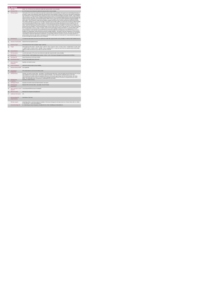| <b>KPI Short Title</b><br>No. of PA Service hours delivered to adults with a physical and/or sensory disability<br>1a<br>Total number of PA service hours delivered to adults with a physical and/or sensory disability, in this quarter up to and including the last day of<br><b>KPI Description</b><br>$\overline{z}$<br>require neurorehab supports that do not meet the definition of PA or Home Support- Hours provided for adults with an intellectual disability<br>and/or autism · Hours provided for children with any disability. All adults accessing PA Hours must be returned by the HSE Area from which<br>must be returned by Sligo Disability Services. Example # 1:Michael and Kieran are brothers with physical and sensory disability. They each<br>have a Personal Assistant for 4 hours 3 days a week. No. of hours returned under this KPI in this quarter is 4 hours x 2 PA x 3 days x 13<br>weeks = total of 312 (presuming 13 weeks in the quarter) i.e. count the number of paid hours. Example # 2-Fred and Peter are brothers with<br>this KPI in this quarter is 3 hours x 2 days x 13 weeks = total of 78 hours (presuming 13 weeks in the quarter) i.e. count the number of paid<br>hours. Definitions:Personal Assistant (PA): is employed by the person with a disability to enable them to live an independent life. The PA<br>provides assistance, at the discretion and direction of the person with the disability, thus promoting choice and control for the person with the<br>disability to live independently" (National Physical and Sensory Disability Database - Description of Services). Employed by: for the purposes<br>responsibility for employment administrative arrangements e.g. Garda vetting, references, insurance, tax returns and salary payment, to a<br>65 years who began with Disability Services prior to turning 65.<br><b>KPI Rationale</b><br>Indicator Classification National Scorecard Quadrant Access<br><b>National Target</b><br>2019 National Service Plan Cumulative Target: 1,630,000.<br>Target<br>7 - 39,282 , CHO 8 - 184,199 , CHO 9 - 322,682. This is a cumulative KPI, i.e. at year end, each Area's four quarterly outturns will be added<br>together to obtain the total end of year outturn for that Area in that year.<br>N/A<br><b>Volume Metrics</b><br><b>KPI Calculation</b><br>Count the total number of PA service hours delivered to adults with a physical and/or sensory disability.<br><b>Data Source</b><br>Service Provider > HSE Disability Service nominee > HOSC > CHO > Performance Management and Improvement Unit (PMIU).<br>Data Sign Off<br>Head of Social Care in CHO Area ( HOSC)<br><b>Data Quality Issues</b><br>No known data quality issues at this point.<br><b>Data Collection</b><br>Quarterly- one month in arrears<br>Frequency<br><b>Tracer Conditions</b><br>Adults with a physical and/or sensory disability<br>Minimum Data Set MDS None applicable<br>International<br>KPV activity linked to current service delivery model<br>Comparison<br><b>KPI Monitoring</b><br>and completeness and analyse data for performance against ELS/targets. They will forward the collated KPI returns to the Chief<br>Officer/nominee and include a bullet point explanation where there are variances against target. The Chief Officer/nominee will review,<br>approve and submit final CHO returns to the Performance Management and Improvement Unit (PMIU) on the agreed date each month /<br>quarter. The responsible person at local level for monitoring this KPI is the HOSC.<br><b>KPI Reporting</b><br>Quarterly (1 month in Arrears)<br>Frequency<br><b>KPI Report Period</b><br>Quarterly one month in arrears (Q2 data reported in July report)<br>National/ CHO/ LHO Area/ Other - give details: Service Provider<br><b>KPI Reporting</b><br>Aggregation<br>KPI is reported in which Annual Report/NSP/Performance Profile/MDR<br>reports?<br>Web link to data<br>http://www.hse.ie/eng/services/publications/<br><b>Additional Information</b><br>N/A<br><b>KPI</b> owner/lead for<br>Chief Officer, CHO Area<br>implementation<br>PBI data support<br>Sinéad Nulty O'Brien, Lead Data Analyst for Disabilities, Performance Management and Improvement Unit - Bective Street, Kells, Co. Meath.<br>Ph: 046 9251328 , Emailsinead.nulty@hse.ie<br>Dr. Cathal Morgan, Head of Operations, Disability Services Email: disabilityops.socialcare@hse.ie<br>Governance/sign off |    | <b>PA Service</b> |                                                                                                                                                                                                                                                                                                                                                                                                                                                                                                                                                                                                                                                                                                                                                                                                                                                                                                                                                                                                                                                                                                                                                                                                           |
|-----------------------------------------------------------------------------------------------------------------------------------------------------------------------------------------------------------------------------------------------------------------------------------------------------------------------------------------------------------------------------------------------------------------------------------------------------------------------------------------------------------------------------------------------------------------------------------------------------------------------------------------------------------------------------------------------------------------------------------------------------------------------------------------------------------------------------------------------------------------------------------------------------------------------------------------------------------------------------------------------------------------------------------------------------------------------------------------------------------------------------------------------------------------------------------------------------------------------------------------------------------------------------------------------------------------------------------------------------------------------------------------------------------------------------------------------------------------------------------------------------------------------------------------------------------------------------------------------------------------------------------------------------------------------------------------------------------------------------------------------------------------------------------------------------------------------------------------------------------------------------------------------------------------------------------------------------------------------------------------------------------------------------------------------------------------------------------------------------------------------------------------------------------------------------------------------------------------------------------------------------------------------------------------------------------------------------------------------------------------------------------------------------------------------------------------------------------------------------------------------------------------------------------------------------------------------------------------------------------------------------------------------------------------------------------------------------------------------------------------------------------------------------------------------------------------------------------------------------------------------------------------------------------------------------------------------------------------------------------------------------------------------------------------------------------------------------------------------------------------------------------------------------------------------------------------------------------------------------------------------------------------------------------------------------------------------------------------------------------------------------------------------------------------------------------------------------------------------------------------------------------------------------------------------------------------------------------------------------------------------------------------------------------------------------------------------------------------------------------------------------------------------------------------------------------------------------------------------------------------------------------------------------------------------------------------------------------------------------------------------------------------------------------------------------------------------------------------------------------------------------------------------------------------------------------------------------------------------------------------------------------------------------------------------------------------------------------------------------------------------------------------------------------------------------------------------------------------------------------------------------------|----|-------------------|-----------------------------------------------------------------------------------------------------------------------------------------------------------------------------------------------------------------------------------------------------------------------------------------------------------------------------------------------------------------------------------------------------------------------------------------------------------------------------------------------------------------------------------------------------------------------------------------------------------------------------------------------------------------------------------------------------------------------------------------------------------------------------------------------------------------------------------------------------------------------------------------------------------------------------------------------------------------------------------------------------------------------------------------------------------------------------------------------------------------------------------------------------------------------------------------------------------|
|                                                                                                                                                                                                                                                                                                                                                                                                                                                                                                                                                                                                                                                                                                                                                                                                                                                                                                                                                                                                                                                                                                                                                                                                                                                                                                                                                                                                                                                                                                                                                                                                                                                                                                                                                                                                                                                                                                                                                                                                                                                                                                                                                                                                                                                                                                                                                                                                                                                                                                                                                                                                                                                                                                                                                                                                                                                                                                                                                                                                                                                                                                                                                                                                                                                                                                                                                                                                                                                                                                                                                                                                                                                                                                                                                                                                                                                                                                                                                                                                                                                                                                                                                                                                                                                                                                                                                                                                                                                                                                           |    | <b>KPITitle</b>   | DIS39 - No. of PA Service hours delivered to adults with a physical and/or sensory disability                                                                                                                                                                                                                                                                                                                                                                                                                                                                                                                                                                                                                                                                                                                                                                                                                                                                                                                                                                                                                                                                                                             |
|                                                                                                                                                                                                                                                                                                                                                                                                                                                                                                                                                                                                                                                                                                                                                                                                                                                                                                                                                                                                                                                                                                                                                                                                                                                                                                                                                                                                                                                                                                                                                                                                                                                                                                                                                                                                                                                                                                                                                                                                                                                                                                                                                                                                                                                                                                                                                                                                                                                                                                                                                                                                                                                                                                                                                                                                                                                                                                                                                                                                                                                                                                                                                                                                                                                                                                                                                                                                                                                                                                                                                                                                                                                                                                                                                                                                                                                                                                                                                                                                                                                                                                                                                                                                                                                                                                                                                                                                                                                                                                           |    |                   |                                                                                                                                                                                                                                                                                                                                                                                                                                                                                                                                                                                                                                                                                                                                                                                                                                                                                                                                                                                                                                                                                                                                                                                                           |
| $\mathbf{R}$<br>3a<br>$\overline{a}$<br>48<br>4h<br>5<br>6<br><b>Бя</b><br>6h<br>$\overline{7}$<br>8<br>9<br>10                                                                                                                                                                                                                                                                                                                                                                                                                                                                                                                                                                                                                                                                                                                                                                                                                                                                                                                                                                                                                                                                                                                                                                                                                                                                                                                                                                                                                                                                                                                                                                                                                                                                                                                                                                                                                                                                                                                                                                                                                                                                                                                                                                                                                                                                                                                                                                                                                                                                                                                                                                                                                                                                                                                                                                                                                                                                                                                                                                                                                                                                                                                                                                                                                                                                                                                                                                                                                                                                                                                                                                                                                                                                                                                                                                                                                                                                                                                                                                                                                                                                                                                                                                                                                                                                                                                                                                                           |    |                   | the quarter. Include:- Hours delivered to adults with a physical and/or sensory disability in receipt of a PA service in this quarter including those<br>who commenced a PA service and those who continued a PA service, even if they were discharged in the quarter. Exclude: . Hours funded by<br>other care groups (e.g. Older Persons), Delayed Discharge Initiative Funding or Community Employment Scheme- Hours provided in previous<br>quarter(s) but not in this quarter . Hours provided by Home Support Service . Hours provided for adults with physical and sensory disability who<br>their funding is allocated e.g. a service user from Sligo accessing PA Hours through Longford CIL whose hours are paid for by Sligo PA budget<br>physical and sensory disability. 1 Personal Assistant provides a service at their home for 3 hours 2 days per week. No. of hours returned under<br>of this KPI means that the service user has full control over the recruitment and day to day direction of their PA. The service user may devolve<br>service provider such as CIL, IWA. Adult: For the purpose of this KPI an adult is aged over 18 and under 65. It may include persons aged over |
|                                                                                                                                                                                                                                                                                                                                                                                                                                                                                                                                                                                                                                                                                                                                                                                                                                                                                                                                                                                                                                                                                                                                                                                                                                                                                                                                                                                                                                                                                                                                                                                                                                                                                                                                                                                                                                                                                                                                                                                                                                                                                                                                                                                                                                                                                                                                                                                                                                                                                                                                                                                                                                                                                                                                                                                                                                                                                                                                                                                                                                                                                                                                                                                                                                                                                                                                                                                                                                                                                                                                                                                                                                                                                                                                                                                                                                                                                                                                                                                                                                                                                                                                                                                                                                                                                                                                                                                                                                                                                                           |    |                   | To monitor the total number PA service hours delivered to adults with a physical and/or sensory disability as funded by HSE Disability Services.                                                                                                                                                                                                                                                                                                                                                                                                                                                                                                                                                                                                                                                                                                                                                                                                                                                                                                                                                                                                                                                          |
|                                                                                                                                                                                                                                                                                                                                                                                                                                                                                                                                                                                                                                                                                                                                                                                                                                                                                                                                                                                                                                                                                                                                                                                                                                                                                                                                                                                                                                                                                                                                                                                                                                                                                                                                                                                                                                                                                                                                                                                                                                                                                                                                                                                                                                                                                                                                                                                                                                                                                                                                                                                                                                                                                                                                                                                                                                                                                                                                                                                                                                                                                                                                                                                                                                                                                                                                                                                                                                                                                                                                                                                                                                                                                                                                                                                                                                                                                                                                                                                                                                                                                                                                                                                                                                                                                                                                                                                                                                                                                                           |    |                   |                                                                                                                                                                                                                                                                                                                                                                                                                                                                                                                                                                                                                                                                                                                                                                                                                                                                                                                                                                                                                                                                                                                                                                                                           |
|                                                                                                                                                                                                                                                                                                                                                                                                                                                                                                                                                                                                                                                                                                                                                                                                                                                                                                                                                                                                                                                                                                                                                                                                                                                                                                                                                                                                                                                                                                                                                                                                                                                                                                                                                                                                                                                                                                                                                                                                                                                                                                                                                                                                                                                                                                                                                                                                                                                                                                                                                                                                                                                                                                                                                                                                                                                                                                                                                                                                                                                                                                                                                                                                                                                                                                                                                                                                                                                                                                                                                                                                                                                                                                                                                                                                                                                                                                                                                                                                                                                                                                                                                                                                                                                                                                                                                                                                                                                                                                           |    |                   |                                                                                                                                                                                                                                                                                                                                                                                                                                                                                                                                                                                                                                                                                                                                                                                                                                                                                                                                                                                                                                                                                                                                                                                                           |
|                                                                                                                                                                                                                                                                                                                                                                                                                                                                                                                                                                                                                                                                                                                                                                                                                                                                                                                                                                                                                                                                                                                                                                                                                                                                                                                                                                                                                                                                                                                                                                                                                                                                                                                                                                                                                                                                                                                                                                                                                                                                                                                                                                                                                                                                                                                                                                                                                                                                                                                                                                                                                                                                                                                                                                                                                                                                                                                                                                                                                                                                                                                                                                                                                                                                                                                                                                                                                                                                                                                                                                                                                                                                                                                                                                                                                                                                                                                                                                                                                                                                                                                                                                                                                                                                                                                                                                                                                                                                                                           |    |                   | 2019 Target per CHO: CHO 1 - 137,349, CHO 2 - 294,713, CHO 3 - 324,145, CHO 4 - 127,254, CHO 5 - 178,593 CHO 6 - 21,783, CHO                                                                                                                                                                                                                                                                                                                                                                                                                                                                                                                                                                                                                                                                                                                                                                                                                                                                                                                                                                                                                                                                              |
|                                                                                                                                                                                                                                                                                                                                                                                                                                                                                                                                                                                                                                                                                                                                                                                                                                                                                                                                                                                                                                                                                                                                                                                                                                                                                                                                                                                                                                                                                                                                                                                                                                                                                                                                                                                                                                                                                                                                                                                                                                                                                                                                                                                                                                                                                                                                                                                                                                                                                                                                                                                                                                                                                                                                                                                                                                                                                                                                                                                                                                                                                                                                                                                                                                                                                                                                                                                                                                                                                                                                                                                                                                                                                                                                                                                                                                                                                                                                                                                                                                                                                                                                                                                                                                                                                                                                                                                                                                                                                                           |    |                   |                                                                                                                                                                                                                                                                                                                                                                                                                                                                                                                                                                                                                                                                                                                                                                                                                                                                                                                                                                                                                                                                                                                                                                                                           |
|                                                                                                                                                                                                                                                                                                                                                                                                                                                                                                                                                                                                                                                                                                                                                                                                                                                                                                                                                                                                                                                                                                                                                                                                                                                                                                                                                                                                                                                                                                                                                                                                                                                                                                                                                                                                                                                                                                                                                                                                                                                                                                                                                                                                                                                                                                                                                                                                                                                                                                                                                                                                                                                                                                                                                                                                                                                                                                                                                                                                                                                                                                                                                                                                                                                                                                                                                                                                                                                                                                                                                                                                                                                                                                                                                                                                                                                                                                                                                                                                                                                                                                                                                                                                                                                                                                                                                                                                                                                                                                           |    |                   |                                                                                                                                                                                                                                                                                                                                                                                                                                                                                                                                                                                                                                                                                                                                                                                                                                                                                                                                                                                                                                                                                                                                                                                                           |
|                                                                                                                                                                                                                                                                                                                                                                                                                                                                                                                                                                                                                                                                                                                                                                                                                                                                                                                                                                                                                                                                                                                                                                                                                                                                                                                                                                                                                                                                                                                                                                                                                                                                                                                                                                                                                                                                                                                                                                                                                                                                                                                                                                                                                                                                                                                                                                                                                                                                                                                                                                                                                                                                                                                                                                                                                                                                                                                                                                                                                                                                                                                                                                                                                                                                                                                                                                                                                                                                                                                                                                                                                                                                                                                                                                                                                                                                                                                                                                                                                                                                                                                                                                                                                                                                                                                                                                                                                                                                                                           |    |                   |                                                                                                                                                                                                                                                                                                                                                                                                                                                                                                                                                                                                                                                                                                                                                                                                                                                                                                                                                                                                                                                                                                                                                                                                           |
|                                                                                                                                                                                                                                                                                                                                                                                                                                                                                                                                                                                                                                                                                                                                                                                                                                                                                                                                                                                                                                                                                                                                                                                                                                                                                                                                                                                                                                                                                                                                                                                                                                                                                                                                                                                                                                                                                                                                                                                                                                                                                                                                                                                                                                                                                                                                                                                                                                                                                                                                                                                                                                                                                                                                                                                                                                                                                                                                                                                                                                                                                                                                                                                                                                                                                                                                                                                                                                                                                                                                                                                                                                                                                                                                                                                                                                                                                                                                                                                                                                                                                                                                                                                                                                                                                                                                                                                                                                                                                                           |    |                   |                                                                                                                                                                                                                                                                                                                                                                                                                                                                                                                                                                                                                                                                                                                                                                                                                                                                                                                                                                                                                                                                                                                                                                                                           |
|                                                                                                                                                                                                                                                                                                                                                                                                                                                                                                                                                                                                                                                                                                                                                                                                                                                                                                                                                                                                                                                                                                                                                                                                                                                                                                                                                                                                                                                                                                                                                                                                                                                                                                                                                                                                                                                                                                                                                                                                                                                                                                                                                                                                                                                                                                                                                                                                                                                                                                                                                                                                                                                                                                                                                                                                                                                                                                                                                                                                                                                                                                                                                                                                                                                                                                                                                                                                                                                                                                                                                                                                                                                                                                                                                                                                                                                                                                                                                                                                                                                                                                                                                                                                                                                                                                                                                                                                                                                                                                           |    |                   |                                                                                                                                                                                                                                                                                                                                                                                                                                                                                                                                                                                                                                                                                                                                                                                                                                                                                                                                                                                                                                                                                                                                                                                                           |
|                                                                                                                                                                                                                                                                                                                                                                                                                                                                                                                                                                                                                                                                                                                                                                                                                                                                                                                                                                                                                                                                                                                                                                                                                                                                                                                                                                                                                                                                                                                                                                                                                                                                                                                                                                                                                                                                                                                                                                                                                                                                                                                                                                                                                                                                                                                                                                                                                                                                                                                                                                                                                                                                                                                                                                                                                                                                                                                                                                                                                                                                                                                                                                                                                                                                                                                                                                                                                                                                                                                                                                                                                                                                                                                                                                                                                                                                                                                                                                                                                                                                                                                                                                                                                                                                                                                                                                                                                                                                                                           |    |                   |                                                                                                                                                                                                                                                                                                                                                                                                                                                                                                                                                                                                                                                                                                                                                                                                                                                                                                                                                                                                                                                                                                                                                                                                           |
|                                                                                                                                                                                                                                                                                                                                                                                                                                                                                                                                                                                                                                                                                                                                                                                                                                                                                                                                                                                                                                                                                                                                                                                                                                                                                                                                                                                                                                                                                                                                                                                                                                                                                                                                                                                                                                                                                                                                                                                                                                                                                                                                                                                                                                                                                                                                                                                                                                                                                                                                                                                                                                                                                                                                                                                                                                                                                                                                                                                                                                                                                                                                                                                                                                                                                                                                                                                                                                                                                                                                                                                                                                                                                                                                                                                                                                                                                                                                                                                                                                                                                                                                                                                                                                                                                                                                                                                                                                                                                                           |    |                   |                                                                                                                                                                                                                                                                                                                                                                                                                                                                                                                                                                                                                                                                                                                                                                                                                                                                                                                                                                                                                                                                                                                                                                                                           |
|                                                                                                                                                                                                                                                                                                                                                                                                                                                                                                                                                                                                                                                                                                                                                                                                                                                                                                                                                                                                                                                                                                                                                                                                                                                                                                                                                                                                                                                                                                                                                                                                                                                                                                                                                                                                                                                                                                                                                                                                                                                                                                                                                                                                                                                                                                                                                                                                                                                                                                                                                                                                                                                                                                                                                                                                                                                                                                                                                                                                                                                                                                                                                                                                                                                                                                                                                                                                                                                                                                                                                                                                                                                                                                                                                                                                                                                                                                                                                                                                                                                                                                                                                                                                                                                                                                                                                                                                                                                                                                           |    |                   |                                                                                                                                                                                                                                                                                                                                                                                                                                                                                                                                                                                                                                                                                                                                                                                                                                                                                                                                                                                                                                                                                                                                                                                                           |
|                                                                                                                                                                                                                                                                                                                                                                                                                                                                                                                                                                                                                                                                                                                                                                                                                                                                                                                                                                                                                                                                                                                                                                                                                                                                                                                                                                                                                                                                                                                                                                                                                                                                                                                                                                                                                                                                                                                                                                                                                                                                                                                                                                                                                                                                                                                                                                                                                                                                                                                                                                                                                                                                                                                                                                                                                                                                                                                                                                                                                                                                                                                                                                                                                                                                                                                                                                                                                                                                                                                                                                                                                                                                                                                                                                                                                                                                                                                                                                                                                                                                                                                                                                                                                                                                                                                                                                                                                                                                                                           |    |                   |                                                                                                                                                                                                                                                                                                                                                                                                                                                                                                                                                                                                                                                                                                                                                                                                                                                                                                                                                                                                                                                                                                                                                                                                           |
| 12<br>13<br>14<br>15<br>16<br>17                                                                                                                                                                                                                                                                                                                                                                                                                                                                                                                                                                                                                                                                                                                                                                                                                                                                                                                                                                                                                                                                                                                                                                                                                                                                                                                                                                                                                                                                                                                                                                                                                                                                                                                                                                                                                                                                                                                                                                                                                                                                                                                                                                                                                                                                                                                                                                                                                                                                                                                                                                                                                                                                                                                                                                                                                                                                                                                                                                                                                                                                                                                                                                                                                                                                                                                                                                                                                                                                                                                                                                                                                                                                                                                                                                                                                                                                                                                                                                                                                                                                                                                                                                                                                                                                                                                                                                                                                                                                          | 11 |                   | Quarterly- one month in arrears/ Other - give details: The HOSC/nominee will receive, review and quality assure KPI data returns for accuracy                                                                                                                                                                                                                                                                                                                                                                                                                                                                                                                                                                                                                                                                                                                                                                                                                                                                                                                                                                                                                                                             |
|                                                                                                                                                                                                                                                                                                                                                                                                                                                                                                                                                                                                                                                                                                                                                                                                                                                                                                                                                                                                                                                                                                                                                                                                                                                                                                                                                                                                                                                                                                                                                                                                                                                                                                                                                                                                                                                                                                                                                                                                                                                                                                                                                                                                                                                                                                                                                                                                                                                                                                                                                                                                                                                                                                                                                                                                                                                                                                                                                                                                                                                                                                                                                                                                                                                                                                                                                                                                                                                                                                                                                                                                                                                                                                                                                                                                                                                                                                                                                                                                                                                                                                                                                                                                                                                                                                                                                                                                                                                                                                           |    |                   |                                                                                                                                                                                                                                                                                                                                                                                                                                                                                                                                                                                                                                                                                                                                                                                                                                                                                                                                                                                                                                                                                                                                                                                                           |
|                                                                                                                                                                                                                                                                                                                                                                                                                                                                                                                                                                                                                                                                                                                                                                                                                                                                                                                                                                                                                                                                                                                                                                                                                                                                                                                                                                                                                                                                                                                                                                                                                                                                                                                                                                                                                                                                                                                                                                                                                                                                                                                                                                                                                                                                                                                                                                                                                                                                                                                                                                                                                                                                                                                                                                                                                                                                                                                                                                                                                                                                                                                                                                                                                                                                                                                                                                                                                                                                                                                                                                                                                                                                                                                                                                                                                                                                                                                                                                                                                                                                                                                                                                                                                                                                                                                                                                                                                                                                                                           |    |                   |                                                                                                                                                                                                                                                                                                                                                                                                                                                                                                                                                                                                                                                                                                                                                                                                                                                                                                                                                                                                                                                                                                                                                                                                           |
|                                                                                                                                                                                                                                                                                                                                                                                                                                                                                                                                                                                                                                                                                                                                                                                                                                                                                                                                                                                                                                                                                                                                                                                                                                                                                                                                                                                                                                                                                                                                                                                                                                                                                                                                                                                                                                                                                                                                                                                                                                                                                                                                                                                                                                                                                                                                                                                                                                                                                                                                                                                                                                                                                                                                                                                                                                                                                                                                                                                                                                                                                                                                                                                                                                                                                                                                                                                                                                                                                                                                                                                                                                                                                                                                                                                                                                                                                                                                                                                                                                                                                                                                                                                                                                                                                                                                                                                                                                                                                                           |    |                   |                                                                                                                                                                                                                                                                                                                                                                                                                                                                                                                                                                                                                                                                                                                                                                                                                                                                                                                                                                                                                                                                                                                                                                                                           |
|                                                                                                                                                                                                                                                                                                                                                                                                                                                                                                                                                                                                                                                                                                                                                                                                                                                                                                                                                                                                                                                                                                                                                                                                                                                                                                                                                                                                                                                                                                                                                                                                                                                                                                                                                                                                                                                                                                                                                                                                                                                                                                                                                                                                                                                                                                                                                                                                                                                                                                                                                                                                                                                                                                                                                                                                                                                                                                                                                                                                                                                                                                                                                                                                                                                                                                                                                                                                                                                                                                                                                                                                                                                                                                                                                                                                                                                                                                                                                                                                                                                                                                                                                                                                                                                                                                                                                                                                                                                                                                           |    |                   |                                                                                                                                                                                                                                                                                                                                                                                                                                                                                                                                                                                                                                                                                                                                                                                                                                                                                                                                                                                                                                                                                                                                                                                                           |
|                                                                                                                                                                                                                                                                                                                                                                                                                                                                                                                                                                                                                                                                                                                                                                                                                                                                                                                                                                                                                                                                                                                                                                                                                                                                                                                                                                                                                                                                                                                                                                                                                                                                                                                                                                                                                                                                                                                                                                                                                                                                                                                                                                                                                                                                                                                                                                                                                                                                                                                                                                                                                                                                                                                                                                                                                                                                                                                                                                                                                                                                                                                                                                                                                                                                                                                                                                                                                                                                                                                                                                                                                                                                                                                                                                                                                                                                                                                                                                                                                                                                                                                                                                                                                                                                                                                                                                                                                                                                                                           |    |                   |                                                                                                                                                                                                                                                                                                                                                                                                                                                                                                                                                                                                                                                                                                                                                                                                                                                                                                                                                                                                                                                                                                                                                                                                           |
|                                                                                                                                                                                                                                                                                                                                                                                                                                                                                                                                                                                                                                                                                                                                                                                                                                                                                                                                                                                                                                                                                                                                                                                                                                                                                                                                                                                                                                                                                                                                                                                                                                                                                                                                                                                                                                                                                                                                                                                                                                                                                                                                                                                                                                                                                                                                                                                                                                                                                                                                                                                                                                                                                                                                                                                                                                                                                                                                                                                                                                                                                                                                                                                                                                                                                                                                                                                                                                                                                                                                                                                                                                                                                                                                                                                                                                                                                                                                                                                                                                                                                                                                                                                                                                                                                                                                                                                                                                                                                                           |    |                   |                                                                                                                                                                                                                                                                                                                                                                                                                                                                                                                                                                                                                                                                                                                                                                                                                                                                                                                                                                                                                                                                                                                                                                                                           |
|                                                                                                                                                                                                                                                                                                                                                                                                                                                                                                                                                                                                                                                                                                                                                                                                                                                                                                                                                                                                                                                                                                                                                                                                                                                                                                                                                                                                                                                                                                                                                                                                                                                                                                                                                                                                                                                                                                                                                                                                                                                                                                                                                                                                                                                                                                                                                                                                                                                                                                                                                                                                                                                                                                                                                                                                                                                                                                                                                                                                                                                                                                                                                                                                                                                                                                                                                                                                                                                                                                                                                                                                                                                                                                                                                                                                                                                                                                                                                                                                                                                                                                                                                                                                                                                                                                                                                                                                                                                                                                           |    |                   |                                                                                                                                                                                                                                                                                                                                                                                                                                                                                                                                                                                                                                                                                                                                                                                                                                                                                                                                                                                                                                                                                                                                                                                                           |
|                                                                                                                                                                                                                                                                                                                                                                                                                                                                                                                                                                                                                                                                                                                                                                                                                                                                                                                                                                                                                                                                                                                                                                                                                                                                                                                                                                                                                                                                                                                                                                                                                                                                                                                                                                                                                                                                                                                                                                                                                                                                                                                                                                                                                                                                                                                                                                                                                                                                                                                                                                                                                                                                                                                                                                                                                                                                                                                                                                                                                                                                                                                                                                                                                                                                                                                                                                                                                                                                                                                                                                                                                                                                                                                                                                                                                                                                                                                                                                                                                                                                                                                                                                                                                                                                                                                                                                                                                                                                                                           |    |                   |                                                                                                                                                                                                                                                                                                                                                                                                                                                                                                                                                                                                                                                                                                                                                                                                                                                                                                                                                                                                                                                                                                                                                                                                           |
|                                                                                                                                                                                                                                                                                                                                                                                                                                                                                                                                                                                                                                                                                                                                                                                                                                                                                                                                                                                                                                                                                                                                                                                                                                                                                                                                                                                                                                                                                                                                                                                                                                                                                                                                                                                                                                                                                                                                                                                                                                                                                                                                                                                                                                                                                                                                                                                                                                                                                                                                                                                                                                                                                                                                                                                                                                                                                                                                                                                                                                                                                                                                                                                                                                                                                                                                                                                                                                                                                                                                                                                                                                                                                                                                                                                                                                                                                                                                                                                                                                                                                                                                                                                                                                                                                                                                                                                                                                                                                                           |    |                   |                                                                                                                                                                                                                                                                                                                                                                                                                                                                                                                                                                                                                                                                                                                                                                                                                                                                                                                                                                                                                                                                                                                                                                                                           |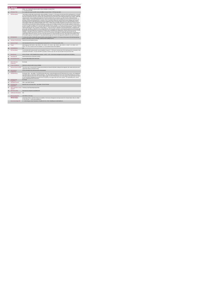|                         | <b>PA Service</b>                                  |                                                                                                                                                                                                                                                                                                                                                                                                                                                                                                                                                                                                                                                                                                                                                                                                                                                                                                                                                                                                                                                                                                                                                                                                                                                                                                                                                                                                                                                                                                                                                                                                                                                                                                                                                                                                                                                                                                                                                                                                                                                                                                                                                                                                                                                                                                                                                                                                                                                                                                                                                                                                                                                                                                                |  |
|-------------------------|----------------------------------------------------|----------------------------------------------------------------------------------------------------------------------------------------------------------------------------------------------------------------------------------------------------------------------------------------------------------------------------------------------------------------------------------------------------------------------------------------------------------------------------------------------------------------------------------------------------------------------------------------------------------------------------------------------------------------------------------------------------------------------------------------------------------------------------------------------------------------------------------------------------------------------------------------------------------------------------------------------------------------------------------------------------------------------------------------------------------------------------------------------------------------------------------------------------------------------------------------------------------------------------------------------------------------------------------------------------------------------------------------------------------------------------------------------------------------------------------------------------------------------------------------------------------------------------------------------------------------------------------------------------------------------------------------------------------------------------------------------------------------------------------------------------------------------------------------------------------------------------------------------------------------------------------------------------------------------------------------------------------------------------------------------------------------------------------------------------------------------------------------------------------------------------------------------------------------------------------------------------------------------------------------------------------------------------------------------------------------------------------------------------------------------------------------------------------------------------------------------------------------------------------------------------------------------------------------------------------------------------------------------------------------------------------------------------------------------------------------------------------------|--|
|                         | <b>KPITitle</b>                                    | DIS40 - No. of adults with a physical and/or sensory disability in receipt of from<br>1 - 5 PA hours per week                                                                                                                                                                                                                                                                                                                                                                                                                                                                                                                                                                                                                                                                                                                                                                                                                                                                                                                                                                                                                                                                                                                                                                                                                                                                                                                                                                                                                                                                                                                                                                                                                                                                                                                                                                                                                                                                                                                                                                                                                                                                                                                                                                                                                                                                                                                                                                                                                                                                                                                                                                                                  |  |
| 1a                      | <b>KPI Short Title</b>                             | No. of adults with a physical and/or sensory disability in receipt of from1 - 5 PA hours per week                                                                                                                                                                                                                                                                                                                                                                                                                                                                                                                                                                                                                                                                                                                                                                                                                                                                                                                                                                                                                                                                                                                                                                                                                                                                                                                                                                                                                                                                                                                                                                                                                                                                                                                                                                                                                                                                                                                                                                                                                                                                                                                                                                                                                                                                                                                                                                                                                                                                                                                                                                                                              |  |
| $\overline{z}$          | <b>KPI Description</b>                             | Total number of adults with a physical and/or sensory disability, in receipt of 1- 5 PA Hours in the last week of the reporting period i.e. last week<br>of June and last week of December. Include:+ Adults with a physical and/or sensory disability in receipt of a PA service in this quarter including<br>those who commenced a PA service and those who continued a PA service even if they were formally discharged in this. Exclude: . Adults with<br>a physical and/or sensory disability discharged from PA service funded by other care groups (e.g. Older Persons), Delayed Discharge<br>Initiative Funding or Community Employment Scheme+ Adults with a physical and/or sensory disability who did not receive a PA service in the<br>last week of the biannual reporting period i.e. lat week of June or December- Adults with a physical and/or sensory disability who received a<br>Home Support Service+ Adults with physical and sensory disability who require neurorehab supports that do not meet the definition of PA or<br>Home Support- Adults with an intellectual disability and/or autism - Children with any disability. All adults accessing PA Hours must be returned<br>by the HSE Area from which their funding is allocated e.g. a service user from Sligo accessing PA Hours through Longford CIL whose hours<br>are paid for by Sligo PA budget must be returned by Sligo Disability Services. Example # 1: Tony was receiving 10 hours PA per week during Q2<br>but due to change in circumstances, he received 4 hours PA service in the final week of June, the biannual reporting period. Therefore Tony is<br>returned under this KPI in "No. of people in receipt of Band 1 - 5 hours PA service". Definitions: Personal Assistant (PA): is employed by the<br>person with a disability to enable them to live an independent life. The PA provides assistance, at the discretion and direction of the person with<br>the disability, thus promoting choice and control for the person with the disability to live independently" (National Physical and Sensory Disability<br>Database - Description of Services). Employed by: for the purposes of this KPI means that the service user has full control over the<br>recruitment and day to day direction of their PA. The service user may devolve responsibility for employment administrative arrangements e.g.<br>Garda vetting, references, insurance, tax returns and salary payment, to a service provider such as CIL, IWA. Adult: For the purpose of this<br>KPI an adult is aged over 18 and under 65. It may include persons aged over 65 years who began with Disability Services prior to turning 65. |  |
| $\overline{\mathbf{z}}$ | <b>KPI Rationale</b>                               | To monitor the number of adults with a physical and/or sensory disability in receipt of 1 -5 PA hours in the last week of the biannual reporting<br>period i.e. last week of June or December, funded by HSE Disability Services.                                                                                                                                                                                                                                                                                                                                                                                                                                                                                                                                                                                                                                                                                                                                                                                                                                                                                                                                                                                                                                                                                                                                                                                                                                                                                                                                                                                                                                                                                                                                                                                                                                                                                                                                                                                                                                                                                                                                                                                                                                                                                                                                                                                                                                                                                                                                                                                                                                                                              |  |
| 3a                      |                                                    | Indicator Classification National Scorecard Quadrant Access                                                                                                                                                                                                                                                                                                                                                                                                                                                                                                                                                                                                                                                                                                                                                                                                                                                                                                                                                                                                                                                                                                                                                                                                                                                                                                                                                                                                                                                                                                                                                                                                                                                                                                                                                                                                                                                                                                                                                                                                                                                                                                                                                                                                                                                                                                                                                                                                                                                                                                                                                                                                                                                    |  |
| $\overline{4}$          | <b>National Target</b>                             | 2019 Operational Plan Point in Time target/expected activity 2019 for 1-5 PA hours per week: 1,051.                                                                                                                                                                                                                                                                                                                                                                                                                                                                                                                                                                                                                                                                                                                                                                                                                                                                                                                                                                                                                                                                                                                                                                                                                                                                                                                                                                                                                                                                                                                                                                                                                                                                                                                                                                                                                                                                                                                                                                                                                                                                                                                                                                                                                                                                                                                                                                                                                                                                                                                                                                                                            |  |
| 48                      | Target                                             | 2019 Target per CHO: CHO 1 - 105 . CHO 2 - 179 . CHO 3 - 177 . CHO 4 - 186 . CHO 5 - 168 . CHO 6 - 4 . CHO 7 - 21 . CHO 8 - 117 .<br>CHO 9 - 94. This is a point in time KPI calculation (i.e. do not add bi-annual returns together).                                                                                                                                                                                                                                                                                                                                                                                                                                                                                                                                                                                                                                                                                                                                                                                                                                                                                                                                                                                                                                                                                                                                                                                                                                                                                                                                                                                                                                                                                                                                                                                                                                                                                                                                                                                                                                                                                                                                                                                                                                                                                                                                                                                                                                                                                                                                                                                                                                                                         |  |
| 4 <sub>b</sub>          | <b>Volume Metrics</b>                              | N/A                                                                                                                                                                                                                                                                                                                                                                                                                                                                                                                                                                                                                                                                                                                                                                                                                                                                                                                                                                                                                                                                                                                                                                                                                                                                                                                                                                                                                                                                                                                                                                                                                                                                                                                                                                                                                                                                                                                                                                                                                                                                                                                                                                                                                                                                                                                                                                                                                                                                                                                                                                                                                                                                                                            |  |
| 5                       | <b>KPI Calculation</b>                             | Count all adults with a physical and/or sensory disability in receipt of 1 - 5 PA hours in the last week of the reporting period i.e. last week of June<br>or last week of December. For year end outturn, Q4 outturn is used e.g. Q2: 418, Q4: 422, the outturn for the year end is 422.                                                                                                                                                                                                                                                                                                                                                                                                                                                                                                                                                                                                                                                                                                                                                                                                                                                                                                                                                                                                                                                                                                                                                                                                                                                                                                                                                                                                                                                                                                                                                                                                                                                                                                                                                                                                                                                                                                                                                                                                                                                                                                                                                                                                                                                                                                                                                                                                                      |  |
| в                       | <b>Data Source</b>                                 | Service Provider > HSE Disability Service nominee > HOSC > CHO > Performance Management and Improvement Unit (PMIU).                                                                                                                                                                                                                                                                                                                                                                                                                                                                                                                                                                                                                                                                                                                                                                                                                                                                                                                                                                                                                                                                                                                                                                                                                                                                                                                                                                                                                                                                                                                                                                                                                                                                                                                                                                                                                                                                                                                                                                                                                                                                                                                                                                                                                                                                                                                                                                                                                                                                                                                                                                                           |  |
| 6a                      | Data Sign Off                                      | Head of Social Care in CHO Area ( HOSC)                                                                                                                                                                                                                                                                                                                                                                                                                                                                                                                                                                                                                                                                                                                                                                                                                                                                                                                                                                                                                                                                                                                                                                                                                                                                                                                                                                                                                                                                                                                                                                                                                                                                                                                                                                                                                                                                                                                                                                                                                                                                                                                                                                                                                                                                                                                                                                                                                                                                                                                                                                                                                                                                        |  |
| 6h                      | <b>Data Quality Issues</b>                         | No known data quality issues at this point.                                                                                                                                                                                                                                                                                                                                                                                                                                                                                                                                                                                                                                                                                                                                                                                                                                                                                                                                                                                                                                                                                                                                                                                                                                                                                                                                                                                                                                                                                                                                                                                                                                                                                                                                                                                                                                                                                                                                                                                                                                                                                                                                                                                                                                                                                                                                                                                                                                                                                                                                                                                                                                                                    |  |
| $\overline{7}$          | <b>Data Collection</b><br>Frequency                | Bi-annually                                                                                                                                                                                                                                                                                                                                                                                                                                                                                                                                                                                                                                                                                                                                                                                                                                                                                                                                                                                                                                                                                                                                                                                                                                                                                                                                                                                                                                                                                                                                                                                                                                                                                                                                                                                                                                                                                                                                                                                                                                                                                                                                                                                                                                                                                                                                                                                                                                                                                                                                                                                                                                                                                                    |  |
| 8                       | <b>Tracer Conditions</b>                           | Adults with a physical and/or sensory disability                                                                                                                                                                                                                                                                                                                                                                                                                                                                                                                                                                                                                                                                                                                                                                                                                                                                                                                                                                                                                                                                                                                                                                                                                                                                                                                                                                                                                                                                                                                                                                                                                                                                                                                                                                                                                                                                                                                                                                                                                                                                                                                                                                                                                                                                                                                                                                                                                                                                                                                                                                                                                                                               |  |
| ä                       | <b>Minimum Data Set MDS</b>                        | The service user's care plan which includes personal details and relevant information relating to their diagnosis, their needs and services and<br>support they require to meet their needs.                                                                                                                                                                                                                                                                                                                                                                                                                                                                                                                                                                                                                                                                                                                                                                                                                                                                                                                                                                                                                                                                                                                                                                                                                                                                                                                                                                                                                                                                                                                                                                                                                                                                                                                                                                                                                                                                                                                                                                                                                                                                                                                                                                                                                                                                                                                                                                                                                                                                                                                   |  |
| 10                      | International<br>Comparison                        | Service developed in line with best practice internationally                                                                                                                                                                                                                                                                                                                                                                                                                                                                                                                                                                                                                                                                                                                                                                                                                                                                                                                                                                                                                                                                                                                                                                                                                                                                                                                                                                                                                                                                                                                                                                                                                                                                                                                                                                                                                                                                                                                                                                                                                                                                                                                                                                                                                                                                                                                                                                                                                                                                                                                                                                                                                                                   |  |
| 11                      | <b>KPI Monitoring</b>                              | Bi-annually / Other - give details: The HOSC/nominee will receive, review and quality assure KPI data returns for accuracy and completeness<br>and analyse data for performance against ELS/targets. They will forward the collated KPI returns to the Chief Officer/nominee and include a<br>bullet point explanation where there are variances against target. The Chief Officer/nominee will review, approve and submit final CHO returns<br>to the Performance Management and Improvement Unit (PMIU) on the agreed date each month / quarter. The responsible person at local<br>level for monitoring this KPI is the HOSC.                                                                                                                                                                                                                                                                                                                                                                                                                                                                                                                                                                                                                                                                                                                                                                                                                                                                                                                                                                                                                                                                                                                                                                                                                                                                                                                                                                                                                                                                                                                                                                                                                                                                                                                                                                                                                                                                                                                                                                                                                                                                               |  |
| 12                      | <b>KPI Reporting</b><br>Frequency                  | Bi-annually                                                                                                                                                                                                                                                                                                                                                                                                                                                                                                                                                                                                                                                                                                                                                                                                                                                                                                                                                                                                                                                                                                                                                                                                                                                                                                                                                                                                                                                                                                                                                                                                                                                                                                                                                                                                                                                                                                                                                                                                                                                                                                                                                                                                                                                                                                                                                                                                                                                                                                                                                                                                                                                                                                    |  |
| 13                      | <b>KPI Report Period</b>                           | Other - give details: Biannual                                                                                                                                                                                                                                                                                                                                                                                                                                                                                                                                                                                                                                                                                                                                                                                                                                                                                                                                                                                                                                                                                                                                                                                                                                                                                                                                                                                                                                                                                                                                                                                                                                                                                                                                                                                                                                                                                                                                                                                                                                                                                                                                                                                                                                                                                                                                                                                                                                                                                                                                                                                                                                                                                 |  |
| 14                      | <b>KPI Reporting</b><br>Aggregation                | National/ CHO/ LHO Area/ Other - give details: Service Provider                                                                                                                                                                                                                                                                                                                                                                                                                                                                                                                                                                                                                                                                                                                                                                                                                                                                                                                                                                                                                                                                                                                                                                                                                                                                                                                                                                                                                                                                                                                                                                                                                                                                                                                                                                                                                                                                                                                                                                                                                                                                                                                                                                                                                                                                                                                                                                                                                                                                                                                                                                                                                                                |  |
| 15                      | reports?                                           | KPI is reported in which Preliminary Data Report/Operational Plan                                                                                                                                                                                                                                                                                                                                                                                                                                                                                                                                                                                                                                                                                                                                                                                                                                                                                                                                                                                                                                                                                                                                                                                                                                                                                                                                                                                                                                                                                                                                                                                                                                                                                                                                                                                                                                                                                                                                                                                                                                                                                                                                                                                                                                                                                                                                                                                                                                                                                                                                                                                                                                              |  |
| 16                      | Web link to data                                   | http://www.hse.ia/eng/services/publications/                                                                                                                                                                                                                                                                                                                                                                                                                                                                                                                                                                                                                                                                                                                                                                                                                                                                                                                                                                                                                                                                                                                                                                                                                                                                                                                                                                                                                                                                                                                                                                                                                                                                                                                                                                                                                                                                                                                                                                                                                                                                                                                                                                                                                                                                                                                                                                                                                                                                                                                                                                                                                                                                   |  |
| 17                      | <b>Additional Information</b>                      | N/h                                                                                                                                                                                                                                                                                                                                                                                                                                                                                                                                                                                                                                                                                                                                                                                                                                                                                                                                                                                                                                                                                                                                                                                                                                                                                                                                                                                                                                                                                                                                                                                                                                                                                                                                                                                                                                                                                                                                                                                                                                                                                                                                                                                                                                                                                                                                                                                                                                                                                                                                                                                                                                                                                                            |  |
|                         | <b>KPI</b> owner/lead for<br><i>implementation</i> | Chief Officer, CHO Area                                                                                                                                                                                                                                                                                                                                                                                                                                                                                                                                                                                                                                                                                                                                                                                                                                                                                                                                                                                                                                                                                                                                                                                                                                                                                                                                                                                                                                                                                                                                                                                                                                                                                                                                                                                                                                                                                                                                                                                                                                                                                                                                                                                                                                                                                                                                                                                                                                                                                                                                                                                                                                                                                        |  |
|                         | PBI data support                                   | Sinéad Nulty O'Brien, Lead Data Analyst for Disabilities, Performance Management and Improvement Unit - Bective Street, Kells, Co. Meath.<br>Ph: 046 9251328 . Email:sinead.nutv@hse.ie                                                                                                                                                                                                                                                                                                                                                                                                                                                                                                                                                                                                                                                                                                                                                                                                                                                                                                                                                                                                                                                                                                                                                                                                                                                                                                                                                                                                                                                                                                                                                                                                                                                                                                                                                                                                                                                                                                                                                                                                                                                                                                                                                                                                                                                                                                                                                                                                                                                                                                                        |  |
|                         | Governance/sign off                                | Dr. Cathal Morgan, Head of Operations, Disability Services Email: disabilityops.socialcare@hse.ie                                                                                                                                                                                                                                                                                                                                                                                                                                                                                                                                                                                                                                                                                                                                                                                                                                                                                                                                                                                                                                                                                                                                                                                                                                                                                                                                                                                                                                                                                                                                                                                                                                                                                                                                                                                                                                                                                                                                                                                                                                                                                                                                                                                                                                                                                                                                                                                                                                                                                                                                                                                                              |  |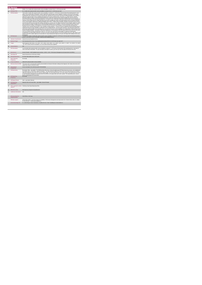|                 | <b>PA Service</b>                           |                                                                                                                                                                                                                                                                                                                                                                                                                                                                                                                                                                                                                                                                                                                                                                                                                                                                                                                                                                                                                                                                                                                                                                                                                                                                                                                                                                                                                                                                                                                                                                                                                                                                                                                                                                                                                                                                                                                                                                                                                                                                                                                                                                                                                                                                                                                                                                                                                                                                                                                                                                                                                                                                                                                   |  |
|-----------------|---------------------------------------------|-------------------------------------------------------------------------------------------------------------------------------------------------------------------------------------------------------------------------------------------------------------------------------------------------------------------------------------------------------------------------------------------------------------------------------------------------------------------------------------------------------------------------------------------------------------------------------------------------------------------------------------------------------------------------------------------------------------------------------------------------------------------------------------------------------------------------------------------------------------------------------------------------------------------------------------------------------------------------------------------------------------------------------------------------------------------------------------------------------------------------------------------------------------------------------------------------------------------------------------------------------------------------------------------------------------------------------------------------------------------------------------------------------------------------------------------------------------------------------------------------------------------------------------------------------------------------------------------------------------------------------------------------------------------------------------------------------------------------------------------------------------------------------------------------------------------------------------------------------------------------------------------------------------------------------------------------------------------------------------------------------------------------------------------------------------------------------------------------------------------------------------------------------------------------------------------------------------------------------------------------------------------------------------------------------------------------------------------------------------------------------------------------------------------------------------------------------------------------------------------------------------------------------------------------------------------------------------------------------------------------------------------------------------------------------------------------------------------|--|
|                 | <b>KPITitle</b>                             | DIS40a - No. of adults with a physical and/or sensory disability in receipt of from 6 - 10 PA hours per week                                                                                                                                                                                                                                                                                                                                                                                                                                                                                                                                                                                                                                                                                                                                                                                                                                                                                                                                                                                                                                                                                                                                                                                                                                                                                                                                                                                                                                                                                                                                                                                                                                                                                                                                                                                                                                                                                                                                                                                                                                                                                                                                                                                                                                                                                                                                                                                                                                                                                                                                                                                                      |  |
| 1a              | <b>KPI Short Title</b>                      | No. of adults with a physical and/or sensory disability in receipt of from 6 - 10 PA hours per week                                                                                                                                                                                                                                                                                                                                                                                                                                                                                                                                                                                                                                                                                                                                                                                                                                                                                                                                                                                                                                                                                                                                                                                                                                                                                                                                                                                                                                                                                                                                                                                                                                                                                                                                                                                                                                                                                                                                                                                                                                                                                                                                                                                                                                                                                                                                                                                                                                                                                                                                                                                                               |  |
| $\overline{z}$  | <b>KPI Description</b>                      | Total number of adults with a physical and/or sensory disability, in receipt of 6 - 10 PA Hours in the last week of the reporting period i.e. last<br>week of June and last week of December. Include.» Adults with a physical and/or sensory disability in receipt of a PA service in this quarter<br>including those who commenced a PA service and those who continued a PA service even if they were formally discharged in this. Exclude: .<br>Adults with a physical and/or sensory disability discharged from PA service funded by other care groups (e.g. Older Persons). Delayed<br>Discharge Initiative Funding or Community Employment Scheme- Adults with a physical and/or sensory disability who did not receive a PA<br>service in the last week of the biannual reporting period i.e. lat week of June or December- Adults with a physical and/or sensory disability who<br>received a Home Support Service+ Adults with physical and sensory disability who require neurorehab supports that do not meet the definition<br>of PA or Home Support- Adults with an intellectual disability and/or autism - Children with any disability. All adults accessing PA Hours must be<br>returned by the HSE Area from which their funding is allocated e.g. a service user from Sligo accessing PA Hours through Longford CIL whose<br>hours are paid for by Sligo PA budget must be returned by Sligo Disability Services. Example # 1:Tony was receiving 20 hours PA per week<br>during Q2 but due to change in circumstances, he received 10 hours PA service in the final week of June, the biannual reporting period.<br>Therefore Tony is returned under this KPI in "No. of people in receipt of Band 6 - 10 hours PA service" Definitions Personal Assistant (PA): is<br>employed by the person with a disability to enable them to live an independent life. The PA provides assistance, at the discretion and direction<br>of the person with the disability, thus promoting choice and control for the person with the disability to live independently' (National Physical and<br>Sensory Disability Database - Description of Services). Employed by: for the purposes of this KPI means that the service user has full control<br>over the recruitment and day to day direction of their PA. The service user may devolve responsibility for employment administrative<br>arrangements e.g. Garda vetting, references, insurance, tax returns and salary payment, to a service provider such as CIL, IWA. Adult: For the<br>purpose of this KPI an adult is aged over 18 and under 65. It may include persons aged over 65 years who began with Disability Services prior<br>to turning 65 |  |
| $\mathcal{R}$   | <b>KPI Rationale</b>                        | To monitor the number of adults with a physical and/or sensory disability in receipt of 6 -10 PA hours in the last week of the biannual reporting<br>period i.e. last week of June or December, funded by HSE Disability Services.                                                                                                                                                                                                                                                                                                                                                                                                                                                                                                                                                                                                                                                                                                                                                                                                                                                                                                                                                                                                                                                                                                                                                                                                                                                                                                                                                                                                                                                                                                                                                                                                                                                                                                                                                                                                                                                                                                                                                                                                                                                                                                                                                                                                                                                                                                                                                                                                                                                                                |  |
| 3a              |                                             | Indicator Classification National Scorecard Quadrant Access                                                                                                                                                                                                                                                                                                                                                                                                                                                                                                                                                                                                                                                                                                                                                                                                                                                                                                                                                                                                                                                                                                                                                                                                                                                                                                                                                                                                                                                                                                                                                                                                                                                                                                                                                                                                                                                                                                                                                                                                                                                                                                                                                                                                                                                                                                                                                                                                                                                                                                                                                                                                                                                       |  |
| $\overline{a}$  | <b>National Target</b>                      | 2019 Operational Plan Point in Time target/expected activity 2019 for 6-10 PA hours per week: 627.                                                                                                                                                                                                                                                                                                                                                                                                                                                                                                                                                                                                                                                                                                                                                                                                                                                                                                                                                                                                                                                                                                                                                                                                                                                                                                                                                                                                                                                                                                                                                                                                                                                                                                                                                                                                                                                                                                                                                                                                                                                                                                                                                                                                                                                                                                                                                                                                                                                                                                                                                                                                                |  |
| 48              | Target                                      | 2019 Target per CHO: CHO 1 - 62 , CHO 2 - 107 , CHO 3 - 106 , CHO 4 - 111 , CHO 5 - 100 , CHO 6 - 2 , CHO 7 - 13 , CHO 8 - 70 , CHO 9<br>- 56. This is a point in time KPI calculation (i.e. do not add bi-annual returns together).                                                                                                                                                                                                                                                                                                                                                                                                                                                                                                                                                                                                                                                                                                                                                                                                                                                                                                                                                                                                                                                                                                                                                                                                                                                                                                                                                                                                                                                                                                                                                                                                                                                                                                                                                                                                                                                                                                                                                                                                                                                                                                                                                                                                                                                                                                                                                                                                                                                                              |  |
| 4 <sub>b</sub>  | <b>Volume Metrics</b>                       | $N/\Delta$                                                                                                                                                                                                                                                                                                                                                                                                                                                                                                                                                                                                                                                                                                                                                                                                                                                                                                                                                                                                                                                                                                                                                                                                                                                                                                                                                                                                                                                                                                                                                                                                                                                                                                                                                                                                                                                                                                                                                                                                                                                                                                                                                                                                                                                                                                                                                                                                                                                                                                                                                                                                                                                                                                        |  |
| 5               | <b>KPI Calculation</b>                      | Count all adults with a physical and/or sensory disability in receipt of 6 - 10 PA hours in the last week of the reporting period i.e. last week of<br>June or last week of December. For year end outturn, Q4 outturn is used e.g. Q2: 418, Q4: 422, the outturn for the year end is 422.                                                                                                                                                                                                                                                                                                                                                                                                                                                                                                                                                                                                                                                                                                                                                                                                                                                                                                                                                                                                                                                                                                                                                                                                                                                                                                                                                                                                                                                                                                                                                                                                                                                                                                                                                                                                                                                                                                                                                                                                                                                                                                                                                                                                                                                                                                                                                                                                                        |  |
| 6               | <b>Data Source</b>                          | Service Provider > HSE Disability Service nominee > HOSC > CHO > Performance Management and Improvement Unit (PMIU).                                                                                                                                                                                                                                                                                                                                                                                                                                                                                                                                                                                                                                                                                                                                                                                                                                                                                                                                                                                                                                                                                                                                                                                                                                                                                                                                                                                                                                                                                                                                                                                                                                                                                                                                                                                                                                                                                                                                                                                                                                                                                                                                                                                                                                                                                                                                                                                                                                                                                                                                                                                              |  |
| Бa              | Data Sign Off                               | Head of Social Care in CHO Area (HOSC)                                                                                                                                                                                                                                                                                                                                                                                                                                                                                                                                                                                                                                                                                                                                                                                                                                                                                                                                                                                                                                                                                                                                                                                                                                                                                                                                                                                                                                                                                                                                                                                                                                                                                                                                                                                                                                                                                                                                                                                                                                                                                                                                                                                                                                                                                                                                                                                                                                                                                                                                                                                                                                                                            |  |
| 6b              | <b>Data Quality Issues</b>                  | No known data quality issues at this point.                                                                                                                                                                                                                                                                                                                                                                                                                                                                                                                                                                                                                                                                                                                                                                                                                                                                                                                                                                                                                                                                                                                                                                                                                                                                                                                                                                                                                                                                                                                                                                                                                                                                                                                                                                                                                                                                                                                                                                                                                                                                                                                                                                                                                                                                                                                                                                                                                                                                                                                                                                                                                                                                       |  |
| $\overline{7}$  | <b>Data Collection</b><br>Frequency         | <b>Bi-annually</b>                                                                                                                                                                                                                                                                                                                                                                                                                                                                                                                                                                                                                                                                                                                                                                                                                                                                                                                                                                                                                                                                                                                                                                                                                                                                                                                                                                                                                                                                                                                                                                                                                                                                                                                                                                                                                                                                                                                                                                                                                                                                                                                                                                                                                                                                                                                                                                                                                                                                                                                                                                                                                                                                                                |  |
| $\mathbf{R}$    | <b>Tracer Conditions</b>                    | Adults with a physical and/or sensory disability                                                                                                                                                                                                                                                                                                                                                                                                                                                                                                                                                                                                                                                                                                                                                                                                                                                                                                                                                                                                                                                                                                                                                                                                                                                                                                                                                                                                                                                                                                                                                                                                                                                                                                                                                                                                                                                                                                                                                                                                                                                                                                                                                                                                                                                                                                                                                                                                                                                                                                                                                                                                                                                                  |  |
| 9               | Minimum Data Set MDS                        | The service user's care plan which includes personal details and relevant information relating to their diagnosis, their needs and services and<br>support they require to meet their needs.                                                                                                                                                                                                                                                                                                                                                                                                                                                                                                                                                                                                                                                                                                                                                                                                                                                                                                                                                                                                                                                                                                                                                                                                                                                                                                                                                                                                                                                                                                                                                                                                                                                                                                                                                                                                                                                                                                                                                                                                                                                                                                                                                                                                                                                                                                                                                                                                                                                                                                                      |  |
| 10              | International<br>Comparison                 | Service developed in line with best practice internationally                                                                                                                                                                                                                                                                                                                                                                                                                                                                                                                                                                                                                                                                                                                                                                                                                                                                                                                                                                                                                                                                                                                                                                                                                                                                                                                                                                                                                                                                                                                                                                                                                                                                                                                                                                                                                                                                                                                                                                                                                                                                                                                                                                                                                                                                                                                                                                                                                                                                                                                                                                                                                                                      |  |
| 11              | <b>KPI Monitoring</b>                       | Bi-annually / Other - give details: The HOSC/nominee will receive, review and quality assure KPI data returns for accuracy and completeness<br>and analyse data for performance against ELS/targets. They will forward the collated KPI returns to the Chief Officer/nominee and include a<br>builet point explanation where there are variances against target. The Chief Officer/nominee will review, approve and submit final CHO returns<br>to the Performance Management and Improvement Unit (PMIU) on the agreed date each month / quarter. The responsible person at local<br>level for monitoring this KPI is the HOSC.                                                                                                                                                                                                                                                                                                                                                                                                                                                                                                                                                                                                                                                                                                                                                                                                                                                                                                                                                                                                                                                                                                                                                                                                                                                                                                                                                                                                                                                                                                                                                                                                                                                                                                                                                                                                                                                                                                                                                                                                                                                                                  |  |
| 12 <sup>1</sup> | <b>KPI Reporting</b><br>Frequency           | Bi-annually                                                                                                                                                                                                                                                                                                                                                                                                                                                                                                                                                                                                                                                                                                                                                                                                                                                                                                                                                                                                                                                                                                                                                                                                                                                                                                                                                                                                                                                                                                                                                                                                                                                                                                                                                                                                                                                                                                                                                                                                                                                                                                                                                                                                                                                                                                                                                                                                                                                                                                                                                                                                                                                                                                       |  |
| 13              | <b>KPI Report Period</b>                    | Other - give details: Biannual                                                                                                                                                                                                                                                                                                                                                                                                                                                                                                                                                                                                                                                                                                                                                                                                                                                                                                                                                                                                                                                                                                                                                                                                                                                                                                                                                                                                                                                                                                                                                                                                                                                                                                                                                                                                                                                                                                                                                                                                                                                                                                                                                                                                                                                                                                                                                                                                                                                                                                                                                                                                                                                                                    |  |
| 14              | <b>KPI Reporting</b><br>Aggregation         | National/ CHO/ LHO Area/ Other - give details: Service Provider                                                                                                                                                                                                                                                                                                                                                                                                                                                                                                                                                                                                                                                                                                                                                                                                                                                                                                                                                                                                                                                                                                                                                                                                                                                                                                                                                                                                                                                                                                                                                                                                                                                                                                                                                                                                                                                                                                                                                                                                                                                                                                                                                                                                                                                                                                                                                                                                                                                                                                                                                                                                                                                   |  |
| 15              | reports?                                    | KPI is reported in which Preliminary Data Report/Operational Plan                                                                                                                                                                                                                                                                                                                                                                                                                                                                                                                                                                                                                                                                                                                                                                                                                                                                                                                                                                                                                                                                                                                                                                                                                                                                                                                                                                                                                                                                                                                                                                                                                                                                                                                                                                                                                                                                                                                                                                                                                                                                                                                                                                                                                                                                                                                                                                                                                                                                                                                                                                                                                                                 |  |
| 16              | Web link to data                            | http://www.hse.je/eng/services/publications/                                                                                                                                                                                                                                                                                                                                                                                                                                                                                                                                                                                                                                                                                                                                                                                                                                                                                                                                                                                                                                                                                                                                                                                                                                                                                                                                                                                                                                                                                                                                                                                                                                                                                                                                                                                                                                                                                                                                                                                                                                                                                                                                                                                                                                                                                                                                                                                                                                                                                                                                                                                                                                                                      |  |
| 17              | <b>Additional Information</b>               | $3.37 -$                                                                                                                                                                                                                                                                                                                                                                                                                                                                                                                                                                                                                                                                                                                                                                                                                                                                                                                                                                                                                                                                                                                                                                                                                                                                                                                                                                                                                                                                                                                                                                                                                                                                                                                                                                                                                                                                                                                                                                                                                                                                                                                                                                                                                                                                                                                                                                                                                                                                                                                                                                                                                                                                                                          |  |
|                 | <b>KPI</b> owner/lead for<br>implementation | Chief Officer, CHO Area                                                                                                                                                                                                                                                                                                                                                                                                                                                                                                                                                                                                                                                                                                                                                                                                                                                                                                                                                                                                                                                                                                                                                                                                                                                                                                                                                                                                                                                                                                                                                                                                                                                                                                                                                                                                                                                                                                                                                                                                                                                                                                                                                                                                                                                                                                                                                                                                                                                                                                                                                                                                                                                                                           |  |
|                 | PBI data support                            | Sinéad Nulty O'Brien, Lead Data Analyst for Disabilities, Performance Management and Improvement Unit - Bective Street, Kells, Co. Meath.<br>Ph: 046 9251328 . Email:sinead.nutv@hse.ie                                                                                                                                                                                                                                                                                                                                                                                                                                                                                                                                                                                                                                                                                                                                                                                                                                                                                                                                                                                                                                                                                                                                                                                                                                                                                                                                                                                                                                                                                                                                                                                                                                                                                                                                                                                                                                                                                                                                                                                                                                                                                                                                                                                                                                                                                                                                                                                                                                                                                                                           |  |
|                 | Governance/sign off                         | Dr. Cathal Morgan, Head of Operations, Disability Services Email: disabilityops.socialcare@hse.ie                                                                                                                                                                                                                                                                                                                                                                                                                                                                                                                                                                                                                                                                                                                                                                                                                                                                                                                                                                                                                                                                                                                                                                                                                                                                                                                                                                                                                                                                                                                                                                                                                                                                                                                                                                                                                                                                                                                                                                                                                                                                                                                                                                                                                                                                                                                                                                                                                                                                                                                                                                                                                 |  |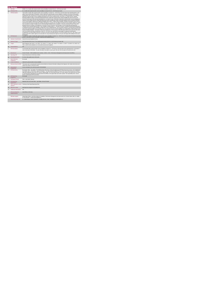|                | <b>PA Service</b>                           |                                                                                                                                                                                                                                                                                                                                                                                                                                                                                                                                                                                                                                                                                                                                                                                                                                                                                                                                                                                                                                                                                                                                                                                                                                                                                                                                                                                                                                                                                                                                                                                                                                                                                                                                                                                                                                                                                                                                                                                                                                                                                                                                                                                                                                                                                                                                                                                                                                                                                                                                                                                                                                                                                                    |
|----------------|---------------------------------------------|----------------------------------------------------------------------------------------------------------------------------------------------------------------------------------------------------------------------------------------------------------------------------------------------------------------------------------------------------------------------------------------------------------------------------------------------------------------------------------------------------------------------------------------------------------------------------------------------------------------------------------------------------------------------------------------------------------------------------------------------------------------------------------------------------------------------------------------------------------------------------------------------------------------------------------------------------------------------------------------------------------------------------------------------------------------------------------------------------------------------------------------------------------------------------------------------------------------------------------------------------------------------------------------------------------------------------------------------------------------------------------------------------------------------------------------------------------------------------------------------------------------------------------------------------------------------------------------------------------------------------------------------------------------------------------------------------------------------------------------------------------------------------------------------------------------------------------------------------------------------------------------------------------------------------------------------------------------------------------------------------------------------------------------------------------------------------------------------------------------------------------------------------------------------------------------------------------------------------------------------------------------------------------------------------------------------------------------------------------------------------------------------------------------------------------------------------------------------------------------------------------------------------------------------------------------------------------------------------------------------------------------------------------------------------------------------------|
|                | <b>KPITitle</b>                             | DIS40b - No. of adults with a physical and/or sensory disability in receipt of from 11 - 20 PA hours per week                                                                                                                                                                                                                                                                                                                                                                                                                                                                                                                                                                                                                                                                                                                                                                                                                                                                                                                                                                                                                                                                                                                                                                                                                                                                                                                                                                                                                                                                                                                                                                                                                                                                                                                                                                                                                                                                                                                                                                                                                                                                                                                                                                                                                                                                                                                                                                                                                                                                                                                                                                                      |
| 1a             | <b>KPI Short Title</b>                      | No. of adults with a physical and/or sensory disability in receipt of from 11 - 20 PA hours per week                                                                                                                                                                                                                                                                                                                                                                                                                                                                                                                                                                                                                                                                                                                                                                                                                                                                                                                                                                                                                                                                                                                                                                                                                                                                                                                                                                                                                                                                                                                                                                                                                                                                                                                                                                                                                                                                                                                                                                                                                                                                                                                                                                                                                                                                                                                                                                                                                                                                                                                                                                                               |
| $\overline{z}$ | <b>KPI Description</b>                      | Total number of adults with a physical and/or sensory disability, in receipt of 11 - 20 PA Hours in the last week of the reporting period i.e. last<br>week of June and last week of December. Include.» Adults with a physical and/or sensory disability in receipt of a PA service in this quarter<br>including those who commenced a PA service and those who continued a PA service even if they were formally discharged in this. Exclude: .<br>Adults with a physical and/or sensory disability discharged from PA service funded by other care groups (e.g. Older Persons). Delayed<br>Discharge Initiative Funding or Community Employment Scheme- Adults with a physical and/or sensory disability who did not receive a PA<br>service in the last week of the biannual reporting period i.e. lat week of June or December- Adults with a physical and/or sensory disability who<br>received a Home Support Service+ Adults with physical and sensory disability who require neurorehab supports that do not meet the definition<br>of PA or Home Support- Adults with an intelectual disability and/or autism - Children with any disability. All adults accessing PA Hours must be<br>returned by the HSE Area from which their funding is allocated e.g. a service user from Sligo accessing PA Hours through Longford CIL whose<br>hours are paid for by Sligo PA budget must be returned by Sligo Disability Services. Example # 1:Tony was receiving 30 hours PA per week<br>during Q2 but due to change in circumstances, he received 15 hours PA service in the final week of June, the biannual reporting period.<br>Therefore Tony is returned under this KPI in "No. of people in receipt of Band 11 - 20 hours PA service". Definitions:Personal Assistant (PA):<br>is employed by the person with a disability to enable them to live an independent life. The PA provides assistance, at the discretion and direction<br>of the person with the disability, thus promoting choice and control for the person with the disability to live independently' (National Physical and<br>Sensory Disability Database - Description of Services). Employed by: for the purposes of this KPI means that the service user has full control<br>over the recruitment and day to day direction of their PA. The service user may devolve responsibility for employment administrative<br>arrangements e.g. Garda vetting, references, insurance, tax returns and salary payment, to a service provider such as CIL, IWA. Adult: For the<br>purpose of this KPI an adult is aged over 18 and under 65. It may include persons aged over 65 years who began with Disability Services prior |
| $\mathcal{R}$  | <b>KPI Rationale</b>                        | to turning 65<br>To monitor the number of adults with a physical and/or sensory disability in receipt of 11 - 20 PA hours in the last week of the biannual reporting<br>period i.e. last week of June or December, funded by HSE Disability Services.                                                                                                                                                                                                                                                                                                                                                                                                                                                                                                                                                                                                                                                                                                                                                                                                                                                                                                                                                                                                                                                                                                                                                                                                                                                                                                                                                                                                                                                                                                                                                                                                                                                                                                                                                                                                                                                                                                                                                                                                                                                                                                                                                                                                                                                                                                                                                                                                                                              |
| 3a             | <b>Indicator Classification</b>             | National Scorecard Quadrant Access                                                                                                                                                                                                                                                                                                                                                                                                                                                                                                                                                                                                                                                                                                                                                                                                                                                                                                                                                                                                                                                                                                                                                                                                                                                                                                                                                                                                                                                                                                                                                                                                                                                                                                                                                                                                                                                                                                                                                                                                                                                                                                                                                                                                                                                                                                                                                                                                                                                                                                                                                                                                                                                                 |
| $\overline{4}$ | <b>National Target</b>                      | 2019 Operational Plan Point in Time target/expected activity 2019 for 11-20 PA hours per week: 460.                                                                                                                                                                                                                                                                                                                                                                                                                                                                                                                                                                                                                                                                                                                                                                                                                                                                                                                                                                                                                                                                                                                                                                                                                                                                                                                                                                                                                                                                                                                                                                                                                                                                                                                                                                                                                                                                                                                                                                                                                                                                                                                                                                                                                                                                                                                                                                                                                                                                                                                                                                                                |
| 4a             | Target                                      | 2019 Target per CHO: CHO 1 - 46, CHO 2 - 78, CHO 3 - 77, CHO 4 - 82, CHO 5 - 74, CHO 6 - 2, CHO 7 - 9, CHO 8 - 51, CHO 9 - 41.<br>This is a point in time calculation (i.e. do not add bi-annual returns together).                                                                                                                                                                                                                                                                                                                                                                                                                                                                                                                                                                                                                                                                                                                                                                                                                                                                                                                                                                                                                                                                                                                                                                                                                                                                                                                                                                                                                                                                                                                                                                                                                                                                                                                                                                                                                                                                                                                                                                                                                                                                                                                                                                                                                                                                                                                                                                                                                                                                                |
| 4 <sub>b</sub> | <b>Volume Metrics</b>                       | <b>N/A</b>                                                                                                                                                                                                                                                                                                                                                                                                                                                                                                                                                                                                                                                                                                                                                                                                                                                                                                                                                                                                                                                                                                                                                                                                                                                                                                                                                                                                                                                                                                                                                                                                                                                                                                                                                                                                                                                                                                                                                                                                                                                                                                                                                                                                                                                                                                                                                                                                                                                                                                                                                                                                                                                                                         |
| 5              | <b>KPI Calculation</b>                      | Count all adults with a physical and/or sensory disability in receipt of 11 - 20 PA hours in the last week of the reporting period i.e. last week of<br>June or last week of December. For year end outturn, Q4 outturn is used e.g Q2: 418, Q4: 422, the outturn for the year end is 422.                                                                                                                                                                                                                                                                                                                                                                                                                                                                                                                                                                                                                                                                                                                                                                                                                                                                                                                                                                                                                                                                                                                                                                                                                                                                                                                                                                                                                                                                                                                                                                                                                                                                                                                                                                                                                                                                                                                                                                                                                                                                                                                                                                                                                                                                                                                                                                                                         |
| 6              | <b>Data Source</b>                          | Service Provider > HSE Disability Service nominee > HOSC > CHO > Performance Management and Improvement Unit (PMIU).                                                                                                                                                                                                                                                                                                                                                                                                                                                                                                                                                                                                                                                                                                                                                                                                                                                                                                                                                                                                                                                                                                                                                                                                                                                                                                                                                                                                                                                                                                                                                                                                                                                                                                                                                                                                                                                                                                                                                                                                                                                                                                                                                                                                                                                                                                                                                                                                                                                                                                                                                                               |
| ßя             | Data Sign Off                               | Head of Social Care in CHO Area (HOSC)                                                                                                                                                                                                                                                                                                                                                                                                                                                                                                                                                                                                                                                                                                                                                                                                                                                                                                                                                                                                                                                                                                                                                                                                                                                                                                                                                                                                                                                                                                                                                                                                                                                                                                                                                                                                                                                                                                                                                                                                                                                                                                                                                                                                                                                                                                                                                                                                                                                                                                                                                                                                                                                             |
| 6b             | <b>Data Quality Issues</b>                  | No known data quality issues at this point.                                                                                                                                                                                                                                                                                                                                                                                                                                                                                                                                                                                                                                                                                                                                                                                                                                                                                                                                                                                                                                                                                                                                                                                                                                                                                                                                                                                                                                                                                                                                                                                                                                                                                                                                                                                                                                                                                                                                                                                                                                                                                                                                                                                                                                                                                                                                                                                                                                                                                                                                                                                                                                                        |
| $\overline{7}$ | <b>Data Collection</b><br>Frequency         | Bi-annually                                                                                                                                                                                                                                                                                                                                                                                                                                                                                                                                                                                                                                                                                                                                                                                                                                                                                                                                                                                                                                                                                                                                                                                                                                                                                                                                                                                                                                                                                                                                                                                                                                                                                                                                                                                                                                                                                                                                                                                                                                                                                                                                                                                                                                                                                                                                                                                                                                                                                                                                                                                                                                                                                        |
| 8              | <b>Tracer Conditions</b>                    | Adults with a physical and/or sensory disability                                                                                                                                                                                                                                                                                                                                                                                                                                                                                                                                                                                                                                                                                                                                                                                                                                                                                                                                                                                                                                                                                                                                                                                                                                                                                                                                                                                                                                                                                                                                                                                                                                                                                                                                                                                                                                                                                                                                                                                                                                                                                                                                                                                                                                                                                                                                                                                                                                                                                                                                                                                                                                                   |
| $\overline{9}$ | Minimum Data Set MDS                        | The service user's care plan which includes personal details and relevant information relating to their diagnosis, their needs and services and<br>support they require to meet their needs.                                                                                                                                                                                                                                                                                                                                                                                                                                                                                                                                                                                                                                                                                                                                                                                                                                                                                                                                                                                                                                                                                                                                                                                                                                                                                                                                                                                                                                                                                                                                                                                                                                                                                                                                                                                                                                                                                                                                                                                                                                                                                                                                                                                                                                                                                                                                                                                                                                                                                                       |
| 10             | International<br>Comparison                 | Service developed in line with best practice internationally                                                                                                                                                                                                                                                                                                                                                                                                                                                                                                                                                                                                                                                                                                                                                                                                                                                                                                                                                                                                                                                                                                                                                                                                                                                                                                                                                                                                                                                                                                                                                                                                                                                                                                                                                                                                                                                                                                                                                                                                                                                                                                                                                                                                                                                                                                                                                                                                                                                                                                                                                                                                                                       |
| 11             | <b>KPI Monitoring</b>                       | Bi-annually / Other - give details: The HOSC/nominee will receive, review and quality assure KPI data returns for accuracy, and completeness<br>and analyse data for performance against ELS/targets. They will forward the collated KPI returns to the Chief Officer/nominee and include a<br>bullet point explanation where there are variances against target. The Chief Officer/nominee will review, approve and submit final CHO returns<br>to the Performance Management and Improvement Unit (PMIU) on the agreed date each month / quarter. The responsible person at local<br>level for monitoring this KPI is the HOSC.                                                                                                                                                                                                                                                                                                                                                                                                                                                                                                                                                                                                                                                                                                                                                                                                                                                                                                                                                                                                                                                                                                                                                                                                                                                                                                                                                                                                                                                                                                                                                                                                                                                                                                                                                                                                                                                                                                                                                                                                                                                                  |
| 12             | <b>KPI Reporting</b><br>Frequency           | Bi-annually                                                                                                                                                                                                                                                                                                                                                                                                                                                                                                                                                                                                                                                                                                                                                                                                                                                                                                                                                                                                                                                                                                                                                                                                                                                                                                                                                                                                                                                                                                                                                                                                                                                                                                                                                                                                                                                                                                                                                                                                                                                                                                                                                                                                                                                                                                                                                                                                                                                                                                                                                                                                                                                                                        |
| 13             | <b>KPI Report Period</b>                    | Other - give details: Biannual                                                                                                                                                                                                                                                                                                                                                                                                                                                                                                                                                                                                                                                                                                                                                                                                                                                                                                                                                                                                                                                                                                                                                                                                                                                                                                                                                                                                                                                                                                                                                                                                                                                                                                                                                                                                                                                                                                                                                                                                                                                                                                                                                                                                                                                                                                                                                                                                                                                                                                                                                                                                                                                                     |
| 14             | <b>KPI Reporting</b><br>Aggregation         | National/ CHO/ LHO Area/ Other - give details: Service Provider                                                                                                                                                                                                                                                                                                                                                                                                                                                                                                                                                                                                                                                                                                                                                                                                                                                                                                                                                                                                                                                                                                                                                                                                                                                                                                                                                                                                                                                                                                                                                                                                                                                                                                                                                                                                                                                                                                                                                                                                                                                                                                                                                                                                                                                                                                                                                                                                                                                                                                                                                                                                                                    |
| 15             | reports?                                    | KPI is reported in which Preliminary Data Report/Operational Plan                                                                                                                                                                                                                                                                                                                                                                                                                                                                                                                                                                                                                                                                                                                                                                                                                                                                                                                                                                                                                                                                                                                                                                                                                                                                                                                                                                                                                                                                                                                                                                                                                                                                                                                                                                                                                                                                                                                                                                                                                                                                                                                                                                                                                                                                                                                                                                                                                                                                                                                                                                                                                                  |
| 16             | Web link to data                            | http://www.hse.ie/eng/services/publications/                                                                                                                                                                                                                                                                                                                                                                                                                                                                                                                                                                                                                                                                                                                                                                                                                                                                                                                                                                                                                                                                                                                                                                                                                                                                                                                                                                                                                                                                                                                                                                                                                                                                                                                                                                                                                                                                                                                                                                                                                                                                                                                                                                                                                                                                                                                                                                                                                                                                                                                                                                                                                                                       |
| 17             | <b>Additional Information</b>               | N/A                                                                                                                                                                                                                                                                                                                                                                                                                                                                                                                                                                                                                                                                                                                                                                                                                                                                                                                                                                                                                                                                                                                                                                                                                                                                                                                                                                                                                                                                                                                                                                                                                                                                                                                                                                                                                                                                                                                                                                                                                                                                                                                                                                                                                                                                                                                                                                                                                                                                                                                                                                                                                                                                                                |
|                | <b>KPI</b> owner/lead for<br>implementation | Chief Officer, CHO Area                                                                                                                                                                                                                                                                                                                                                                                                                                                                                                                                                                                                                                                                                                                                                                                                                                                                                                                                                                                                                                                                                                                                                                                                                                                                                                                                                                                                                                                                                                                                                                                                                                                                                                                                                                                                                                                                                                                                                                                                                                                                                                                                                                                                                                                                                                                                                                                                                                                                                                                                                                                                                                                                            |
|                | PBI data support                            | Sinéad Nulty O'Brien, Lead Data Analyst for Disabilities, Performance Management and Improvement Unit - Bective Street, Kells, Co. Meath.                                                                                                                                                                                                                                                                                                                                                                                                                                                                                                                                                                                                                                                                                                                                                                                                                                                                                                                                                                                                                                                                                                                                                                                                                                                                                                                                                                                                                                                                                                                                                                                                                                                                                                                                                                                                                                                                                                                                                                                                                                                                                                                                                                                                                                                                                                                                                                                                                                                                                                                                                          |

**Governance/sign off** Dr. Cathal Morgan, Head of Operations, Disability Services Email: disabilityops.socialcare@hse.ie **PBI data support** Sinéad Nulty O'Brien, Lead Data Analyst for Disabilities, Performance Management and Improvement Unit - Bective Street, Kells, Co. Meath. Ph: 046 9251328 , Email:sinead.nulty@hse.ie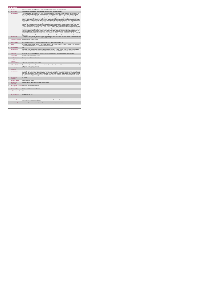|                  | <b>PA Service</b>                           |                                                                                                                                                                                                                                                                                                                                                                                                                                                                                                                                                                                                                                                                                                                                                                                                                                                                                                                                                                                                                                                                                                                                                                                                                                                                                                                                                                                                                                                                                                                                                                                                                                                                                                                                                                                                                                                                                                                                                                                                                                                                                                                                                                                                                                                                                                                                                                                                                                                                                                                                                                                                                                                                                                                       |
|------------------|---------------------------------------------|-----------------------------------------------------------------------------------------------------------------------------------------------------------------------------------------------------------------------------------------------------------------------------------------------------------------------------------------------------------------------------------------------------------------------------------------------------------------------------------------------------------------------------------------------------------------------------------------------------------------------------------------------------------------------------------------------------------------------------------------------------------------------------------------------------------------------------------------------------------------------------------------------------------------------------------------------------------------------------------------------------------------------------------------------------------------------------------------------------------------------------------------------------------------------------------------------------------------------------------------------------------------------------------------------------------------------------------------------------------------------------------------------------------------------------------------------------------------------------------------------------------------------------------------------------------------------------------------------------------------------------------------------------------------------------------------------------------------------------------------------------------------------------------------------------------------------------------------------------------------------------------------------------------------------------------------------------------------------------------------------------------------------------------------------------------------------------------------------------------------------------------------------------------------------------------------------------------------------------------------------------------------------------------------------------------------------------------------------------------------------------------------------------------------------------------------------------------------------------------------------------------------------------------------------------------------------------------------------------------------------------------------------------------------------------------------------------------------------|
|                  | <b>KPITitle</b>                             | DIS40c - No. of adults with a physical and/or sensory disability in receipt of from 21 - 40 PA hours per week                                                                                                                                                                                                                                                                                                                                                                                                                                                                                                                                                                                                                                                                                                                                                                                                                                                                                                                                                                                                                                                                                                                                                                                                                                                                                                                                                                                                                                                                                                                                                                                                                                                                                                                                                                                                                                                                                                                                                                                                                                                                                                                                                                                                                                                                                                                                                                                                                                                                                                                                                                                                         |
| 1a               | <b>KPI Short Title</b>                      | No. of adults with a physical and/or sensory disability in receipt of from 21 - 40 PA hours per week                                                                                                                                                                                                                                                                                                                                                                                                                                                                                                                                                                                                                                                                                                                                                                                                                                                                                                                                                                                                                                                                                                                                                                                                                                                                                                                                                                                                                                                                                                                                                                                                                                                                                                                                                                                                                                                                                                                                                                                                                                                                                                                                                                                                                                                                                                                                                                                                                                                                                                                                                                                                                  |
| $\overline{z}$   | <b>KPI Description</b>                      | Total number of adults with a physical and/or sensory disability, in receipt of 21 - 40 PA Hours in the last week of the reporting period i.e. last<br>week of June and last week of December. Include:» Adults with a physical and/or sensory disability in receipt of a PA service in this quarter<br>including those who commenced a PA service and those who continued a PA service even if they were formally discharged in this. Exclude: .<br>Adults with a physical and/or sensory disability discharged from PA service funded by other care groups (e.g. Older Persons), Delayed<br>Discharge Initiative Funding or Community Employment Scheme- Adults with a physical and/or sensory disability who did not receive a PA<br>service in the last week of the biannual reporting period i.e. lat week of June or December- Adults with a physical and/or sensory disability who<br>received a Home Support Service+ Adults with physical and sensory disability who require neurorehab supports that do not meet the definition<br>of PA or Home Support- Adults with an intellectual disability and/or autism - Children with any disability. All adults accessing PA Hours must be<br>returned by the HSE Area from which their funding is allocated e.g. a service user from Sligo accessing PA Hours through Longford CIL whose<br>hours are paid for by Sligo PA budget must be returned by Sligo Disability Services. Example # 1:Tony was receiving 10 hours PA per week<br>during Q2 but due to change in circumstances, he received 22 hours PA service in the final week of June, the biannual reporting period.<br>Therefore Tony is returned under this KPI in "No. of people in receipt of Band 21 - 40 hours PA service". Definitions:Personal Assistant (PA):<br>is employed by the person with a disability to enable them to live an independent life. The PA provides assistance, at the discretion and direction<br>of the person with the disability, thus promoting choice and control for the person with the disability to live independently' (National Physical and<br>Sensory Disability Database - Description of Services). Employed by: for the purposes of this KPI means that the service user has full control<br>over the recruitment and day to day direction of their PA. The service user may devolve responsibility for employment administrative<br>arrangements e.g. Garda vetting, references, insurance, tax returns and salary payment, to a service provider such as CIL, IWA. Adult: For the<br>purpose of this KPI an adult is aged over 18 and under 65. It may include persons aged over 65 years who began with Disability Services prior<br>to turning 65. |
| $\mathcal{R}$    | <b>KPI Rationale</b>                        | To monitor the number of adults with a physical and/or sensory disability in receipt of 21 - 40 PA hours in the last week of the biannual reporting<br>period i.e. last week of June or December, funded by HSE Disability Services.                                                                                                                                                                                                                                                                                                                                                                                                                                                                                                                                                                                                                                                                                                                                                                                                                                                                                                                                                                                                                                                                                                                                                                                                                                                                                                                                                                                                                                                                                                                                                                                                                                                                                                                                                                                                                                                                                                                                                                                                                                                                                                                                                                                                                                                                                                                                                                                                                                                                                  |
| 3a               | <b>Indicator Classification</b>             | National Scorecard Quadrant Access                                                                                                                                                                                                                                                                                                                                                                                                                                                                                                                                                                                                                                                                                                                                                                                                                                                                                                                                                                                                                                                                                                                                                                                                                                                                                                                                                                                                                                                                                                                                                                                                                                                                                                                                                                                                                                                                                                                                                                                                                                                                                                                                                                                                                                                                                                                                                                                                                                                                                                                                                                                                                                                                                    |
| $\overline{4}$   | <b>National Target</b>                      | 2019 Operational Plan Point in Time target/expected activity 2019 for 21-40 PA hours per week: 259.                                                                                                                                                                                                                                                                                                                                                                                                                                                                                                                                                                                                                                                                                                                                                                                                                                                                                                                                                                                                                                                                                                                                                                                                                                                                                                                                                                                                                                                                                                                                                                                                                                                                                                                                                                                                                                                                                                                                                                                                                                                                                                                                                                                                                                                                                                                                                                                                                                                                                                                                                                                                                   |
| 48               | Target                                      | 2019 Target per CHO: CHO 1 - 26 . CHO 2 - 44 . CHO 3 - 44 . CHO 4 - 46 . CHO 5 - 41 . CHO 6 - 1 . CHO 7 - 5 . CHO 8 - 29 . CHO 9 - 23.<br>This is a point in time calculation (i.e. do not add bi-annual returns together).                                                                                                                                                                                                                                                                                                                                                                                                                                                                                                                                                                                                                                                                                                                                                                                                                                                                                                                                                                                                                                                                                                                                                                                                                                                                                                                                                                                                                                                                                                                                                                                                                                                                                                                                                                                                                                                                                                                                                                                                                                                                                                                                                                                                                                                                                                                                                                                                                                                                                           |
| 4 <sub>b</sub>   | <b>Volume Metrics</b>                       | N/A                                                                                                                                                                                                                                                                                                                                                                                                                                                                                                                                                                                                                                                                                                                                                                                                                                                                                                                                                                                                                                                                                                                                                                                                                                                                                                                                                                                                                                                                                                                                                                                                                                                                                                                                                                                                                                                                                                                                                                                                                                                                                                                                                                                                                                                                                                                                                                                                                                                                                                                                                                                                                                                                                                                   |
| 5                | <b>KPI Calculation</b>                      | Count all adults with a physical and/or sensory disability in receipt of 21 - 40 PA hours in the last week of the reporting period i.e. last week of<br>June or last week of December. For year end outturn, Q4 outturn is used e.g.Q2: 418, Q4: 422, the outturn for the year end is 422.                                                                                                                                                                                                                                                                                                                                                                                                                                                                                                                                                                                                                                                                                                                                                                                                                                                                                                                                                                                                                                                                                                                                                                                                                                                                                                                                                                                                                                                                                                                                                                                                                                                                                                                                                                                                                                                                                                                                                                                                                                                                                                                                                                                                                                                                                                                                                                                                                            |
| 6                | <b>Data Source</b>                          | Service Provider > HSE Disability Service nominee > HOSC > CHO > Performance Management and Improvement Unit (PMIU).                                                                                                                                                                                                                                                                                                                                                                                                                                                                                                                                                                                                                                                                                                                                                                                                                                                                                                                                                                                                                                                                                                                                                                                                                                                                                                                                                                                                                                                                                                                                                                                                                                                                                                                                                                                                                                                                                                                                                                                                                                                                                                                                                                                                                                                                                                                                                                                                                                                                                                                                                                                                  |
| 6a               | Data Sign Off                               | Head of Social Care in CHO Area (HOSC)                                                                                                                                                                                                                                                                                                                                                                                                                                                                                                                                                                                                                                                                                                                                                                                                                                                                                                                                                                                                                                                                                                                                                                                                                                                                                                                                                                                                                                                                                                                                                                                                                                                                                                                                                                                                                                                                                                                                                                                                                                                                                                                                                                                                                                                                                                                                                                                                                                                                                                                                                                                                                                                                                |
| 6h               | <b>Data Quality Issues</b>                  | No known data quality issues at this point.                                                                                                                                                                                                                                                                                                                                                                                                                                                                                                                                                                                                                                                                                                                                                                                                                                                                                                                                                                                                                                                                                                                                                                                                                                                                                                                                                                                                                                                                                                                                                                                                                                                                                                                                                                                                                                                                                                                                                                                                                                                                                                                                                                                                                                                                                                                                                                                                                                                                                                                                                                                                                                                                           |
| $\overline{7}$   | Data Collection<br>Frequency                | Cuarterly                                                                                                                                                                                                                                                                                                                                                                                                                                                                                                                                                                                                                                                                                                                                                                                                                                                                                                                                                                                                                                                                                                                                                                                                                                                                                                                                                                                                                                                                                                                                                                                                                                                                                                                                                                                                                                                                                                                                                                                                                                                                                                                                                                                                                                                                                                                                                                                                                                                                                                                                                                                                                                                                                                             |
| 8                | <b>Tracer Conditions</b>                    | Adults with a physical and/or sensory disability                                                                                                                                                                                                                                                                                                                                                                                                                                                                                                                                                                                                                                                                                                                                                                                                                                                                                                                                                                                                                                                                                                                                                                                                                                                                                                                                                                                                                                                                                                                                                                                                                                                                                                                                                                                                                                                                                                                                                                                                                                                                                                                                                                                                                                                                                                                                                                                                                                                                                                                                                                                                                                                                      |
| 9                | Minimum Data Set MDS                        | The service user's care plan which includes personal details and relevant information relating to their diagnosis, their needs and services and<br>support they require to meet their needs.                                                                                                                                                                                                                                                                                                                                                                                                                                                                                                                                                                                                                                                                                                                                                                                                                                                                                                                                                                                                                                                                                                                                                                                                                                                                                                                                                                                                                                                                                                                                                                                                                                                                                                                                                                                                                                                                                                                                                                                                                                                                                                                                                                                                                                                                                                                                                                                                                                                                                                                          |
| 10               | International<br>Comparison                 | Service developed in line with best practice internationally                                                                                                                                                                                                                                                                                                                                                                                                                                                                                                                                                                                                                                                                                                                                                                                                                                                                                                                                                                                                                                                                                                                                                                                                                                                                                                                                                                                                                                                                                                                                                                                                                                                                                                                                                                                                                                                                                                                                                                                                                                                                                                                                                                                                                                                                                                                                                                                                                                                                                                                                                                                                                                                          |
| 11               | <b>KPI Monitoring</b>                       | Bi-annually / Other - give details: The HOSC/nominee will receive, review and quality assure KPI data returns for accuracy and completeness<br>and analyse data for performance against ELS/targets. They will forward the collated KPI returns to the Chief Officer/nominee and include a<br>bullet point explanation where there are variances against target. The Chief Officer/nominee will review, approve and submit final CHO returns<br>to the Performance Management and Improvement Unit (PMIU) on the agreed date each month / quarter. The responsible person at local<br>level for monitoring this KPI is the HOSC.                                                                                                                                                                                                                                                                                                                                                                                                                                                                                                                                                                                                                                                                                                                                                                                                                                                                                                                                                                                                                                                                                                                                                                                                                                                                                                                                                                                                                                                                                                                                                                                                                                                                                                                                                                                                                                                                                                                                                                                                                                                                                      |
| 12 <sup>12</sup> | <b>KPI Reporting</b><br>Frequency           | Bi-annually                                                                                                                                                                                                                                                                                                                                                                                                                                                                                                                                                                                                                                                                                                                                                                                                                                                                                                                                                                                                                                                                                                                                                                                                                                                                                                                                                                                                                                                                                                                                                                                                                                                                                                                                                                                                                                                                                                                                                                                                                                                                                                                                                                                                                                                                                                                                                                                                                                                                                                                                                                                                                                                                                                           |
| 13               | <b>KPI Report Period</b>                    | Other - give details: Biannual                                                                                                                                                                                                                                                                                                                                                                                                                                                                                                                                                                                                                                                                                                                                                                                                                                                                                                                                                                                                                                                                                                                                                                                                                                                                                                                                                                                                                                                                                                                                                                                                                                                                                                                                                                                                                                                                                                                                                                                                                                                                                                                                                                                                                                                                                                                                                                                                                                                                                                                                                                                                                                                                                        |
| 14               | <b>KPI Reporting</b><br>Aggregation         | National/ CHO/ LHO Area/ Other - give details: Service Provider                                                                                                                                                                                                                                                                                                                                                                                                                                                                                                                                                                                                                                                                                                                                                                                                                                                                                                                                                                                                                                                                                                                                                                                                                                                                                                                                                                                                                                                                                                                                                                                                                                                                                                                                                                                                                                                                                                                                                                                                                                                                                                                                                                                                                                                                                                                                                                                                                                                                                                                                                                                                                                                       |
| 15               | reports?                                    | KPI is reported in which Preliminary Data Report/Operational Plan                                                                                                                                                                                                                                                                                                                                                                                                                                                                                                                                                                                                                                                                                                                                                                                                                                                                                                                                                                                                                                                                                                                                                                                                                                                                                                                                                                                                                                                                                                                                                                                                                                                                                                                                                                                                                                                                                                                                                                                                                                                                                                                                                                                                                                                                                                                                                                                                                                                                                                                                                                                                                                                     |
| 16               | Web link to data                            | http://www.hse.ie/eng/services/publications/                                                                                                                                                                                                                                                                                                                                                                                                                                                                                                                                                                                                                                                                                                                                                                                                                                                                                                                                                                                                                                                                                                                                                                                                                                                                                                                                                                                                                                                                                                                                                                                                                                                                                                                                                                                                                                                                                                                                                                                                                                                                                                                                                                                                                                                                                                                                                                                                                                                                                                                                                                                                                                                                          |
| 17               | <b>Additional Information</b>               | N/L                                                                                                                                                                                                                                                                                                                                                                                                                                                                                                                                                                                                                                                                                                                                                                                                                                                                                                                                                                                                                                                                                                                                                                                                                                                                                                                                                                                                                                                                                                                                                                                                                                                                                                                                                                                                                                                                                                                                                                                                                                                                                                                                                                                                                                                                                                                                                                                                                                                                                                                                                                                                                                                                                                                   |
|                  | <b>KPI</b> owner/lead for<br>implementation | Chief Officer, CHO Area                                                                                                                                                                                                                                                                                                                                                                                                                                                                                                                                                                                                                                                                                                                                                                                                                                                                                                                                                                                                                                                                                                                                                                                                                                                                                                                                                                                                                                                                                                                                                                                                                                                                                                                                                                                                                                                                                                                                                                                                                                                                                                                                                                                                                                                                                                                                                                                                                                                                                                                                                                                                                                                                                               |
|                  | PBI data support                            | Sinéad Nulty O'Brien, Lead Data Analyst for Disabilities, Performance Management and Improvement Unit - Bective Street, Kells, Co. Meath.<br>Ph: 046 9251328 , Emailsinead.nulty@hse.ie                                                                                                                                                                                                                                                                                                                                                                                                                                                                                                                                                                                                                                                                                                                                                                                                                                                                                                                                                                                                                                                                                                                                                                                                                                                                                                                                                                                                                                                                                                                                                                                                                                                                                                                                                                                                                                                                                                                                                                                                                                                                                                                                                                                                                                                                                                                                                                                                                                                                                                                               |
|                  | Governance/sign off                         | Dr. Cathal Morgan, Head of Operations, Disability Services Email: disabilityops.socialcare@hse.ie                                                                                                                                                                                                                                                                                                                                                                                                                                                                                                                                                                                                                                                                                                                                                                                                                                                                                                                                                                                                                                                                                                                                                                                                                                                                                                                                                                                                                                                                                                                                                                                                                                                                                                                                                                                                                                                                                                                                                                                                                                                                                                                                                                                                                                                                                                                                                                                                                                                                                                                                                                                                                     |
|                  |                                             |                                                                                                                                                                                                                                                                                                                                                                                                                                                                                                                                                                                                                                                                                                                                                                                                                                                                                                                                                                                                                                                                                                                                                                                                                                                                                                                                                                                                                                                                                                                                                                                                                                                                                                                                                                                                                                                                                                                                                                                                                                                                                                                                                                                                                                                                                                                                                                                                                                                                                                                                                                                                                                                                                                                       |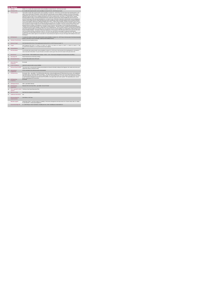|                | <b>PA Service</b>                           |                                                                                                                                                                                                                                                                                                                                                                                                                                                                                                                                                                                                                                                                                                                                                                                                                                                                                                                                                                                                                                                                                                                                                                                                                                                                                                                                                                                                                                                                                                                                                                                                                                                                                                                                                                                                                                                                                                                                                                                                                                                                                                                                                                                                                                                                                                                                                                                                                                                                                                                                                                                                                                                                                                                    |  |  |  |
|----------------|---------------------------------------------|--------------------------------------------------------------------------------------------------------------------------------------------------------------------------------------------------------------------------------------------------------------------------------------------------------------------------------------------------------------------------------------------------------------------------------------------------------------------------------------------------------------------------------------------------------------------------------------------------------------------------------------------------------------------------------------------------------------------------------------------------------------------------------------------------------------------------------------------------------------------------------------------------------------------------------------------------------------------------------------------------------------------------------------------------------------------------------------------------------------------------------------------------------------------------------------------------------------------------------------------------------------------------------------------------------------------------------------------------------------------------------------------------------------------------------------------------------------------------------------------------------------------------------------------------------------------------------------------------------------------------------------------------------------------------------------------------------------------------------------------------------------------------------------------------------------------------------------------------------------------------------------------------------------------------------------------------------------------------------------------------------------------------------------------------------------------------------------------------------------------------------------------------------------------------------------------------------------------------------------------------------------------------------------------------------------------------------------------------------------------------------------------------------------------------------------------------------------------------------------------------------------------------------------------------------------------------------------------------------------------------------------------------------------------------------------------------------------------|--|--|--|
| $\mathbf{1}$   | <b>KPITitle</b>                             | DIS40d - No. of adults with a physical and/or sensory disability in receipt of from 41 - 60 PA hours per week                                                                                                                                                                                                                                                                                                                                                                                                                                                                                                                                                                                                                                                                                                                                                                                                                                                                                                                                                                                                                                                                                                                                                                                                                                                                                                                                                                                                                                                                                                                                                                                                                                                                                                                                                                                                                                                                                                                                                                                                                                                                                                                                                                                                                                                                                                                                                                                                                                                                                                                                                                                                      |  |  |  |
| 18             | <b>KPI Short Title</b>                      | No. of adults with a physical and/or sensory disability in receipt of from 41 - 60 PA hours per week                                                                                                                                                                                                                                                                                                                                                                                                                                                                                                                                                                                                                                                                                                                                                                                                                                                                                                                                                                                                                                                                                                                                                                                                                                                                                                                                                                                                                                                                                                                                                                                                                                                                                                                                                                                                                                                                                                                                                                                                                                                                                                                                                                                                                                                                                                                                                                                                                                                                                                                                                                                                               |  |  |  |
| $\overline{z}$ | <b>KPI</b> Description                      | Total number of adults with a physical and/or sensory disability, in receipt of 41 - 60 PA Hours in the last week of the reporting period i.e. last<br>week of June and last week of December. Include.» Adults with a physical and/or sensory disability in receipt of a PA service in this quarter<br>including those who commenced a PA service and those who continued a PA service even if they were formally discharged in this. Exclude: .<br>Adults with a physical and/or sensory disability discharged from PA service funded by other care groups (e.g. Older Persons), Delayed<br>Discharge Initiative Funding or Community Employment Scheme- Adults with a physical and/or sensory disability who did not receive a PA<br>service in the last week of the biannual reporting period i.e. lat week of June or December- Adults with a physical and/or sensory disability who<br>received a Home Support Service+ Adults with physical and sensory disability who require neurorehab supports that do not meet the definition<br>of PA or Home Support Adults with an intelectual disability and/or autism . Children with any disability. All adults accessing PA Hours must be<br>returned by the HSE Area from which their funding is allocated e.g. a service user from Sligo accessing PA Hours through Longford CIL whose<br>hours are paid for by Sigo PA budget must be returned by Sigo Disability Services. Example # 1: Tony was receiving 10 hours PA per week<br>during Q2 but due to change in circumstances, he received 42 hours PA service in the final week of June, the biannual reporting period.<br>Therefore Tony is returned under this KPI in "No. of people in receipt of Band 41 - 60 hours PA service". Definitions:Personal Assistant (PA):<br>is employed by the person with a disability to enable them to live an independent life. The PA provides assistance, at the discretion and direction<br>of the person with the disability, thus promoting choice and control for the person with the disability to live independently' (National Physical and<br>Sensory Disability Database - Description of Services). Employed by: for the purposes of this KPI means that the service user has full control<br>over the recruitment and day to day direction of their PA. The service user may devolve responsibility for employment administrative<br>arrangements e.g. Garda vetting, references, insurance, tax returns and salary payment, to a service provider such as CIL, IWA. Adult: For the<br>purpose of this KPI an adult is aged over 18 and under 65. It may include persons aged over 65 years who began with Disability Services prior<br>to turning 65. |  |  |  |
| $\mathbf{R}$   | <b>KPI Rationale</b>                        | To monitor the number of adults with a physical and/or sensory disability in receipt of 41 - 60 PA hours in the last week of the biannual reporting<br>period i.e. last week of June or December, funded by HSE Disability Services.                                                                                                                                                                                                                                                                                                                                                                                                                                                                                                                                                                                                                                                                                                                                                                                                                                                                                                                                                                                                                                                                                                                                                                                                                                                                                                                                                                                                                                                                                                                                                                                                                                                                                                                                                                                                                                                                                                                                                                                                                                                                                                                                                                                                                                                                                                                                                                                                                                                                               |  |  |  |
| 3a             |                                             | Indicator Classification National Scorecard Quadrant Access                                                                                                                                                                                                                                                                                                                                                                                                                                                                                                                                                                                                                                                                                                                                                                                                                                                                                                                                                                                                                                                                                                                                                                                                                                                                                                                                                                                                                                                                                                                                                                                                                                                                                                                                                                                                                                                                                                                                                                                                                                                                                                                                                                                                                                                                                                                                                                                                                                                                                                                                                                                                                                                        |  |  |  |
| $\overline{a}$ | <b>National Target</b>                      | 2019 Operational Plan Point in Time target/expected activity 2019 for 41-60 PA hours per week: 72.                                                                                                                                                                                                                                                                                                                                                                                                                                                                                                                                                                                                                                                                                                                                                                                                                                                                                                                                                                                                                                                                                                                                                                                                                                                                                                                                                                                                                                                                                                                                                                                                                                                                                                                                                                                                                                                                                                                                                                                                                                                                                                                                                                                                                                                                                                                                                                                                                                                                                                                                                                                                                 |  |  |  |
| 48             | Target                                      | 2019 Target per CHO: CHO 1 - 8, CHO 2 - 12, CHO 3 - 12, CHO 4 - 13, CHO 5 -11, CHO 6 - 0, CHO 7 - 1, CHO 8 - 8, CHO 9 - 7. This<br>is a point in time calculation (i.e. do not add bi-annual returns together)                                                                                                                                                                                                                                                                                                                                                                                                                                                                                                                                                                                                                                                                                                                                                                                                                                                                                                                                                                                                                                                                                                                                                                                                                                                                                                                                                                                                                                                                                                                                                                                                                                                                                                                                                                                                                                                                                                                                                                                                                                                                                                                                                                                                                                                                                                                                                                                                                                                                                                     |  |  |  |
| 4h             | <b>Volume Metrics</b>                       | N/A                                                                                                                                                                                                                                                                                                                                                                                                                                                                                                                                                                                                                                                                                                                                                                                                                                                                                                                                                                                                                                                                                                                                                                                                                                                                                                                                                                                                                                                                                                                                                                                                                                                                                                                                                                                                                                                                                                                                                                                                                                                                                                                                                                                                                                                                                                                                                                                                                                                                                                                                                                                                                                                                                                                |  |  |  |
| 5              | <b>KPI Calculation</b>                      | Count all adults with a physical and/or sensory disability in receipt of 41 -60 PA hours in the last week of the reporting period i.e. last week of<br>June or last week of December. For year end outturn, Q4 outturn is used e.g.Q2: 418, Q4: 422, the outturn for the year end is 422.                                                                                                                                                                                                                                                                                                                                                                                                                                                                                                                                                                                                                                                                                                                                                                                                                                                                                                                                                                                                                                                                                                                                                                                                                                                                                                                                                                                                                                                                                                                                                                                                                                                                                                                                                                                                                                                                                                                                                                                                                                                                                                                                                                                                                                                                                                                                                                                                                          |  |  |  |
| $\mathbf{6}$   | <b>Data Source</b>                          | Service Provider > HSE Disability Service nominee > HOSC > CHO > Performance Management and Improvement Unit (PMIU).                                                                                                                                                                                                                                                                                                                                                                                                                                                                                                                                                                                                                                                                                                                                                                                                                                                                                                                                                                                                                                                                                                                                                                                                                                                                                                                                                                                                                                                                                                                                                                                                                                                                                                                                                                                                                                                                                                                                                                                                                                                                                                                                                                                                                                                                                                                                                                                                                                                                                                                                                                                               |  |  |  |
| Бa             | Data Sign Off                               | Head of Social Care in CHO Area (HOSC)                                                                                                                                                                                                                                                                                                                                                                                                                                                                                                                                                                                                                                                                                                                                                                                                                                                                                                                                                                                                                                                                                                                                                                                                                                                                                                                                                                                                                                                                                                                                                                                                                                                                                                                                                                                                                                                                                                                                                                                                                                                                                                                                                                                                                                                                                                                                                                                                                                                                                                                                                                                                                                                                             |  |  |  |
| 6h             | <b>Data Quality Issues</b>                  | No known data quality issues at this point.                                                                                                                                                                                                                                                                                                                                                                                                                                                                                                                                                                                                                                                                                                                                                                                                                                                                                                                                                                                                                                                                                                                                                                                                                                                                                                                                                                                                                                                                                                                                                                                                                                                                                                                                                                                                                                                                                                                                                                                                                                                                                                                                                                                                                                                                                                                                                                                                                                                                                                                                                                                                                                                                        |  |  |  |
| $\overline{7}$ | <b>Data Collection</b><br>Frequency         | Bi-annually                                                                                                                                                                                                                                                                                                                                                                                                                                                                                                                                                                                                                                                                                                                                                                                                                                                                                                                                                                                                                                                                                                                                                                                                                                                                                                                                                                                                                                                                                                                                                                                                                                                                                                                                                                                                                                                                                                                                                                                                                                                                                                                                                                                                                                                                                                                                                                                                                                                                                                                                                                                                                                                                                                        |  |  |  |
| 8              | <b>Tracer Conditions</b>                    | Adults with a physical and/or sensory disability                                                                                                                                                                                                                                                                                                                                                                                                                                                                                                                                                                                                                                                                                                                                                                                                                                                                                                                                                                                                                                                                                                                                                                                                                                                                                                                                                                                                                                                                                                                                                                                                                                                                                                                                                                                                                                                                                                                                                                                                                                                                                                                                                                                                                                                                                                                                                                                                                                                                                                                                                                                                                                                                   |  |  |  |
| ä              | Minimum Data Set MDS                        | The service user's care plan which includes personal details and relevant information relating to their diagnosis, their needs and services and<br>support they require to meet their needs.                                                                                                                                                                                                                                                                                                                                                                                                                                                                                                                                                                                                                                                                                                                                                                                                                                                                                                                                                                                                                                                                                                                                                                                                                                                                                                                                                                                                                                                                                                                                                                                                                                                                                                                                                                                                                                                                                                                                                                                                                                                                                                                                                                                                                                                                                                                                                                                                                                                                                                                       |  |  |  |
| 10             | International<br>Comparison                 | Service developed in line with best practice internationally                                                                                                                                                                                                                                                                                                                                                                                                                                                                                                                                                                                                                                                                                                                                                                                                                                                                                                                                                                                                                                                                                                                                                                                                                                                                                                                                                                                                                                                                                                                                                                                                                                                                                                                                                                                                                                                                                                                                                                                                                                                                                                                                                                                                                                                                                                                                                                                                                                                                                                                                                                                                                                                       |  |  |  |
| 11             | <b>KPI Monitoring</b>                       | Bi-annually / Other - give details: The HOSC/nominee will receive, review and quality assure KPI data returns for accuracy and completeness<br>and analyse data for performance against ELS/targets. They will forward the collated KPI returns to the Chief Officer/nominee and include a<br>builet point explanation where there are variances against target. The Chief Officer/nominee will review, approve and submit final CHO returns<br>to the Performance Management and Improvement Unit (PMIU) on the agreed date each month / quarter. The responsible person at local<br>level for monitoring this KPI is the HOSC.                                                                                                                                                                                                                                                                                                                                                                                                                                                                                                                                                                                                                                                                                                                                                                                                                                                                                                                                                                                                                                                                                                                                                                                                                                                                                                                                                                                                                                                                                                                                                                                                                                                                                                                                                                                                                                                                                                                                                                                                                                                                                   |  |  |  |
| 12             | <b>KPI Reporting</b><br>Frequency           | Bi-annually                                                                                                                                                                                                                                                                                                                                                                                                                                                                                                                                                                                                                                                                                                                                                                                                                                                                                                                                                                                                                                                                                                                                                                                                                                                                                                                                                                                                                                                                                                                                                                                                                                                                                                                                                                                                                                                                                                                                                                                                                                                                                                                                                                                                                                                                                                                                                                                                                                                                                                                                                                                                                                                                                                        |  |  |  |
| 13             | <b>KPI Report Period</b>                    | Other - give details: Biannual                                                                                                                                                                                                                                                                                                                                                                                                                                                                                                                                                                                                                                                                                                                                                                                                                                                                                                                                                                                                                                                                                                                                                                                                                                                                                                                                                                                                                                                                                                                                                                                                                                                                                                                                                                                                                                                                                                                                                                                                                                                                                                                                                                                                                                                                                                                                                                                                                                                                                                                                                                                                                                                                                     |  |  |  |
| 14             | <b>KPI Reporting</b><br>Aggregation         | National/ CHO/ LHO Area/ Other - give details: Service Provider                                                                                                                                                                                                                                                                                                                                                                                                                                                                                                                                                                                                                                                                                                                                                                                                                                                                                                                                                                                                                                                                                                                                                                                                                                                                                                                                                                                                                                                                                                                                                                                                                                                                                                                                                                                                                                                                                                                                                                                                                                                                                                                                                                                                                                                                                                                                                                                                                                                                                                                                                                                                                                                    |  |  |  |
| 15             | reports?                                    | KPI is reported in which Preliminary Data Report/Operational Plan                                                                                                                                                                                                                                                                                                                                                                                                                                                                                                                                                                                                                                                                                                                                                                                                                                                                                                                                                                                                                                                                                                                                                                                                                                                                                                                                                                                                                                                                                                                                                                                                                                                                                                                                                                                                                                                                                                                                                                                                                                                                                                                                                                                                                                                                                                                                                                                                                                                                                                                                                                                                                                                  |  |  |  |
| 16             | Web link to data                            | http://www.hse.ia/eng/services/publications/                                                                                                                                                                                                                                                                                                                                                                                                                                                                                                                                                                                                                                                                                                                                                                                                                                                                                                                                                                                                                                                                                                                                                                                                                                                                                                                                                                                                                                                                                                                                                                                                                                                                                                                                                                                                                                                                                                                                                                                                                                                                                                                                                                                                                                                                                                                                                                                                                                                                                                                                                                                                                                                                       |  |  |  |
| 17             | <b>Additional Information</b>               | N/h                                                                                                                                                                                                                                                                                                                                                                                                                                                                                                                                                                                                                                                                                                                                                                                                                                                                                                                                                                                                                                                                                                                                                                                                                                                                                                                                                                                                                                                                                                                                                                                                                                                                                                                                                                                                                                                                                                                                                                                                                                                                                                                                                                                                                                                                                                                                                                                                                                                                                                                                                                                                                                                                                                                |  |  |  |
|                | <b>KPI</b> owner/lead for<br>implementation | Chief Officer, CHO Area                                                                                                                                                                                                                                                                                                                                                                                                                                                                                                                                                                                                                                                                                                                                                                                                                                                                                                                                                                                                                                                                                                                                                                                                                                                                                                                                                                                                                                                                                                                                                                                                                                                                                                                                                                                                                                                                                                                                                                                                                                                                                                                                                                                                                                                                                                                                                                                                                                                                                                                                                                                                                                                                                            |  |  |  |
|                | PBI data support                            | Sinéad Nulty O'Brien, Lead Data Analyst for Disabilities, Performance Management and Improvement Unit - Bective Street, Kells, Co. Meath.<br>Ph: 046 9251328 , Emailsinead.nulty@hse.ie                                                                                                                                                                                                                                                                                                                                                                                                                                                                                                                                                                                                                                                                                                                                                                                                                                                                                                                                                                                                                                                                                                                                                                                                                                                                                                                                                                                                                                                                                                                                                                                                                                                                                                                                                                                                                                                                                                                                                                                                                                                                                                                                                                                                                                                                                                                                                                                                                                                                                                                            |  |  |  |
|                | Governance/sign off                         | Dr. Cathal Morgan, Head of Operations, Disability Services Email: disabilityops.socialcare@hse.ie                                                                                                                                                                                                                                                                                                                                                                                                                                                                                                                                                                                                                                                                                                                                                                                                                                                                                                                                                                                                                                                                                                                                                                                                                                                                                                                                                                                                                                                                                                                                                                                                                                                                                                                                                                                                                                                                                                                                                                                                                                                                                                                                                                                                                                                                                                                                                                                                                                                                                                                                                                                                                  |  |  |  |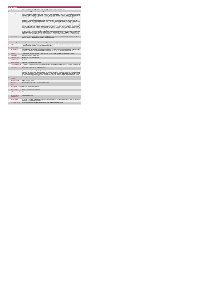|                  | <b>PA Service</b>                           |                                                                                                                                                                                                                                                                                                                                                                                                                                                                                                                                                                                                                                                                                                                                                                                                                                                                                                                                                                                                                                                                                                                                                                                                                                                                                                                                                                                                                                                                                                                                                                                                                                                                                                                                                                                                                                                                                                                                                                                                                                                                                                                                                                                                                                                                                                                                                                                                                                                                                                                                                                                                                                                                                                            |
|------------------|---------------------------------------------|------------------------------------------------------------------------------------------------------------------------------------------------------------------------------------------------------------------------------------------------------------------------------------------------------------------------------------------------------------------------------------------------------------------------------------------------------------------------------------------------------------------------------------------------------------------------------------------------------------------------------------------------------------------------------------------------------------------------------------------------------------------------------------------------------------------------------------------------------------------------------------------------------------------------------------------------------------------------------------------------------------------------------------------------------------------------------------------------------------------------------------------------------------------------------------------------------------------------------------------------------------------------------------------------------------------------------------------------------------------------------------------------------------------------------------------------------------------------------------------------------------------------------------------------------------------------------------------------------------------------------------------------------------------------------------------------------------------------------------------------------------------------------------------------------------------------------------------------------------------------------------------------------------------------------------------------------------------------------------------------------------------------------------------------------------------------------------------------------------------------------------------------------------------------------------------------------------------------------------------------------------------------------------------------------------------------------------------------------------------------------------------------------------------------------------------------------------------------------------------------------------------------------------------------------------------------------------------------------------------------------------------------------------------------------------------------------------|
|                  | <b>KPITitle</b>                             | DIS40e - No. of adults with a physical and/or sensory disability in receipt of from 60+ PA hours per week                                                                                                                                                                                                                                                                                                                                                                                                                                                                                                                                                                                                                                                                                                                                                                                                                                                                                                                                                                                                                                                                                                                                                                                                                                                                                                                                                                                                                                                                                                                                                                                                                                                                                                                                                                                                                                                                                                                                                                                                                                                                                                                                                                                                                                                                                                                                                                                                                                                                                                                                                                                                  |
| 1a               | <b>KPI Short Title</b>                      | No. of adults with a physical and/or sensory disability in receipt of from 60+ PA hours per week                                                                                                                                                                                                                                                                                                                                                                                                                                                                                                                                                                                                                                                                                                                                                                                                                                                                                                                                                                                                                                                                                                                                                                                                                                                                                                                                                                                                                                                                                                                                                                                                                                                                                                                                                                                                                                                                                                                                                                                                                                                                                                                                                                                                                                                                                                                                                                                                                                                                                                                                                                                                           |
| $\overline{z}$   | <b>KPI Description</b>                      | Total number of adults with a physical and/or sensory disability, in receipt of 60+ PA Hours in the last week of the reporting period i.e. last week<br>of June and last week of December. Include:+ Adults with a physical and/or sensory disability in receipt of a PA service in this quarter including<br>those who commenced a PA service and those who continued a PA service even if they were formally discharged in this. Exclude: . Adults with<br>a physical and/or sensory disability discharged from PA service funded by other care groups ( e.g. Older Persons), Delayed Discharge<br>Initiative Funding or Community Employment Scheme- Adults with a physical and/or sensory disability who did not receive a PA service in the<br>last week of the biannual reporting period i.e. lat week of June or December- Adults with a physical and/or sensory disability who received a<br>Home Support Service+ Adults with physical and sensory disability who require neurorehab supports that do not meet the definition of PA or<br>Home Support- Adults with an intellectual disability and/or autism . Children with any disability. All adults accessing PA Hours must be returned<br>by the HSE Area from which their funding is allocated e.g. a service user from Sigo accessing PA Hours through Longford CIL whose hours<br>are paid for by Sligo PA budget must be returned by Sligo Disability Services. Example # 1: Tony was receiving 10 hours PA per week during Q2<br>but due to change in circumstances, he received 62 hours PA service in the final week of June, the biannual reporting period. Therefore Tony<br>is returned under this KPI in "No. of people in receipt of Band 60+ hours PA service". Definitions:Personal Assistant (PA): is employed by the<br>person with a disability to enable them to live an independent life. The PA provides assistance, at the discretion and direction of the person with<br>the disability, thus promoting choice and control for the person with the disability to live independently" (National Physical and Sensory Disability<br>Database - Description of Services). Employed by: for the purposes of this KPI means that the service user has full control over the<br>recruitment and day to day drection of their PA. The service user may devolve responsibility for employment administrative arrangements e.g.<br>Garda vetting, references, insurance, tax returns and salary payment, to a service provider such as CIL, IWA. Adult: For the purpose of this<br>KPI an adult is aged over 18 and under 65. It may include persons aged over 65 years who began with Disability Services prior to turning 65. |
| $\overline{3}$   | <b>KPI Rationale</b>                        | To monitor the number of adults with a physical and/or sensory disability in receipt of 60+ PA hours in the last week of the biannual reporting<br>period i.e. last week of June or December, funded by HSE Disability Services.                                                                                                                                                                                                                                                                                                                                                                                                                                                                                                                                                                                                                                                                                                                                                                                                                                                                                                                                                                                                                                                                                                                                                                                                                                                                                                                                                                                                                                                                                                                                                                                                                                                                                                                                                                                                                                                                                                                                                                                                                                                                                                                                                                                                                                                                                                                                                                                                                                                                           |
| 3a               | <b>Indicator Classification</b>             | National Scorecard Quadrant Access                                                                                                                                                                                                                                                                                                                                                                                                                                                                                                                                                                                                                                                                                                                                                                                                                                                                                                                                                                                                                                                                                                                                                                                                                                                                                                                                                                                                                                                                                                                                                                                                                                                                                                                                                                                                                                                                                                                                                                                                                                                                                                                                                                                                                                                                                                                                                                                                                                                                                                                                                                                                                                                                         |
| $\overline{4}$   | <b>National Target</b>                      | 2019 Operational Plan Point in Time target/expected activity 2019 for 60+ PA hours per week: 67.                                                                                                                                                                                                                                                                                                                                                                                                                                                                                                                                                                                                                                                                                                                                                                                                                                                                                                                                                                                                                                                                                                                                                                                                                                                                                                                                                                                                                                                                                                                                                                                                                                                                                                                                                                                                                                                                                                                                                                                                                                                                                                                                                                                                                                                                                                                                                                                                                                                                                                                                                                                                           |
| 4a               | Target                                      | 2019 Target per CHO: CHO 1 - 8, CHO 2 - 11, CHO 3 - 11, CHO 4 - 12, CHO 5 -11, CHO 6 - 0, CHO 7 - 1, CHO 8 - 7, CHO 9 - 64.<br>This is a point in time calculation (i.e. do not add bi-annual returns together)                                                                                                                                                                                                                                                                                                                                                                                                                                                                                                                                                                                                                                                                                                                                                                                                                                                                                                                                                                                                                                                                                                                                                                                                                                                                                                                                                                                                                                                                                                                                                                                                                                                                                                                                                                                                                                                                                                                                                                                                                                                                                                                                                                                                                                                                                                                                                                                                                                                                                            |
| 4 <sub>b</sub>   | <b>Volume Metrics</b>                       | N/A                                                                                                                                                                                                                                                                                                                                                                                                                                                                                                                                                                                                                                                                                                                                                                                                                                                                                                                                                                                                                                                                                                                                                                                                                                                                                                                                                                                                                                                                                                                                                                                                                                                                                                                                                                                                                                                                                                                                                                                                                                                                                                                                                                                                                                                                                                                                                                                                                                                                                                                                                                                                                                                                                                        |
| 5                | <b>KPI Calculation</b>                      | Count all adults with a physical and/or sensory disability in receipt of 60+ PA hours in the last week of the reporting period i.e. last week of June<br>or last week of December . For year end outturn, Q4 outturn is used e.g. Q2: 418, Q4: 422, the outturn for the year end is 422.                                                                                                                                                                                                                                                                                                                                                                                                                                                                                                                                                                                                                                                                                                                                                                                                                                                                                                                                                                                                                                                                                                                                                                                                                                                                                                                                                                                                                                                                                                                                                                                                                                                                                                                                                                                                                                                                                                                                                                                                                                                                                                                                                                                                                                                                                                                                                                                                                   |
| 6                | <b>Data Source</b>                          | Service Provider > HSE Disability Service nominee > HOSC > CHO > Performance Management and Improvement Unit (PMIU).                                                                                                                                                                                                                                                                                                                                                                                                                                                                                                                                                                                                                                                                                                                                                                                                                                                                                                                                                                                                                                                                                                                                                                                                                                                                                                                                                                                                                                                                                                                                                                                                                                                                                                                                                                                                                                                                                                                                                                                                                                                                                                                                                                                                                                                                                                                                                                                                                                                                                                                                                                                       |
| Бa               | Data Sign Off                               | Head of Social Care in CHO Area (HOSC)                                                                                                                                                                                                                                                                                                                                                                                                                                                                                                                                                                                                                                                                                                                                                                                                                                                                                                                                                                                                                                                                                                                                                                                                                                                                                                                                                                                                                                                                                                                                                                                                                                                                                                                                                                                                                                                                                                                                                                                                                                                                                                                                                                                                                                                                                                                                                                                                                                                                                                                                                                                                                                                                     |
| 6h               | <b>Data Quality Issues</b>                  | No known data quality issues at this point.                                                                                                                                                                                                                                                                                                                                                                                                                                                                                                                                                                                                                                                                                                                                                                                                                                                                                                                                                                                                                                                                                                                                                                                                                                                                                                                                                                                                                                                                                                                                                                                                                                                                                                                                                                                                                                                                                                                                                                                                                                                                                                                                                                                                                                                                                                                                                                                                                                                                                                                                                                                                                                                                |
| $\overline{7}$   | <b>Data Collection</b><br>Frequency         | Bi-annually                                                                                                                                                                                                                                                                                                                                                                                                                                                                                                                                                                                                                                                                                                                                                                                                                                                                                                                                                                                                                                                                                                                                                                                                                                                                                                                                                                                                                                                                                                                                                                                                                                                                                                                                                                                                                                                                                                                                                                                                                                                                                                                                                                                                                                                                                                                                                                                                                                                                                                                                                                                                                                                                                                |
| 8                | <b>Tracer Conditions</b>                    | Adults with a physical and/or sensory disability                                                                                                                                                                                                                                                                                                                                                                                                                                                                                                                                                                                                                                                                                                                                                                                                                                                                                                                                                                                                                                                                                                                                                                                                                                                                                                                                                                                                                                                                                                                                                                                                                                                                                                                                                                                                                                                                                                                                                                                                                                                                                                                                                                                                                                                                                                                                                                                                                                                                                                                                                                                                                                                           |
| 9                | Minimum Data Set MDS                        | The service user's care plan which includes personal details and relevant information relating to their diagnosis, their needs and services and<br>support they require to meet their needs.                                                                                                                                                                                                                                                                                                                                                                                                                                                                                                                                                                                                                                                                                                                                                                                                                                                                                                                                                                                                                                                                                                                                                                                                                                                                                                                                                                                                                                                                                                                                                                                                                                                                                                                                                                                                                                                                                                                                                                                                                                                                                                                                                                                                                                                                                                                                                                                                                                                                                                               |
| 10               | International<br>Comparison                 | Service developed in line with best practice internationally                                                                                                                                                                                                                                                                                                                                                                                                                                                                                                                                                                                                                                                                                                                                                                                                                                                                                                                                                                                                                                                                                                                                                                                                                                                                                                                                                                                                                                                                                                                                                                                                                                                                                                                                                                                                                                                                                                                                                                                                                                                                                                                                                                                                                                                                                                                                                                                                                                                                                                                                                                                                                                               |
| 11               | <b>KPI Monitoring</b>                       | Bi-annually / Other - give details: The HOSC/nominee will receive, review and quality assure KPI data returns for accuracy and completeness<br>and analyse data for performance against ELS/targets. They will forward the collated KPI returns to the Chief Officer/nominee and include a<br>bullet point explanation where there are variances against target. The Chief Officer/nominee will review, approve and submit final CHO returns<br>to the Performance Management and Improvement Unit (PMIU) on the agreed date each month / quarter. The responsible person at local<br>level for monitoring this KPI is the HOSC.                                                                                                                                                                                                                                                                                                                                                                                                                                                                                                                                                                                                                                                                                                                                                                                                                                                                                                                                                                                                                                                                                                                                                                                                                                                                                                                                                                                                                                                                                                                                                                                                                                                                                                                                                                                                                                                                                                                                                                                                                                                                           |
| 12 <sup>12</sup> | <b>KPI Reporting</b><br>Frequency           | Bi-annually                                                                                                                                                                                                                                                                                                                                                                                                                                                                                                                                                                                                                                                                                                                                                                                                                                                                                                                                                                                                                                                                                                                                                                                                                                                                                                                                                                                                                                                                                                                                                                                                                                                                                                                                                                                                                                                                                                                                                                                                                                                                                                                                                                                                                                                                                                                                                                                                                                                                                                                                                                                                                                                                                                |
| 13               | <b>KPI Report Period</b>                    | Other - give details: Biannual                                                                                                                                                                                                                                                                                                                                                                                                                                                                                                                                                                                                                                                                                                                                                                                                                                                                                                                                                                                                                                                                                                                                                                                                                                                                                                                                                                                                                                                                                                                                                                                                                                                                                                                                                                                                                                                                                                                                                                                                                                                                                                                                                                                                                                                                                                                                                                                                                                                                                                                                                                                                                                                                             |
| 14               | <b>KPI Reporting</b><br>Aggregation         | National/ CHO/ LHO Area/ Other - give details: Service Provider                                                                                                                                                                                                                                                                                                                                                                                                                                                                                                                                                                                                                                                                                                                                                                                                                                                                                                                                                                                                                                                                                                                                                                                                                                                                                                                                                                                                                                                                                                                                                                                                                                                                                                                                                                                                                                                                                                                                                                                                                                                                                                                                                                                                                                                                                                                                                                                                                                                                                                                                                                                                                                            |
| 15               | reports?                                    | KPI is reported in which Preliminary Data Report/Operational Plan                                                                                                                                                                                                                                                                                                                                                                                                                                                                                                                                                                                                                                                                                                                                                                                                                                                                                                                                                                                                                                                                                                                                                                                                                                                                                                                                                                                                                                                                                                                                                                                                                                                                                                                                                                                                                                                                                                                                                                                                                                                                                                                                                                                                                                                                                                                                                                                                                                                                                                                                                                                                                                          |
| 16               | Web link to data                            | http://www.hse.ia/eng/services/publications/                                                                                                                                                                                                                                                                                                                                                                                                                                                                                                                                                                                                                                                                                                                                                                                                                                                                                                                                                                                                                                                                                                                                                                                                                                                                                                                                                                                                                                                                                                                                                                                                                                                                                                                                                                                                                                                                                                                                                                                                                                                                                                                                                                                                                                                                                                                                                                                                                                                                                                                                                                                                                                                               |
| 17               | <b>Additional Information</b>               | N/A                                                                                                                                                                                                                                                                                                                                                                                                                                                                                                                                                                                                                                                                                                                                                                                                                                                                                                                                                                                                                                                                                                                                                                                                                                                                                                                                                                                                                                                                                                                                                                                                                                                                                                                                                                                                                                                                                                                                                                                                                                                                                                                                                                                                                                                                                                                                                                                                                                                                                                                                                                                                                                                                                                        |
|                  | <b>KPI</b> owner/lead for<br>implementation | Chief Officer, CHO Area                                                                                                                                                                                                                                                                                                                                                                                                                                                                                                                                                                                                                                                                                                                                                                                                                                                                                                                                                                                                                                                                                                                                                                                                                                                                                                                                                                                                                                                                                                                                                                                                                                                                                                                                                                                                                                                                                                                                                                                                                                                                                                                                                                                                                                                                                                                                                                                                                                                                                                                                                                                                                                                                                    |
|                  | PBI data support                            | Sinéad Nulty O'Brien, Lead Data Analyst for Disabilities, Performance Management and Improvement Unit - Bective Street, Kells, Co. Meath.<br>Ph: 046 9251328 , Emailsinead.nulty@hse.ie                                                                                                                                                                                                                                                                                                                                                                                                                                                                                                                                                                                                                                                                                                                                                                                                                                                                                                                                                                                                                                                                                                                                                                                                                                                                                                                                                                                                                                                                                                                                                                                                                                                                                                                                                                                                                                                                                                                                                                                                                                                                                                                                                                                                                                                                                                                                                                                                                                                                                                                    |
|                  | Governance/sign off                         | Dr. Cathal Morgan, Head of Operations, Disability Services Email: disabilityops.socialcare@hse.ie                                                                                                                                                                                                                                                                                                                                                                                                                                                                                                                                                                                                                                                                                                                                                                                                                                                                                                                                                                                                                                                                                                                                                                                                                                                                                                                                                                                                                                                                                                                                                                                                                                                                                                                                                                                                                                                                                                                                                                                                                                                                                                                                                                                                                                                                                                                                                                                                                                                                                                                                                                                                          |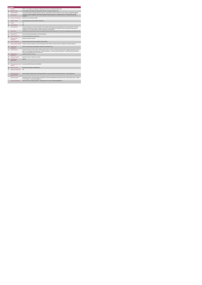|                | Quality                                     |                                                                                                                                                                                                                                                                                                                                                               |  |  |  |
|----------------|---------------------------------------------|---------------------------------------------------------------------------------------------------------------------------------------------------------------------------------------------------------------------------------------------------------------------------------------------------------------------------------------------------------------|--|--|--|
|                | <b>KPITitle</b>                             | DIS60 - % of compliance with regulations following HIQA inspection of Disability Residential Units                                                                                                                                                                                                                                                            |  |  |  |
| 1a             | <b>KPI Short Title</b>                      | % of compliance with regulations following HIQA inspection of Disability Residential Units                                                                                                                                                                                                                                                                    |  |  |  |
| $\overline{z}$ | <b>KPI Description</b>                      | The Health Information and Quality Authority (HIQA) has responsibility to requisite the quality of service provided in designated residential                                                                                                                                                                                                                 |  |  |  |
| $\mathbf{R}$   | <b>KPI Rationale</b>                        | antene for monds with de shiller. The federe of al monitories inconstince are ret red weber energie outcome statements. This I/DI<br>To monitor the level of compliance with the HIQA Standards "National Standards for Residential Services for Children and Adults with<br>Disabilities"                                                                    |  |  |  |
| 3a             | <b>Indicator Classification</b>             | National Scorecard Quadrant Quality                                                                                                                                                                                                                                                                                                                           |  |  |  |
| 4              | <b>National Target</b>                      | 2019 National Service Plan Currulative Target: 80%                                                                                                                                                                                                                                                                                                            |  |  |  |
| 4a             | Target                                      | N/A                                                                                                                                                                                                                                                                                                                                                           |  |  |  |
| 4h             | <b>Volume Metrics</b>                       | N/A                                                                                                                                                                                                                                                                                                                                                           |  |  |  |
| 5              | <b>KPI Calculation</b>                      | Count the total number of outcomes inspected in each inspection (denominator/ the target population).Count the total number of outcomes<br>inspected by HIQA that were deemed compliant. (subset or the numerator)Report the number of outcomes inspected by HIQA that were<br>compliant as a % of the total number of outcomes inspected in each inspection. |  |  |  |
| 6              | <b>Data Source</b>                          | Published HIQA inspection reports.Social Care Quality and Patient Safety Department to the Performance Management and Improvement Unit                                                                                                                                                                                                                        |  |  |  |
| 6a             | Data Sign Off                               | Head of Quality and Patient Safety, Community Operations                                                                                                                                                                                                                                                                                                      |  |  |  |
| 6h             | <b>Data Quality Issues</b>                  | No known data quality issues at this point.                                                                                                                                                                                                                                                                                                                   |  |  |  |
| $\overline{7}$ | <b>Data Collection</b><br>Frequency         | Quarterly (2 Quarter in Arrears)                                                                                                                                                                                                                                                                                                                              |  |  |  |
| $\mathbf{R}$   | <b>Tracer Conditions</b>                    | Outcomes that were found to be compliant in HIQA Inspection.                                                                                                                                                                                                                                                                                                  |  |  |  |
| 9              | Minimum Data Set MDS                        | Number of outcomes inspected in each HIQA inspection and the number of outcomes that were compliant in each HIQA inspection                                                                                                                                                                                                                                   |  |  |  |
| 10             | International<br>Comparison                 | Drawn from best practice internationally to develop this customised service                                                                                                                                                                                                                                                                                   |  |  |  |
| 11             | <b>KPI Monitoring</b>                       | Quarterly (2 Quarter in Arrears). Other: HIQA Inspection reports are sent to Community QPS where data is collated. Responsible person for<br>sign off . Head of Quality and Patient Safety, Community Operations - JP Nolan, AND Community QPS. The AND will review and submit to<br>Performance Management and Improvement Unit.                             |  |  |  |
| 12             | <b>KPI Reporting</b><br>Frequency           | Quarterly( 2 Quarter in Arrears)                                                                                                                                                                                                                                                                                                                              |  |  |  |
| 13             | <b>KPI Report Period</b>                    | Quarterly in arrears (2 Quarters in Arrears)                                                                                                                                                                                                                                                                                                                  |  |  |  |
| 14             | <b>KPI Reporting</b><br>Aggregation         | National                                                                                                                                                                                                                                                                                                                                                      |  |  |  |
| 15             | reports?                                    | KPI is reported in which Annual Report/NSP/Performance Profile/MDR                                                                                                                                                                                                                                                                                            |  |  |  |
| 16             | Web link to data                            | http://www.hse.ie/eng/services/publications/                                                                                                                                                                                                                                                                                                                  |  |  |  |
| 17             | <b>Additional Information</b>               | N/A                                                                                                                                                                                                                                                                                                                                                           |  |  |  |
|                | <b>KPI</b> owner/lead for<br>implementation | Head of Quality and Patient Safety, Community Operations. Community Quality and Patient Safety Email: community.qps@hse.ie                                                                                                                                                                                                                                    |  |  |  |
|                | PBI data support                            | Sinéad Nulty O'Brien, Lead Data Analyst for Disabilities, Performance Management and Improvement Unit - Bective Street, Kells, Co. Meath.<br>Ph: 046 9251328 . Email:sinead.nutv@hse.ie                                                                                                                                                                       |  |  |  |
|                | Governance/sign off                         | National Director of Strategy & Planning, Community Services, Email: communitystrategy@hse.ie                                                                                                                                                                                                                                                                 |  |  |  |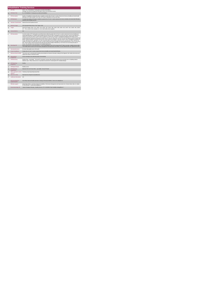|                |                                             | <b>Rehabilitative Training Services</b>                                                                                                                                                                                                                                                                                                                                                                                                                                                                                                                                                                                                                                                                                                                                                                                                                                                                                                                                                                                                                                                                                                                                                                                                                       |
|----------------|---------------------------------------------|---------------------------------------------------------------------------------------------------------------------------------------------------------------------------------------------------------------------------------------------------------------------------------------------------------------------------------------------------------------------------------------------------------------------------------------------------------------------------------------------------------------------------------------------------------------------------------------------------------------------------------------------------------------------------------------------------------------------------------------------------------------------------------------------------------------------------------------------------------------------------------------------------------------------------------------------------------------------------------------------------------------------------------------------------------------------------------------------------------------------------------------------------------------------------------------------------------------------------------------------------------------|
|                | <b>KPITitle</b>                             | DIS13 - No. of Rehabilitative Training places provided (all disabilities)<br>(Disability: Day Services programme descriptors sheet to be used with this metric)                                                                                                                                                                                                                                                                                                                                                                                                                                                                                                                                                                                                                                                                                                                                                                                                                                                                                                                                                                                                                                                                                               |
| 18             | <b>KPI Short Title</b>                      | No. of Rehabilitative Training places provided (all disabilities)                                                                                                                                                                                                                                                                                                                                                                                                                                                                                                                                                                                                                                                                                                                                                                                                                                                                                                                                                                                                                                                                                                                                                                                             |
| $\overline{2}$ | <b>KPI Description</b>                      | Number of rehabilitative training (RT) places available to people with an ID and / or autism, Physical and Sensory disability and mental health<br>difficulties An RT place includes: PD11 only. An RT place is equivalent to 30 hours per week.                                                                                                                                                                                                                                                                                                                                                                                                                                                                                                                                                                                                                                                                                                                                                                                                                                                                                                                                                                                                              |
| $\mathbf{a}$   | <b>KPI Rationale</b>                        | To monitor the number of RT places available to people with an ID and / or autism, physical and sensory disability and mental health difficulties<br>funded by HSE Disability Services.                                                                                                                                                                                                                                                                                                                                                                                                                                                                                                                                                                                                                                                                                                                                                                                                                                                                                                                                                                                                                                                                       |
| 3a             | <b>Indicator Classification</b>             | National Scorecard Quadrant Access                                                                                                                                                                                                                                                                                                                                                                                                                                                                                                                                                                                                                                                                                                                                                                                                                                                                                                                                                                                                                                                                                                                                                                                                                            |
| $\overline{a}$ | <b>National Target</b>                      | 2019 Operational Plan Point in Time Target: 2,282.                                                                                                                                                                                                                                                                                                                                                                                                                                                                                                                                                                                                                                                                                                                                                                                                                                                                                                                                                                                                                                                                                                                                                                                                            |
| 4a             | Target                                      | 2019 CHO Targets: CHO1 - 224 . CHO2 - 218 . CHO3 - 220 . CHO4 - 388 . CHO5 - 288 . CHO6 - 192 . CHO7 - 254 . CHO8 - 184 . CHO9 -<br>317. This is a point in time calculation (i.e. do not add monthly returns together)                                                                                                                                                                                                                                                                                                                                                                                                                                                                                                                                                                                                                                                                                                                                                                                                                                                                                                                                                                                                                                       |
| 4h             | <b>Volume Metrics</b>                       | <b>N/A</b>                                                                                                                                                                                                                                                                                                                                                                                                                                                                                                                                                                                                                                                                                                                                                                                                                                                                                                                                                                                                                                                                                                                                                                                                                                                    |
| $\mathbf{r}$   | <b>KPI Calculation</b>                      | Count the number of RT training places (as defined above) utilised by people with an ID and / or autism, physical and sensory disability and<br>mental health difficulties as funded by HSE Disability Services.Each RT place is equivalent to 30 hours per week. A person must attend for a<br>minimum of 15 hours per week. If a person does not attend for a full 30 hours, the WTE is calculated by dividing the total number of hours<br>actually worked by the person by 30 (e.g. person attends for 25 hours per week, 25/30 = 0.84 WTE). Each WTE place is counted only once per<br>quarter. People may attend RT and other day services. Where a person is availing of "other day services" their RT attendance is counted, and<br>not the "other day services" attendance. For year end annual outturn, the Q4 outturn is used (e.g. CHO 4: Q2: 653, Q4: 660). Therefore the<br>number of RT places for people with an ID and / or autism, physical and sensory disability and mental health difficulties in CHO 4 for the year is<br>660. WTE RT places must be returned by the HSE Area from which funding is allocated (e.g. Cork service user accessing work place in<br>Kerry). This work place to be returned by Cork Disability Mgr/Nominee. |
| 6a             | Data Sign Off                               | Head of Social Care in CHO Area (HOSC) It is the responsibility of each CHO to ensure their RT data is accurate, complete and up to date.<br>The monthly reports issued to the Performance Management and Improvement Unit (PMIU), from the National office are copied to the CHOs.                                                                                                                                                                                                                                                                                                                                                                                                                                                                                                                                                                                                                                                                                                                                                                                                                                                                                                                                                                           |
| 6b             | <b>Data Quality Issues</b>                  | No known data quality issues at this point.                                                                                                                                                                                                                                                                                                                                                                                                                                                                                                                                                                                                                                                                                                                                                                                                                                                                                                                                                                                                                                                                                                                                                                                                                   |
| 8              | <b>Tracer Conditions</b>                    | People with an ID and / or autism, physical and sensory disability and mental health difficulties.                                                                                                                                                                                                                                                                                                                                                                                                                                                                                                                                                                                                                                                                                                                                                                                                                                                                                                                                                                                                                                                                                                                                                            |
| 9              | Minimum Data Set MDS                        | The service user's care plan which includes personal details and relevant information relating to their diagnosis, their needs and services and<br>support they require to meet their needs.                                                                                                                                                                                                                                                                                                                                                                                                                                                                                                                                                                                                                                                                                                                                                                                                                                                                                                                                                                                                                                                                  |
| 10             | International<br>Comparison                 | Service developed in line with best practice internationally.                                                                                                                                                                                                                                                                                                                                                                                                                                                                                                                                                                                                                                                                                                                                                                                                                                                                                                                                                                                                                                                                                                                                                                                                 |
| 11             | <b>KPI Monitoring</b>                       | Monthly/ Other - give details: The local RT Coordinator oversees data verification with the service provider prior to completing national<br>database report Please indicate who is responsible at local level for monitoring this KPI: Disability Manager                                                                                                                                                                                                                                                                                                                                                                                                                                                                                                                                                                                                                                                                                                                                                                                                                                                                                                                                                                                                    |
| 12             | <b>KPI Reporting</b><br>Frequency           | Monthly                                                                                                                                                                                                                                                                                                                                                                                                                                                                                                                                                                                                                                                                                                                                                                                                                                                                                                                                                                                                                                                                                                                                                                                                                                                       |
| 13             | <b>KPI Report Period</b>                    | Monthly current                                                                                                                                                                                                                                                                                                                                                                                                                                                                                                                                                                                                                                                                                                                                                                                                                                                                                                                                                                                                                                                                                                                                                                                                                                               |
| 14             | <b>KPI Reporting</b><br>Aggregation         | National/ CHO/ LHO Area/ Other - give details: Service Provider                                                                                                                                                                                                                                                                                                                                                                                                                                                                                                                                                                                                                                                                                                                                                                                                                                                                                                                                                                                                                                                                                                                                                                                               |
| 15             | reports?                                    | KPI is reported in which Preliminary Data Report/Operational Plan                                                                                                                                                                                                                                                                                                                                                                                                                                                                                                                                                                                                                                                                                                                                                                                                                                                                                                                                                                                                                                                                                                                                                                                             |
| 16             | Web link to data                            | http://www.hse.ie/eng/services/publications/                                                                                                                                                                                                                                                                                                                                                                                                                                                                                                                                                                                                                                                                                                                                                                                                                                                                                                                                                                                                                                                                                                                                                                                                                  |
| 17             | <b>Additional Information</b>               | N/A                                                                                                                                                                                                                                                                                                                                                                                                                                                                                                                                                                                                                                                                                                                                                                                                                                                                                                                                                                                                                                                                                                                                                                                                                                                           |
|                | <b>KPI</b> owner/lead for<br>implementation | Anne Melly, National Disability Specialist, Strategy & Planning Disabilities Email: anne.melly@hse.ie                                                                                                                                                                                                                                                                                                                                                                                                                                                                                                                                                                                                                                                                                                                                                                                                                                                                                                                                                                                                                                                                                                                                                         |
|                | PBI data support                            | Sinéad Nuty O'Brien, Lead Data Analyst for Disabilities, Performance Management and Improvement Unit - Bective Street, Kells, Co. Meath.<br>Ph: 046 9251328 , Emailsinead nuity@hse.ie                                                                                                                                                                                                                                                                                                                                                                                                                                                                                                                                                                                                                                                                                                                                                                                                                                                                                                                                                                                                                                                                        |
|                | Governance/sign off                         | "Head of Strategy & Planning , Disability Services, Ph: 01-6352699, Email: disability.strategy@hse.ie "                                                                                                                                                                                                                                                                                                                                                                                                                                                                                                                                                                                                                                                                                                                                                                                                                                                                                                                                                                                                                                                                                                                                                       |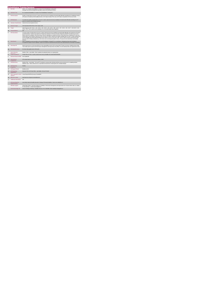|                |                                             | <b>Rehabilitative Training Services</b>                                                                                                                                                                                                                                                                                                                                                                                                                                                                                                                                                                                                                                                                                                                                                                                                                                                         |
|----------------|---------------------------------------------|-------------------------------------------------------------------------------------------------------------------------------------------------------------------------------------------------------------------------------------------------------------------------------------------------------------------------------------------------------------------------------------------------------------------------------------------------------------------------------------------------------------------------------------------------------------------------------------------------------------------------------------------------------------------------------------------------------------------------------------------------------------------------------------------------------------------------------------------------------------------------------------------------|
|                | <b>KPITitle</b>                             | DIS14 - No. of people (all disabilities) in receipt of from Rehabilitative Training (RT)<br>(Disability: Day Services programme descriptors sheet to be used with this metric)                                                                                                                                                                                                                                                                                                                                                                                                                                                                                                                                                                                                                                                                                                                  |
| 1a             | <b>KPI Short Title</b>                      | No. of people (all disabilities) in receipt of from Rehabilitative Training (RT)                                                                                                                                                                                                                                                                                                                                                                                                                                                                                                                                                                                                                                                                                                                                                                                                                |
|                |                                             |                                                                                                                                                                                                                                                                                                                                                                                                                                                                                                                                                                                                                                                                                                                                                                                                                                                                                                 |
| $\overline{2}$ | <b>KPI Description</b>                      | Number of people with an ID and / or autism, physical and sensory disability and mental health difficulties benefiting from rehabilitative training<br>(RT) places as funded by HSE Disability Services. An RT place includes: PD11 only. An RT place is equivalent to 30 hours per week.                                                                                                                                                                                                                                                                                                                                                                                                                                                                                                                                                                                                       |
| $\overline{a}$ | <b>KPI Rationale</b>                        | To monitor the number of people with an ID and / or autism, physical and sensory disability and mental health difficulties benefiting from RT<br>places as funded by HSE Disability Services.                                                                                                                                                                                                                                                                                                                                                                                                                                                                                                                                                                                                                                                                                                   |
| 3a             | <b>Indicator Classification</b>             | National Scorecard Quadrant Access                                                                                                                                                                                                                                                                                                                                                                                                                                                                                                                                                                                                                                                                                                                                                                                                                                                              |
| $\overline{a}$ | <b>National Target</b>                      | 2019 Operational Plan Point in Time Target: 2,282                                                                                                                                                                                                                                                                                                                                                                                                                                                                                                                                                                                                                                                                                                                                                                                                                                               |
| 4a             | Target                                      | 2019 Target per CHO: CHO 1 - 224 , CHO 2 - 218 , CHO 3 - 220 , CHO 4 - 388 , CHO 5 - 287 , CHO 6 - 192 , CHO 7 - 254 CHO 8 - 184 ,<br>CHO 9 - 315. This is a point in time calculation (i.e. do not add monthly returns together).                                                                                                                                                                                                                                                                                                                                                                                                                                                                                                                                                                                                                                                              |
| 4 <sub>b</sub> | <b>Volume Metrics</b>                       | N/A                                                                                                                                                                                                                                                                                                                                                                                                                                                                                                                                                                                                                                                                                                                                                                                                                                                                                             |
| 5              | <b>KPI Calculation</b>                      | Count the number of people with an ID and / or autism, physical and sensory disability and mental health difficulties who benefit from RT places<br>(as defined above). A person must attend an RT place for a minimum of 15 hours per week. People may attend RT and other day services.<br>Where a person is availing of "other day services" their RT attendance is counted, and not the "other day services" attendance.For year end<br>annual outturn, the Q4 outturn is used (e.g. CHO 4: Q2: 653, Q4: 660). Therefore the number of people with an ID and / or autism, physical and<br>sensory disability and mental health benefiting from RT places in CHO 4 for the year is 660. WTE RT places must be returned by the HSE<br>Area from which funding is allocated (e.g. Cork service user accessing work place in Kerry). This person to be returned by Cork Disability<br>Services. |
| 6              | <b>Data Source</b>                          | Data is submitted by service providers to the local Rehabilitation Training (RT) Co-coordinators. Following local input into the National<br>Occupational Guidance Service database, reports are produced at national level and issued to the National Business Information Unit (NBIU).                                                                                                                                                                                                                                                                                                                                                                                                                                                                                                                                                                                                        |
| 6a             | Data Sign Off                               | Head of Social Care in CHO Area (HOSC).It is the responsibility of each CHO to ensure their RT data is accurate, complete and up to date.<br>The monthly reports issued to the Performance Management and Improvement Unit (PMIU). from the National office are copied to the CHOs.                                                                                                                                                                                                                                                                                                                                                                                                                                                                                                                                                                                                             |
| 6h             | <b>Data Quality Issues</b>                  | No known data quality issues at this point.                                                                                                                                                                                                                                                                                                                                                                                                                                                                                                                                                                                                                                                                                                                                                                                                                                                     |
| $\overline{7}$ | <b>Data Collection</b><br>Frequency         | Monthly / Other - give details: Data is updated and uploaded locally on an ongoing basis.                                                                                                                                                                                                                                                                                                                                                                                                                                                                                                                                                                                                                                                                                                                                                                                                       |
| 8              | <b>Tracer Conditions</b>                    | People with an ID and / or autism, physical and sensory disability and mental health difficulties.                                                                                                                                                                                                                                                                                                                                                                                                                                                                                                                                                                                                                                                                                                                                                                                              |
| я              | Minimum Data Set MDS                        | None Applicable                                                                                                                                                                                                                                                                                                                                                                                                                                                                                                                                                                                                                                                                                                                                                                                                                                                                                 |
| 10             | International<br>Comparison                 | KPV activity linked to current service delivery model                                                                                                                                                                                                                                                                                                                                                                                                                                                                                                                                                                                                                                                                                                                                                                                                                                           |
| 11             | <b>KPI Monitoring</b>                       | Monthly/ Other - give details: The local RT Coordinator oversees data verification with the service provider prior to completing national<br>database report Please indicate who is responsible at local level for monitoring this KPI: Disability Manager                                                                                                                                                                                                                                                                                                                                                                                                                                                                                                                                                                                                                                      |
| 12             | <b>KPI Reporting</b><br>Frequency           | Monthly                                                                                                                                                                                                                                                                                                                                                                                                                                                                                                                                                                                                                                                                                                                                                                                                                                                                                         |
| 13             | <b>KPI Report Period</b>                    | Monthly current                                                                                                                                                                                                                                                                                                                                                                                                                                                                                                                                                                                                                                                                                                                                                                                                                                                                                 |
| 14             | <b>KPI Reporting</b><br>Aggregation         | National/ CHO/ LHO Area/ Other - give details: Service Provider                                                                                                                                                                                                                                                                                                                                                                                                                                                                                                                                                                                                                                                                                                                                                                                                                                 |
| 15             | reports?                                    | KPI is reported in which Annual Report/NSP/Performance Profile/MDR                                                                                                                                                                                                                                                                                                                                                                                                                                                                                                                                                                                                                                                                                                                                                                                                                              |
| 16             | Web link to data                            | http://www.hse.ia/eng/services/publications/                                                                                                                                                                                                                                                                                                                                                                                                                                                                                                                                                                                                                                                                                                                                                                                                                                                    |
| 17             | <b>Additional Information</b>               | N/A                                                                                                                                                                                                                                                                                                                                                                                                                                                                                                                                                                                                                                                                                                                                                                                                                                                                                             |
|                | <b>KPI</b> owner/lead for<br>implementation | Anne Melly, National Disability Specialist, Strategy & Planning Disabilities Email: anne.melly@hse.ie                                                                                                                                                                                                                                                                                                                                                                                                                                                                                                                                                                                                                                                                                                                                                                                           |
|                | PBI data support                            | Sinéad Nulty O'Brien, Lead Data Analyst for Disabilities, Performance Management and Improvement Unit - Bective Street, Kells, Co. Meath.<br>Ph: 046 9251328 . Email:sinead.nutv@hse.ie                                                                                                                                                                                                                                                                                                                                                                                                                                                                                                                                                                                                                                                                                                         |
|                | Governance/sign off                         | Head of Strategy & Planning, Disability Services, Ph: 01-6352699, Email: disability.strategy@hse.ie                                                                                                                                                                                                                                                                                                                                                                                                                                                                                                                                                                                                                                                                                                                                                                                             |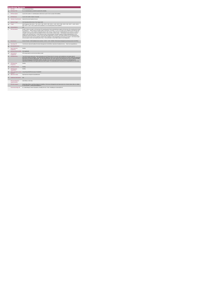|                 | <b>Residential Services</b>                 |                                                                                                                                                                                                                                                                                                                                                                                                                                                                                                                                                                                                                                                                                                                                                                                                                                                                                                                                                                                                                                                                                                                                    |
|-----------------|---------------------------------------------|------------------------------------------------------------------------------------------------------------------------------------------------------------------------------------------------------------------------------------------------------------------------------------------------------------------------------------------------------------------------------------------------------------------------------------------------------------------------------------------------------------------------------------------------------------------------------------------------------------------------------------------------------------------------------------------------------------------------------------------------------------------------------------------------------------------------------------------------------------------------------------------------------------------------------------------------------------------------------------------------------------------------------------------------------------------------------------------------------------------------------------|
|                 |                                             | DIS108 Residential Places                                                                                                                                                                                                                                                                                                                                                                                                                                                                                                                                                                                                                                                                                                                                                                                                                                                                                                                                                                                                                                                                                                          |
| 18              | <b>KPI Short Title</b>                      | No. of residential places provided to people with a disability.                                                                                                                                                                                                                                                                                                                                                                                                                                                                                                                                                                                                                                                                                                                                                                                                                                                                                                                                                                                                                                                                    |
| $\overline{2}$  | <b>KPI Description</b>                      | Count of the number of residential places delivered at a point in time to people with disabilities .                                                                                                                                                                                                                                                                                                                                                                                                                                                                                                                                                                                                                                                                                                                                                                                                                                                                                                                                                                                                                               |
| $\overline{3}$  | <b>KPI Rationale</b>                        | Count is the number of places not people .                                                                                                                                                                                                                                                                                                                                                                                                                                                                                                                                                                                                                                                                                                                                                                                                                                                                                                                                                                                                                                                                                         |
| 3a              | <b>Indicator Classification</b>             | National Scorecard Quadrant Access                                                                                                                                                                                                                                                                                                                                                                                                                                                                                                                                                                                                                                                                                                                                                                                                                                                                                                                                                                                                                                                                                                 |
| $\overline{4}$  | <b>National Target</b>                      | 2019 Operational Plan Point in Time Target: 8,568                                                                                                                                                                                                                                                                                                                                                                                                                                                                                                                                                                                                                                                                                                                                                                                                                                                                                                                                                                                                                                                                                  |
| da              | Target                                      | 2019 Target per CHO: CHO 1 - 703 , CHO 2 - 845 , CHO 3 - 825 , CHO 4 - 1,145 , CHO 5 - 886 , CHO 6 - 650 , CHO 7 - 1,195 , CHO 8 -<br>895, CHO 9 - 1,424. This is a point in time calculation (i.e. do not add quarterly returns together).                                                                                                                                                                                                                                                                                                                                                                                                                                                                                                                                                                                                                                                                                                                                                                                                                                                                                        |
| 4 <sub>b</sub>  | <b>Volume Metrics</b>                       | <b>N/A</b>                                                                                                                                                                                                                                                                                                                                                                                                                                                                                                                                                                                                                                                                                                                                                                                                                                                                                                                                                                                                                                                                                                                         |
| 5               | <b>KPI Calculation</b>                      | Number of places occupied on the last day of the reporting period. Each residential bed occupied on the last day of the reporting period should<br>be counted as 1. Where a person occupies a place on less than a 24/7 basis (i.e. 5/7 or 4/7 )and is not in residence on the last day of the<br>reporting period or a 24/7 resident is temporarily away for other reasons- family visit home, hospital admission etc, the place is counted as<br>occupied , on the basis that it held and available for them to return to within a matter of days. Exclude places where the person receives<br>support in their own/family home i.e. where the person owns, rents the property and holds a tenancy. Exclude residential places in host<br>familyhome-sharing arrangements . DO NOT INCLUDE NEW EMERGENCY PLACES CAPTURED UNDER DIS 102 until following year.<br>Each CHO Area to return count of all places funded by them regardless of which geographical areas they are located in. CHO Areas should<br>not return places in their Area funded by other Areas. Service providers to return data on places to the funding Area |
| R               | <b>Data Source</b>                          | Service Provider > HSE Disability Service nominee > HOSC > CHO > NDIMU> Performance Management and Improvement Unit (PMIU).                                                                                                                                                                                                                                                                                                                                                                                                                                                                                                                                                                                                                                                                                                                                                                                                                                                                                                                                                                                                        |
| 6a              | Data Sign Off                               | Tom McGuirk, National Disability Information Management Unit (NDIMU), Operations Disability Services. Email: tom.mcguirk@hse.ie                                                                                                                                                                                                                                                                                                                                                                                                                                                                                                                                                                                                                                                                                                                                                                                                                                                                                                                                                                                                    |
| 6b              | <b>Data Quality Issues</b>                  |                                                                                                                                                                                                                                                                                                                                                                                                                                                                                                                                                                                                                                                                                                                                                                                                                                                                                                                                                                                                                                                                                                                                    |
| $\overline{7}$  | <b>Data Collection</b><br>Frequency         | Monthly                                                                                                                                                                                                                                                                                                                                                                                                                                                                                                                                                                                                                                                                                                                                                                                                                                                                                                                                                                                                                                                                                                                            |
| $\mathbf{a}$    | <b>Minimum Data Set MDS</b>                 | None applicable                                                                                                                                                                                                                                                                                                                                                                                                                                                                                                                                                                                                                                                                                                                                                                                                                                                                                                                                                                                                                                                                                                                    |
| 10              | International<br>Comparison                 | KPV activity linked to current service delivery model                                                                                                                                                                                                                                                                                                                                                                                                                                                                                                                                                                                                                                                                                                                                                                                                                                                                                                                                                                                                                                                                              |
| 11              | <b>KPI Monitoring</b>                       | The HOSC/nominee will receive, review and quality assure KPI data returns for accuracy and completeness and analyse data for<br>performance against ELS/targets. They will forward the collated KPI returns to the Chief Officer/nominee and include a bullet point explanation<br>where there are variances against target. The Chief Officer/nominee will review, approve and submit final CHO returns to National Disability<br>Information Management Unit (NDIMU). NDIMU will collate all the CHO returns and forward to the Performance Management and<br>Improvement Unit (PMIU) on the agreed date each month / quarter. The responsible person at local level for monitoring this KPI is the HOSC.                                                                                                                                                                                                                                                                                                                                                                                                                        |
| 12              | <b>KPI Reporting</b><br>Frequency           | Monthly                                                                                                                                                                                                                                                                                                                                                                                                                                                                                                                                                                                                                                                                                                                                                                                                                                                                                                                                                                                                                                                                                                                            |
| 13 <sub>1</sub> | <b>KPI Report Period</b>                    | Monthly                                                                                                                                                                                                                                                                                                                                                                                                                                                                                                                                                                                                                                                                                                                                                                                                                                                                                                                                                                                                                                                                                                                            |
| 14              | <b>KPI Reporting</b><br>Aggregation         | Monthly                                                                                                                                                                                                                                                                                                                                                                                                                                                                                                                                                                                                                                                                                                                                                                                                                                                                                                                                                                                                                                                                                                                            |
| 15              | reports?                                    | KPI is reported in which Annual Report/NSP/Performance Profile/MDR                                                                                                                                                                                                                                                                                                                                                                                                                                                                                                                                                                                                                                                                                                                                                                                                                                                                                                                                                                                                                                                                 |
| 16              | Web link to data                            | http://www.hse.ie/eng/services/publications/                                                                                                                                                                                                                                                                                                                                                                                                                                                                                                                                                                                                                                                                                                                                                                                                                                                                                                                                                                                                                                                                                       |
| 17              | <b>Additional Information</b>               | N/A                                                                                                                                                                                                                                                                                                                                                                                                                                                                                                                                                                                                                                                                                                                                                                                                                                                                                                                                                                                                                                                                                                                                |
|                 | <b>KPI</b> owner/lead for<br>implementation | Chief Officer, CHO Area                                                                                                                                                                                                                                                                                                                                                                                                                                                                                                                                                                                                                                                                                                                                                                                                                                                                                                                                                                                                                                                                                                            |
|                 | PBI data support                            | Sinéad Nulty O'Brien, Lead Data Analyst for Disabilities, Performance Management and Improvement Unit - Bective Street, Kells, Co. Meath.<br>Ph: 046 9251328 , Emailsinead nuity@hse.ie                                                                                                                                                                                                                                                                                                                                                                                                                                                                                                                                                                                                                                                                                                                                                                                                                                                                                                                                            |
|                 | Governance/sign off                         | Dr. Cathal Morgan, Head of Operations, Disability Services Email: disabilityops socialcare @hse.ie                                                                                                                                                                                                                                                                                                                                                                                                                                                                                                                                                                                                                                                                                                                                                                                                                                                                                                                                                                                                                                 |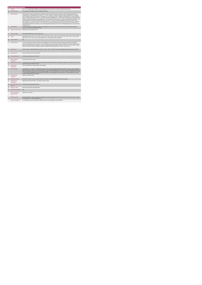|                | <b>Residential Services</b>                 |                                                                                                                                                                                                                                                                                                                                                                                                                                                                                                                                                                                                                                                                                                                                                                                                                                                                                                                                                                                                                                                                                                                                                                                                                                                                                                                                                                     |
|----------------|---------------------------------------------|---------------------------------------------------------------------------------------------------------------------------------------------------------------------------------------------------------------------------------------------------------------------------------------------------------------------------------------------------------------------------------------------------------------------------------------------------------------------------------------------------------------------------------------------------------------------------------------------------------------------------------------------------------------------------------------------------------------------------------------------------------------------------------------------------------------------------------------------------------------------------------------------------------------------------------------------------------------------------------------------------------------------------------------------------------------------------------------------------------------------------------------------------------------------------------------------------------------------------------------------------------------------------------------------------------------------------------------------------------------------|
|                | <b>KPITitle</b>                             | DIS74 - No. of people with a disability in receipt of Residential Services (ID and / or Autism and Physical and Sensory)                                                                                                                                                                                                                                                                                                                                                                                                                                                                                                                                                                                                                                                                                                                                                                                                                                                                                                                                                                                                                                                                                                                                                                                                                                            |
| 18             | <b>KPI Short Title</b>                      | No. of people with a disability in receipt of Residential Services                                                                                                                                                                                                                                                                                                                                                                                                                                                                                                                                                                                                                                                                                                                                                                                                                                                                                                                                                                                                                                                                                                                                                                                                                                                                                                  |
| $\overline{z}$ | <b>KPI Description</b>                      | The total number of adults and children with a disability (ID and/or Autism and Physical and Sensory) in HSE managed and HSE funded<br>residential services. Residential Services include: * 3, 4, 5 and 7 day places for adults and children funded by Disability Services, including<br>those provided by private service providers." Residential units, community group homes, individual residential placements, and host families. "<br>Clients in receipt of Subvention Grants + 'top-up' payments funded by Disability Services. * Shared care arrangements (e.g. with Mental Health /<br>Children and Families) Supported Living Arrangements and Host Families should be included. Transitioning of existing residential place to new<br>transforming lives service model. Residential Services do not include: * Places in private Nursing Homes funded by 'Fair Deal' or Older<br>Persons Services. For the purpose of this KPI an adult is aged over 18 and under 65. It may include persons aged over 65 years who began<br>with Disability Services prior to turning 65. A child is aged less than 18 years Residential Services must be returned by the HSE Area from<br>which funding is allocated (e.g. Meath service user accessing Residential Services in Cork). This Residential Service to be returned by Meath<br><b>Disability Services</b> |
| $\mathbf{a}$   | <b>KPI Rationale</b>                        | To monitor the numbers of adults and children with a disability (ID and / or autism and Physical and Sensory) benefiting from residential<br>services as funded by HSE Disability Services.                                                                                                                                                                                                                                                                                                                                                                                                                                                                                                                                                                                                                                                                                                                                                                                                                                                                                                                                                                                                                                                                                                                                                                         |
| 3a             | <b>Indicator Classification</b>             | National Scorecard Quadrant Access                                                                                                                                                                                                                                                                                                                                                                                                                                                                                                                                                                                                                                                                                                                                                                                                                                                                                                                                                                                                                                                                                                                                                                                                                                                                                                                                  |
| $\overline{a}$ | <b>National Target</b>                      | 2019 Operational Plan Point in Time Target: 8,568                                                                                                                                                                                                                                                                                                                                                                                                                                                                                                                                                                                                                                                                                                                                                                                                                                                                                                                                                                                                                                                                                                                                                                                                                                                                                                                   |
| 4a             | Target                                      | 2019 Target per CHO: CHO 1 - 703 , CHO 2 - 845 , CHO 3 - 825 , CHO 4 - 1,145 , CHO 5 - 886 , CHO 6 - 650 , CHO 7 - 1,195 , CHO 8 -<br>895, CHO 9 - 1,424. This is a point in time calculation (i.e. do not add quarterly returns together).                                                                                                                                                                                                                                                                                                                                                                                                                                                                                                                                                                                                                                                                                                                                                                                                                                                                                                                                                                                                                                                                                                                         |
| 4 <sub>b</sub> | <b>Volume Metrics</b>                       | <b>N/A</b>                                                                                                                                                                                                                                                                                                                                                                                                                                                                                                                                                                                                                                                                                                                                                                                                                                                                                                                                                                                                                                                                                                                                                                                                                                                                                                                                                          |
| 5              | <b>KPI Calculation</b>                      | Count the total number of adults and children with a disability (ID / and or Autism and Physical and Sensory) benefiting from Residential<br>Services (as defined above) in the quarter, up to and including the last day of the quarter. Adults and children to be counted separately. Each<br>adult / child is counted only once per quarter. For year end annual outturn, the 4th quarter outturn is used (e.g. CHO 7: Q1: 60 Q2: 64, Q3:63,<br>Q4:66). Therefore the number of adults and children in benefiting from Residential Services in CHO 7 in the year is 66.                                                                                                                                                                                                                                                                                                                                                                                                                                                                                                                                                                                                                                                                                                                                                                                          |
| 6              | <b>Data Source</b>                          | Service Provider > HSE Disability Service nominee > HOSC > CHO > NDIMU> Performance Management and Improvement Unit (PMIU).                                                                                                                                                                                                                                                                                                                                                                                                                                                                                                                                                                                                                                                                                                                                                                                                                                                                                                                                                                                                                                                                                                                                                                                                                                         |
| 6а             | Data Sign Off                               | Head of Social Care in CHO Area (HOSC)                                                                                                                                                                                                                                                                                                                                                                                                                                                                                                                                                                                                                                                                                                                                                                                                                                                                                                                                                                                                                                                                                                                                                                                                                                                                                                                              |
| 6 <sub>h</sub> | <b>Data Quality Issues</b>                  | No known data quality issues at this point.                                                                                                                                                                                                                                                                                                                                                                                                                                                                                                                                                                                                                                                                                                                                                                                                                                                                                                                                                                                                                                                                                                                                                                                                                                                                                                                         |
| $\overline{7}$ | <b>Data Collection</b><br>Frequency         | Quarterly (one month in arrears)                                                                                                                                                                                                                                                                                                                                                                                                                                                                                                                                                                                                                                                                                                                                                                                                                                                                                                                                                                                                                                                                                                                                                                                                                                                                                                                                    |
| $\mathbf{a}$   | Minimum Data Set MDS                        | The service user's care plan which includes personal details and relevant information relating to their diagnosis, their needs and services and<br>support they require to meet their needs.                                                                                                                                                                                                                                                                                                                                                                                                                                                                                                                                                                                                                                                                                                                                                                                                                                                                                                                                                                                                                                                                                                                                                                        |
| 10             | International<br>Comparison                 | Service developed in line with best practice internationally.                                                                                                                                                                                                                                                                                                                                                                                                                                                                                                                                                                                                                                                                                                                                                                                                                                                                                                                                                                                                                                                                                                                                                                                                                                                                                                       |
| 11             | <b>KPI Monitoring</b>                       | Quarterly/ Other - give details: The HOSC/nominee will receive, review and quality assure KPI data returns for accuracy and completeness<br>and analyse data for performance against ELS/targets. They will forward the collated KPI returns to the Chief Officer/nominee and include a<br>bullet point explanation where there are variances against target. The Chief Officer/nominee will review, approve and submit final CHO returns<br>to the Performance Management and Improvement Unit (PMIU) on the agreed date each month / quarter. The responsible person at local<br>level for monitoring this KPI is the HOSC.                                                                                                                                                                                                                                                                                                                                                                                                                                                                                                                                                                                                                                                                                                                                       |
| 12             | <b>KPI Reporting</b><br>Frequency           | Quarterly 1 month in Arrears                                                                                                                                                                                                                                                                                                                                                                                                                                                                                                                                                                                                                                                                                                                                                                                                                                                                                                                                                                                                                                                                                                                                                                                                                                                                                                                                        |
| 13             | <b>KPI Report Period</b>                    | Quarterly (1 month in Arrears) (e.g. data reported in each quarter up to and including the last day of that quarter)                                                                                                                                                                                                                                                                                                                                                                                                                                                                                                                                                                                                                                                                                                                                                                                                                                                                                                                                                                                                                                                                                                                                                                                                                                                |
| 14             | <b>KPI Reporting</b><br>Aggregation         | National/ CHO/ LHO Area/ Other - give details: Service Provider                                                                                                                                                                                                                                                                                                                                                                                                                                                                                                                                                                                                                                                                                                                                                                                                                                                                                                                                                                                                                                                                                                                                                                                                                                                                                                     |
| 15             | reports?                                    | KPI is reported in which Preliminary Data Report/Operational Plan                                                                                                                                                                                                                                                                                                                                                                                                                                                                                                                                                                                                                                                                                                                                                                                                                                                                                                                                                                                                                                                                                                                                                                                                                                                                                                   |
| 16             | Web link to data                            | http://www.hse.ie/eng/services/publications/                                                                                                                                                                                                                                                                                                                                                                                                                                                                                                                                                                                                                                                                                                                                                                                                                                                                                                                                                                                                                                                                                                                                                                                                                                                                                                                        |
| 17             | <b>Additional Information</b>               | N/A                                                                                                                                                                                                                                                                                                                                                                                                                                                                                                                                                                                                                                                                                                                                                                                                                                                                                                                                                                                                                                                                                                                                                                                                                                                                                                                                                                 |
|                | <b>KPI</b> owner/lead for<br>implementation | Chief Officer, CHO Area                                                                                                                                                                                                                                                                                                                                                                                                                                                                                                                                                                                                                                                                                                                                                                                                                                                                                                                                                                                                                                                                                                                                                                                                                                                                                                                                             |
|                |                                             |                                                                                                                                                                                                                                                                                                                                                                                                                                                                                                                                                                                                                                                                                                                                                                                                                                                                                                                                                                                                                                                                                                                                                                                                                                                                                                                                                                     |

PBI data support Sinéad Nuby O'Brien, Lead Data Analyst for Disabilities, Performance Management and Improvement Unit - Bective Street, Kells, Co. Meath.<br>- Person of the Company of Disagn Americans (Particles) (Brien Ameri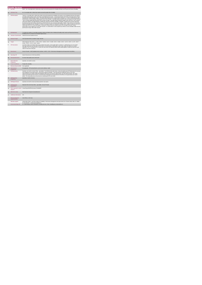|                | <b>Respite Services</b>                     |                                                                                                                                                                                                                                                                                                                                                                                                                                                                                                                                                                                                                                                                                                                                                                                                                                                                                                                                                                                                                                                                                                                                                                                                                                                                                                                                                                                                                                                                                                                                                                 |
|----------------|---------------------------------------------|-----------------------------------------------------------------------------------------------------------------------------------------------------------------------------------------------------------------------------------------------------------------------------------------------------------------------------------------------------------------------------------------------------------------------------------------------------------------------------------------------------------------------------------------------------------------------------------------------------------------------------------------------------------------------------------------------------------------------------------------------------------------------------------------------------------------------------------------------------------------------------------------------------------------------------------------------------------------------------------------------------------------------------------------------------------------------------------------------------------------------------------------------------------------------------------------------------------------------------------------------------------------------------------------------------------------------------------------------------------------------------------------------------------------------------------------------------------------------------------------------------------------------------------------------------------------|
| $\mathbf{1}$   | <b>KPITitle</b>                             | DIS57 - No. of overrights with or without day respite accessed by people with a Disability (ID/Autism and Physical and Sensory Disability)                                                                                                                                                                                                                                                                                                                                                                                                                                                                                                                                                                                                                                                                                                                                                                                                                                                                                                                                                                                                                                                                                                                                                                                                                                                                                                                                                                                                                      |
| 18             | <b>KPI Short Title</b>                      | No. of overnights with or without day respite accessed by people with a Disability                                                                                                                                                                                                                                                                                                                                                                                                                                                                                                                                                                                                                                                                                                                                                                                                                                                                                                                                                                                                                                                                                                                                                                                                                                                                                                                                                                                                                                                                              |
| $\overline{2}$ | <b>KPI Description</b>                      | Total No. of overrights with or without day respite accessed by people with a disability in this quarter, up to including the last day of the quarter.<br>Overright respite locations include, short stays in the following service types: . Centre based respite- Host Family- Community Home- Private<br>Nursing Home+ Holiday Respite. Include: + Overnights where people stay at a respite location overnight (i.e. in a bed), including the time spent<br>at that location on the preceding or following day or part of day. Exclude: . Overnight respite provided by other care groups (e.g. Older Persons)<br>· Day or evening respite where the person did not remain overnight · Overnight respite provided for people in their own home - this is returned<br>under Home Support- Overright Respite for people with a physical and Sensory Disability. Calculation: Respite service must be returned by<br>the HSE Area from which funding is allocated e.g. Waterford Service user accessing respite nights in Kildare. These clients to be returned by<br>Waterford Disability Services. Example #1: Shella is in receipt of respite from Friday 4pm to Monday 10am. 3 nights of respite are returned for<br>Shella under this KPI. No "Day Only Respite" is returned for Shella as they are included as part of her overnight count (See "Include"<br>above).Adult: a person aged over 18 and under 65 years. In a small number of cases people may continue to access disability respite services<br>post 65 years of age. Child: Under 18 years. |
| $\overline{3}$ | <b>KPI Rationale</b>                        | To monitor the numbers of overnights provided to adults and children with an Intellectual Disability and/or autism and Physical and Sensory<br>Disability who are in receipt of an overnight respite service                                                                                                                                                                                                                                                                                                                                                                                                                                                                                                                                                                                                                                                                                                                                                                                                                                                                                                                                                                                                                                                                                                                                                                                                                                                                                                                                                    |
| 3a             |                                             | Indicator Classification National Scorecard Quadrant Access                                                                                                                                                                                                                                                                                                                                                                                                                                                                                                                                                                                                                                                                                                                                                                                                                                                                                                                                                                                                                                                                                                                                                                                                                                                                                                                                                                                                                                                                                                     |
| $\overline{4}$ | <b>National Target</b>                      | 2019 Operational Plan Cumulative Target: 182,506                                                                                                                                                                                                                                                                                                                                                                                                                                                                                                                                                                                                                                                                                                                                                                                                                                                                                                                                                                                                                                                                                                                                                                                                                                                                                                                                                                                                                                                                                                                |
| 4a             | Target                                      | 2019 Target per CHO: CHO 1 - 11,709 , CHO 2 - 40,062 , CHO 3 - 15,683 , CHO 4 - 25,662 , CHO 5 - 13,722 , CHO 6 - 11,707 , CHO 7 -<br>23,325, CHO 8 - 21,735, CHO9 - 18,901.                                                                                                                                                                                                                                                                                                                                                                                                                                                                                                                                                                                                                                                                                                                                                                                                                                                                                                                                                                                                                                                                                                                                                                                                                                                                                                                                                                                    |
| 5              | <b>KPI Calculation</b>                      | Count the number of overnight respite stays provided in the quarter. Each respite night is counted as 1, individual hours are not counted. .<br>Each night will include any time spent at that location on the preceding or following day or part of day. Adults and children are counted<br>separately. This is a cumulative KPI i.e. at year end, each Area's four quarterly outturns will be added together to obtain the total end of year<br>outturn for that Area in that year.                                                                                                                                                                                                                                                                                                                                                                                                                                                                                                                                                                                                                                                                                                                                                                                                                                                                                                                                                                                                                                                                           |
| 6              | Data Source                                 | Service Provider > HSE Disability Service nominee > HOSC > CHO > Performance Management and Improvement Unit (PMIU).                                                                                                                                                                                                                                                                                                                                                                                                                                                                                                                                                                                                                                                                                                                                                                                                                                                                                                                                                                                                                                                                                                                                                                                                                                                                                                                                                                                                                                            |
| Бa             | Data Sign Off                               | Head of Social Care in CHO Area (HOSC).                                                                                                                                                                                                                                                                                                                                                                                                                                                                                                                                                                                                                                                                                                                                                                                                                                                                                                                                                                                                                                                                                                                                                                                                                                                                                                                                                                                                                                                                                                                         |
| 6b             | <b>Data Quality Issues</b>                  | No known data quality issues at this point.                                                                                                                                                                                                                                                                                                                                                                                                                                                                                                                                                                                                                                                                                                                                                                                                                                                                                                                                                                                                                                                                                                                                                                                                                                                                                                                                                                                                                                                                                                                     |
| $\overline{7}$ | <b>Data Collection</b><br>Frequency         | Quarterly- one month in arrears                                                                                                                                                                                                                                                                                                                                                                                                                                                                                                                                                                                                                                                                                                                                                                                                                                                                                                                                                                                                                                                                                                                                                                                                                                                                                                                                                                                                                                                                                                                                 |
| $\mathbf{R}$   | <b>Tracer Conditions</b>                    | People with a disability                                                                                                                                                                                                                                                                                                                                                                                                                                                                                                                                                                                                                                                                                                                                                                                                                                                                                                                                                                                                                                                                                                                                                                                                                                                                                                                                                                                                                                                                                                                                        |
| 9              | Minimum Data Set MDS None applicable        |                                                                                                                                                                                                                                                                                                                                                                                                                                                                                                                                                                                                                                                                                                                                                                                                                                                                                                                                                                                                                                                                                                                                                                                                                                                                                                                                                                                                                                                                                                                                                                 |
| 10             | International<br>Comparison                 | Not applicable - KPI/ activity linked to current service delivery model                                                                                                                                                                                                                                                                                                                                                                                                                                                                                                                                                                                                                                                                                                                                                                                                                                                                                                                                                                                                                                                                                                                                                                                                                                                                                                                                                                                                                                                                                         |
| 11             | <b>KPI Monitoring</b>                       | Quarterly- one month in arrears/ Other - give details: The HOSC/nominee will receive, review and quality assure KPI data returns for accuracy<br>and completeness and analyse data for performance against ELS/targets. They will forward the collated KPI returns to the Chief<br>Officer/nominee and include a bullet point explanation where there are variances against target. The Chief Officer/nominee will review,<br>approve and submit final CHO returns to the Performance Management and Improvement Unit (PMIU) on the agreed date each month /<br>quarter. The responsible person at local level for monitoring this KPI is the HOSC.                                                                                                                                                                                                                                                                                                                                                                                                                                                                                                                                                                                                                                                                                                                                                                                                                                                                                                             |
| 12             | <b>KPI Reporting</b><br>Frequency           | Quarterly (1 month in Arrears)                                                                                                                                                                                                                                                                                                                                                                                                                                                                                                                                                                                                                                                                                                                                                                                                                                                                                                                                                                                                                                                                                                                                                                                                                                                                                                                                                                                                                                                                                                                                  |
| 13             | <b>KPI Report Period</b>                    | Quarterly one month in arrears (Q2 data reported in July report)                                                                                                                                                                                                                                                                                                                                                                                                                                                                                                                                                                                                                                                                                                                                                                                                                                                                                                                                                                                                                                                                                                                                                                                                                                                                                                                                                                                                                                                                                                |
| 14             | <b>KPI Reporting</b><br>Aggregation         | National/ CHO/ LHO Area/ Other - give details: Service Provider                                                                                                                                                                                                                                                                                                                                                                                                                                                                                                                                                                                                                                                                                                                                                                                                                                                                                                                                                                                                                                                                                                                                                                                                                                                                                                                                                                                                                                                                                                 |
| 15             | reports?                                    | KPI is reported in which Annual Report/NSP/Performance Profile/MDR                                                                                                                                                                                                                                                                                                                                                                                                                                                                                                                                                                                                                                                                                                                                                                                                                                                                                                                                                                                                                                                                                                                                                                                                                                                                                                                                                                                                                                                                                              |
| 16             | Web link to data                            | http://www.hse.ie/eng/services/publications/                                                                                                                                                                                                                                                                                                                                                                                                                                                                                                                                                                                                                                                                                                                                                                                                                                                                                                                                                                                                                                                                                                                                                                                                                                                                                                                                                                                                                                                                                                                    |
| 17             | <b>Additional Information</b>               | N/A                                                                                                                                                                                                                                                                                                                                                                                                                                                                                                                                                                                                                                                                                                                                                                                                                                                                                                                                                                                                                                                                                                                                                                                                                                                                                                                                                                                                                                                                                                                                                             |
|                | <b>KPI</b> owner/lead for<br>implementation | Chief Officer, CHO Area                                                                                                                                                                                                                                                                                                                                                                                                                                                                                                                                                                                                                                                                                                                                                                                                                                                                                                                                                                                                                                                                                                                                                                                                                                                                                                                                                                                                                                                                                                                                         |
|                | PBI data support                            | Sinéad Nulty O'Brien, Lead Data Analyst for Disabilities, Performance Management and Improvement Unit - Bective Street, Kells, Co. Meath.<br>Ph: 046 9251328 , Emailsinead.nulty@hse.ie                                                                                                                                                                                                                                                                                                                                                                                                                                                                                                                                                                                                                                                                                                                                                                                                                                                                                                                                                                                                                                                                                                                                                                                                                                                                                                                                                                         |
|                | Governance/sign off                         | Dr. Cathal Morgan, Head of Operations, Disability Services Email: disabilityops.socialcare@hse.ie                                                                                                                                                                                                                                                                                                                                                                                                                                                                                                                                                                                                                                                                                                                                                                                                                                                                                                                                                                                                                                                                                                                                                                                                                                                                                                                                                                                                                                                               |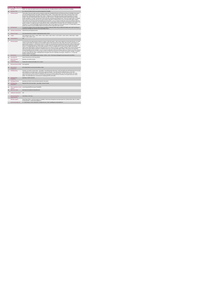|                | <b>Respite Services</b>                     |                                                                                                                                                                                                                                                                                                                                                                                                                                                                                                                                                                                                                                                                                                                                                                                                                                                                                                                                                                                                                                                                                                                                                                                                                                                                                                                                                                                                                                                                                                                                                                                         |
|----------------|---------------------------------------------|-----------------------------------------------------------------------------------------------------------------------------------------------------------------------------------------------------------------------------------------------------------------------------------------------------------------------------------------------------------------------------------------------------------------------------------------------------------------------------------------------------------------------------------------------------------------------------------------------------------------------------------------------------------------------------------------------------------------------------------------------------------------------------------------------------------------------------------------------------------------------------------------------------------------------------------------------------------------------------------------------------------------------------------------------------------------------------------------------------------------------------------------------------------------------------------------------------------------------------------------------------------------------------------------------------------------------------------------------------------------------------------------------------------------------------------------------------------------------------------------------------------------------------------------------------------------------------------------|
| 1              | <b>KPITitle</b>                             | DIS59 - No. of day only respite sessions accessed by people with a Disability (ID/Autism and Physical and Sensory Disability)                                                                                                                                                                                                                                                                                                                                                                                                                                                                                                                                                                                                                                                                                                                                                                                                                                                                                                                                                                                                                                                                                                                                                                                                                                                                                                                                                                                                                                                           |
| 1a             | <b>KPI Short Title</b>                      | No. of day only respite sessions accessed by people with a Disability                                                                                                                                                                                                                                                                                                                                                                                                                                                                                                                                                                                                                                                                                                                                                                                                                                                                                                                                                                                                                                                                                                                                                                                                                                                                                                                                                                                                                                                                                                                   |
| $\overline{z}$ | <b>KPI Description</b>                      | Total number of day only respite sessions provided for people with a Disability (ID/Autism and Physical and Sensory Disability) in this quarter,<br>up to and including the last day of the quarter. Respite locations include: . Centre based respite. Host Family. Community Home. Private<br>Nursing Home+ Holiday Respite+ Saturday Clubs. Include: + Number of non-overnight day only respite accessed by people in the quarter.<br>Exclude: . Day Only respite funded by other care groups (e.g. Older Persons) . Overright respite stays where people stayed at a respite<br>location overnight (i.e. in a bed). "Day Services" such as work-like, educational and training services. These are counted in KPIs 1-9. Respite<br>service must be returned by the HSE Area from which funding is allocated e.g. Waterford Service user accessing respite nights in Kildare.<br>These clients to be returned by Waterford Disability Services.Example 1: Lucy is in receipt of respite after school one evening per week from<br>2.30 pm to 9 pm. She is returned as 1 'Day Only' respite per week or 13 day respite sessions per quarter (presuming there are 13 weeks in the<br>quarter). Example 2: An agency provides 6 people with day respite 1 Saturday/month in the quarter, there are 4 Saturdays in the quarter.<br>Therefore 6 x 4 = 24 Day Only Respites returned in the quarter. Adult: a person aged over 18 and under 65 years. In a small number of cases<br>people may continue to access disability respite services post 65 years of age. Child: Under 18 years. |
| $\mathbf{R}$   | <b>KPI Rationale</b>                        | To monitor the numbers of day only respite sessions provided for adults and children with an Intellectual Disability and/or autism and Physical<br>and Sensory Disability who received a Day Only Respite service.                                                                                                                                                                                                                                                                                                                                                                                                                                                                                                                                                                                                                                                                                                                                                                                                                                                                                                                                                                                                                                                                                                                                                                                                                                                                                                                                                                      |
| 3a             |                                             | Indicator Classification National Scorecard Quadrant Access                                                                                                                                                                                                                                                                                                                                                                                                                                                                                                                                                                                                                                                                                                                                                                                                                                                                                                                                                                                                                                                                                                                                                                                                                                                                                                                                                                                                                                                                                                                             |
| $\overline{a}$ | <b>National Target</b>                      | 2019 Operational Plan Cumulative Target/expected activity: 32,622                                                                                                                                                                                                                                                                                                                                                                                                                                                                                                                                                                                                                                                                                                                                                                                                                                                                                                                                                                                                                                                                                                                                                                                                                                                                                                                                                                                                                                                                                                                       |
| 48             | Target                                      | 2019 Target per CHO: CHO 1 - 4,922 , CHO 2 - 6,121 , CHO 3 - 5,410 , CHO 4 - 2,179, CHO 5 - 1,405 , CHO 6 - 2,545, CHO 7 - 5,663 ,<br>CHO 8 - 1.201. CHO9 - 3.176.                                                                                                                                                                                                                                                                                                                                                                                                                                                                                                                                                                                                                                                                                                                                                                                                                                                                                                                                                                                                                                                                                                                                                                                                                                                                                                                                                                                                                      |
| 4 <sub>b</sub> | <b>Volume Metrics</b>                       | N/A                                                                                                                                                                                                                                                                                                                                                                                                                                                                                                                                                                                                                                                                                                                                                                                                                                                                                                                                                                                                                                                                                                                                                                                                                                                                                                                                                                                                                                                                                                                                                                                     |
| 5              | <b>KPI Calculation</b>                      | Count each day only respite episode provided for an adult or child in this quarter. Adult: a person aged over 18 and under 65 years. In a small<br>number of cases people may continue to access disability respite services post 65 years of age. Child: Under 18 years. Each session ( or<br>episode) will be counted as 1, individual hours will not be counted. Do not include day sessions that directly precede or follow overnight respite.<br>Where several individuals access a respite session i.e. an after school club, this will be counted by the number of people who accessed the<br>service i.e. 10 people attend the club, so the number returned is 10. This is a cumulative KPI i.e. at year end, each region's four quarterly<br>outturns will be added together to obtain the total regional end of year outturn for that year. Calculation :Respite service must be returned by the<br>HSE Area from which funding is allocated e.g. Waterford Service user accessing respite nights in Kildare. These clients to be returned by<br>Waterford Disability Services. Example 1: Lucy is in receipt of respite after school one evening per week from 2.30 pm to 9 pm. She is returned<br>as 1 'Day Only' respite per week or 13 day respite sessions per quarter (presuming there are 13 weeks in the quarter). Example 2: An agency<br>provides 6 people with day respite 1 Saturday/month in the quarter, there are 4 Saturdays in the quarter. Therefore 6 x 4 = 24 Day Only<br>Respites returned in the quarter.                                               |
| в              | <b>Data Source</b>                          | Service Provider > HSE Disability Service nominee > HOSC > CHO > Performance Management and Improvement Unit (PMIU).                                                                                                                                                                                                                                                                                                                                                                                                                                                                                                                                                                                                                                                                                                                                                                                                                                                                                                                                                                                                                                                                                                                                                                                                                                                                                                                                                                                                                                                                    |
| 6a             | Data Sign Off                               | Head of Social Care in CHO Area (HOSC).                                                                                                                                                                                                                                                                                                                                                                                                                                                                                                                                                                                                                                                                                                                                                                                                                                                                                                                                                                                                                                                                                                                                                                                                                                                                                                                                                                                                                                                                                                                                                 |
| 7              | <b>Data Collection</b><br>Frequency         | Quarterly- one month in arrears                                                                                                                                                                                                                                                                                                                                                                                                                                                                                                                                                                                                                                                                                                                                                                                                                                                                                                                                                                                                                                                                                                                                                                                                                                                                                                                                                                                                                                                                                                                                                         |
| 8              | <b>Tracer Conditions</b>                    | People with an Intellectual Disability and / or autism                                                                                                                                                                                                                                                                                                                                                                                                                                                                                                                                                                                                                                                                                                                                                                                                                                                                                                                                                                                                                                                                                                                                                                                                                                                                                                                                                                                                                                                                                                                                  |
| 9              | Minimum Data Set MDS                        | None applicable                                                                                                                                                                                                                                                                                                                                                                                                                                                                                                                                                                                                                                                                                                                                                                                                                                                                                                                                                                                                                                                                                                                                                                                                                                                                                                                                                                                                                                                                                                                                                                         |
| 10             | International<br>Comparison                 | KPV activity linked to current service delivery model                                                                                                                                                                                                                                                                                                                                                                                                                                                                                                                                                                                                                                                                                                                                                                                                                                                                                                                                                                                                                                                                                                                                                                                                                                                                                                                                                                                                                                                                                                                                   |
| 11             | <b>KPI Monitoring</b>                       | Quarterly- one month in arrears/ Other - give details: The HOSC/nominee will receive, review and quality assure KPI data returns for accuracy<br>and completeness and analyse data for performance against ELS/targets. They will forward the collated KPI returns to the Chief<br>Officer/nominee and include a bullet point explanation where there are variances against target. The Chief Officer/nominee will review.<br>approve and submit final CHO returns to the Performance Management and Improvement Unit (PMIU) on the agreed date each month /<br>quarter. The responsible person at local level for monitoring this KPI is the HOSC.                                                                                                                                                                                                                                                                                                                                                                                                                                                                                                                                                                                                                                                                                                                                                                                                                                                                                                                                     |
| 12             | <b>KPI Reporting</b><br>Frequency           | Quarterly (1 month in Arrears)                                                                                                                                                                                                                                                                                                                                                                                                                                                                                                                                                                                                                                                                                                                                                                                                                                                                                                                                                                                                                                                                                                                                                                                                                                                                                                                                                                                                                                                                                                                                                          |
| 13             | <b>KPI Report Period</b>                    | Quarterly one month in arrears (Q2 data reported in July report)                                                                                                                                                                                                                                                                                                                                                                                                                                                                                                                                                                                                                                                                                                                                                                                                                                                                                                                                                                                                                                                                                                                                                                                                                                                                                                                                                                                                                                                                                                                        |
| 14             | <b>KPI Reporting</b><br>Aggregation         | National/ CHO/ LHO Area/ Other - give details: Service Provider                                                                                                                                                                                                                                                                                                                                                                                                                                                                                                                                                                                                                                                                                                                                                                                                                                                                                                                                                                                                                                                                                                                                                                                                                                                                                                                                                                                                                                                                                                                         |
| 15             | reports?                                    | KPI is reported in which Annual Report/NSP/Performance Profile/MDR                                                                                                                                                                                                                                                                                                                                                                                                                                                                                                                                                                                                                                                                                                                                                                                                                                                                                                                                                                                                                                                                                                                                                                                                                                                                                                                                                                                                                                                                                                                      |
| 16             | Web link to data                            | http://www.hse.ia/eng/services/publications/                                                                                                                                                                                                                                                                                                                                                                                                                                                                                                                                                                                                                                                                                                                                                                                                                                                                                                                                                                                                                                                                                                                                                                                                                                                                                                                                                                                                                                                                                                                                            |
| 17             | <b>Additional Information</b>               | N/A                                                                                                                                                                                                                                                                                                                                                                                                                                                                                                                                                                                                                                                                                                                                                                                                                                                                                                                                                                                                                                                                                                                                                                                                                                                                                                                                                                                                                                                                                                                                                                                     |
|                | <b>KPI</b> owner/lead for<br>implementation | Chief Officer, CHO Area                                                                                                                                                                                                                                                                                                                                                                                                                                                                                                                                                                                                                                                                                                                                                                                                                                                                                                                                                                                                                                                                                                                                                                                                                                                                                                                                                                                                                                                                                                                                                                 |
|                | PBI data support                            | Sinéad Nulty O'Brien, Lead Data Analyst for Disabilities, Performance Management and Improvement Unit - Bective Street, Kells, Co. Meath.<br>Ph: 046 9251328 , Emailsinead.nulty@hse.ie                                                                                                                                                                                                                                                                                                                                                                                                                                                                                                                                                                                                                                                                                                                                                                                                                                                                                                                                                                                                                                                                                                                                                                                                                                                                                                                                                                                                 |
|                | Governance/sign off                         | Dr. Cathal Morgan, Head of Operations, Disability Services Email: disabilityops.socialcare@hse.ie                                                                                                                                                                                                                                                                                                                                                                                                                                                                                                                                                                                                                                                                                                                                                                                                                                                                                                                                                                                                                                                                                                                                                                                                                                                                                                                                                                                                                                                                                       |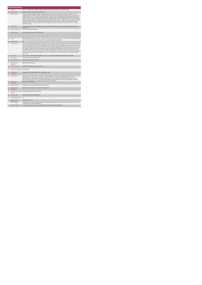|                | <b>Respite Services</b>              |                                                                                                                                                                                                                                                                                                                                                                                                                                                                                                                                                                                                                                                                                                                                                                                                                                                                                                                                                                                                                                                                                                                                                                                                                            |  |  |
|----------------|--------------------------------------|----------------------------------------------------------------------------------------------------------------------------------------------------------------------------------------------------------------------------------------------------------------------------------------------------------------------------------------------------------------------------------------------------------------------------------------------------------------------------------------------------------------------------------------------------------------------------------------------------------------------------------------------------------------------------------------------------------------------------------------------------------------------------------------------------------------------------------------------------------------------------------------------------------------------------------------------------------------------------------------------------------------------------------------------------------------------------------------------------------------------------------------------------------------------------------------------------------------------------|--|--|
| $\mathbf{1}$   | <b>KPITitle</b>                      | DIS71 - No. of people with a disability in receipt of Respite Service (ID/Autism and Physical and Sensory Disability)                                                                                                                                                                                                                                                                                                                                                                                                                                                                                                                                                                                                                                                                                                                                                                                                                                                                                                                                                                                                                                                                                                      |  |  |
| 1a             | <b>KPI Short Title</b>               | No.of people with a disability in receipt of Respite Service                                                                                                                                                                                                                                                                                                                                                                                                                                                                                                                                                                                                                                                                                                                                                                                                                                                                                                                                                                                                                                                                                                                                                               |  |  |
| $\overline{z}$ | <b>KPI</b> Description               | Number of people with a disability (ID/Autism and Physical and Sensory Disability) in receipt of respite service in this quarter, up to and<br>including the last day of the quarter. Definition: . Respite includes Day, Evening and Overnight Respite. Respite locations include short stays in<br>the following service types: . Centre based respite. Host Family. Community Home. Private Nursing Home. Holiday Respite. Saturday Clubs.<br>Include: • All people in receipt of a respite service in this quarter, including those who commenced respite services and those who continued<br>respite service in this quarter even if they were formally discharged during the quarter. Exclude: . People with an ID and/or autism and Physical<br>and Sensory Disability who received respite funded by other care groups (e.g. Older Persons) · People with an ID and/or autism and Physical<br>and Sensory Disability who did not receive respite in this quarter but did in any previous quarter who have not been formally discharged .<br>People with an ID and/or autism and Physical and Sensory Disability who received respite services in their own home - these are returned<br>under Home Support.        |  |  |
| $\overline{3}$ | <b>KPI Rationale</b>                 | To monitor the numbers of adults and children with Intellectual Disability and/or autism and Physical and Sensory Disability who benefit from<br>respite service                                                                                                                                                                                                                                                                                                                                                                                                                                                                                                                                                                                                                                                                                                                                                                                                                                                                                                                                                                                                                                                           |  |  |
| 3a             | <b>Indicator Classification</b>      | National Scorecard Quadrant Access                                                                                                                                                                                                                                                                                                                                                                                                                                                                                                                                                                                                                                                                                                                                                                                                                                                                                                                                                                                                                                                                                                                                                                                         |  |  |
| $\overline{4}$ | <b>National Target</b>               | 2019 Operational Plan Point in Timel Target: 6,559.                                                                                                                                                                                                                                                                                                                                                                                                                                                                                                                                                                                                                                                                                                                                                                                                                                                                                                                                                                                                                                                                                                                                                                        |  |  |
| 48             | Target                               | 2019 Target per CHO: CHO 1 - 507 , CHO 2 - 1,408 , CHO 3 - 643 , CHO 4 - 849 , CHO 5 - 461 , CHO 6 - 435 , CHO 7 - 884 , CHO 8 - 699<br>, CHO 9 - 673. This is a point in time KPI calculation i.e. do not add the quarterly returns together.                                                                                                                                                                                                                                                                                                                                                                                                                                                                                                                                                                                                                                                                                                                                                                                                                                                                                                                                                                             |  |  |
| 4 <sub>b</sub> | <b>Volume Metrics</b>                | N/A                                                                                                                                                                                                                                                                                                                                                                                                                                                                                                                                                                                                                                                                                                                                                                                                                                                                                                                                                                                                                                                                                                                                                                                                                        |  |  |
| 5              | <b>KPI Calculation</b>               | Count the number of adults and children with a disability in receipt of respite in this quarter, including new commenced and existing clients even<br>if they were discharged in this quarter. Adults and children are counted separately - Adult: a person aged over 18 and under 65 years. In a small<br>number of cases people may continue to access disability respite services post 65 years of age. Child: Under 18 years. For year end annual<br>outturn, the Q4 outturn is used e.g. Q1:243, Q2: 218, Q3: 197, Q4: 222, therefore the total number in receipt of respite at the end of the year is<br>222. Calculation: Respite service must be returned by the HSE Area from which funding is allocated e.g. Waterford Service user accessing<br>respite rights in Kildare. These clients to be returned by Waterford Disability Services. Example # 1: Kevin received a respite service in Q3,<br>continuing on from Q1. Rose commenced resolte service in Q3. Both Kevin and Rose are returned under this KPI in Q3. Kevin is also returned<br>under "No of existing people in receipt of respite services" (KPI 14) in Q3 and Rose is also returned under 'No. of new people commenced'<br>$(KPI 13)$ in $O3$ |  |  |
| 6              | <b>Data Source</b>                   | Service Provider - HSE Disability Service nominee - HOSC - CHO - Performance Management and Improvement Unit (PMIU).                                                                                                                                                                                                                                                                                                                                                                                                                                                                                                                                                                                                                                                                                                                                                                                                                                                                                                                                                                                                                                                                                                       |  |  |
| 6a             | Data Sign Off                        | Head of Social Care in CHO Area (HOSC).                                                                                                                                                                                                                                                                                                                                                                                                                                                                                                                                                                                                                                                                                                                                                                                                                                                                                                                                                                                                                                                                                                                                                                                    |  |  |
| 6b             | <b>Data Quality Issues</b>           | No known data quality issues at this point.                                                                                                                                                                                                                                                                                                                                                                                                                                                                                                                                                                                                                                                                                                                                                                                                                                                                                                                                                                                                                                                                                                                                                                                |  |  |
| $\overline{7}$ | <b>Data Collection</b><br>Frequency  | Quarterly- one month in arrears                                                                                                                                                                                                                                                                                                                                                                                                                                                                                                                                                                                                                                                                                                                                                                                                                                                                                                                                                                                                                                                                                                                                                                                            |  |  |
| 8              | <b>Tracer Conditions</b>             | People with an Intellectual Disability and / or autism                                                                                                                                                                                                                                                                                                                                                                                                                                                                                                                                                                                                                                                                                                                                                                                                                                                                                                                                                                                                                                                                                                                                                                     |  |  |
| $\overline{9}$ | Minimum Data Set MDS None applicable |                                                                                                                                                                                                                                                                                                                                                                                                                                                                                                                                                                                                                                                                                                                                                                                                                                                                                                                                                                                                                                                                                                                                                                                                                            |  |  |
| 10             | International<br>Comparison          | Not applicable - KPI/ activity linked to current service delivery model                                                                                                                                                                                                                                                                                                                                                                                                                                                                                                                                                                                                                                                                                                                                                                                                                                                                                                                                                                                                                                                                                                                                                    |  |  |
| 11             | <b>KPI Monitoring</b>                | Quarterly one month in arrears/ Other - give details: The HOSC-hominee will receive, review and quality assure KPI data returns for accuracy<br>and completeness and analyse data for performance against ELS/targets. They will forward the collated KPI returns to the Chief<br>Officer/nominee and include a bullet point explanation where there are variances against target. The Chief Officer/nominee will review,<br>approve and submit final CHO returns to the Performance Management and Improvement Unit (PMIU) on the agreed date each month /<br>quarter. The responsible person at local level for monitoring this KPI is the HOSC.                                                                                                                                                                                                                                                                                                                                                                                                                                                                                                                                                                         |  |  |
| 12             | <b>KPI Reporting</b><br>Frequency    | Quarterly (1 month in Arrears)                                                                                                                                                                                                                                                                                                                                                                                                                                                                                                                                                                                                                                                                                                                                                                                                                                                                                                                                                                                                                                                                                                                                                                                             |  |  |
| 13             | <b>KPI Report Period</b>             | Quarterly one month in arrears (Q2 data reported in July report)                                                                                                                                                                                                                                                                                                                                                                                                                                                                                                                                                                                                                                                                                                                                                                                                                                                                                                                                                                                                                                                                                                                                                           |  |  |
| 14             | <b>KPI Reporting</b><br>Aggregation  | National/ CHO/ LHO Area/ Other - give details: Service Provider                                                                                                                                                                                                                                                                                                                                                                                                                                                                                                                                                                                                                                                                                                                                                                                                                                                                                                                                                                                                                                                                                                                                                            |  |  |
| 15             | reports?                             | KPI is reported in which Annual Report/NSP/Performance Profile/MDR                                                                                                                                                                                                                                                                                                                                                                                                                                                                                                                                                                                                                                                                                                                                                                                                                                                                                                                                                                                                                                                                                                                                                         |  |  |
| 16             | Web link to data                     | http://www.hse.ie/eng/services/publications/                                                                                                                                                                                                                                                                                                                                                                                                                                                                                                                                                                                                                                                                                                                                                                                                                                                                                                                                                                                                                                                                                                                                                                               |  |  |
| 17             | <b>Additional Information</b>        | N/A                                                                                                                                                                                                                                                                                                                                                                                                                                                                                                                                                                                                                                                                                                                                                                                                                                                                                                                                                                                                                                                                                                                                                                                                                        |  |  |
|                | <b>KPI</b> owner/lead for            | Chief Officer, CHO Area                                                                                                                                                                                                                                                                                                                                                                                                                                                                                                                                                                                                                                                                                                                                                                                                                                                                                                                                                                                                                                                                                                                                                                                                    |  |  |
|                | PBI data support                     | Sinéad Nulty O'Brien, Lead Data Analyst for Disabilities, Performance Management and Improvement Unit - Bective Street, Kells, Co. Meath.<br>Ph: 046 9251328 , Emailsinead.nulty@hse.ie                                                                                                                                                                                                                                                                                                                                                                                                                                                                                                                                                                                                                                                                                                                                                                                                                                                                                                                                                                                                                                    |  |  |
|                | Governance/sign off                  | Dr. Cathal Morgan, Head of Operations, Disability Services Email: disabilityops.socialcare@hse.ie                                                                                                                                                                                                                                                                                                                                                                                                                                                                                                                                                                                                                                                                                                                                                                                                                                                                                                                                                                                                                                                                                                                          |  |  |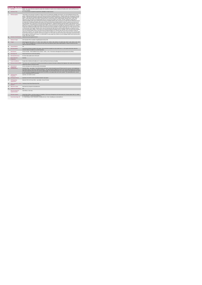|                | <b>Respite Services</b>                     |                                                                                                                                                                                                                                                                                                                                                                                                                                                                                                                                                                                                                                                                                                                                                                                                                                                                                                                                                                                                                                                                                                                                                                                                                                                                                                                                                                                                                                                                                                                                                                                                                                                                                                                                                                                                                                                                                                                                                                                                                                                                                                                                                                                                                                                                                                                                                                                                                                                                                                                                                                     |
|----------------|---------------------------------------------|---------------------------------------------------------------------------------------------------------------------------------------------------------------------------------------------------------------------------------------------------------------------------------------------------------------------------------------------------------------------------------------------------------------------------------------------------------------------------------------------------------------------------------------------------------------------------------------------------------------------------------------------------------------------------------------------------------------------------------------------------------------------------------------------------------------------------------------------------------------------------------------------------------------------------------------------------------------------------------------------------------------------------------------------------------------------------------------------------------------------------------------------------------------------------------------------------------------------------------------------------------------------------------------------------------------------------------------------------------------------------------------------------------------------------------------------------------------------------------------------------------------------------------------------------------------------------------------------------------------------------------------------------------------------------------------------------------------------------------------------------------------------------------------------------------------------------------------------------------------------------------------------------------------------------------------------------------------------------------------------------------------------------------------------------------------------------------------------------------------------------------------------------------------------------------------------------------------------------------------------------------------------------------------------------------------------------------------------------------------------------------------------------------------------------------------------------------------------------------------------------------------------------------------------------------------------|
|                | <b>KPITitle</b>                             | DIS90 - No. of new referrals accepted for people with a disability for respite services (Intellectual Disability and/or autism and Physical and<br>Sensory Disability)                                                                                                                                                                                                                                                                                                                                                                                                                                                                                                                                                                                                                                                                                                                                                                                                                                                                                                                                                                                                                                                                                                                                                                                                                                                                                                                                                                                                                                                                                                                                                                                                                                                                                                                                                                                                                                                                                                                                                                                                                                                                                                                                                                                                                                                                                                                                                                                              |
| 18             | <b>KPI Short Title</b>                      | No. of new referrals accepted for people with a disability for respite services                                                                                                                                                                                                                                                                                                                                                                                                                                                                                                                                                                                                                                                                                                                                                                                                                                                                                                                                                                                                                                                                                                                                                                                                                                                                                                                                                                                                                                                                                                                                                                                                                                                                                                                                                                                                                                                                                                                                                                                                                                                                                                                                                                                                                                                                                                                                                                                                                                                                                     |
| $\overline{2}$ | <b>KPI Description</b>                      | Total number of new referrals accepted for respite services for people with a disability in this quarter, up to and including the last day of the<br>quarter. (Intellectual Disability and/or autism and Physical and Sensory Disability) Definitions: . Respite includes Day, Evening and Overnight<br>Respite. . New referrals accepted as appropriate and approved in this quarter. Respite locations include short stays in the following service<br>types: . Centre based respite. Host Family. Community Home. Private Nursing Home. Holday Respite. Saturday Clubs. Include: New<br>referrals for Day, Evening and Overnight Respite Services received and accepted in this quarter. Exclude:« Respite for people with an<br>Intellectual Disability and/or autism and Physical and Sensory Disability funded by other care groups (e.g. Older Persons). Referrals received<br>for people with an Intellectual Disability and/or autism and Physical and Sensory Disability already in receipt of respite service who have not<br>been discharged, even if that service is less than they were assessed for. Referrals received in previous quarters. New referrals are only<br>counted once i.e. in the quarter they are received and accepted. This is a new KPI for 2015 therefore, the count commences from 1 Jan 2015-<br>Referrals for people with an Intellectual Disability and/or autism and Physical and Sensory Disability who declined the respite service offered<br>People with an Intellectual Disability and/or autism and Physical and Sensory Disability in receipt of respite type care in their own home as this<br>is returned under Home Support Respite service must be returned by the HSE Area from which funding is allocated e.g. Waterford service<br>user accessing respite in Kidare. These clients to be returned by Waterford Disability Services. Example 1:John's new referral was accepted<br>in Q2. He received respite services in the past but was formally discharged. He is returned under this KPI only for the quarter in which his<br>referral was accepted i.e. Q2. Example 2:Mary's new referral was accepted in Q1 for 2 weeks day summer camp in Q3. She is returned under<br>this KPI only for the quarter in which her referral was accepted i.e. Q1. She will be returned in Q3 only under "New people commenced".Adult: a<br>person aged over 18 and under 65 years. In a small number of cases people may continue to access disability respite services post 65 years<br>of age. Child: Under 18 years. |
| 3a             |                                             | Indicator Classification National Scorecard Quadrant Access                                                                                                                                                                                                                                                                                                                                                                                                                                                                                                                                                                                                                                                                                                                                                                                                                                                                                                                                                                                                                                                                                                                                                                                                                                                                                                                                                                                                                                                                                                                                                                                                                                                                                                                                                                                                                                                                                                                                                                                                                                                                                                                                                                                                                                                                                                                                                                                                                                                                                                         |
| 4              | <b>National Target</b>                      | 2019 Operation Plan Cumulative Target/Expected Activity: 989.                                                                                                                                                                                                                                                                                                                                                                                                                                                                                                                                                                                                                                                                                                                                                                                                                                                                                                                                                                                                                                                                                                                                                                                                                                                                                                                                                                                                                                                                                                                                                                                                                                                                                                                                                                                                                                                                                                                                                                                                                                                                                                                                                                                                                                                                                                                                                                                                                                                                                                       |
| 48             | Target                                      | 2019 Target per CHO: CHO 1 - 77 . CHO 2 - 212 . CHO 3 - 97 . CHO 4 - 128 . CHO 5 - 70 . CHO 6 - 66 . CHO 7 - 133 . CHO 8 - 105 . CHO<br>9 -101. This is a cumulative KPI i.e. at year end, each Area's four quarterly outturns will be added together to obtain the total end of year<br>outturn for that Area in that year.                                                                                                                                                                                                                                                                                                                                                                                                                                                                                                                                                                                                                                                                                                                                                                                                                                                                                                                                                                                                                                                                                                                                                                                                                                                                                                                                                                                                                                                                                                                                                                                                                                                                                                                                                                                                                                                                                                                                                                                                                                                                                                                                                                                                                                        |
| 4 <sub>b</sub> | <b>Volume Metrics</b>                       | N/A                                                                                                                                                                                                                                                                                                                                                                                                                                                                                                                                                                                                                                                                                                                                                                                                                                                                                                                                                                                                                                                                                                                                                                                                                                                                                                                                                                                                                                                                                                                                                                                                                                                                                                                                                                                                                                                                                                                                                                                                                                                                                                                                                                                                                                                                                                                                                                                                                                                                                                                                                                 |
| 5              | <b>KPI Calculation</b>                      | Count all new referrals accepted in this quarter. All new referrals accepted are only counted once i.e. in the quarter which their referral is<br>received. Adults and children are counted separately.                                                                                                                                                                                                                                                                                                                                                                                                                                                                                                                                                                                                                                                                                                                                                                                                                                                                                                                                                                                                                                                                                                                                                                                                                                                                                                                                                                                                                                                                                                                                                                                                                                                                                                                                                                                                                                                                                                                                                                                                                                                                                                                                                                                                                                                                                                                                                             |
| ß              | <b>Data Source</b>                          | Service Provider - HSE Disability Service nominee - HOSC - CHO - Performance Management and Improvement Unit (PMIU).                                                                                                                                                                                                                                                                                                                                                                                                                                                                                                                                                                                                                                                                                                                                                                                                                                                                                                                                                                                                                                                                                                                                                                                                                                                                                                                                                                                                                                                                                                                                                                                                                                                                                                                                                                                                                                                                                                                                                                                                                                                                                                                                                                                                                                                                                                                                                                                                                                                |
| 6a             | Data Sign Off                               | Head of Social Care in CHO Area (HOSC).                                                                                                                                                                                                                                                                                                                                                                                                                                                                                                                                                                                                                                                                                                                                                                                                                                                                                                                                                                                                                                                                                                                                                                                                                                                                                                                                                                                                                                                                                                                                                                                                                                                                                                                                                                                                                                                                                                                                                                                                                                                                                                                                                                                                                                                                                                                                                                                                                                                                                                                             |
| 6b             | <b>Data Quality Issues</b>                  | No known data quality issues at this point.                                                                                                                                                                                                                                                                                                                                                                                                                                                                                                                                                                                                                                                                                                                                                                                                                                                                                                                                                                                                                                                                                                                                                                                                                                                                                                                                                                                                                                                                                                                                                                                                                                                                                                                                                                                                                                                                                                                                                                                                                                                                                                                                                                                                                                                                                                                                                                                                                                                                                                                         |
| $\overline{7}$ | <b>Data Collection</b><br>Frequency         | Quarterly                                                                                                                                                                                                                                                                                                                                                                                                                                                                                                                                                                                                                                                                                                                                                                                                                                                                                                                                                                                                                                                                                                                                                                                                                                                                                                                                                                                                                                                                                                                                                                                                                                                                                                                                                                                                                                                                                                                                                                                                                                                                                                                                                                                                                                                                                                                                                                                                                                                                                                                                                           |
| 8              | <b>Tracer Conditions</b>                    | People with an Intellectual Disability and / or autism and Physical and Sensory Disability                                                                                                                                                                                                                                                                                                                                                                                                                                                                                                                                                                                                                                                                                                                                                                                                                                                                                                                                                                                                                                                                                                                                                                                                                                                                                                                                                                                                                                                                                                                                                                                                                                                                                                                                                                                                                                                                                                                                                                                                                                                                                                                                                                                                                                                                                                                                                                                                                                                                          |
| $\mathbf{a}$   | <b>Minimum Data Set MDS</b>                 | The service user's care plan which includes personal details and relevant information relating to their diagnosis, their needs and services and<br>support they require to meet their needs.                                                                                                                                                                                                                                                                                                                                                                                                                                                                                                                                                                                                                                                                                                                                                                                                                                                                                                                                                                                                                                                                                                                                                                                                                                                                                                                                                                                                                                                                                                                                                                                                                                                                                                                                                                                                                                                                                                                                                                                                                                                                                                                                                                                                                                                                                                                                                                        |
| 10             | International<br>Comparison                 | Service developed in line with best practice internationally                                                                                                                                                                                                                                                                                                                                                                                                                                                                                                                                                                                                                                                                                                                                                                                                                                                                                                                                                                                                                                                                                                                                                                                                                                                                                                                                                                                                                                                                                                                                                                                                                                                                                                                                                                                                                                                                                                                                                                                                                                                                                                                                                                                                                                                                                                                                                                                                                                                                                                        |
| 11             | <b>KPI Monitoring</b>                       | Quarterly/ Other - give details: The HOSC/nominee will receive, review and quality assure KPI data returns for accuracy and completeness<br>and analyse data for performance against ELS/targets. They will forward the collated KPI returns to the Chief Officer/nominee and include a<br>builet point explanation where there are variances against target. The Chief Officer/nominee will review, approve and submit final CHO returns<br>to the Performance Management and Improvement Unit (PMIU) on the agreed date each month / quarter. The responsible person at local<br>level for monitoring this KPI is the HOSC.                                                                                                                                                                                                                                                                                                                                                                                                                                                                                                                                                                                                                                                                                                                                                                                                                                                                                                                                                                                                                                                                                                                                                                                                                                                                                                                                                                                                                                                                                                                                                                                                                                                                                                                                                                                                                                                                                                                                       |
| 12             | <b>KPI Reporting</b><br>Frequency           | Quarterly- one month in arrears                                                                                                                                                                                                                                                                                                                                                                                                                                                                                                                                                                                                                                                                                                                                                                                                                                                                                                                                                                                                                                                                                                                                                                                                                                                                                                                                                                                                                                                                                                                                                                                                                                                                                                                                                                                                                                                                                                                                                                                                                                                                                                                                                                                                                                                                                                                                                                                                                                                                                                                                     |
| 13             | <b>KPI Report Period</b>                    | Quarterly one month in arrears (Q2 data reported in July report)                                                                                                                                                                                                                                                                                                                                                                                                                                                                                                                                                                                                                                                                                                                                                                                                                                                                                                                                                                                                                                                                                                                                                                                                                                                                                                                                                                                                                                                                                                                                                                                                                                                                                                                                                                                                                                                                                                                                                                                                                                                                                                                                                                                                                                                                                                                                                                                                                                                                                                    |
| 14             | <b>KPI Reporting</b><br>Aggregation         | National/ CHO/ LHO Area/ Other - give details: Service Provider                                                                                                                                                                                                                                                                                                                                                                                                                                                                                                                                                                                                                                                                                                                                                                                                                                                                                                                                                                                                                                                                                                                                                                                                                                                                                                                                                                                                                                                                                                                                                                                                                                                                                                                                                                                                                                                                                                                                                                                                                                                                                                                                                                                                                                                                                                                                                                                                                                                                                                     |
| 15             | reports?                                    | KPI is reported in which Preliminary Data Report/Operational Plan                                                                                                                                                                                                                                                                                                                                                                                                                                                                                                                                                                                                                                                                                                                                                                                                                                                                                                                                                                                                                                                                                                                                                                                                                                                                                                                                                                                                                                                                                                                                                                                                                                                                                                                                                                                                                                                                                                                                                                                                                                                                                                                                                                                                                                                                                                                                                                                                                                                                                                   |
| 16             | Web link to data                            | http://www.hse.ie/eng/services/publications/                                                                                                                                                                                                                                                                                                                                                                                                                                                                                                                                                                                                                                                                                                                                                                                                                                                                                                                                                                                                                                                                                                                                                                                                                                                                                                                                                                                                                                                                                                                                                                                                                                                                                                                                                                                                                                                                                                                                                                                                                                                                                                                                                                                                                                                                                                                                                                                                                                                                                                                        |
| 17             | <b>Additional Information</b>               | N/A                                                                                                                                                                                                                                                                                                                                                                                                                                                                                                                                                                                                                                                                                                                                                                                                                                                                                                                                                                                                                                                                                                                                                                                                                                                                                                                                                                                                                                                                                                                                                                                                                                                                                                                                                                                                                                                                                                                                                                                                                                                                                                                                                                                                                                                                                                                                                                                                                                                                                                                                                                 |
|                | <b>KPI</b> owner/lead for<br>implementation | Chief Officer, CHO Area                                                                                                                                                                                                                                                                                                                                                                                                                                                                                                                                                                                                                                                                                                                                                                                                                                                                                                                                                                                                                                                                                                                                                                                                                                                                                                                                                                                                                                                                                                                                                                                                                                                                                                                                                                                                                                                                                                                                                                                                                                                                                                                                                                                                                                                                                                                                                                                                                                                                                                                                             |
|                | PBI data support                            | Sinéad Nulty O'Brien, Lead Data Analyst for Disabilities, Performance Management and Improvement Unit - Bective Street, Kells, Co. Meath.<br>Ph: 046 9251328 . Email:sinead.nutv@hse.ie                                                                                                                                                                                                                                                                                                                                                                                                                                                                                                                                                                                                                                                                                                                                                                                                                                                                                                                                                                                                                                                                                                                                                                                                                                                                                                                                                                                                                                                                                                                                                                                                                                                                                                                                                                                                                                                                                                                                                                                                                                                                                                                                                                                                                                                                                                                                                                             |
|                | Governance/sign off                         | Dr. Cathal Morgan, Head of Operations, Disability Services Email: disabilityops.socialcare@hse.ie                                                                                                                                                                                                                                                                                                                                                                                                                                                                                                                                                                                                                                                                                                                                                                                                                                                                                                                                                                                                                                                                                                                                                                                                                                                                                                                                                                                                                                                                                                                                                                                                                                                                                                                                                                                                                                                                                                                                                                                                                                                                                                                                                                                                                                                                                                                                                                                                                                                                   |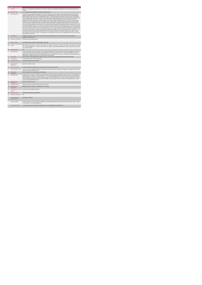|                | <b>Respite Services</b>                     |                                                                                                                                                                                                                                                                                                                                                                                                                                                                                                                                                                                                                                                                                                                                                                                                                                                                                                                                                                                                                                                                                                                                                                                                                                                                                                                                                                                                                                                                                                                                                                                                                                                                                                                                                                                                                                                                                                                                                                                                                                                                                                                                                                                                                                                                                                                                                                                                                         |  |  |  |
|----------------|---------------------------------------------|-------------------------------------------------------------------------------------------------------------------------------------------------------------------------------------------------------------------------------------------------------------------------------------------------------------------------------------------------------------------------------------------------------------------------------------------------------------------------------------------------------------------------------------------------------------------------------------------------------------------------------------------------------------------------------------------------------------------------------------------------------------------------------------------------------------------------------------------------------------------------------------------------------------------------------------------------------------------------------------------------------------------------------------------------------------------------------------------------------------------------------------------------------------------------------------------------------------------------------------------------------------------------------------------------------------------------------------------------------------------------------------------------------------------------------------------------------------------------------------------------------------------------------------------------------------------------------------------------------------------------------------------------------------------------------------------------------------------------------------------------------------------------------------------------------------------------------------------------------------------------------------------------------------------------------------------------------------------------------------------------------------------------------------------------------------------------------------------------------------------------------------------------------------------------------------------------------------------------------------------------------------------------------------------------------------------------------------------------------------------------------------------------------------------------|--|--|--|
| 1              | <b>KPITitle</b>                             | DIS91 - No. of new people with a disability who commenced a respite service (Intellectual Disability and/or autism and Physial and Sensory<br>Disability)                                                                                                                                                                                                                                                                                                                                                                                                                                                                                                                                                                                                                                                                                                                                                                                                                                                                                                                                                                                                                                                                                                                                                                                                                                                                                                                                                                                                                                                                                                                                                                                                                                                                                                                                                                                                                                                                                                                                                                                                                                                                                                                                                                                                                                                               |  |  |  |
| 1a             | <b>KPI Short Title</b>                      | No. of new people with a disability who commenced a respite service                                                                                                                                                                                                                                                                                                                                                                                                                                                                                                                                                                                                                                                                                                                                                                                                                                                                                                                                                                                                                                                                                                                                                                                                                                                                                                                                                                                                                                                                                                                                                                                                                                                                                                                                                                                                                                                                                                                                                                                                                                                                                                                                                                                                                                                                                                                                                     |  |  |  |
| $\overline{z}$ | <b>KPI Description</b>                      | Total number of new people with a disability who commenced respite services in this quarter, up to and including the last day of the quarter.<br>(Intellectual Disability and/or autism and Physical and Sensory Disability)Definition: . Respite includes Day, Evening and Overnight Respite.<br>Respite locations include short stays in the following service types: . Centre based respite- Host Family- Community Home- Private Nursing<br>Home• Holiday Respite• Saturday Clubs Exclude: • People with an Intellectual Disability and/or autism and Physical & Sensory Disability whose<br>respite is funded by other care groups e.g. Older Persons . People with an Intellectual Disability and/or autism and Physical & Sensory<br>Disability who received respite services in previous quarter(s) and who have not been discharged, even if that service is less than they were<br>assessed for. They are returned under "No. of existing Persons in receipt of respite" in subsequent quarters in which they access respite<br>service+ People with an Intelectual Disability and/or autism and Physical & Sensory Disability in receipt of respite in their own home as this is<br>returned under Home Support. Respite service must be returned by the HSE Area from which funding is allocated e.g. Waterford Service user<br>accessing respite nights in Kildare. These clients to be returned by Waterford Disability Services. Example 1: John's new referral was accepted<br>in Q2 and he commenced respite service in Q3. He received respite services in the past but was formally discharged. He is returned under this<br>KPI only for the quarter in which he commenced respite services i.e. Q3. He is also returned under "New referral received and accepted" (KPI<br>12) only in the quarter which his referrals was received and accepted, Q2. Example 2:Mary's new referral was accepted in January for 2 weeks<br>day summer camp in July. She is returned under this KPI only for the quarter in which she commenced respite service, i.e. Q3. She is also<br>returned under "New referral received and accepted" (KPI 12) only in the quarter which her referral was received and accepted, Q1 Adult: a<br>person aged over 18 and under 65 years. In a small number of cases people may continue to access disability respite services post 65 years<br>of age. Child: Under 18 years. |  |  |  |
| $\mathbf{R}$   | <b>KPI Rationale</b>                        | To monitor the numbers of new adults and children with Intellectual Disability and/or autism and Physical and Sensory Disability who<br>commenced a respite service                                                                                                                                                                                                                                                                                                                                                                                                                                                                                                                                                                                                                                                                                                                                                                                                                                                                                                                                                                                                                                                                                                                                                                                                                                                                                                                                                                                                                                                                                                                                                                                                                                                                                                                                                                                                                                                                                                                                                                                                                                                                                                                                                                                                                                                     |  |  |  |
| 3a             |                                             | Indicator Classification National Scorecard Quadrant Access                                                                                                                                                                                                                                                                                                                                                                                                                                                                                                                                                                                                                                                                                                                                                                                                                                                                                                                                                                                                                                                                                                                                                                                                                                                                                                                                                                                                                                                                                                                                                                                                                                                                                                                                                                                                                                                                                                                                                                                                                                                                                                                                                                                                                                                                                                                                                             |  |  |  |
| $\Lambda$      | <b>National Target</b>                      | 2019 Operation Plan Cumulative Target/ Expected Activity: 882                                                                                                                                                                                                                                                                                                                                                                                                                                                                                                                                                                                                                                                                                                                                                                                                                                                                                                                                                                                                                                                                                                                                                                                                                                                                                                                                                                                                                                                                                                                                                                                                                                                                                                                                                                                                                                                                                                                                                                                                                                                                                                                                                                                                                                                                                                                                                           |  |  |  |
| 48             | Target                                      | 2019 Target per CHO: CHO 1 - 70 . CHO 2 - 188 . CHO 3 - 87 . CHO 4 - 113 . CHO 5 - 63 . CHO 6 - 58 . CHO 7 - 118 . CHO 8 - 94 . CHO 9<br>- 91. This is a cumulative KPI i.e. at year end, each Area's four quarterly outturns will be added together to obtain the total end of year outturn<br>for that Area in that year.                                                                                                                                                                                                                                                                                                                                                                                                                                                                                                                                                                                                                                                                                                                                                                                                                                                                                                                                                                                                                                                                                                                                                                                                                                                                                                                                                                                                                                                                                                                                                                                                                                                                                                                                                                                                                                                                                                                                                                                                                                                                                             |  |  |  |
| 4 <sub>b</sub> | <b>Volume Metrics</b>                       | <b>N/A</b>                                                                                                                                                                                                                                                                                                                                                                                                                                                                                                                                                                                                                                                                                                                                                                                                                                                                                                                                                                                                                                                                                                                                                                                                                                                                                                                                                                                                                                                                                                                                                                                                                                                                                                                                                                                                                                                                                                                                                                                                                                                                                                                                                                                                                                                                                                                                                                                                              |  |  |  |
| 5              | <b>KPI Calculation</b>                      | Count the total number of adults and children with an Intellectual Disability and/or autism and Physical and Sensory Disability who commenced<br>respite services in this quarter. New people commencing respite services are only counted once i.e. in the quarter which they commenced<br>respite services. Adults and children are counted separately. This is a cumulative KPI i.e. at year end, each Area's four quarterly outturns will be<br>added together to obtain the total end of year outturn for that Area in that year.                                                                                                                                                                                                                                                                                                                                                                                                                                                                                                                                                                                                                                                                                                                                                                                                                                                                                                                                                                                                                                                                                                                                                                                                                                                                                                                                                                                                                                                                                                                                                                                                                                                                                                                                                                                                                                                                                  |  |  |  |
| 6              | Data Source                                 | Service Provider - HSE Disability Service nominee - HOSC - CHO - Performance Management and Improvement Unit (PMIU).                                                                                                                                                                                                                                                                                                                                                                                                                                                                                                                                                                                                                                                                                                                                                                                                                                                                                                                                                                                                                                                                                                                                                                                                                                                                                                                                                                                                                                                                                                                                                                                                                                                                                                                                                                                                                                                                                                                                                                                                                                                                                                                                                                                                                                                                                                    |  |  |  |
| 6a             | Data Sign Off                               | Mr. Head of Social Care in CHO Area (HOSC).                                                                                                                                                                                                                                                                                                                                                                                                                                                                                                                                                                                                                                                                                                                                                                                                                                                                                                                                                                                                                                                                                                                                                                                                                                                                                                                                                                                                                                                                                                                                                                                                                                                                                                                                                                                                                                                                                                                                                                                                                                                                                                                                                                                                                                                                                                                                                                             |  |  |  |
| 6b             | <b>Data Quality Issues</b>                  | No known data quality issues at this point.                                                                                                                                                                                                                                                                                                                                                                                                                                                                                                                                                                                                                                                                                                                                                                                                                                                                                                                                                                                                                                                                                                                                                                                                                                                                                                                                                                                                                                                                                                                                                                                                                                                                                                                                                                                                                                                                                                                                                                                                                                                                                                                                                                                                                                                                                                                                                                             |  |  |  |
| $\overline{7}$ | <b>Data Collection</b><br>Frequency         | Quarterly- one month in arrears                                                                                                                                                                                                                                                                                                                                                                                                                                                                                                                                                                                                                                                                                                                                                                                                                                                                                                                                                                                                                                                                                                                                                                                                                                                                                                                                                                                                                                                                                                                                                                                                                                                                                                                                                                                                                                                                                                                                                                                                                                                                                                                                                                                                                                                                                                                                                                                         |  |  |  |
| $\mathbf{R}$   | <b>Tracer Conditions</b>                    | People with an Intellectual Disability and / or autism and Physical and Sensory Disability                                                                                                                                                                                                                                                                                                                                                                                                                                                                                                                                                                                                                                                                                                                                                                                                                                                                                                                                                                                                                                                                                                                                                                                                                                                                                                                                                                                                                                                                                                                                                                                                                                                                                                                                                                                                                                                                                                                                                                                                                                                                                                                                                                                                                                                                                                                              |  |  |  |
| 9              | Minimum Data Set MDS                        | The service user's care plan which includes personal details and relevant information relating to their diagnosis, their needs and services and<br>support they require to meet their needs.                                                                                                                                                                                                                                                                                                                                                                                                                                                                                                                                                                                                                                                                                                                                                                                                                                                                                                                                                                                                                                                                                                                                                                                                                                                                                                                                                                                                                                                                                                                                                                                                                                                                                                                                                                                                                                                                                                                                                                                                                                                                                                                                                                                                                            |  |  |  |
| 10             | International<br>Comparison                 | Service developed in line with best practice internationally                                                                                                                                                                                                                                                                                                                                                                                                                                                                                                                                                                                                                                                                                                                                                                                                                                                                                                                                                                                                                                                                                                                                                                                                                                                                                                                                                                                                                                                                                                                                                                                                                                                                                                                                                                                                                                                                                                                                                                                                                                                                                                                                                                                                                                                                                                                                                            |  |  |  |
| 11             | <b>KPI Monitoring</b>                       | Quarterly/ Other - give details: The HOSC/nominee will receive, review and quality assure KPI data returns for accuracy and completeness<br>and analyse data for performance against ELS/targets. They will forward the collated KPI returns to the Chief Officer/nominee and include a<br>bullet point explanation where there are variances against target. The Chief Officer/nominee will review, approve and submit final CHO returns<br>to the Performance Management and Improvement Unit (PMIU) on the agreed date each month / quarter. The responsible person at local<br>level for monitoring this KPI is the HOSC.                                                                                                                                                                                                                                                                                                                                                                                                                                                                                                                                                                                                                                                                                                                                                                                                                                                                                                                                                                                                                                                                                                                                                                                                                                                                                                                                                                                                                                                                                                                                                                                                                                                                                                                                                                                           |  |  |  |
| 12             | <b>KPI Reporting</b><br>Frequency           | Quarterly- one month in arrears                                                                                                                                                                                                                                                                                                                                                                                                                                                                                                                                                                                                                                                                                                                                                                                                                                                                                                                                                                                                                                                                                                                                                                                                                                                                                                                                                                                                                                                                                                                                                                                                                                                                                                                                                                                                                                                                                                                                                                                                                                                                                                                                                                                                                                                                                                                                                                                         |  |  |  |
| 13             | <b>KPI Report Period</b>                    | Quarterly one month in arrears (Q2 data reported in July report)                                                                                                                                                                                                                                                                                                                                                                                                                                                                                                                                                                                                                                                                                                                                                                                                                                                                                                                                                                                                                                                                                                                                                                                                                                                                                                                                                                                                                                                                                                                                                                                                                                                                                                                                                                                                                                                                                                                                                                                                                                                                                                                                                                                                                                                                                                                                                        |  |  |  |
| 14             | <b>KPI Reporting</b><br>Aggregation         | National/ CHO/ LHO Area/ Other - give details: Service Provider                                                                                                                                                                                                                                                                                                                                                                                                                                                                                                                                                                                                                                                                                                                                                                                                                                                                                                                                                                                                                                                                                                                                                                                                                                                                                                                                                                                                                                                                                                                                                                                                                                                                                                                                                                                                                                                                                                                                                                                                                                                                                                                                                                                                                                                                                                                                                         |  |  |  |
| 15             | reports?                                    | KPI is reported in which Preliminary Data Report/Operational Plan                                                                                                                                                                                                                                                                                                                                                                                                                                                                                                                                                                                                                                                                                                                                                                                                                                                                                                                                                                                                                                                                                                                                                                                                                                                                                                                                                                                                                                                                                                                                                                                                                                                                                                                                                                                                                                                                                                                                                                                                                                                                                                                                                                                                                                                                                                                                                       |  |  |  |
| 16             | Web link to data                            | http://www.hse.ia/eng/services/publications/                                                                                                                                                                                                                                                                                                                                                                                                                                                                                                                                                                                                                                                                                                                                                                                                                                                                                                                                                                                                                                                                                                                                                                                                                                                                                                                                                                                                                                                                                                                                                                                                                                                                                                                                                                                                                                                                                                                                                                                                                                                                                                                                                                                                                                                                                                                                                                            |  |  |  |
| 17             | <b>Additional Information</b>               | N/L                                                                                                                                                                                                                                                                                                                                                                                                                                                                                                                                                                                                                                                                                                                                                                                                                                                                                                                                                                                                                                                                                                                                                                                                                                                                                                                                                                                                                                                                                                                                                                                                                                                                                                                                                                                                                                                                                                                                                                                                                                                                                                                                                                                                                                                                                                                                                                                                                     |  |  |  |
|                | <b>KPI</b> owner/lead for<br>implementation | Chief Officer, CHO Area                                                                                                                                                                                                                                                                                                                                                                                                                                                                                                                                                                                                                                                                                                                                                                                                                                                                                                                                                                                                                                                                                                                                                                                                                                                                                                                                                                                                                                                                                                                                                                                                                                                                                                                                                                                                                                                                                                                                                                                                                                                                                                                                                                                                                                                                                                                                                                                                 |  |  |  |
|                | PBI data support                            | Sinéad Nulty O'Brien, Lead Data Analyst for Disabilities, Performance Management and Improvement Unit - Bective Street, Kells, Co. Meath.<br>Ph: 046 9251328 , Emailsinead.nuty@hse.ie                                                                                                                                                                                                                                                                                                                                                                                                                                                                                                                                                                                                                                                                                                                                                                                                                                                                                                                                                                                                                                                                                                                                                                                                                                                                                                                                                                                                                                                                                                                                                                                                                                                                                                                                                                                                                                                                                                                                                                                                                                                                                                                                                                                                                                  |  |  |  |
|                | Governance/sign off                         | Dr. Cathal Morgan, Head of Operations, Disability Services Email: disabilityops.socialcare@hse.ie                                                                                                                                                                                                                                                                                                                                                                                                                                                                                                                                                                                                                                                                                                                                                                                                                                                                                                                                                                                                                                                                                                                                                                                                                                                                                                                                                                                                                                                                                                                                                                                                                                                                                                                                                                                                                                                                                                                                                                                                                                                                                                                                                                                                                                                                                                                       |  |  |  |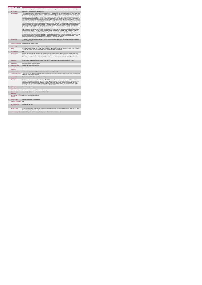| $\ddot{\phantom{1}}$ | <b>Respite Services</b><br><b>KPITitle</b>  | DIS92 - No. of existing people in receipt of Respite Services (Intellectual Disability and/or autism and Physical and Sensory Disability)                                                                                                                                                                                                                                                                                                                                                                                                                                                                                                                                                                                                                                                                                                                                                                                                                                                                                                                                                                                                                                                                                                                                                                                                                                                                                                                                                                                                                                                                                                                                                                                                                                                                                                                                                                                                                                                                                                                                                                                                                                                                                                                                                                                                                                                                                                                                                                                                                                                                                                                                                                                                                                                                                                                                                                                                                 |
|----------------------|---------------------------------------------|-----------------------------------------------------------------------------------------------------------------------------------------------------------------------------------------------------------------------------------------------------------------------------------------------------------------------------------------------------------------------------------------------------------------------------------------------------------------------------------------------------------------------------------------------------------------------------------------------------------------------------------------------------------------------------------------------------------------------------------------------------------------------------------------------------------------------------------------------------------------------------------------------------------------------------------------------------------------------------------------------------------------------------------------------------------------------------------------------------------------------------------------------------------------------------------------------------------------------------------------------------------------------------------------------------------------------------------------------------------------------------------------------------------------------------------------------------------------------------------------------------------------------------------------------------------------------------------------------------------------------------------------------------------------------------------------------------------------------------------------------------------------------------------------------------------------------------------------------------------------------------------------------------------------------------------------------------------------------------------------------------------------------------------------------------------------------------------------------------------------------------------------------------------------------------------------------------------------------------------------------------------------------------------------------------------------------------------------------------------------------------------------------------------------------------------------------------------------------------------------------------------------------------------------------------------------------------------------------------------------------------------------------------------------------------------------------------------------------------------------------------------------------------------------------------------------------------------------------------------------------------------------------------------------------------------------------------------|
| 1a                   | <b>KPI Short Title</b>                      | No. of existing people in receipt of Respite Services                                                                                                                                                                                                                                                                                                                                                                                                                                                                                                                                                                                                                                                                                                                                                                                                                                                                                                                                                                                                                                                                                                                                                                                                                                                                                                                                                                                                                                                                                                                                                                                                                                                                                                                                                                                                                                                                                                                                                                                                                                                                                                                                                                                                                                                                                                                                                                                                                                                                                                                                                                                                                                                                                                                                                                                                                                                                                                     |
| $\overline{z}$       | <b>KPI Description</b>                      | Total number of people with a disability who continued respite service in this quarter who have not been discharged in a previous quarter, up to<br>and including the last day of the quarter. (Intellectual Disability and/or autism and Physical and Sensory Disability) Definition: . Respite includes<br>Day, Evening and Overnight Respite. Respite locations include short stays in the following service types: . Centre based respite. Host Family-<br>Community Home+ Private Nursing Home+ Holiday Respite+ Saturday Clubs. Include: + People with an Intellectual Disability and/or autism and<br>Physical and Sensory Disability who continued respite services (i.e. Day, Evening and/or Overnight) this quarter from any previous quarter and<br>were not formally discharged. People with an ID and/or autism and Physical and Sensory Disability who have exceeded 30 days of continuous<br>respite service. Such people were counted under "Residential" in 2014. From Q1 2015, they will be included here as "No. of existing people in<br>receipt of respite services" and also in KPI #19 +30 day continuous overnight respite  In Q1, only return people with an ID and/or autism and<br>Physical and Sensory Disability who received respite services in Q1. Exclude: . People with an Intellectual Disability and/or autism and Physical<br>and Sensory Disability who commenced respite services in this quarter . Respite for people with an Intellectual Disability and/or autism and<br>Physical and Sensory Disability funded by other care groups (e.g. Older Persons) · People with an Intellectual Disability and/or autism and<br>Physical and Sensory Disability in receipt of respite in their own home as this is returned under Home Support. In Q1, people with an Intellectual<br>Disability and/or autism and Physical and Sensory Disability continuing from a previous year who did not receive respite in Q1 Respite services<br>must be returned by the HSE Area from which funding is allocated e.g. Waterford service user accessing respite nights in Kildare funded by<br>Waterford Disability Services is returned by Waterford Disability Services Example # 1: Karen received respite service in Q1, Q2 and Q3.<br>Karen is returned under this KPI in Q1, Q2 and Q3 Example #2:Catherine received respite service in Q2 and Q4, not in Q3 due to<br>hospitalisation and had not been discharged from respite. Catherine is returned under this KPI only in Q2 and Q4, not in Q3 Example # 2 Liam<br>received respite services in Q1 and was discharged during this quarter due to moving outside of the Area. He is returned under this KPI in Q1.<br>He is also returned under "No. of people discharged" in Q1. Adult: a person aged over 18 and under 65 years. In a small number of cases<br>people may continue to access disability respite services post 65 years of age.Child: Under 18 years. |
| $\mathcal{R}$        | <b>KPI Rationale</b>                        | To monitor the numbers of adults and children with Intellectual Disability and/or autism and Physical and Sensory Disability who continued to<br>receive a respite service                                                                                                                                                                                                                                                                                                                                                                                                                                                                                                                                                                                                                                                                                                                                                                                                                                                                                                                                                                                                                                                                                                                                                                                                                                                                                                                                                                                                                                                                                                                                                                                                                                                                                                                                                                                                                                                                                                                                                                                                                                                                                                                                                                                                                                                                                                                                                                                                                                                                                                                                                                                                                                                                                                                                                                                |
| 3a                   |                                             | Indicator Classification National Scorecard Quadrant Access                                                                                                                                                                                                                                                                                                                                                                                                                                                                                                                                                                                                                                                                                                                                                                                                                                                                                                                                                                                                                                                                                                                                                                                                                                                                                                                                                                                                                                                                                                                                                                                                                                                                                                                                                                                                                                                                                                                                                                                                                                                                                                                                                                                                                                                                                                                                                                                                                                                                                                                                                                                                                                                                                                                                                                                                                                                                                               |
| $\overline{4}$       | <b>National Target</b>                      | 2019 Operation Plan Point in Time Target/ Expected Activity: 6,337                                                                                                                                                                                                                                                                                                                                                                                                                                                                                                                                                                                                                                                                                                                                                                                                                                                                                                                                                                                                                                                                                                                                                                                                                                                                                                                                                                                                                                                                                                                                                                                                                                                                                                                                                                                                                                                                                                                                                                                                                                                                                                                                                                                                                                                                                                                                                                                                                                                                                                                                                                                                                                                                                                                                                                                                                                                                                        |
| 4a                   | Target                                      | 2019 Target per CHO: CHO 1 - 490 , CHO 2 - 1,360 , CHO 3 - 621 , CHO 4 - 820 , CHO 5 - 446 , CHO 6 - 420 , CHO 7 - 854 , CHO 8 - 676<br>, CHO 9 - 650. This is a point in time KPI calculation i.e. do not add the quarterly returns together.                                                                                                                                                                                                                                                                                                                                                                                                                                                                                                                                                                                                                                                                                                                                                                                                                                                                                                                                                                                                                                                                                                                                                                                                                                                                                                                                                                                                                                                                                                                                                                                                                                                                                                                                                                                                                                                                                                                                                                                                                                                                                                                                                                                                                                                                                                                                                                                                                                                                                                                                                                                                                                                                                                            |
| 4 <sub>h</sub>       | <b>Volume Metrics</b>                       | N/A                                                                                                                                                                                                                                                                                                                                                                                                                                                                                                                                                                                                                                                                                                                                                                                                                                                                                                                                                                                                                                                                                                                                                                                                                                                                                                                                                                                                                                                                                                                                                                                                                                                                                                                                                                                                                                                                                                                                                                                                                                                                                                                                                                                                                                                                                                                                                                                                                                                                                                                                                                                                                                                                                                                                                                                                                                                                                                                                                       |
| 5                    | <b>KPI Calculation</b>                      | Count the total number of adults and children with an Intellectual Disability and/or autism and Physical and Sensory Disability continuing to<br>receive respite services in this quarter who had not been discharged in a previous quarter. Adults and children are counted separately. For<br>year end outturn, use Q4 outturn e.g. Q1: 213, Q2: 197, Q3: 248,Q4: 222, total number of people continuing respite at year end is 222.                                                                                                                                                                                                                                                                                                                                                                                                                                                                                                                                                                                                                                                                                                                                                                                                                                                                                                                                                                                                                                                                                                                                                                                                                                                                                                                                                                                                                                                                                                                                                                                                                                                                                                                                                                                                                                                                                                                                                                                                                                                                                                                                                                                                                                                                                                                                                                                                                                                                                                                    |
| $\mathbf{6}$         | <b>Data Source</b>                          | Service Provider - HSE Disability Service nominee - HOSC - CHO - Performance Management and Improvement Unit (PMIU).                                                                                                                                                                                                                                                                                                                                                                                                                                                                                                                                                                                                                                                                                                                                                                                                                                                                                                                                                                                                                                                                                                                                                                                                                                                                                                                                                                                                                                                                                                                                                                                                                                                                                                                                                                                                                                                                                                                                                                                                                                                                                                                                                                                                                                                                                                                                                                                                                                                                                                                                                                                                                                                                                                                                                                                                                                      |
| 6a                   | Data Sign Off                               | Head of Social Care in CHO Area (HOSC).                                                                                                                                                                                                                                                                                                                                                                                                                                                                                                                                                                                                                                                                                                                                                                                                                                                                                                                                                                                                                                                                                                                                                                                                                                                                                                                                                                                                                                                                                                                                                                                                                                                                                                                                                                                                                                                                                                                                                                                                                                                                                                                                                                                                                                                                                                                                                                                                                                                                                                                                                                                                                                                                                                                                                                                                                                                                                                                   |
| 6b                   | <b>Data Quality Issues</b>                  | No known data quality issues at this point.                                                                                                                                                                                                                                                                                                                                                                                                                                                                                                                                                                                                                                                                                                                                                                                                                                                                                                                                                                                                                                                                                                                                                                                                                                                                                                                                                                                                                                                                                                                                                                                                                                                                                                                                                                                                                                                                                                                                                                                                                                                                                                                                                                                                                                                                                                                                                                                                                                                                                                                                                                                                                                                                                                                                                                                                                                                                                                               |
| $\overline{7}$       | <b>Data Collection</b><br>Frequency         | Quarterly- one month in arrears                                                                                                                                                                                                                                                                                                                                                                                                                                                                                                                                                                                                                                                                                                                                                                                                                                                                                                                                                                                                                                                                                                                                                                                                                                                                                                                                                                                                                                                                                                                                                                                                                                                                                                                                                                                                                                                                                                                                                                                                                                                                                                                                                                                                                                                                                                                                                                                                                                                                                                                                                                                                                                                                                                                                                                                                                                                                                                                           |
| 8                    | <b>Tracer Conditions</b>                    | People with an Intellectual Disability and / or autism and Physical and Sensory Disability                                                                                                                                                                                                                                                                                                                                                                                                                                                                                                                                                                                                                                                                                                                                                                                                                                                                                                                                                                                                                                                                                                                                                                                                                                                                                                                                                                                                                                                                                                                                                                                                                                                                                                                                                                                                                                                                                                                                                                                                                                                                                                                                                                                                                                                                                                                                                                                                                                                                                                                                                                                                                                                                                                                                                                                                                                                                |
| $\mathbf{a}$         | Minimum Data Set MDS                        | The service user's care plan which includes personal details and relevant information relating to their diagnosis, their needs and services and<br>support they require to meet their needs.                                                                                                                                                                                                                                                                                                                                                                                                                                                                                                                                                                                                                                                                                                                                                                                                                                                                                                                                                                                                                                                                                                                                                                                                                                                                                                                                                                                                                                                                                                                                                                                                                                                                                                                                                                                                                                                                                                                                                                                                                                                                                                                                                                                                                                                                                                                                                                                                                                                                                                                                                                                                                                                                                                                                                              |
| 10                   | International<br>Comparison                 | Service developed in line with best practice internationally                                                                                                                                                                                                                                                                                                                                                                                                                                                                                                                                                                                                                                                                                                                                                                                                                                                                                                                                                                                                                                                                                                                                                                                                                                                                                                                                                                                                                                                                                                                                                                                                                                                                                                                                                                                                                                                                                                                                                                                                                                                                                                                                                                                                                                                                                                                                                                                                                                                                                                                                                                                                                                                                                                                                                                                                                                                                                              |
| 11                   | <b>KPI Monitoring</b>                       | Quarterly-m one month in arrears/ Other - give details: The HOSC/nominee will receive, review and quality assure KPI data returns for<br>accuracy and completeness and analyse data for performance against ELS/targets. They will forward the collated KPI returns to the Chief<br>Officer/nominee and include a bullet point explanation where there are variances against target. The Chief Officer/nominee will review,<br>approve and submit final CHO returns to the Performance Management and Improvement Unit (PMIU) on the agreed date each month /<br>quarter. The responsible person at local level for monitoring this KPI is the HOSC.                                                                                                                                                                                                                                                                                                                                                                                                                                                                                                                                                                                                                                                                                                                                                                                                                                                                                                                                                                                                                                                                                                                                                                                                                                                                                                                                                                                                                                                                                                                                                                                                                                                                                                                                                                                                                                                                                                                                                                                                                                                                                                                                                                                                                                                                                                      |
| 12                   | <b>KPI Reporting</b><br>Frequency           | Quarterly 1 month in Arrears                                                                                                                                                                                                                                                                                                                                                                                                                                                                                                                                                                                                                                                                                                                                                                                                                                                                                                                                                                                                                                                                                                                                                                                                                                                                                                                                                                                                                                                                                                                                                                                                                                                                                                                                                                                                                                                                                                                                                                                                                                                                                                                                                                                                                                                                                                                                                                                                                                                                                                                                                                                                                                                                                                                                                                                                                                                                                                                              |
| 13                   | <b>KPI Report Period</b>                    | Quarterly one month in arrears (Q2 data reported in July report)                                                                                                                                                                                                                                                                                                                                                                                                                                                                                                                                                                                                                                                                                                                                                                                                                                                                                                                                                                                                                                                                                                                                                                                                                                                                                                                                                                                                                                                                                                                                                                                                                                                                                                                                                                                                                                                                                                                                                                                                                                                                                                                                                                                                                                                                                                                                                                                                                                                                                                                                                                                                                                                                                                                                                                                                                                                                                          |
| 14                   | <b>KPI Reporting</b><br>Aggregation         | National/ CHO/ LHO Area/ Other - give details: Service Provider                                                                                                                                                                                                                                                                                                                                                                                                                                                                                                                                                                                                                                                                                                                                                                                                                                                                                                                                                                                                                                                                                                                                                                                                                                                                                                                                                                                                                                                                                                                                                                                                                                                                                                                                                                                                                                                                                                                                                                                                                                                                                                                                                                                                                                                                                                                                                                                                                                                                                                                                                                                                                                                                                                                                                                                                                                                                                           |
| 15                   | reports?                                    | KPI is reported in which Preliminary Data Report/Operational Plan                                                                                                                                                                                                                                                                                                                                                                                                                                                                                                                                                                                                                                                                                                                                                                                                                                                                                                                                                                                                                                                                                                                                                                                                                                                                                                                                                                                                                                                                                                                                                                                                                                                                                                                                                                                                                                                                                                                                                                                                                                                                                                                                                                                                                                                                                                                                                                                                                                                                                                                                                                                                                                                                                                                                                                                                                                                                                         |
| 16                   | Web link to data                            | http://www.hse.ie/eng/services/publications/                                                                                                                                                                                                                                                                                                                                                                                                                                                                                                                                                                                                                                                                                                                                                                                                                                                                                                                                                                                                                                                                                                                                                                                                                                                                                                                                                                                                                                                                                                                                                                                                                                                                                                                                                                                                                                                                                                                                                                                                                                                                                                                                                                                                                                                                                                                                                                                                                                                                                                                                                                                                                                                                                                                                                                                                                                                                                                              |
| 17                   | <b>Additional Information</b>               | N/A                                                                                                                                                                                                                                                                                                                                                                                                                                                                                                                                                                                                                                                                                                                                                                                                                                                                                                                                                                                                                                                                                                                                                                                                                                                                                                                                                                                                                                                                                                                                                                                                                                                                                                                                                                                                                                                                                                                                                                                                                                                                                                                                                                                                                                                                                                                                                                                                                                                                                                                                                                                                                                                                                                                                                                                                                                                                                                                                                       |
|                      | <b>KPI</b> owner/lead for<br>implementation | Chief Officer, CHO Area                                                                                                                                                                                                                                                                                                                                                                                                                                                                                                                                                                                                                                                                                                                                                                                                                                                                                                                                                                                                                                                                                                                                                                                                                                                                                                                                                                                                                                                                                                                                                                                                                                                                                                                                                                                                                                                                                                                                                                                                                                                                                                                                                                                                                                                                                                                                                                                                                                                                                                                                                                                                                                                                                                                                                                                                                                                                                                                                   |
|                      | PBI data support                            | Sinéad Nulty O'Brien, Lead Data Analyst for Disabilities, Performance Management and Improvement Unit - Bective Street, Kells, Co. Meath.<br>Ph: 046 9251328 , Emailsinead.nuty@hse.iee                                                                                                                                                                                                                                                                                                                                                                                                                                                                                                                                                                                                                                                                                                                                                                                                                                                                                                                                                                                                                                                                                                                                                                                                                                                                                                                                                                                                                                                                                                                                                                                                                                                                                                                                                                                                                                                                                                                                                                                                                                                                                                                                                                                                                                                                                                                                                                                                                                                                                                                                                                                                                                                                                                                                                                   |
|                      | Governance/sign off                         | Dr. Cathal Morgan, Head of Operations, Disability Services Email: disabilityops.socialcare@hse.ie                                                                                                                                                                                                                                                                                                                                                                                                                                                                                                                                                                                                                                                                                                                                                                                                                                                                                                                                                                                                                                                                                                                                                                                                                                                                                                                                                                                                                                                                                                                                                                                                                                                                                                                                                                                                                                                                                                                                                                                                                                                                                                                                                                                                                                                                                                                                                                                                                                                                                                                                                                                                                                                                                                                                                                                                                                                         |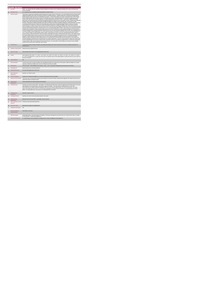|                | <b>Respite Services</b>                          |                                                                                                                                                                                                                                                                                                                                                                                                                                                                                                                                                                                                                                                                                                                                                                                                                                                                                                                                                                                                                                                                                                                                                                                                                                                                                                                                                                                                                                                                                                                                                                                                                                                                                                                                                                                                                                                                                                                                                                                                                                                                                                                                                                                                                                                                                                                                                                                                                                                                                                                                                                                                                                                                                                                                                                                                                                                                                                                                                                                                                                                                                                                                                                                                                                                                                                                                                                                                                                                                                                         |  |  |
|----------------|--------------------------------------------------|---------------------------------------------------------------------------------------------------------------------------------------------------------------------------------------------------------------------------------------------------------------------------------------------------------------------------------------------------------------------------------------------------------------------------------------------------------------------------------------------------------------------------------------------------------------------------------------------------------------------------------------------------------------------------------------------------------------------------------------------------------------------------------------------------------------------------------------------------------------------------------------------------------------------------------------------------------------------------------------------------------------------------------------------------------------------------------------------------------------------------------------------------------------------------------------------------------------------------------------------------------------------------------------------------------------------------------------------------------------------------------------------------------------------------------------------------------------------------------------------------------------------------------------------------------------------------------------------------------------------------------------------------------------------------------------------------------------------------------------------------------------------------------------------------------------------------------------------------------------------------------------------------------------------------------------------------------------------------------------------------------------------------------------------------------------------------------------------------------------------------------------------------------------------------------------------------------------------------------------------------------------------------------------------------------------------------------------------------------------------------------------------------------------------------------------------------------------------------------------------------------------------------------------------------------------------------------------------------------------------------------------------------------------------------------------------------------------------------------------------------------------------------------------------------------------------------------------------------------------------------------------------------------------------------------------------------------------------------------------------------------------------------------------------------------------------------------------------------------------------------------------------------------------------------------------------------------------------------------------------------------------------------------------------------------------------------------------------------------------------------------------------------------------------------------------------------------------------------------------------------------|--|--|
|                | <b>KPITitle</b>                                  | DIS93 - No. of people with with a disability formally discharged from respite services (Intellectual Disability and/or autism and Physical and<br>Sensory Disability)                                                                                                                                                                                                                                                                                                                                                                                                                                                                                                                                                                                                                                                                                                                                                                                                                                                                                                                                                                                                                                                                                                                                                                                                                                                                                                                                                                                                                                                                                                                                                                                                                                                                                                                                                                                                                                                                                                                                                                                                                                                                                                                                                                                                                                                                                                                                                                                                                                                                                                                                                                                                                                                                                                                                                                                                                                                                                                                                                                                                                                                                                                                                                                                                                                                                                                                                   |  |  |
| 1a             | <b>KPI Short Title</b>                           | No. of people with with a disability formally discharged from respite services                                                                                                                                                                                                                                                                                                                                                                                                                                                                                                                                                                                                                                                                                                                                                                                                                                                                                                                                                                                                                                                                                                                                                                                                                                                                                                                                                                                                                                                                                                                                                                                                                                                                                                                                                                                                                                                                                                                                                                                                                                                                                                                                                                                                                                                                                                                                                                                                                                                                                                                                                                                                                                                                                                                                                                                                                                                                                                                                                                                                                                                                                                                                                                                                                                                                                                                                                                                                                          |  |  |
| $\overline{z}$ | <b>KPI Description</b>                           | Total number of people with a disability formally discharged from respite services in this quarter, up to and including the last day of each quarter.<br>(Intellectual Disability and/or autism and Physical and Sensory Disability) Definition: . Respite includes Day, Evening and Overnight Respite.<br>Respite locations include short stays in the following service types: . Centre based respite. Host Family. Community Home. Private Nursing<br>Home+ Holiday Respite+ Saturday Clubs. Reasons for discharge may include: + Residential placement+ Transferred to adult services, other<br>provider, other area- Service is no longer required or no longer meeting needs- Deceased. Include: - People with an Intellectual Disability<br>and/or autism and Physical and Sensory Disability formally discharged from respite services in this quarter. Exclude:+ People with an Intellectual<br>Disability and/or autism and Physical and Sensory Disability discharged from respite services funded by other care groups (e.g. Older<br>Persons) . People with an Intellectual Disability and/or autism and Physical and Sensory Disability undergoing a "phased discharge". Discharge<br>is not finalised until the last day of respite service has taken place and the person is formally discharged- People in receipt of or awaiting<br>commencement of a respite service who have not been discharged. People with an Intelectual Disability and/or autism and Physical and<br>Sensory Disability in receipt of respite in their own home as this is returned under Home Support. Respite service must be returned by the HSE<br>Area from which funding is allocated e.g. Waterford Service user accessing respite nights in Kildare. These clients to be returned by Waterford<br>Disability Services.Example # 1:Mark received respite service in Q1 and Q2 in Waterford. He was formally discharged at end of Q2 when he<br>moved to Donegal. Mark is returned by Waterford under this KPI in Q2. He is also returned by Waterford for Q2 under "No. of Existing Persons<br>in receipt of Respite" and by Donegal under "No. of new referrals received" for the quarter in which they receive his new referral.Example # 2:<br>In Q1, Linda and Pauline are offered holday respite in August. Linda declines the service in Q2 and is subsequently discharged. A letter is<br>issued to Linda to confirm the discharge. Linda is returned as a discharge in the quarter in which the letter was issued i.e. Q2. Pauline accepts<br>the 2 weeks holday respite in Q3 as a once off and is returned under both "No. of people commenced" and "No. of people discharged" in Q3<br>Example # 3 Susan has been receiving respite service over years. She was admitted to hospital in Q1 and it is unclear at end of quarter<br>whether she will be returning home and to respite services or to residential and so returned under this KPI. Each person's case needs to be<br>reviewed individually to determine when formal discharge from respite is appropriate. If a person is discharged from respite and returned under<br>this KPI, should they later return home/ to respite service, return them under "No. new referrals accepted" and "No. new persons commenced"<br>in relevant quarter. Adult: a person aged over 18 and under 65 years. In a small number of cases people may continue to access disability<br>respite services post 65 years of age.Child: Under 18 years. |  |  |
| $\mathcal{R}$  | <b>KPI Rationale</b>                             | To monitor the number of adults and children with Intellectual Disability and/or autism and Physical and Sensory Disability discharged from<br>respite services.                                                                                                                                                                                                                                                                                                                                                                                                                                                                                                                                                                                                                                                                                                                                                                                                                                                                                                                                                                                                                                                                                                                                                                                                                                                                                                                                                                                                                                                                                                                                                                                                                                                                                                                                                                                                                                                                                                                                                                                                                                                                                                                                                                                                                                                                                                                                                                                                                                                                                                                                                                                                                                                                                                                                                                                                                                                                                                                                                                                                                                                                                                                                                                                                                                                                                                                                        |  |  |
| 3a             |                                                  | Indicator Classification National Scorecard Quadrant Access                                                                                                                                                                                                                                                                                                                                                                                                                                                                                                                                                                                                                                                                                                                                                                                                                                                                                                                                                                                                                                                                                                                                                                                                                                                                                                                                                                                                                                                                                                                                                                                                                                                                                                                                                                                                                                                                                                                                                                                                                                                                                                                                                                                                                                                                                                                                                                                                                                                                                                                                                                                                                                                                                                                                                                                                                                                                                                                                                                                                                                                                                                                                                                                                                                                                                                                                                                                                                                             |  |  |
| $\overline{a}$ | <b>National Target</b>                           | 2019 Operation Plan Point in Time Target/Expected Activity: 485                                                                                                                                                                                                                                                                                                                                                                                                                                                                                                                                                                                                                                                                                                                                                                                                                                                                                                                                                                                                                                                                                                                                                                                                                                                                                                                                                                                                                                                                                                                                                                                                                                                                                                                                                                                                                                                                                                                                                                                                                                                                                                                                                                                                                                                                                                                                                                                                                                                                                                                                                                                                                                                                                                                                                                                                                                                                                                                                                                                                                                                                                                                                                                                                                                                                                                                                                                                                                                         |  |  |
| 48             | Target                                           | 2019 Target per CHO: CHO 1 - 37 , CHO 2 - 104 , CHO 3 - 48 , CHO 4 - 63 , CHO 5 - 34 , CHO 6 - 32 , CHO 7 - 66 , CHO 8 - 51 , CHO 9 -<br>50. This is a cumulative KPI i.e. at year end, each Area's four quarterly outturns will be added together to obtain the total end of year outturn for<br>that Area in that year.                                                                                                                                                                                                                                                                                                                                                                                                                                                                                                                                                                                                                                                                                                                                                                                                                                                                                                                                                                                                                                                                                                                                                                                                                                                                                                                                                                                                                                                                                                                                                                                                                                                                                                                                                                                                                                                                                                                                                                                                                                                                                                                                                                                                                                                                                                                                                                                                                                                                                                                                                                                                                                                                                                                                                                                                                                                                                                                                                                                                                                                                                                                                                                               |  |  |
| 4h             | <b>Volume Metrics</b>                            | N/A                                                                                                                                                                                                                                                                                                                                                                                                                                                                                                                                                                                                                                                                                                                                                                                                                                                                                                                                                                                                                                                                                                                                                                                                                                                                                                                                                                                                                                                                                                                                                                                                                                                                                                                                                                                                                                                                                                                                                                                                                                                                                                                                                                                                                                                                                                                                                                                                                                                                                                                                                                                                                                                                                                                                                                                                                                                                                                                                                                                                                                                                                                                                                                                                                                                                                                                                                                                                                                                                                                     |  |  |
| 5              | <b>KPI Calculation</b>                           | Count the total number of adults and children with a disability discharged from respite service in this quarter. Adults and children are counted<br>separately. (Intellectual Disability and/or autism and Physical and Sensory Disability)                                                                                                                                                                                                                                                                                                                                                                                                                                                                                                                                                                                                                                                                                                                                                                                                                                                                                                                                                                                                                                                                                                                                                                                                                                                                                                                                                                                                                                                                                                                                                                                                                                                                                                                                                                                                                                                                                                                                                                                                                                                                                                                                                                                                                                                                                                                                                                                                                                                                                                                                                                                                                                                                                                                                                                                                                                                                                                                                                                                                                                                                                                                                                                                                                                                             |  |  |
| 6              | <b>Data Source</b>                               | Service Provider - HSE Disability Service nominee - HOSC - CHO - Performance Management and Improvement Unit (PMIU).                                                                                                                                                                                                                                                                                                                                                                                                                                                                                                                                                                                                                                                                                                                                                                                                                                                                                                                                                                                                                                                                                                                                                                                                                                                                                                                                                                                                                                                                                                                                                                                                                                                                                                                                                                                                                                                                                                                                                                                                                                                                                                                                                                                                                                                                                                                                                                                                                                                                                                                                                                                                                                                                                                                                                                                                                                                                                                                                                                                                                                                                                                                                                                                                                                                                                                                                                                                    |  |  |
| 6a             | Data Sign Off                                    | Head of Social Care in CHO Area (HOSC).                                                                                                                                                                                                                                                                                                                                                                                                                                                                                                                                                                                                                                                                                                                                                                                                                                                                                                                                                                                                                                                                                                                                                                                                                                                                                                                                                                                                                                                                                                                                                                                                                                                                                                                                                                                                                                                                                                                                                                                                                                                                                                                                                                                                                                                                                                                                                                                                                                                                                                                                                                                                                                                                                                                                                                                                                                                                                                                                                                                                                                                                                                                                                                                                                                                                                                                                                                                                                                                                 |  |  |
| 6h             | <b>Data Quality Issues</b>                       | No known data quality issues at this point.                                                                                                                                                                                                                                                                                                                                                                                                                                                                                                                                                                                                                                                                                                                                                                                                                                                                                                                                                                                                                                                                                                                                                                                                                                                                                                                                                                                                                                                                                                                                                                                                                                                                                                                                                                                                                                                                                                                                                                                                                                                                                                                                                                                                                                                                                                                                                                                                                                                                                                                                                                                                                                                                                                                                                                                                                                                                                                                                                                                                                                                                                                                                                                                                                                                                                                                                                                                                                                                             |  |  |
| $\overline{7}$ | <b>Data Collection</b><br>Frequency              | Quarterly- one month in arrears                                                                                                                                                                                                                                                                                                                                                                                                                                                                                                                                                                                                                                                                                                                                                                                                                                                                                                                                                                                                                                                                                                                                                                                                                                                                                                                                                                                                                                                                                                                                                                                                                                                                                                                                                                                                                                                                                                                                                                                                                                                                                                                                                                                                                                                                                                                                                                                                                                                                                                                                                                                                                                                                                                                                                                                                                                                                                                                                                                                                                                                                                                                                                                                                                                                                                                                                                                                                                                                                         |  |  |
| 8              | <b>Tracer Conditions</b><br>Minimum Data Set MDS | People with an Intellectual Disability and / or autism and Physical and Sensory Disability<br>The service user's care plan which includes personal details and relevant information relating to their diagnosis, their needs and services and                                                                                                                                                                                                                                                                                                                                                                                                                                                                                                                                                                                                                                                                                                                                                                                                                                                                                                                                                                                                                                                                                                                                                                                                                                                                                                                                                                                                                                                                                                                                                                                                                                                                                                                                                                                                                                                                                                                                                                                                                                                                                                                                                                                                                                                                                                                                                                                                                                                                                                                                                                                                                                                                                                                                                                                                                                                                                                                                                                                                                                                                                                                                                                                                                                                           |  |  |
| $\mathbf{a}$   |                                                  | support they require to meet their needs.                                                                                                                                                                                                                                                                                                                                                                                                                                                                                                                                                                                                                                                                                                                                                                                                                                                                                                                                                                                                                                                                                                                                                                                                                                                                                                                                                                                                                                                                                                                                                                                                                                                                                                                                                                                                                                                                                                                                                                                                                                                                                                                                                                                                                                                                                                                                                                                                                                                                                                                                                                                                                                                                                                                                                                                                                                                                                                                                                                                                                                                                                                                                                                                                                                                                                                                                                                                                                                                               |  |  |
| 10             | International<br>Comparison                      | Service developed in line with best practice internationally                                                                                                                                                                                                                                                                                                                                                                                                                                                                                                                                                                                                                                                                                                                                                                                                                                                                                                                                                                                                                                                                                                                                                                                                                                                                                                                                                                                                                                                                                                                                                                                                                                                                                                                                                                                                                                                                                                                                                                                                                                                                                                                                                                                                                                                                                                                                                                                                                                                                                                                                                                                                                                                                                                                                                                                                                                                                                                                                                                                                                                                                                                                                                                                                                                                                                                                                                                                                                                            |  |  |
| 11             | <b>KPI Monitoring</b>                            | Quarterly- one month in arrears/ Other - give details: The HOSC/nominee will receive, review and quality assure KPI data returns for accuracy<br>and completeness and analyse data for performance against ELS/targets. They will forward the collated KPI returns to the Chief<br>Officer/nominee and include a bullet point explanation where there are variances against target. The Chief Officer/nominee will review,<br>approve and submit final CHO returns to the Performance Management and Improvement Unit (PMIU) on the agreed date each month /<br>quarter. The responsible person at local level for monitoring this KPI is the HOSC.                                                                                                                                                                                                                                                                                                                                                                                                                                                                                                                                                                                                                                                                                                                                                                                                                                                                                                                                                                                                                                                                                                                                                                                                                                                                                                                                                                                                                                                                                                                                                                                                                                                                                                                                                                                                                                                                                                                                                                                                                                                                                                                                                                                                                                                                                                                                                                                                                                                                                                                                                                                                                                                                                                                                                                                                                                                     |  |  |
| 12             | <b>KPI Reporting</b><br>Frequency                | Quarterly 1 month in Arrears                                                                                                                                                                                                                                                                                                                                                                                                                                                                                                                                                                                                                                                                                                                                                                                                                                                                                                                                                                                                                                                                                                                                                                                                                                                                                                                                                                                                                                                                                                                                                                                                                                                                                                                                                                                                                                                                                                                                                                                                                                                                                                                                                                                                                                                                                                                                                                                                                                                                                                                                                                                                                                                                                                                                                                                                                                                                                                                                                                                                                                                                                                                                                                                                                                                                                                                                                                                                                                                                            |  |  |
| 13             | <b>KPI Report Period</b>                         | Quarterly one month in arrears (Q2 data reported in July report)                                                                                                                                                                                                                                                                                                                                                                                                                                                                                                                                                                                                                                                                                                                                                                                                                                                                                                                                                                                                                                                                                                                                                                                                                                                                                                                                                                                                                                                                                                                                                                                                                                                                                                                                                                                                                                                                                                                                                                                                                                                                                                                                                                                                                                                                                                                                                                                                                                                                                                                                                                                                                                                                                                                                                                                                                                                                                                                                                                                                                                                                                                                                                                                                                                                                                                                                                                                                                                        |  |  |
| 14             | <b>KPI Reporting</b><br>Aggregation              | National/ CHO/LHO Area/ Other - give details: Service Provider                                                                                                                                                                                                                                                                                                                                                                                                                                                                                                                                                                                                                                                                                                                                                                                                                                                                                                                                                                                                                                                                                                                                                                                                                                                                                                                                                                                                                                                                                                                                                                                                                                                                                                                                                                                                                                                                                                                                                                                                                                                                                                                                                                                                                                                                                                                                                                                                                                                                                                                                                                                                                                                                                                                                                                                                                                                                                                                                                                                                                                                                                                                                                                                                                                                                                                                                                                                                                                          |  |  |
| 15             | reports?                                         | KPI is reported in which Preliminary Data Report/Operational Plan                                                                                                                                                                                                                                                                                                                                                                                                                                                                                                                                                                                                                                                                                                                                                                                                                                                                                                                                                                                                                                                                                                                                                                                                                                                                                                                                                                                                                                                                                                                                                                                                                                                                                                                                                                                                                                                                                                                                                                                                                                                                                                                                                                                                                                                                                                                                                                                                                                                                                                                                                                                                                                                                                                                                                                                                                                                                                                                                                                                                                                                                                                                                                                                                                                                                                                                                                                                                                                       |  |  |
| 16             | Web link to data                                 | http://www.hse.ia/eng/services/publications/                                                                                                                                                                                                                                                                                                                                                                                                                                                                                                                                                                                                                                                                                                                                                                                                                                                                                                                                                                                                                                                                                                                                                                                                                                                                                                                                                                                                                                                                                                                                                                                                                                                                                                                                                                                                                                                                                                                                                                                                                                                                                                                                                                                                                                                                                                                                                                                                                                                                                                                                                                                                                                                                                                                                                                                                                                                                                                                                                                                                                                                                                                                                                                                                                                                                                                                                                                                                                                                            |  |  |
| 17             | <b>Additional Information</b>                    | N/A                                                                                                                                                                                                                                                                                                                                                                                                                                                                                                                                                                                                                                                                                                                                                                                                                                                                                                                                                                                                                                                                                                                                                                                                                                                                                                                                                                                                                                                                                                                                                                                                                                                                                                                                                                                                                                                                                                                                                                                                                                                                                                                                                                                                                                                                                                                                                                                                                                                                                                                                                                                                                                                                                                                                                                                                                                                                                                                                                                                                                                                                                                                                                                                                                                                                                                                                                                                                                                                                                                     |  |  |
|                | <b>KPI</b> owner/lead for<br>implementation      | Chief Officer, CHO Area                                                                                                                                                                                                                                                                                                                                                                                                                                                                                                                                                                                                                                                                                                                                                                                                                                                                                                                                                                                                                                                                                                                                                                                                                                                                                                                                                                                                                                                                                                                                                                                                                                                                                                                                                                                                                                                                                                                                                                                                                                                                                                                                                                                                                                                                                                                                                                                                                                                                                                                                                                                                                                                                                                                                                                                                                                                                                                                                                                                                                                                                                                                                                                                                                                                                                                                                                                                                                                                                                 |  |  |
|                | PBI data support                                 | Sinéad Nulty O'Brien, Lead Data Analyst for Disabilities, Performance Management and Improvement Unit - Bective Street, Kells, Co. Meath.<br>Ph: 046 9251328 , Emailsinead.nulty@hse.ie                                                                                                                                                                                                                                                                                                                                                                                                                                                                                                                                                                                                                                                                                                                                                                                                                                                                                                                                                                                                                                                                                                                                                                                                                                                                                                                                                                                                                                                                                                                                                                                                                                                                                                                                                                                                                                                                                                                                                                                                                                                                                                                                                                                                                                                                                                                                                                                                                                                                                                                                                                                                                                                                                                                                                                                                                                                                                                                                                                                                                                                                                                                                                                                                                                                                                                                 |  |  |
|                | Governance/sign off                              | Dr. Cathal Morgan, Head of Operations, Disability Services Email: disabilityops.socialcare@hse.ie                                                                                                                                                                                                                                                                                                                                                                                                                                                                                                                                                                                                                                                                                                                                                                                                                                                                                                                                                                                                                                                                                                                                                                                                                                                                                                                                                                                                                                                                                                                                                                                                                                                                                                                                                                                                                                                                                                                                                                                                                                                                                                                                                                                                                                                                                                                                                                                                                                                                                                                                                                                                                                                                                                                                                                                                                                                                                                                                                                                                                                                                                                                                                                                                                                                                                                                                                                                                       |  |  |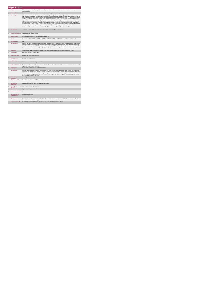|                         | <b>Respite Services</b>                     |                                                                                                                                                                                                                                                                                                                                                                                                                                                                                                                                                                                                                                                                                                                                                                                                                                                                                                                                                                                                                                                                                                                                                                                                                                                                                                                                                                                                                                                                    |  |  |
|-------------------------|---------------------------------------------|--------------------------------------------------------------------------------------------------------------------------------------------------------------------------------------------------------------------------------------------------------------------------------------------------------------------------------------------------------------------------------------------------------------------------------------------------------------------------------------------------------------------------------------------------------------------------------------------------------------------------------------------------------------------------------------------------------------------------------------------------------------------------------------------------------------------------------------------------------------------------------------------------------------------------------------------------------------------------------------------------------------------------------------------------------------------------------------------------------------------------------------------------------------------------------------------------------------------------------------------------------------------------------------------------------------------------------------------------------------------------------------------------------------------------------------------------------------------|--|--|
|                         | <b>KPITitle</b>                             | DIS94 - No. of people with a Disability (ID/Autism and Physical and Sensory Disability) who are in receipt of more than 30 overnights<br>continuous respite                                                                                                                                                                                                                                                                                                                                                                                                                                                                                                                                                                                                                                                                                                                                                                                                                                                                                                                                                                                                                                                                                                                                                                                                                                                                                                        |  |  |
| 1a                      | <b>KPI Short Title</b>                      | No. of people with a Disability who are in receipt of more than 30 overnights continuous respite                                                                                                                                                                                                                                                                                                                                                                                                                                                                                                                                                                                                                                                                                                                                                                                                                                                                                                                                                                                                                                                                                                                                                                                                                                                                                                                                                                   |  |  |
| $\overline{2}$          | <b>KPI Description</b>                      | No. of people with a Disability (ID/Autism and Physical and Sensory Disability) who have received respite for more than 30 continuous<br>overnight respite in this quarter (example 1) / carryover from previous quarter (example 2).Include: . People who received continuous overnight<br>respite (i.e. in a bed) exceeding 30 overnights. Exclude: . People receiving respite funded by other care groups (e.g. Older Persons) . People<br>who have exceeded non-continuous 30 overnight respite stays. People who receive respite in their own home - this is returned under Home<br>Support. Respite service must be returned by the HSE Area from which funding is allocated e.g. Waterford Service user accessing respite<br>rights in Kildare. These clients to be returned by Waterford Disability Services. Example # 1: Betty entered respite in January for a planned<br>week-long respite stay. Due to family circumstances, Betty's respite stay extended to 35 days in Q1. Betty is returned under this KPI. Betty is<br>also returned under "Total no. of people in receipt of respite services".Example # 2: Henry exceeded 30 continuous overnights of respite in Q1.<br>His respite stay continued through Q2. Henry is counted in this KPI for Q1 and Q2. Adult a person aged over 18 and under 65 years. In a small<br>number of cases people may continue to access disability respite services post 65 years of age. Child: Under 18 years. |  |  |
| $\overline{\mathbf{z}}$ | <b>KPI Rationale</b>                        | To monitor the numbers of people who are in receipt of de facto residential supports in a respite bed.                                                                                                                                                                                                                                                                                                                                                                                                                                                                                                                                                                                                                                                                                                                                                                                                                                                                                                                                                                                                                                                                                                                                                                                                                                                                                                                                                             |  |  |
| 3a                      |                                             | Indicator Classification National Scorecard Quadrant Access                                                                                                                                                                                                                                                                                                                                                                                                                                                                                                                                                                                                                                                                                                                                                                                                                                                                                                                                                                                                                                                                                                                                                                                                                                                                                                                                                                                                        |  |  |
| $\overline{4}$          | <b>National Target</b>                      | 2019 Operational Plan Point in Time Target/expected activity: 32                                                                                                                                                                                                                                                                                                                                                                                                                                                                                                                                                                                                                                                                                                                                                                                                                                                                                                                                                                                                                                                                                                                                                                                                                                                                                                                                                                                                   |  |  |
| 4a                      | Target                                      | 2019 Target per CHO: CHO 1 - 3, CHO 2 - 3, CHO 3 - 3, CHO 4 - 5, CHO 5 - 4, CHO 6 - 3, CHO 7 - 4, CHO 8 - 4, CHO 9 - 3.                                                                                                                                                                                                                                                                                                                                                                                                                                                                                                                                                                                                                                                                                                                                                                                                                                                                                                                                                                                                                                                                                                                                                                                                                                                                                                                                            |  |  |
| 4 <sub>b</sub>          | <b>Volume Metrics</b>                       | N/A                                                                                                                                                                                                                                                                                                                                                                                                                                                                                                                                                                                                                                                                                                                                                                                                                                                                                                                                                                                                                                                                                                                                                                                                                                                                                                                                                                                                                                                                |  |  |
| 5                       | <b>KPI Calculation</b>                      | Count the total number of people in receipt of more than 30 continuous overnight respite stays. If the 30 continuous overnights fall across two<br>quarters, count the person in the quarter in which the 31st overnight occurs and in any subsequent quarter should they remain in continuous<br>overnight respite. Count adults and children separately. This is a point in time KPI calculation i.e. do not add the quarterly returns together. For<br>year end outturn, Q4 outturn is used e.g. Q1:11, Q2: 9, Q3: 18, Q4: 7, total number receiving more than 30 continuous overnights respite is 7.                                                                                                                                                                                                                                                                                                                                                                                                                                                                                                                                                                                                                                                                                                                                                                                                                                                           |  |  |
| 6                       | <b>Data Source</b>                          | Service Provider - HSE Disability Service nominee - HOSC - CHO - Performance Management and Improvement Unit (PMIU).                                                                                                                                                                                                                                                                                                                                                                                                                                                                                                                                                                                                                                                                                                                                                                                                                                                                                                                                                                                                                                                                                                                                                                                                                                                                                                                                               |  |  |
| ßя                      | Data Sign Off                               | Head of Social Care in CHO Area (HOSC).                                                                                                                                                                                                                                                                                                                                                                                                                                                                                                                                                                                                                                                                                                                                                                                                                                                                                                                                                                                                                                                                                                                                                                                                                                                                                                                                                                                                                            |  |  |
| 6b                      | <b>Data Quality Issues</b>                  | No known data quality issues at this point.                                                                                                                                                                                                                                                                                                                                                                                                                                                                                                                                                                                                                                                                                                                                                                                                                                                                                                                                                                                                                                                                                                                                                                                                                                                                                                                                                                                                                        |  |  |
| $\overline{7}$          | <b>Data Collection</b><br>Frequency         | Quarterly- one month in arrears                                                                                                                                                                                                                                                                                                                                                                                                                                                                                                                                                                                                                                                                                                                                                                                                                                                                                                                                                                                                                                                                                                                                                                                                                                                                                                                                                                                                                                    |  |  |
| 8                       | <b>Tracer Conditions</b>                    | People with an Intellectual Disability and / or autism.                                                                                                                                                                                                                                                                                                                                                                                                                                                                                                                                                                                                                                                                                                                                                                                                                                                                                                                                                                                                                                                                                                                                                                                                                                                                                                                                                                                                            |  |  |
| $\overline{9}$          | Minimum Data Set MDS                        | The service user's care plan which includes personal details and relevant information relating to their diagnosis, their needs and services and<br>support they require to meet their needs.                                                                                                                                                                                                                                                                                                                                                                                                                                                                                                                                                                                                                                                                                                                                                                                                                                                                                                                                                                                                                                                                                                                                                                                                                                                                       |  |  |
| 10                      | International<br>Comparison                 | Service developed in line with best practice internationally                                                                                                                                                                                                                                                                                                                                                                                                                                                                                                                                                                                                                                                                                                                                                                                                                                                                                                                                                                                                                                                                                                                                                                                                                                                                                                                                                                                                       |  |  |
| 11                      | <b>KPI Monitoring</b>                       | Quarterly/ Other - give details: The HOSC/nominee will receive, review and quality assure KPI data returns for accuracy and completeness<br>and analyse data for performance against ELS/targets. They will forward the collated KPI returns to the Chief Officer/nominee and include a<br>builet point explanation where there are variances against target. The Chief Officer/nominee will review, approve and submit final CHO returns<br>to the Performance Management and Improvement Unit (PMIU) on the agreed date each month / quarter. The responsible person at local<br>level for monitoring this KPI is the HOSC.                                                                                                                                                                                                                                                                                                                                                                                                                                                                                                                                                                                                                                                                                                                                                                                                                                      |  |  |
| 12                      | <b>KPI Reporting</b><br>Frequency           | Quarterly (1 month in Arrears)                                                                                                                                                                                                                                                                                                                                                                                                                                                                                                                                                                                                                                                                                                                                                                                                                                                                                                                                                                                                                                                                                                                                                                                                                                                                                                                                                                                                                                     |  |  |
| 13                      | <b>KPI Report Period</b>                    | Quarterly one month in arrears (Q2 data reported in July report)                                                                                                                                                                                                                                                                                                                                                                                                                                                                                                                                                                                                                                                                                                                                                                                                                                                                                                                                                                                                                                                                                                                                                                                                                                                                                                                                                                                                   |  |  |
| 14                      | <b>KPI Reporting</b><br>Aggregation         | National/ CHO/ LHO Area/ Other - give details: Service Provider                                                                                                                                                                                                                                                                                                                                                                                                                                                                                                                                                                                                                                                                                                                                                                                                                                                                                                                                                                                                                                                                                                                                                                                                                                                                                                                                                                                                    |  |  |
| 15                      | reports?                                    | KPI is reported in which Preliminary Data Report/Operational Plan                                                                                                                                                                                                                                                                                                                                                                                                                                                                                                                                                                                                                                                                                                                                                                                                                                                                                                                                                                                                                                                                                                                                                                                                                                                                                                                                                                                                  |  |  |
| 16                      | Web link to data                            | http://www.hse.ia/eng/services/publications/                                                                                                                                                                                                                                                                                                                                                                                                                                                                                                                                                                                                                                                                                                                                                                                                                                                                                                                                                                                                                                                                                                                                                                                                                                                                                                                                                                                                                       |  |  |
| 17                      | <b>Additional Information</b>               | N/A                                                                                                                                                                                                                                                                                                                                                                                                                                                                                                                                                                                                                                                                                                                                                                                                                                                                                                                                                                                                                                                                                                                                                                                                                                                                                                                                                                                                                                                                |  |  |
|                         | <b>KPI</b> owner/lead for<br>implementation | Chief Officer, CHO Area                                                                                                                                                                                                                                                                                                                                                                                                                                                                                                                                                                                                                                                                                                                                                                                                                                                                                                                                                                                                                                                                                                                                                                                                                                                                                                                                                                                                                                            |  |  |
|                         | PBI data support                            | Sinéad Nulty O'Brien, Lead Data Analyst for Disabilities, Performance Management and Improvement Unit - Bective Street, Kells, Co. Meath.<br>Ph: 046 9251328 , Emailsinead.nulty@hse.ie                                                                                                                                                                                                                                                                                                                                                                                                                                                                                                                                                                                                                                                                                                                                                                                                                                                                                                                                                                                                                                                                                                                                                                                                                                                                            |  |  |
|                         | Governance/sign off                         | Dr. Cathal Morgan, Head of Operations, Disability Services Email: disabilityops.socialcare@hse.ie                                                                                                                                                                                                                                                                                                                                                                                                                                                                                                                                                                                                                                                                                                                                                                                                                                                                                                                                                                                                                                                                                                                                                                                                                                                                                                                                                                  |  |  |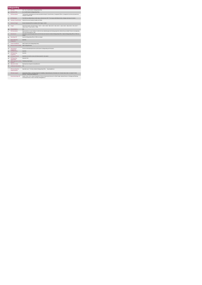|                      | Safequarding                                                 |                                                                                                                                                                                              |  |
|----------------------|--------------------------------------------------------------|----------------------------------------------------------------------------------------------------------------------------------------------------------------------------------------------|--|
| $\ddot{\phantom{1}}$ | <b>KPITitle</b>                                              | SC3 - No. of staff trained in Safeguarding Policy                                                                                                                                            |  |
| 1a                   | <b>KPI Short Title</b>                                       | No. of staff trained in Safeguarding Policy                                                                                                                                                  |  |
| $\overline{z}$       | <b>KPI Description</b>                                       | Training will be standardised and include specialist training for Social Workers, Designated Officers, management overview and awareness<br>raising for frontine staff.                      |  |
| $\overline{3}$       | <b>KPI Rationale</b>                                         | The HSE has collected data on elder abuse referrals since 2007. This measure will indicate trends, changes and areas of concern.                                                             |  |
| 3a                   | <b>Indicator Classification</b>                              | National Scorecard Quadrant Quality and Safety                                                                                                                                               |  |
| $\overline{4}$       | <b>National Target</b>                                       | Division Operational Plan Cumulative 2019 Target - 10,000                                                                                                                                    |  |
| 4a                   | Target                                                       | 2019 CHO Targets Year End Targets - CHO 1 - 1,004 , CHO2 - 908, CHO 3 - 920, CHO 4 - 1,492, CHO 5 - 848, CHO 6 - 876, CHO 7 -<br>1.352. CHO 8 - 1.152. CHO 9 - 1.448.                        |  |
| 4 <sub>b</sub>       | <b>Volume Metrics</b>                                        | <b>N/A</b>                                                                                                                                                                                   |  |
| 5                    | <b>KPI Calculation</b>                                       | Measurement is a count. Number of staff who have attended approved training programmes delivered by accredited Trainers encompassing<br>HSE and funded agencies' staff.                      |  |
| 6                    | <b>Data Source</b>                                           | Information sourced through trainers (at CHO level) and returned to National Safeguarding Office. National Safeguarding Office to PMIU via<br>Analyst.                                       |  |
| 6a                   | Data Sign Off                                                | National Safeguarding Office to PMIU via Analyst                                                                                                                                             |  |
| 7                    | <b>Data Collection</b><br>Frequency                          | Quarterly                                                                                                                                                                                    |  |
| 8                    | <b>Tracer Conditions</b>                                     | Staff Trained on the Safeguarding Policy                                                                                                                                                     |  |
| $\overline{9}$       | Minimum Data Set MDS                                         | Staff Training Records                                                                                                                                                                       |  |
| 10                   | International<br>Comparison                                  | Services Internationally that have staff trained in Safeguarding and Protection                                                                                                              |  |
| 11                   | <b>KPI Monitoring</b>                                        | Quarterly                                                                                                                                                                                    |  |
| 12                   | <b>KPI Reporting</b><br>Frequency                            | Quarterly                                                                                                                                                                                    |  |
| 13                   | <b>KPI Report Period</b>                                     | Quarterly one month in arrears (Q2 data reported in July report)                                                                                                                             |  |
| 14                   | <b>KPI Reporting</b><br>Aggregation                          | National/ CHO                                                                                                                                                                                |  |
| 15                   | KPI is reported in which Preliminary Data Report<br>reports? |                                                                                                                                                                                              |  |
| 16                   | Web link to data                                             | http://www.hse.ie/eng/services/publications/                                                                                                                                                 |  |
| 17                   | <b>Additional Information</b>                                | <b>N/A</b>                                                                                                                                                                                   |  |
|                      | <b>KPI</b> owner/lead for<br>implementation                  | Specialist Lead: Tim Hanly, National Safeguarding Office<br>timo.haniv@hse.ie                                                                                                                |  |
|                      | PBI data support                                             | Sinéad Nulty O'Brien, Lead Data Analyst for Disabilities, National Business Information Unit - Bective Steet, Kells, Co. Meath. Ph: 046<br>9251328 , Email:sinead.rulty@hse.ie               |  |
|                      | Governance/sign off                                          | Sandra Tuchy, A.N.D. Head of Operations & Service Improvement Services for Older People, National Director of Strategy and Planning,<br>Community Services, Email: community.strategy@hse.ie |  |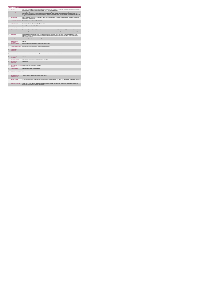|                         | <b>Safequarding</b>                         |                                                                                                                                                                                                                                                                                                                                                                                                                                                                  |
|-------------------------|---------------------------------------------|------------------------------------------------------------------------------------------------------------------------------------------------------------------------------------------------------------------------------------------------------------------------------------------------------------------------------------------------------------------------------------------------------------------------------------------------------------------|
|                         |                                             | SC6 - % of Preliminary Screenings for adults aged 65 years and over with an outcome of reasonable grounds for concern that are submitted to<br>the Safeguarding and Protection Teams accompanied by an interim Safeguarding Plan                                                                                                                                                                                                                                 |
| $\overline{z}$          | <b>KPI Description</b>                      | The Safeguarding Vulnerable Persons at Risk of Abuse - National Policy and Procedures states that a Preliminary Screening must be carried<br>out in all cases where there is a concern of abuse of a vulnerable adult. If this Preliminary Screening indicates that there are reasonable<br>grounds for concern, an interim Safeguarding Plan must be developed and submitted, along with the Preliminary Screening, to the Safeguarding<br>and Protection Team. |
| 3                       | <b>KPI Rationale</b>                        | If there are grounds for concern, it is important to have a plan in place to protect the client and prevent recurrence and that the Safeguarding<br>and Protection Team is notified.                                                                                                                                                                                                                                                                             |
| 3a                      | <b>Indicator Classification</b>             | National Scorecard Quadrant Quality and Safety                                                                                                                                                                                                                                                                                                                                                                                                                   |
| $\overline{\mathbf{4}}$ | <b>National Target</b>                      | 2019 National Service Plan Point in Time Target: 100%                                                                                                                                                                                                                                                                                                                                                                                                            |
| 4a                      | Target                                      | 2019 CHO targets : ALL CHO's 100%                                                                                                                                                                                                                                                                                                                                                                                                                                |
| 4 <sub>b</sub>          | <b>Volume Metrics</b>                       | N/A                                                                                                                                                                                                                                                                                                                                                                                                                                                              |
| 5                       | <b>KPI Calculation</b>                      | Percentage- The denominator will be the total number of preliminary screenings submitted within the specified time frame that had an outcome<br>of reasonable grounds for concern". The numerator will be the number of preliminary screenings submitted with an interim safeguarding plan.                                                                                                                                                                      |
| 6                       | Data Source                                 | Safeguarding and Protection Teams input information from Preliminary Screening Forms onto a logging sheet. The logging sheet will be<br>submitted by Principal Social Workers (PSW) onto a shared drive accessible to the National Safeguarding Office. National Safeguarding<br>Office to PMIU via Analyst                                                                                                                                                      |
| 6a                      | Data Sign Off                               | National Safeguarding Office to PMIU via Analyst                                                                                                                                                                                                                                                                                                                                                                                                                 |
| $\overline{7}$          | <b>Data Collection</b>                      | Quarterly                                                                                                                                                                                                                                                                                                                                                                                                                                                        |
| 8                       | Frequency<br><b>Tracer Conditions</b>       | Logging sheet will be submitted to the National Safeguarding Office                                                                                                                                                                                                                                                                                                                                                                                              |
| 9                       | Minimum Data Set MDS                        | Logging sheet will be submitted to the National Safeguarding Office                                                                                                                                                                                                                                                                                                                                                                                              |
| 10                      | International<br>Comparison                 |                                                                                                                                                                                                                                                                                                                                                                                                                                                                  |
| 11                      | <b>KPI Monitoring</b>                       | Quarterly/Other Give Details : Each Principal Social Worker on Safe Guarding and Protection Teams                                                                                                                                                                                                                                                                                                                                                                |
| 12                      | <b>KPI Reporting</b><br>Frequency           | Quarterly                                                                                                                                                                                                                                                                                                                                                                                                                                                        |
| 13                      | <b>KPI Report Period</b>                    | Quarterly one month in arrears (Q2 data reported in July report)                                                                                                                                                                                                                                                                                                                                                                                                 |
| 14                      | <b>KPI Reporting</b><br>Aggregation         | National/ CHO                                                                                                                                                                                                                                                                                                                                                                                                                                                    |
| 15                      | reports?                                    | KPI is reported in which Annual Report/NSP/Performance Profile/MDR                                                                                                                                                                                                                                                                                                                                                                                               |
| 16                      | Web link to data                            | http://www.hse.ie/eng/services/publications/                                                                                                                                                                                                                                                                                                                                                                                                                     |
| 17                      | <b>Additional Information</b>               | N/A                                                                                                                                                                                                                                                                                                                                                                                                                                                              |
|                         | <b>KPI</b> owner/lead for<br>implementation | Tim Hanly, National Safeguarding Office timg hanly@hse.ie                                                                                                                                                                                                                                                                                                                                                                                                        |
|                         | PBI data support                            | Sinéad Nulty O'Brien, Lead Data Analyst for Disabilities, PMIU - Bective Steet, Kells, Co. Meath. Ph: 046 9251328 , Email:sinead.nulty@hse.ie                                                                                                                                                                                                                                                                                                                    |
|                         | Governance/sign off                         | Sandra Tuchy, A.N.D. Head of Operations & Service Improvement Services for Older People, National Director of Strategy and Planning,<br>Community Services, Email: community.strategy@hse.ie                                                                                                                                                                                                                                                                     |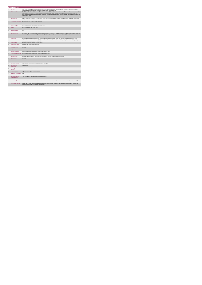|                | Safequarding                                |                                                                                                                                                                                                                                                                                                                                                                                                                                                                 |
|----------------|---------------------------------------------|-----------------------------------------------------------------------------------------------------------------------------------------------------------------------------------------------------------------------------------------------------------------------------------------------------------------------------------------------------------------------------------------------------------------------------------------------------------------|
|                |                                             | SC7 - % of Preliminary Screenings for adults under 65 years with an outcome of reasonable grounds for concern that are submitted to the<br>Safeguarding and Protection Teams accompanied by an interim Safeguarding Plan                                                                                                                                                                                                                                        |
| $\overline{z}$ | <b>KPI Description</b>                      | The Safeguarding Vulnerable Persons at Risk of Abuse - National Policy and Procedures states that a Preliminary Screening must be carried<br>out in all cases where there is a concern of abuse of a vuherable adult. If this Preliminary Screening indicates that there are reasonable<br>grounds for concern, an interim Safeguarding Plan must be developed and submitted, along with the Preliminary Screening, to the Safeguarding<br>and Protection Team. |
| $\mathcal{R}$  | <b>KPI Rationale</b>                        | If there are grounds for concern, it is important to have a plan in place to protect the client and prevent recurrence and that the Safeguarding<br>and Protection Team is notified.                                                                                                                                                                                                                                                                            |
| 3a             |                                             | Indicator Classification National Scorecard Quadrant Quality and Safety                                                                                                                                                                                                                                                                                                                                                                                         |
| 4              | <b>National Target</b>                      | 2019 National Service Plan Point in Time Target: 100%                                                                                                                                                                                                                                                                                                                                                                                                           |
| 48             | Target                                      | 2019 CHO targets : ALL CHO's 100%                                                                                                                                                                                                                                                                                                                                                                                                                               |
| 4 <sub>h</sub> | <b>Volume Metrics</b>                       | N/A                                                                                                                                                                                                                                                                                                                                                                                                                                                             |
| 5              | <b>KPI Calculation</b>                      | Percentage- The denominator will be the total number of preliminary screenings submitted within the specified time frame that had an outcome<br>of reasonable grounds for concern". The numerator will be the number of preliminary screenings submitted with an interim safeguarding plan.                                                                                                                                                                     |
| 6              | <b>Data Source</b>                          | Safeguarding and Protection Teams input information from Preliminary Screening Forms onto a logging sheet. The logging sheet will be<br>submitted by Principal Social Workers (PSW) onto a shared drive accessible to the National Safeguarding Office. National Safeguarding<br>Office submit information to PMIU via Analyst.                                                                                                                                 |
| 6a             | Data Sign Off                               | National Safeguarding Office to NBIU via Analyst                                                                                                                                                                                                                                                                                                                                                                                                                |
| 6h             | <b>Data Quality Issues</b>                  | No known data quality issues at this point.                                                                                                                                                                                                                                                                                                                                                                                                                     |
| $\overline{7}$ | <b>Data Collection</b><br>Frequency         | Quarterly                                                                                                                                                                                                                                                                                                                                                                                                                                                       |
| 8              | <b>Tracer Conditions</b>                    | Logging sheet will be submitted to the National Safeguarding Office                                                                                                                                                                                                                                                                                                                                                                                             |
| g              | Minimum Data Set MDS                        | Logging sheet will be submitted to the National Safeguarding Office                                                                                                                                                                                                                                                                                                                                                                                             |
| 11             | <b>KPI Monitoring</b>                       | Quarterly/ Other Give Details : Each Principal Social Worker on Safe Guarding and Protection Teams                                                                                                                                                                                                                                                                                                                                                              |
| 12             | <b>KPI Reporting</b><br>Frequency           | Quarterly                                                                                                                                                                                                                                                                                                                                                                                                                                                       |
| 13             | <b>KPI Report Period</b>                    | Quarterly one month in arrears (Q2 data reported in July report)                                                                                                                                                                                                                                                                                                                                                                                                |
| 14             | <b>KPI Reporting</b><br>Aggregation         | National/ CHO                                                                                                                                                                                                                                                                                                                                                                                                                                                   |
| 15             | reports?                                    | KPI is reported in which Annual Report/NSP/Performance Profile/MDR                                                                                                                                                                                                                                                                                                                                                                                              |
| 16             | Web link to data                            | http://www.hse.ie/eng/services/publications/                                                                                                                                                                                                                                                                                                                                                                                                                    |
| 17             | <b>Additional Information</b>               | N/A                                                                                                                                                                                                                                                                                                                                                                                                                                                             |
|                | <b>KPI</b> owner/lead for<br>implementation | Tim Hanly, National Safeguarding Office timg hanly@hse.ie                                                                                                                                                                                                                                                                                                                                                                                                       |
|                | PBI data support                            | Sinéad Nulty O'Brien, Lead Data Analyst for Disabilities, PMIU - Bective Steet, Kells, Co. Meath. Ph: 046 9251328 , Email:sinead.nulty@hse.ie                                                                                                                                                                                                                                                                                                                   |
|                | Governance/sign off                         | Sandra Tuchy, A.N.D. Head of Operations & Service Improvement Services for Older People, National Director of Strategy and Planning,<br>Community Services, Email: community.strategy@hse.ie                                                                                                                                                                                                                                                                    |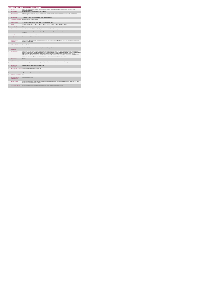|                 |                                             | <b>Services for Children and Young People</b>                                                                                                                                                                                                                                                                                                                                                                                                                                                                                                                                                                                                                                     |
|-----------------|---------------------------------------------|-----------------------------------------------------------------------------------------------------------------------------------------------------------------------------------------------------------------------------------------------------------------------------------------------------------------------------------------------------------------------------------------------------------------------------------------------------------------------------------------------------------------------------------------------------------------------------------------------------------------------------------------------------------------------------------|
|                 | <b>KPITitle</b>                             | DIS65 - Number of Children's Disability Network Teams (in line with Progressing Disability Services for Children and Young People's<br>Programme) established                                                                                                                                                                                                                                                                                                                                                                                                                                                                                                                     |
| 1a              | <b>KPI Short Title</b>                      | Number of Children's Disability Network teams established                                                                                                                                                                                                                                                                                                                                                                                                                                                                                                                                                                                                                         |
| $\overline{2}$  | <b>KPI Description</b>                      | In line with Progressing Disability Services for Children and Young People's Programme existing therapy resources for children must be<br>reconfigured to geographic based networks.                                                                                                                                                                                                                                                                                                                                                                                                                                                                                              |
| $\overline{3}$  | <b>KPI Rationale</b>                        | To monitor the number of children's disability Network teams established                                                                                                                                                                                                                                                                                                                                                                                                                                                                                                                                                                                                          |
| 3a              | <b>Indicator Classification</b>             | National Scorecard Quadrant Access                                                                                                                                                                                                                                                                                                                                                                                                                                                                                                                                                                                                                                                |
| $\overline{4}$  | <b>National Target</b>                      | 2019 National Service Plan Cumulative Target: 80 Disability Network Teams                                                                                                                                                                                                                                                                                                                                                                                                                                                                                                                                                                                                         |
| 4a              | Target                                      | . • CHO Targets: CHO1 • , CHO2 • , CHO3 • , CHO4 • , CHO6 • , CHO6 • , CHO7 • , CHO8 • , CHO9 • .                                                                                                                                                                                                                                                                                                                                                                                                                                                                                                                                                                                 |
| 4 <sub>b</sub>  | <b>Volume Metrics</b>                       | N/A                                                                                                                                                                                                                                                                                                                                                                                                                                                                                                                                                                                                                                                                               |
| 5               | <b>KPI Calculation</b>                      | Count the total number of Childrens Disability Network teams established within the reporting month.                                                                                                                                                                                                                                                                                                                                                                                                                                                                                                                                                                              |
| $\mathbf{6}$    | <b>Data Source</b>                          | Local Implementation Group Lead - Disability Manager/Nominee - Community Health Office (CHO) LIG Lead - National Business Information<br>Unit (BIU).                                                                                                                                                                                                                                                                                                                                                                                                                                                                                                                              |
| 6a              | Data Sign Off                               | Head of Social Care in CHO Area (HOSC).                                                                                                                                                                                                                                                                                                                                                                                                                                                                                                                                                                                                                                           |
| 6b              | <b>Data Quality Issues</b>                  | No known data quality issues at this point.                                                                                                                                                                                                                                                                                                                                                                                                                                                                                                                                                                                                                                       |
| 7               | <b>Data Collection</b><br>Frequency         | Monthly Other - give details: Data will be collected monthly by the HOSC for monitoring purposes. This KPI is reported in the Performance<br>Report on a monthly basis.                                                                                                                                                                                                                                                                                                                                                                                                                                                                                                           |
| 8               | <b>Tracer Conditions</b>                    |                                                                                                                                                                                                                                                                                                                                                                                                                                                                                                                                                                                                                                                                                   |
| 9               | Minimum Data Set MDS                        | None applicable                                                                                                                                                                                                                                                                                                                                                                                                                                                                                                                                                                                                                                                                   |
| 10              | International<br>Comparison                 | Service model in line with current policy developed in line with best practice internationally.                                                                                                                                                                                                                                                                                                                                                                                                                                                                                                                                                                                   |
| 11              | <b>KPI Monitoring</b>                       | Monthly / Other - give details: The LIG Lead will submit completed data to the HOSC. The HOSC/nominee will receive, review and quality<br>assure KPI data returns for accuracy and completeness and analyse data for performance against ELS/targets. They will forward the collated<br>KPI returns to the Chief Officer/nominee and include a bullet point explanation where there are variances against target. The Chief<br>Officer/nominee will review, approve and submit final CHO returns to the Performance Management and Improvement Unit (PMIU) on the<br>agreed date each month / quarter. The responsible person at local level for monitoring this KPI is the HOSC. |
| 12 <sup>5</sup> | <b>KPI Reporting</b><br>Frequency           | Monthly                                                                                                                                                                                                                                                                                                                                                                                                                                                                                                                                                                                                                                                                           |
| 13              | <b>KPI Report Period</b>                    | Current (e.g. daily data reported on same day of activity, monthly data reported within the same month of activity)                                                                                                                                                                                                                                                                                                                                                                                                                                                                                                                                                               |
| 14              | <b>KPI Reporting</b><br>Aggregation         | National/ CHO/ LHO Area/ Other - give details: LIG                                                                                                                                                                                                                                                                                                                                                                                                                                                                                                                                                                                                                                |
| 15              | reports?                                    | KPI is reported in which Annual Report/NSP/Performance Profile/MDR                                                                                                                                                                                                                                                                                                                                                                                                                                                                                                                                                                                                                |
| 16              | Web link to data                            | http://www.hse.ie/eng/services/publications/                                                                                                                                                                                                                                                                                                                                                                                                                                                                                                                                                                                                                                      |
| 17              | <b>Additional Information</b>               | N/A                                                                                                                                                                                                                                                                                                                                                                                                                                                                                                                                                                                                                                                                               |
|                 | <b>KPI</b> owner/lead for<br>implementation | Chief Officer, CHO Area                                                                                                                                                                                                                                                                                                                                                                                                                                                                                                                                                                                                                                                           |
|                 | PBI data support                            | Sinéad Nulty O'Brien, Lead Data Analyst for Disabilities, Performance Management and Improvement Unit - Bective Street, Kells, Co. Meath.<br>Ph: 046 9251328 , Emailsinead nuity@hse.ie                                                                                                                                                                                                                                                                                                                                                                                                                                                                                           |
|                 | Governance/sign off                         | Dr. Cathal Morgan, Head of Operations, Disability Services Email: disabilityops socialcare @hse.ie                                                                                                                                                                                                                                                                                                                                                                                                                                                                                                                                                                                |